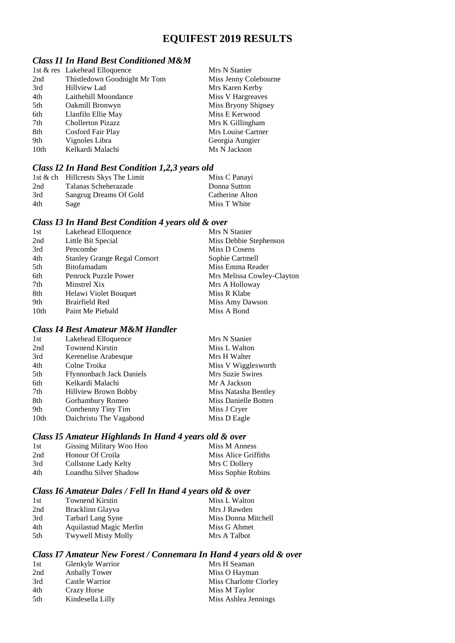# **EQUIFEST 2019 RESULTS**

### *Class I1 In Hand Best Conditioned M&M*

| 1st & res Lakehead Elloquence | Mrs N Stanier         |
|-------------------------------|-----------------------|
| Thistledown Goodnight Mr Tom  | Miss Jenny Colebourne |
| <b>Hillview Lad</b>           | Mrs Karen Kerby       |
| Laithehill Moondance          | Miss V Hargreaves     |
| Oakmill Bronwyn               | Miss Bryony Shipsey   |
| Llanfilo Ellie May            | Miss E Kerwood        |
| <b>Chollerton Pizazz</b>      | Mrs K Gillingham      |
| Cosford Fair Play             | Mrs Louise Cartner    |
| Vignoles Libra                | Georgia Aungier       |
| Kelkardi Malachi              | Ms N Jackson          |
|                               |                       |

### *Class I2 In Hand Best Condition 1,2,3 years old*

|     | 1st $\&$ ch Hillcrests Skys The Limit | Miss C Panayi   |
|-----|---------------------------------------|-----------------|
| 2nd | Talanas Scheherazade                  | Donna Sutton    |
| 3rd | Sangrug Dreams Of Gold                | Catherine Alton |
| 4th | Sage                                  | Miss T White    |

# *Class I3 In Hand Best Condition 4 years old & over*

| Miss Debbie Stephenson     |
|----------------------------|
| Miss D Cosens              |
| Sophie Cartmell            |
| Miss Emma Reader           |
| Mrs Melissa Cowley-Clayton |
| Mrs A Holloway             |
| Miss R Klabe               |
| Miss Amy Dawson            |
| Miss A Bond                |
|                            |

# *Class I4 Best Amateur M&M Handler*

| 1st  | Lakehead Elloquence             | Mrs N Stanier        |
|------|---------------------------------|----------------------|
| 2nd  | <b>Townend Kirstin</b>          | Miss L Walton        |
| 3rd  | Kerenelise Arabesque            | Mrs H Walter         |
| 4th  | Colne Troika                    | Miss V Wigglesworth  |
| 5th  | <b>Ffynnonbach Jack Daniels</b> | Mrs Suzie Swires     |
| 6th  | Kelkardi Malachi                | Mr A Jackson         |
| 7th  | <b>Hillview Brown Bobby</b>     | Miss Natasha Bentley |
| 8th  | Gorhambury Romeo                | Miss Danielle Botten |
| 9th  | Conrhenny Tiny Tim              | Miss J Cryer         |
| 10th | Daichristu The Vagabond         | Miss D Eagle         |

# *Class I5 Amateur Highlands In Hand 4 years old & over*

| 1st | Gissing Military Woo Hoo | Miss M Anness        |
|-----|--------------------------|----------------------|
| 2nd | Honour Of Croila         | Miss Alice Griffiths |
| 3rd | Collstone Lady Kelty     | Mrs C Dollery        |
| 4th | Loandhu Silver Shadow    | Miss Sophie Robins   |

### *Class I6 Amateur Dales / Fell In Hand 4 years old & over*

| 1st | <b>Townend Kirstin</b>     | Miss L Walton       |
|-----|----------------------------|---------------------|
| 2nd | Bracklinn Glayva           | Mrs J Rawden        |
| 3rd | Tarbarl Lang Syne          | Miss Donna Mitchell |
| 4th | Aquilastud Magic Merlin    | Miss G Ahmet        |
| 5th | <b>Twywell Misty Molly</b> | Mrs A Talbot        |

# *Class I7 Amateur New Forest / Connemara In Hand 4 years old & over*

| 1st  | Glenkyle Warrior | Mrs H Seaman           |
|------|------------------|------------------------|
| 2nd  | Anbally Tower    | Miss O Hayman          |
| 3rd  | Castle Warrior   | Miss Charlotte Clorley |
| 4th  | Crazy Horse      | Miss M Taylor          |
| .5th | Kindesella Lilly | Miss Ashlea Jennings   |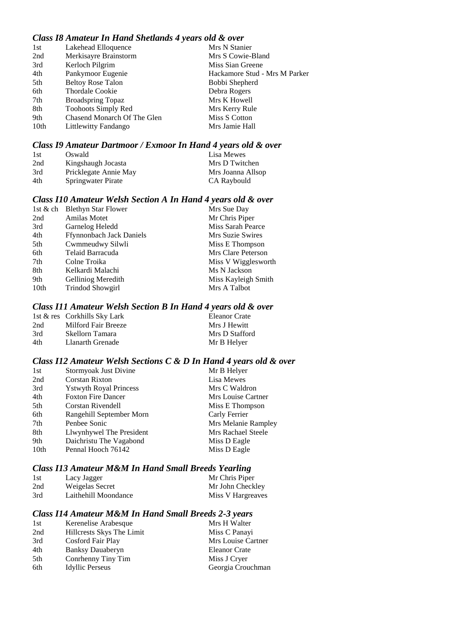# *Class I8 Amateur In Hand Shetlands 4 years old & over*

| 1st  | Lakehead Elloquence         | Mrs N Stanier                 |
|------|-----------------------------|-------------------------------|
| 2nd  | Merkisayre Brainstorm       | Mrs S Cowie-Bland             |
| 3rd  | Kerloch Pilgrim             | Miss Sian Greene              |
| 4th  | Pankymoor Eugenie           | Hackamore Stud - Mrs M Parker |
| 5th  | <b>Beltoy Rose Talon</b>    | Bobbi Shepherd                |
| 6th  | Thordale Cookie             | Debra Rogers                  |
| 7th  | <b>Broadspring Topaz</b>    | Mrs K Howell                  |
| 8th  | <b>Toohoots Simply Red</b>  | Mrs Kerry Rule                |
| 9th  | Chasend Monarch Of The Glen | Miss S Cotton                 |
| 10th | Littlewitty Fandango        | Mrs Jamie Hall                |

### *Class I9 Amateur Dartmoor / Exmoor In Hand 4 years old & over*

| 1st | Oswald                | Lisa Mewes        |
|-----|-----------------------|-------------------|
| 2nd | Kingshaugh Jocasta    | Mrs D Twitchen    |
| 3rd | Pricklegate Annie May | Mrs Joanna Allsop |
| 4th | Springwater Pirate    | CA Raybould       |

### *Class I10 Amateur Welsh Section A In Hand 4 years old & over*

|      | 1st & ch Blethyn Star Flower    | Mrs Sue Day         |
|------|---------------------------------|---------------------|
| 2nd  | <b>Amilas Motet</b>             | Mr Chris Piper      |
| 3rd  | Garnelog Heledd                 | Miss Sarah Pearce   |
| 4th  | <b>Ffynnonbach Jack Daniels</b> | Mrs Suzie Swires    |
| 5th  | Cwmmeudwy Silwli                | Miss E Thompson     |
| 6th  | Telaid Barracuda                | Mrs Clare Peterson  |
| 7th  | Colne Troika                    | Miss V Wigglesworth |
| 8th  | Kelkardi Malachi                | Ms N Jackson        |
| 9th  | Gelliniog Meredith              | Miss Kayleigh Smith |
| 10th | <b>Trindod Showgirl</b>         | Mrs A Talbot        |

### *Class I11 Amateur Welsh Section B In Hand 4 years old & over*

|     | 1st & res Corkhills Sky Lark | Eleanor Crate  |
|-----|------------------------------|----------------|
| 2nd | Milford Fair Breeze          | Mrs J Hewitt   |
| 3rd | Skellorn Tamara              | Mrs D Stafford |
| 4th | Llanarth Grenade             | Mr B Helyer    |

### *Class I12 Amateur Welsh Sections C & D In Hand 4 years old & over*

| 1st  | Stormyoak Just Divine          | Mr B Helyer         |
|------|--------------------------------|---------------------|
| 2nd  | <b>Corstan Rixton</b>          | Lisa Mewes          |
| 3rd  | <b>Y</b> stwyth Royal Princess | Mrs C Waldron       |
| 4th  | <b>Foxton Fire Dancer</b>      | Mrs Louise Cartner  |
| 5th  | Corstan Rivendell              | Miss E Thompson     |
| 6th  | Rangehill September Morn       | Carly Ferrier       |
| 7th  | Penbee Sonic                   | Mrs Melanie Rampley |
| 8th  | Llwynhywel The President       | Mrs Rachael Steele  |
| 9th  | Daichristu The Vagabond        | Miss D Eagle        |
| 10th | Pennal Hooch 76142             | Miss D Eagle        |

### *Class I13 Amateur M&M In Hand Small Breeds Yearling*

| 1st | Lacy Jagger          | Mr Chris Piper    |
|-----|----------------------|-------------------|
| 2nd | Weigelas Secret      | Mr John Checkley  |
| 3rd | Laithehill Moondance | Miss V Hargreaves |

# *Class I14 Amateur M&M In Hand Small Breeds 2-3 years*

| 1st | Kerenelise Arabesque      | Mrs H Walter         |
|-----|---------------------------|----------------------|
| 2nd | Hillcrests Skys The Limit | Miss C Panayi        |
| 3rd | Cosford Fair Play         | Mrs Louise Cartner   |
| 4th | <b>Banksy Dauaberyn</b>   | <b>Eleanor Crate</b> |
| 5th | Conrhenny Tiny Tim        | Miss J Cryer         |
| 6th | <b>Idyllic Perseus</b>    | Georgia Crouchman    |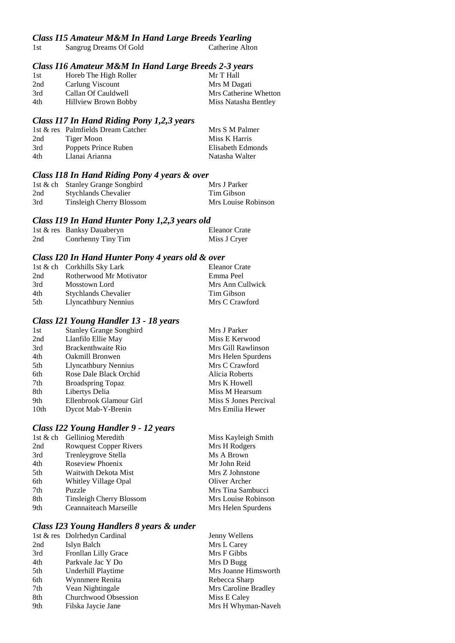# *Class I15 Amateur M&M In Hand Large Breeds Yearling*

| 1st | Sangrug Dreams Of Gold | Catherine Alton |
|-----|------------------------|-----------------|
|-----|------------------------|-----------------|

# *Class I16 Amateur M&M In Hand Large Breeds 2-3 years*

| 1st | Horeb The High Roller | Mr T Hall             |
|-----|-----------------------|-----------------------|
| 2nd | Carlung Viscount      | Mrs M Dagati          |
| 3rd | Callan Of Cauldwell   | Mrs Catherine Whetton |
| 4th | Hillview Brown Bobby  | Miss Natasha Bentley  |
|     |                       |                       |

### *Class I17 In Hand Riding Pony 1,2,3 years*

|     | 1st & res Palmfields Dream Catcher | Mrs S M Palmer    |
|-----|------------------------------------|-------------------|
| 2nd | Tiger Moon                         | Miss K Harris     |
| 3rd | Poppets Prince Ruben               | Elisabeth Edmonds |
| 4th | Llanai Arianna                     | Natasha Walter    |
|     |                                    |                   |

# *Class I18 In Hand Riding Pony 4 years & over*

|     | 1st & ch Stanley Grange Songbird | Mrs J Parker        |
|-----|----------------------------------|---------------------|
| 2nd | <b>Stychlands Chevalier</b>      | Tim Gibson          |
| 3rd | Tinsleigh Cherry Blossom         | Mrs Louise Robinson |

### *Class I19 In Hand Hunter Pony 1,2,3 years old*

|     | 1st & res Banksy Dauaberyn | <b>Eleanor Crate</b> |
|-----|----------------------------|----------------------|
| 2nd | Conrhenny Tiny Tim         | Miss J Cryer         |

### *Class I20 In Hand Hunter Pony 4 years old & over*

|      | 1st & ch Corkhills Sky Lark | Eleanor Crate    |
|------|-----------------------------|------------------|
| 2nd  | Rotherwood Mr Motivator     | Emma Peel        |
| 3rd  | Mosstown Lord               | Mrs Ann Cullwick |
| 4th  | <b>Stychlands Chevalier</b> | Tim Gibson       |
| .5th | Llyncathbury Nennius        | Mrs C Crawford   |

# *Class I21 Young Handler 13 - 18 years*

| 1st              | <b>Stanley Grange Songbird</b> | Mrs J Parker          |
|------------------|--------------------------------|-----------------------|
| 2nd              | Llanfilo Ellie May             | Miss E Kerwood        |
| 3rd              | Brackenthwaite Rio             | Mrs Gill Rawlinson    |
| 4th              | Oakmill Bronwen                | Mrs Helen Spurdens    |
| 5th              | Llyncathbury Nennius           | Mrs C Crawford        |
| 6th              | Rose Dale Black Orchid         | Alicia Roberts        |
| 7th              | <b>Broadspring Topaz</b>       | Mrs K Howell          |
| 8th              | Libertys Delia                 | Miss M Hearsum        |
| 9th              | Ellenbrook Glamour Girl        | Miss S Jones Percival |
| 10 <sub>th</sub> | Dycot Mab-Y-Brenin             | Mrs Emilia Hewer      |
|                  |                                |                       |

# *Class I22 Young Handler 9 - 12 years*

|     | 1st & ch Gelliniog Meredith   | Miss Kayleigh Smith |
|-----|-------------------------------|---------------------|
| 2nd | <b>Rowquest Copper Rivers</b> | Mrs H Rodgers       |
| 3rd | Trenleygrove Stella           | Ms A Brown          |
| 4th | Roseview Phoenix              | Mr John Reid        |
| 5th | Waitwith Dekota Mist          | Mrs Z Johnstone     |
| 6th | Whitley Village Opal          | Oliver Archer       |
| 7th | Puzzle                        | Mrs Tina Sambucci   |
| 8th | Tinsleigh Cherry Blossom      | Mrs Louise Robinson |
| 9th | Ceannaiteach Marseille        | Mrs Helen Spurdens  |
|     |                               |                     |

# *Class I23 Young Handlers 8 years & under*

| 1st & res Dolrhedyn Cardinal | Jenny Wellens        |
|------------------------------|----------------------|
| Islyn Balch                  | Mrs L Carey          |
| Fronllan Lilly Grace         | Mrs F Gibbs          |
| Parkvale Jac Y Do            | Mrs D Bugg           |
| Underhill Playtime           | Mrs Joanne Himsworth |
| Wynnmere Renita              | Rebecca Sharp        |
| Vean Nightingale             | Mrs Caroline Bradley |
| Churchwood Obsession         | Miss E Caley         |
| Filska Jaycie Jane           | Mrs H Whyman-Naveh   |
|                              |                      |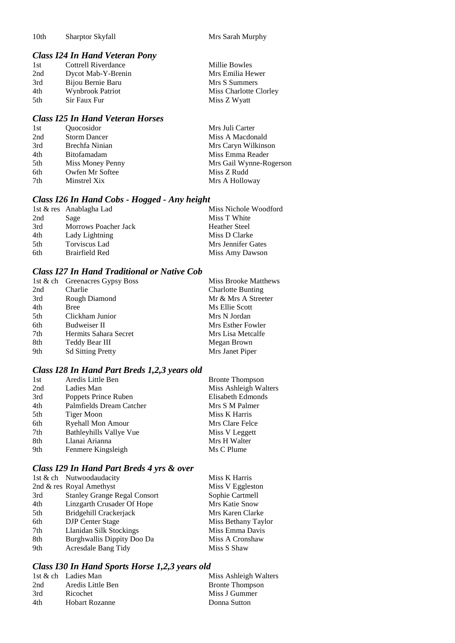10th Sharptor Skyfall Mrs Sarah Murphy

# *Class I24 In Hand Veteran Pony*

| 1st  | Cottrell Riverdance | Millie Bowles          |
|------|---------------------|------------------------|
| 2nd  | Dycot Mab-Y-Brenin  | Mrs Emilia Hewer       |
| 3rd  | Bijou Bernie Baru   | Mrs S Summers          |
| 4th  | Wynbrook Patriot    | Miss Charlotte Clorley |
| .5th | Sir Faux Fur        | Miss Z Wyatt           |

# *Class I25 In Hand Veteran Horses*

| 1st | <i><u><b>Ouocosidor</b></u></i> | Mrs Juli Carter         |
|-----|---------------------------------|-------------------------|
| 2nd | <b>Storm Dancer</b>             | Miss A Macdonald        |
| 3rd | Brechfa Ninian                  | Mrs Caryn Wilkinson     |
| 4th | <b>Bitofamadam</b>              | Miss Emma Reader        |
| 5th | Miss Money Penny                | Mrs Gail Wynne-Rogerson |
| 6th | Owfen Mr Softee                 | Miss Z Rudd             |
| 7th | Minstrel Xix                    | Mrs A Holloway          |

# *Class I26 In Hand Cobs - Hogged - Any height*

|     | 1st & res Anablagha Lad | Miss Nichole Woodford |
|-----|-------------------------|-----------------------|
| 2nd | Sage                    | Miss T White          |
| 3rd | Morrows Poacher Jack    | <b>Heather Steel</b>  |
| 4th | Lady Lightning          | Miss D Clarke         |
| 5th | Torviscus Lad           | Mrs Jennifer Gates    |
| 6th | Brairfield Red          | Miss Amy Dawson       |

## *Class I27 In Hand Traditional or Native Cob*

|     | 1st & ch Greenacres Gypsy Boss | <b>Miss Brooke Matthews</b> |
|-----|--------------------------------|-----------------------------|
| 2nd | Charlie                        | <b>Charlotte Bunting</b>    |
| 3rd | Rough Diamond                  | Mr & Mrs A Streeter         |
| 4th | <b>Bree</b>                    | Ms Ellie Scott              |
| 5th | Clickham Junior                | Mrs N Jordan                |
| 6th | Budweiser II                   | Mrs Esther Fowler           |
| 7th | Hermits Sahara Secret          | Mrs Lisa Metcalfe           |
| 8th | Teddy Bear III                 | Megan Brown                 |
| 9th | <b>Sd Sitting Pretty</b>       | Mrs Janet Piper             |

# *Class I28 In Hand Part Breds 1,2,3 years old*

| 1st | Aredis Little Ben        | <b>Bronte Thompson</b> |
|-----|--------------------------|------------------------|
| 2nd | Ladies Man               | Miss Ashleigh Walters  |
| 3rd | Poppets Prince Ruben     | Elisabeth Edmonds      |
| 4th | Palmfields Dream Catcher | Mrs S M Palmer         |
| 5th | Tiger Moon               | Miss K Harris          |
| 6th | <b>Ryehall Mon Amour</b> | Mrs Clare Felce        |
| 7th | Bathleyhills Vallye Vue  | Miss V Leggett         |
| 8th | Llanai Arianna           | Mrs H Walter           |
| 9th | Fenmere Kingsleigh       | Ms C Plume             |
|     |                          |                        |

## *Class I29 In Hand Part Breds 4 yrs & over*

|     | 1st & ch Nutwoodaudacity            | Miss K Harris       |
|-----|-------------------------------------|---------------------|
|     | 2nd & res Royal Amethyst            | Miss V Eggleston    |
| 3rd | <b>Stanley Grange Regal Consort</b> | Sophie Cartmell     |
| 4th | Linzgarth Crusader Of Hope          | Mrs Katie Snow      |
| 5th | Bridgehill Crackerjack              | Mrs Karen Clarke    |
| 6th | <b>DJP</b> Center Stage             | Miss Bethany Taylor |
| 7th | Llanidan Silk Stockings             | Miss Emma Davis     |
| 8th | Burghwallis Dippity Doo Da          | Miss A Cronshaw     |
| 9th | <b>Acresdale Bang Tidy</b>          | Miss S Shaw         |
|     |                                     |                     |

# *Class I30 In Hand Sports Horse 1,2,3 years old*

|     | 1st & ch Ladies Man | Miss Ashleigh Walters  |
|-----|---------------------|------------------------|
| 2nd | Aredis Little Ben   | <b>Bronte Thompson</b> |
| 3rd | Ricochet            | Miss J Gummer          |
| 4th | Hobart Rozanne      | Donna Sutton           |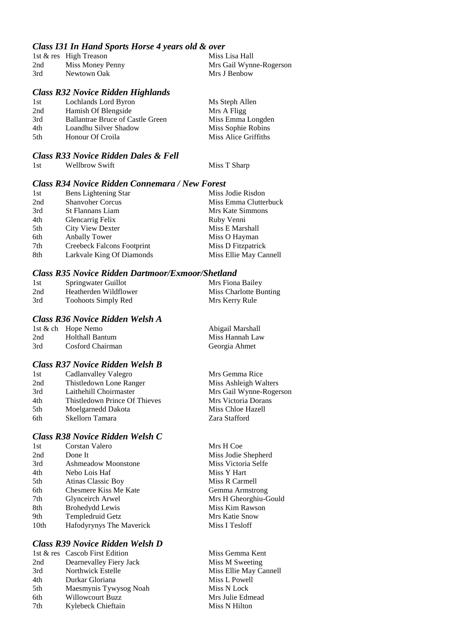### *Class I31 In Hand Sports Horse 4 years old & over*

|     | 1st & res High Treason | Miss Lisa Hall          |
|-----|------------------------|-------------------------|
| 2nd | Miss Money Penny       | Mrs Gail Wynne-Rogerson |
| 3rd | Newtown Oak            | Mrs J Benbow            |

# *Class R32 Novice Ridden Highlands*

| 1st | Lochlands Lord Byron                    | Ms Steph Allen       |
|-----|-----------------------------------------|----------------------|
| 2nd | Hamish Of Blengside                     | Mrs A Fligg          |
| 3rd | <b>Ballantrae Bruce of Castle Green</b> | Miss Emma Longden    |
| 4th | Loandhu Silver Shadow                   | Miss Sophie Robins   |
| 5th | Honour Of Croila                        | Miss Alice Griffiths |
|     |                                         |                      |

# *Class R33 Novice Ridden Dales & Fell*

| <b>Wellbrow Swift</b><br>1st |
|------------------------------|
|------------------------------|

Miss T Sharp

### *Class R34 Novice Ridden Connemara / New Forest*

| 1st | Bens Lightening Star       | Miss Jodie Risdon      |
|-----|----------------------------|------------------------|
| 2nd | <b>Shanvoher Corcus</b>    | Miss Emma Clutterbuck  |
| 3rd | <b>St Flannans Liam</b>    | Mrs Kate Simmons       |
| 4th | Glencarrig Felix           | Ruby Venni             |
| 5th | <b>City View Dexter</b>    | Miss E Marshall        |
| 6th | <b>Anbally Tower</b>       | Miss O Hayman          |
| 7th | Creebeck Falcons Footprint | Miss D Fitzpatrick     |
| 8th | Larkvale King Of Diamonds  | Miss Ellie May Cannell |

#### *Class R35 Novice Ridden Dartmoor/Exmoor/Shetland*

| 1st | Springwater Guillot   | Mrs Fiona Bailey       |
|-----|-----------------------|------------------------|
| 2nd | Heatherden Wildflower | Miss Charlotte Bunting |
| 3rd | Toohoots Simply Red   | Mrs Kerry Rule         |

# *Class R36 Novice Ridden Welsh A*

|     | 1st & ch Hope Nemo | Abigail Marshall |
|-----|--------------------|------------------|
| 2nd | Holthall Bantum    | Miss Hannah Law  |
| 3rd | Cosford Chairman   | Georgia Ahmet    |

### *Class R37 Novice Ridden Welsh B*

| 1st | Cadlanvalley Valegro          | Mrs Gemma Rice          |
|-----|-------------------------------|-------------------------|
| 2nd | Thistledown Lone Ranger       | Miss Ashleigh Walters   |
| 3rd | Laithehill Choirmaster        | Mrs Gail Wynne-Rogerson |
| 4th | Thistledown Prince Of Thieves | Mrs Victoria Dorans     |
| 5th | Moelgarnedd Dakota            | Miss Chloe Hazell       |
| 6th | Skellorn Tamara               | Zara Stafford           |

### *Class R38 Novice Ridden Welsh C*

| 1st              | Corstan Valero             |
|------------------|----------------------------|
| 2nd              | Done It                    |
| 3rd              | <b>Ashmeadow Moonstone</b> |
| 4th              | Nebo Lois Haf              |
| 5th              | Atinas Classic Boy         |
| 6th              | Chesmere Kiss Me Kate      |
| 7th              | Glynceirch Arwel           |
| 8th              | <b>Brohedydd Lewis</b>     |
| 9th              | Templedruid Getz           |
| 10 <sub>th</sub> | Hafodyrynys The Maverick   |
|                  |                            |

### *Class R39 Novice Ridden Welsh D*

|     | 1st & res Cascob First Edition |
|-----|--------------------------------|
| 2nd | Dearnevalley Fiery Jack        |
| 3rd | Northwick Estelle              |
| 4th | Durkar Gloriana                |
| 5th | Maesmynis Tywysog Noah         |
| 6th | <b>Willowcourt Buzz</b>        |
| 7th | Kylebeck Chieftain             |
|     |                                |

Mrs H Coe Miss Jodie Shepherd Miss Victoria Selfe Miss Y Hart Miss R Carmell Gemma Armstrong Mrs H Gheorghiu-Gould Miss Kim Rawson **Mrs Katie Snow** Miss I Tesloff

Miss Gemma Kent Miss M Sweeting Miss Ellie May Cannell Miss L Powell Miss N Lock Mrs Julie Edmead Miss N Hilton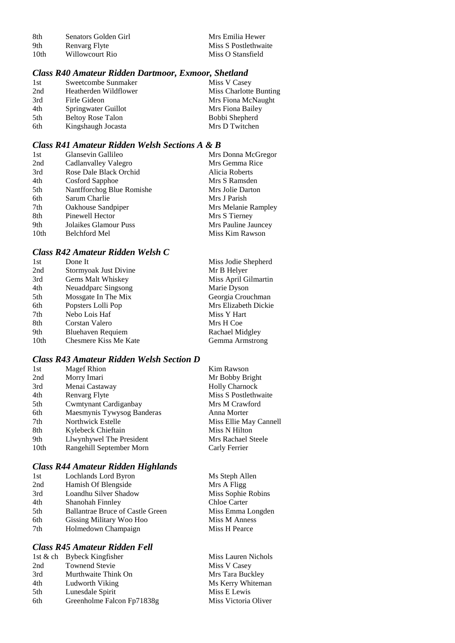| -8th | Senators Golden Girl | Mrs Emilia Hewer     |
|------|----------------------|----------------------|
| 9th  | Renvarg Flyte        | Miss S Postlethwaite |
| 10th | Willowcourt Rio      | Miss O Stansfield    |

# *Class R40 Amateur Ridden Dartmoor, Exmoor, Shetland*

| 1st | Sweetcombe Sunmaker      | Miss V Casey           |
|-----|--------------------------|------------------------|
| 2nd | Heatherden Wildflower    | Miss Charlotte Bunting |
| 3rd | Firle Gideon             | Mrs Fiona McNaught     |
| 4th | Springwater Guillot      | Mrs Fiona Bailey       |
| 5th | <b>Beltoy Rose Talon</b> | Bobbi Shepherd         |
| 6th | Kingshaugh Jocasta       | Mrs D Twitchen         |

# *Class R41 Amateur Ridden Welsh Sections A & B*

| 1st              | Glansevin Gallileo        | Mrs Donna McGregor  |
|------------------|---------------------------|---------------------|
| 2nd              | Cadlanvalley Valegro      | Mrs Gemma Rice      |
| 3rd              | Rose Dale Black Orchid    | Alicia Roberts      |
| 4th              | Cosford Sapphoe           | Mrs S Ramsden       |
| 5th              | Nantfforchog Blue Romishe | Mrs Jolie Darton    |
| 6th              | Sarum Charlie             | Mrs J Parish        |
| 7th              | Oakhouse Sandpiper        | Mrs Melanie Rampley |
| 8th              | Pinewell Hector           | Mrs S Tierney       |
| 9th              | Jolaikes Glamour Puss     | Mrs Pauline Jauncey |
| 10 <sub>th</sub> | <b>Belchford Mel</b>      | Miss Kim Rawson     |

# *Class R42 Amateur Ridden Welsh C*

| 1st              | Done It               | Miss Jodie Shepherd  |
|------------------|-----------------------|----------------------|
| 2nd              | Stormyoak Just Divine | Mr B Helyer          |
| 3rd              | Gems Malt Whiskey     | Miss April Gilmartin |
| 4th              | Neuaddparc Singsong   | Marie Dyson          |
| 5th              | Mossgate In The Mix   | Georgia Crouchman    |
| 6th              | Popsters Lolli Pop    | Mrs Elizabeth Dickie |
| 7th              | Nebo Lois Haf         | Miss Y Hart          |
| 8th              | Corstan Valero        | Mrs H Coe            |
| 9th              | Bluehaven Requiem     | Rachael Midgley      |
| 10 <sub>th</sub> | Chesmere Kiss Me Kate | Gemma Armstrong      |

# *Class R43 Amateur Ridden Welsh Section D*

| <b>Magef Rhion</b>         | Kim Rawson             |
|----------------------------|------------------------|
| Morry Imari                | Mr Bobby Bright        |
| Menai Castaway             | <b>Holly Charnock</b>  |
| Renvarg Flyte              | Miss S Postlethwaite   |
| Cwmtynant Cardiganbay      | Mrs M Crawford         |
| Maesmynis Tywysog Banderas | Anna Morter            |
| Northwick Estelle          | Miss Ellie May Cannell |
| Kylebeck Chieftain         | Miss N Hilton          |
| Llwynhywel The President   | Mrs Rachael Steele     |
| Rangehill September Morn   | Carly Ferrier          |
|                            |                        |

### *Class R44 Amateur Ridden Highlands*

| 1st | Lochlands Lord Byron                    | Ms Steph Allen      |
|-----|-----------------------------------------|---------------------|
| 2nd | Hamish Of Blengside                     | Mrs A Fligg         |
| 3rd | Loandhu Silver Shadow                   | Miss Sophie Robins  |
| 4th | Shanohah Finnley                        | <b>Chloe Carter</b> |
| 5th | <b>Ballantrae Bruce of Castle Green</b> | Miss Emma Longden   |
| 6th | Gissing Military Woo Hoo                | Miss M Anness       |
| 7th | Holmedown Champaign                     | Miss H Pearce       |
|     |                                         |                     |

# *Class R45 Amateur Ridden Fell*

|     | 1st & ch Bybeck Kingfisher | Miss Lauren Nichols  |
|-----|----------------------------|----------------------|
| 2nd | <b>Townend Stevie</b>      | Miss V Casey         |
| 3rd | Murthwaite Think On        | Mrs Tara Buckley     |
| 4th | Ludworth Viking            | Ms Kerry Whiteman    |
| 5th | Lunesdale Spirit           | Miss E Lewis         |
| 6th | Greenholme Falcon Fp71838g | Miss Victoria Oliver |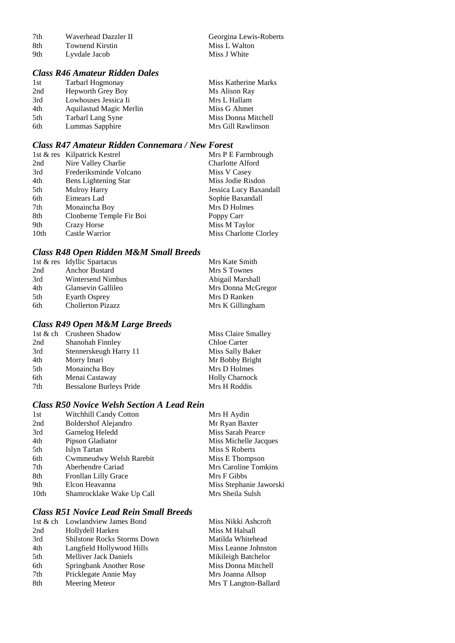| 8th | <b>Townend Kirstin</b> | Miss L Walto |
|-----|------------------------|--------------|
| 9th | Lyvdale Jacob          | Miss J White |

# II Georgina Lewis-Roberts Miss L Walton

# *Class R46 Amateur Ridden Dales*

| 1st | Tarbarl Hogmonay         | Miss Katherine Marks |
|-----|--------------------------|----------------------|
| 2nd | <b>Hepworth Grey Boy</b> | Ms Alison Ray        |
| 3rd | Lowhouses Jessica Ii     | Mrs L Hallam         |
| 4th | Aquilastud Magic Merlin  | Miss G Ahmet         |
| 5th | Tarbarl Lang Syne        | Miss Donna Mitchell  |
| 6th | Lummas Sapphire          | Mrs Gill Rawlinson   |

### *Class R47 Amateur Ridden Connemara / New Forest*

|                  | 1st & res Kilpatrick Kestrel | Mrs P E Farmbrough      |
|------------------|------------------------------|-------------------------|
| 2nd              | Nire Valley Charlie          | <b>Charlotte Alford</b> |
| 3rd              | Frederiksminde Volcano       | Miss V Casey            |
| 4th              | Bens Lightening Star         | Miss Jodie Risdon       |
| 5th              | <b>Mulroy Harry</b>          | Jessica Lucy Baxandall  |
| 6th              | Eimears Lad                  | Sophie Baxandall        |
| 7th              | Monaincha Boy                | Mrs D Holmes            |
| 8th              | Clonberne Temple Fir Boi     | Poppy Carr              |
| 9th              | Crazy Horse                  | Miss M Taylor           |
| 10 <sub>th</sub> | Castle Warrior               | Miss Charlotte Clorley  |

# *Class R48 Open Ridden M&M Small Breeds*

|     | 1st & res Idyllic Spartacus | Mrs Kate Smith     |
|-----|-----------------------------|--------------------|
| 2nd | <b>Anchor Bustard</b>       | Mrs S Townes       |
| 3rd | Wintersend Nimbus           | Abigail Marshall   |
| 4th | Glansevin Gallileo          | Mrs Donna McGregor |
| 5th | Eyarth Osprey               | Mrs D Ranken       |
| 6th | <b>Chollerton Pizazz</b>    | Mrs K Gillingham   |

# *Class R49 Open M&M Large Breeds*

|     | 1st & ch Crusheen Shadow       | Miss Claire Smalley   |
|-----|--------------------------------|-----------------------|
| 2nd | Shanohah Finnley               | Chloe Carter          |
| 3rd | Stennerskeugh Harry 11         | Miss Sally Baker      |
| 4th | Morry Imari                    | Mr Bobby Bright       |
| 5th | Monaincha Boy                  | Mrs D Holmes          |
| 6th | Menai Castaway                 | <b>Holly Charnock</b> |
| 7th | <b>Bessalone Burleys Pride</b> | Mrs H Roddis          |
|     |                                |                       |

#### *Class R50 Novice Welsh Section A Lead Rein*

| 1st  | <b>Witchhill Candy Cotton</b> | Mrs H Aydin             |
|------|-------------------------------|-------------------------|
| 2nd  | <b>Boldershof Alejandro</b>   | Mr Ryan Baxter          |
| 3rd  | Garnelog Heledd               | Miss Sarah Pearce       |
| 4th  | Pipson Gladiator              | Miss Michelle Jacques   |
| 5th  | Islyn Tartan                  | Miss S Roberts          |
| 6th  | Cwmmeudwy Welsh Rarebit       | Miss E Thompson         |
| 7th  | Aberhendre Cariad             | Mrs Caroline Tomkins    |
| 8th  | Fronllan Lilly Grace          | Mrs F Gibbs             |
| 9th  | Elcon Heavanna                | Miss Stephanie Jaworski |
| 10th | Shamrocklake Wake Up Call     | Mrs Sheila Sulsh        |
|      |                               |                         |

### *Class R51 Novice Lead Rein Small Breeds*

|     | 1st & ch Lowlandview James Bond    | Miss Nikki Ashcroft   |
|-----|------------------------------------|-----------------------|
| 2nd | Hollydell Harken                   | Miss M Halsall        |
| 3rd | <b>Shilstone Rocks Storms Down</b> | Matilda Whitehead     |
| 4th | Langfield Hollywood Hills          | Miss Leanne Johnston  |
| 5th | <b>Melliver Jack Daniels</b>       | Mikileigh Batchelor   |
| 6th | Springbank Another Rose            | Miss Donna Mitchell   |
| 7th | Pricklegate Annie May              | Mrs Joanna Allsop     |
| 8th | Meering Meteor                     | Mrs T Langton-Ballard |
|     |                                    |                       |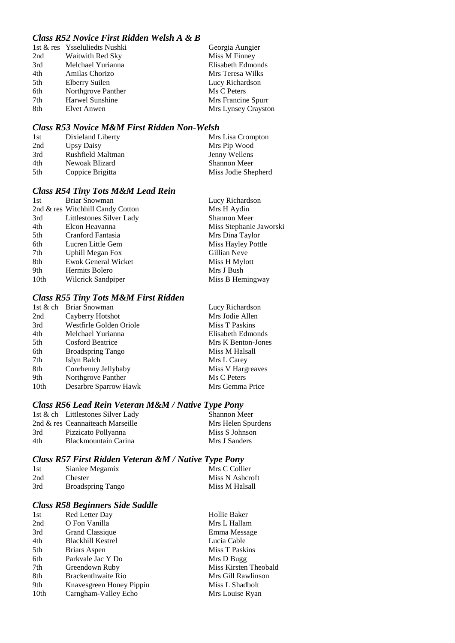# *Class R52 Novice First Ridden Welsh A & B*

|     | 1st & res Ysseluliedts Nushki | Georgia Aungier     |
|-----|-------------------------------|---------------------|
| 2nd | Waitwith Red Sky              | Miss M Finney       |
| 3rd | Melchael Yurianna             | Elisabeth Edmonds   |
| 4th | Amilas Chorizo                | Mrs Teresa Wilks    |
| 5th | <b>Elberry Suilen</b>         | Lucy Richardson     |
| 6th | Northgrove Panther            | Ms C Peters         |
| 7th | Harwel Sunshine               | Mrs Francine Spurr  |
| 8th | Elvet Anwen                   | Mrs Lynsey Crayston |

#### *Class R53 Novice M&M First Ridden Non-Welsh*

| 1st | Dixieland Liberty | Mrs Lisa Crompton   |
|-----|-------------------|---------------------|
| 2nd | Upsy Daisy        | Mrs Pip Wood        |
| 3rd | Rushfield Maltman | Jenny Wellens       |
| 4th | Newoak Blizard    | <b>Shannon Meer</b> |
| 5th | Coppice Brigitta  | Miss Jodie Shepherd |

# *Class R54 Tiny Tots M&M Lead Rein*

| 1st  | <b>Briar Snowman</b>             | Lucy Richardson         |
|------|----------------------------------|-------------------------|
|      | 2nd & res Witchhill Candy Cotton | Mrs H Aydin             |
| 3rd  | Littlestones Silver Lady         | <b>Shannon Meer</b>     |
| 4th  | Elcon Heavanna                   | Miss Stephanie Jaworski |
| 5th  | Cranford Fantasia                | Mrs Dina Taylor         |
| 6th  | Lucren Little Gem                | Miss Hayley Pottle      |
| 7th  | <b>Uphill Megan Fox</b>          | Gillian Neve            |
| 8th  | <b>Ewok General Wicket</b>       | Miss H Mylott           |
| 9th  | Hermits Bolero                   | Mrs J Bush              |
| 10th | Wilcrick Sandpiper               | Miss B Hemingway        |
|      |                                  |                         |

#### *Class R55 Tiny Tots M&M First Ridden*

| Briar Snowman            | Lucy Richardson    |
|--------------------------|--------------------|
| Cayberry Hotshot         | Mrs Jodie Allen    |
| Westfirle Golden Oriole  | Miss T Paskins     |
| Melchael Yurianna        | Elisabeth Edmonds  |
| <b>Cosford Beatrice</b>  | Mrs K Benton-Jones |
| <b>Broadspring Tango</b> | Miss M Halsall     |
| Islyn Balch              | Mrs L Carey        |
| Conrhenny Jellybaby      | Miss V Hargreaves  |
| Northgrove Panther       | Ms C Peters        |
| Desarbre Sparrow Hawk    | Mrs Gemma Price    |
|                          |                    |

### *Class R56 Lead Rein Veteran M&M / Native Type Pony*

|     | 1st & ch Littlestones Silver Lady | Shannon Meer       |
|-----|-----------------------------------|--------------------|
|     | 2nd & res Ceannaiteach Marseille  | Mrs Helen Spurdens |
| 3rd | Pizzicato Pollyanna               | Miss S Johnson     |
| 4th | Blackmountain Carina              | Mrs J Sanders      |

# *Class R57 First Ridden Veteran &M / Native Type Pony*

| 1st | Sianlee Megamix          | Mrs C Collier   |
|-----|--------------------------|-----------------|
| 2nd | Chester                  | Miss N Ashcroft |
| 3rd | <b>Broadspring Tango</b> | Miss M Halsall  |

### *Class R58 Beginners Side Saddle*

| 1st  | Red Letter Day           | Hollie Baker          |
|------|--------------------------|-----------------------|
| 2nd  | O Fon Vanilla            | Mrs L Hallam          |
| 3rd  | Grand Classique          | Emma Message          |
| 4th  | <b>Blackhill Kestrel</b> | Lucia Cable           |
| 5th  | Briars Aspen             | Miss T Paskins        |
| 6th  | Parkvale Jac Y Do        | Mrs D Bugg            |
| 7th  | Greendown Ruby           | Miss Kirsten Theobald |
| 8th  | Brackenthwaite Rio       | Mrs Gill Rawlinson    |
| 9th  | Knavesgreen Honey Pippin | Miss L Shadbolt       |
| 10th | Carngham-Valley Echo     | Mrs Louise Ryan       |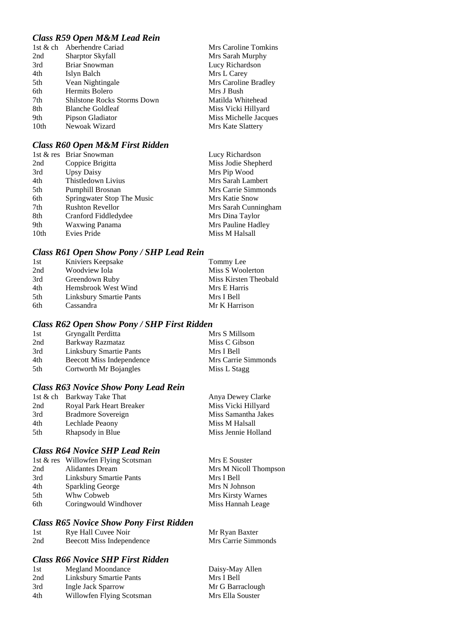# *Class R59 Open M&M Lead Rein*

| 1st $&$ ch       | Aberhendre Cariad                  | Mrs Caroline Tomkins  |
|------------------|------------------------------------|-----------------------|
| 2nd              | <b>Sharptor Skyfall</b>            | Mrs Sarah Murphy      |
| 3rd              | <b>Briar Snowman</b>               | Lucy Richardson       |
| 4th              | Islyn Balch                        | Mrs L Carey           |
| 5th              | Vean Nightingale                   | Mrs Caroline Bradley  |
| 6th              | Hermits Bolero                     | Mrs J Bush            |
| 7th              | <b>Shilstone Rocks Storms Down</b> | Matilda Whitehead     |
| 8th              | <b>Blanche Goldleaf</b>            | Miss Vicki Hillyard   |
| 9th              | Pipson Gladiator                   | Miss Michelle Jacques |
| 10 <sub>th</sub> | Newoak Wizard                      | Mrs Kate Slattery     |

# *Class R60 Open M&M First Ridden*

|                  | 1st & res Briar Snowman    | Lucy Richardson      |
|------------------|----------------------------|----------------------|
| 2nd              | Coppice Brigitta           | Miss Jodie Shepherd  |
| 3rd              | <b>Upsy Daisy</b>          | Mrs Pip Wood         |
| 4th              | Thistledown Livius         | Mrs Sarah Lambert    |
| 5th              | Pumphill Brosnan           | Mrs Carrie Simmonds  |
| 6th              | Springwater Stop The Music | Mrs Katie Snow       |
| 7th              | <b>Rushton Revellor</b>    | Mrs Sarah Cunningham |
| 8th              | Cranford Fiddledydee       | Mrs Dina Taylor      |
| 9th              | <b>Waxwing Panama</b>      | Mrs Pauline Hadley   |
| 10 <sub>th</sub> | Evies Pride                | Miss M Halsall       |

### *Class R61 Open Show Pony / SHP Lead Rein*

| 1st | Kniviers Keepsake       | Tommy Lee             |
|-----|-------------------------|-----------------------|
| 2nd | Woodview Iola           | Miss S Woolerton      |
| 3rd | Greendown Ruby          | Miss Kirsten Theobald |
| 4th | Hemsbrook West Wind     | Mrs E Harris          |
| 5th | Linksbury Smartie Pants | Mrs I Bell            |
| 6th | Cassandra               | Mr K Harrison         |

### *Class R62 Open Show Pony / SHP First Ridden*

| 1st | Gryngallt Perditta        | Mrs S Millsom       |
|-----|---------------------------|---------------------|
| 2nd | Barkway Razmataz          | Miss C Gibson       |
| 3rd | Linksbury Smartie Pants   | Mrs I Bell          |
| 4th | Beecott Miss Independence | Mrs Carrie Simmonds |
| 5th | Cortworth Mr Bojangles    | Miss L Stagg        |

# *Class R63 Novice Show Pony Lead Rein*

|     | 1st & ch Barkway Take That | Anya Dewey Clarke   |
|-----|----------------------------|---------------------|
| 2nd | Royal Park Heart Breaker   | Miss Vicki Hillyard |
| 3rd | Bradmore Sovereign         | Miss Samantha Jakes |
| 4th | Lechlade Peaony            | Miss M Halsall      |
| 5th | Rhapsody in Blue           | Miss Jennie Holland |

# *Class R64 Novice SHP Lead Rein*

|     | 1st & res Willowfen Flying Scotsman | Mrs E Souster            |
|-----|-------------------------------------|--------------------------|
| 2nd | Alidantes Dream                     | Mrs M Nicoll Thompson    |
| 3rd | Linksbury Smartie Pants             | Mrs I Bell               |
| 4th | <b>Sparkling George</b>             | Mrs N Johnson            |
| 5th | Whw Cobweb                          | <b>Mrs Kirsty Warnes</b> |
| 6th | Coringwould Windhover               | Miss Hannah Leage        |

# *Class R65 Novice Show Pony First Ridden*

| 1st | Rye Hall Cuvee Noir       | Mr Ryan Baxter      |
|-----|---------------------------|---------------------|
| 2nd | Beecott Miss Independence | Mrs Carrie Simmonds |

# *Class R66 Novice SHP First Ridden*

| 1st | Megland Moondance         | Daisy-May Allen  |
|-----|---------------------------|------------------|
| 2nd | Linksbury Smartie Pants   | Mrs I Bell       |
| 3rd | Ingle Jack Sparrow        | Mr G Barraclough |
| 4th | Willowfen Flying Scotsman | Mrs Ella Souster |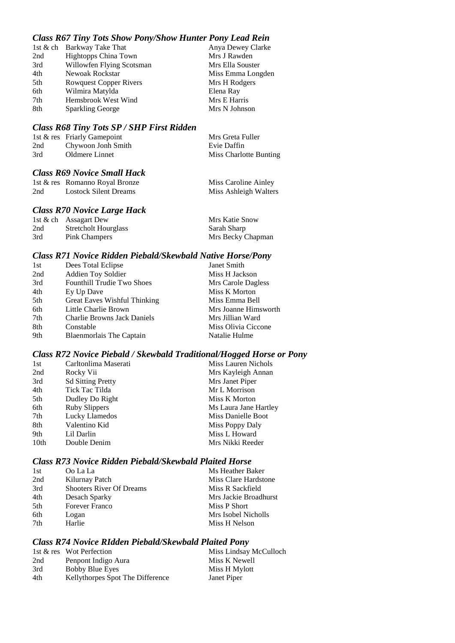# *Class R67 Tiny Tots Show Pony/Show Hunter Pony Lead Rein*

|     | 1st & ch Barkway Take That    | Anya Dewey Clarke |
|-----|-------------------------------|-------------------|
| 2nd | Hightopps China Town          | Mrs J Rawden      |
| 3rd | Willowfen Flying Scotsman     | Mrs Ella Souster  |
| 4th | Newoak Rockstar               | Miss Emma Longden |
| 5th | <b>Rowquest Copper Rivers</b> | Mrs H Rodgers     |
| 6th | Wilmira Matylda               | Elena Ray         |
| 7th | Hemsbrook West Wind           | Mrs E Harris      |
| 8th | <b>Sparkling George</b>       | Mrs N Johnson     |

### *Class R68 Tiny Tots SP / SHP First Ridden*

|     | 1st & res Friarly Gamepoint | Mrs Greta Fuller       |
|-----|-----------------------------|------------------------|
| 2nd | Chywoon Jonh Smith          | Evie Daffin            |
| 3rd | Oldmere Linnet              | Miss Charlotte Bunting |

# *Class R69 Novice Small Hack*

|     | 1st & res Romanno Royal Bronze | Miss Caroline Ainley  |
|-----|--------------------------------|-----------------------|
| 2nd | Lostock Silent Dreams          | Miss Ashleigh Walters |

### *Class R70 Novice Large Hack*

|     | 1st $\&$ ch Assagart Dew    | Mrs Katie Snow    |
|-----|-----------------------------|-------------------|
| 2nd | <b>Stretcholt Hourglass</b> | Sarah Sharp       |
| 3rd | Pink Champers               | Mrs Becky Chapman |

#### *Class R71 Novice Ridden Piebald/Skewbald Native Horse/Pony*

| 1st | Dees Total Eclipse                 | Janet Smith          |
|-----|------------------------------------|----------------------|
| 2nd | <b>Addien Toy Soldier</b>          | Miss H Jackson       |
| 3rd | <b>Founthill Trudie Two Shoes</b>  | Mrs Carole Dagless   |
| 4th | Ey Up Dave                         | Miss K Morton        |
| 5th | Great Eaves Wishful Thinking       | Miss Emma Bell       |
| 6th | Little Charlie Brown               | Mrs Joanne Himsworth |
| 7th | <b>Charlie Browns Jack Daniels</b> | Mrs Jillian Ward     |
| 8th | Constable                          | Miss Olivia Ciccone  |
| 9th | Blaenmorlais The Captain           | Natalie Hulme        |

# *Class R72 Novice Piebald / Skewbald Traditional/Hogged Horse or Pony*

| Carltonlima Maserati     | Miss Lauren Nichols   |
|--------------------------|-----------------------|
| Rocky Vii                | Mrs Kayleigh Annan    |
| <b>Sd Sitting Pretty</b> | Mrs Janet Piper       |
| Tick Tac Tilda           | Mr L Morrison         |
| Dudley Do Right          | Miss K Morton         |
| <b>Ruby Slippers</b>     | Ms Laura Jane Hartley |
| Lucky Llamedos           | Miss Danielle Boot    |
| Valentino Kid            | Miss Poppy Daly       |
| Lil Darlin               | Miss L Howard         |
| Double Denim             | Mrs Nikki Reeder      |
|                          |                       |

### *Class R73 Novice Ridden Piebald/Skewbald Plaited Horse*

| 1st  | Oo La La                        | Ms Heather Baker      |
|------|---------------------------------|-----------------------|
| 2nd  | Kilurnay Patch                  | Miss Clare Hardstone  |
| 3rd  | <b>Shooters River Of Dreams</b> | Miss R Sackfield      |
| 4th  | Desach Sparky                   | Mrs Jackie Broadhurst |
| .5th | <b>Forever Franco</b>           | Miss P Short          |
| 6th  | Logan                           | Mrs Isobel Nicholls   |
| 7th  | Harlie                          | Miss H Nelson         |

# *Class R74 Novice RIdden Piebald/Skewbald Plaited Pony*

|     | 1st & res Wot Perfection         | Miss Lindsay McCulloch |
|-----|----------------------------------|------------------------|
| 2nd | Penpont Indigo Aura              | Miss K Newell          |
| 3rd | <b>Bobby Blue Eyes</b>           | Miss H Mylott          |
| 4th | Kellythorpes Spot The Difference | Janet Piper            |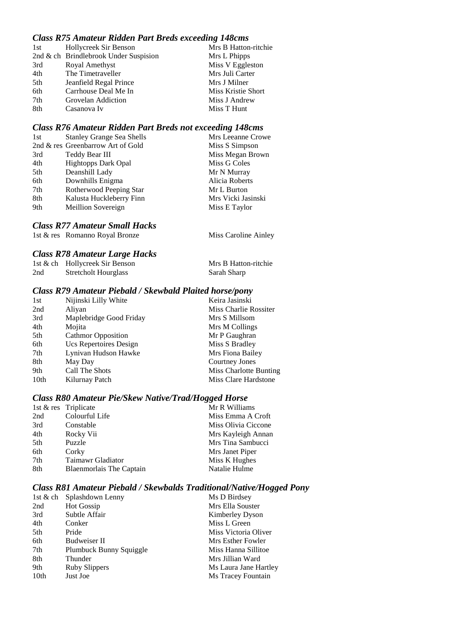### *Class R75 Amateur Ridden Part Breds exceeding 148cms*

| 1st | Hollycreek Sir Benson                 | Mrs B Hatton-ritchie |
|-----|---------------------------------------|----------------------|
|     | 2nd & ch Brindlebrook Under Suspision | Mrs L Phipps         |
| 3rd | Royal Amethyst                        | Miss V Eggleston     |
| 4th | The Timetraveller                     | Mrs Juli Carter      |
| 5th | Jeanfield Regal Prince                | Mrs J Milner         |
| 6th | Carrhouse Deal Me In                  | Miss Kristie Short   |
| 7th | Grovelan Addiction                    | Miss J Andrew        |
| 8th | Casanova Iv                           | Miss T Hunt          |

#### *Class R76 Amateur Ridden Part Breds not exceeding 148cms*

| 1st | <b>Stanley Grange Sea Shells</b>  | Mrs Leeanne Crowe  |
|-----|-----------------------------------|--------------------|
|     | 2nd & res Greenbarrow Art of Gold | Miss S Simpson     |
| 3rd | Teddy Bear III                    | Miss Megan Brown   |
| 4th | <b>Hightopps Dark Opal</b>        | Miss G Coles       |
| 5th | Deanshill Lady                    | Mr N Murray        |
| 6th | Downhills Enigma                  | Alicia Roberts     |
| 7th | Rotherwood Peeping Star           | Mr L Burton        |
| 8th | Kalusta Huckleberry Finn          | Mrs Vicki Jasinski |
| 9th | Meillion Sovereign                | Miss E Taylor      |
|     |                                   |                    |

#### *Class R77 Amateur Small Hacks*

1st & res Romanno Royal Bronze Miss Caroline Ainley

#### *Class R78 Amateur Large Hacks*

|     | 1st & ch Hollycreek Sir Benson | Mrs B Hatton-ritchie |
|-----|--------------------------------|----------------------|
| 2nd | <b>Stretcholt Hourglass</b>    | Sarah Sharp          |

### *Class R79 Amateur Piebald / Skewbald Plaited horse/pony*

| 1st  | Nijinski Lilly White      | Keira Jasinski         |
|------|---------------------------|------------------------|
| 2nd  | Aliyan                    | Miss Charlie Rossiter  |
| 3rd  | Maplebridge Good Friday   | Mrs S Millsom          |
| 4th  | Mojita                    | Mrs M Collings         |
| 5th  | <b>Cathmor Opposition</b> | Mr P Gaughran          |
| 6th  | Ucs Repertoires Design    | Miss S Bradley         |
| 7th  | Lynivan Hudson Hawke      | Mrs Fiona Bailey       |
| 8th  | May Day                   | Courtney Jones         |
| 9th  | Call The Shots            | Miss Charlotte Bunting |
| 10th | Kilurnay Patch            | Miss Clare Hardstone   |

# *Class R80 Amateur Pie/Skew Native/Trad/Hogged Horse*

|     | 1st & res Triplicate     | Mr R Williams       |
|-----|--------------------------|---------------------|
| 2nd | Colourful Life           | Miss Emma A Croft   |
| 3rd | Constable                | Miss Olivia Ciccone |
| 4th | Rocky Vii                | Mrs Kayleigh Annan  |
| 5th | Puzzle                   | Mrs Tina Sambucci   |
| 6th | Corky                    | Mrs Janet Piper     |
| 7th | Taimawr Gladiator        | Miss K Hughes       |
| 8th | Blaenmorlais The Captain | Natalie Hulme       |
|     |                          |                     |

#### *Class R81 Amateur Piebald / Skewbalds Traditional/Native/Hogged Pony*

|                  | 1st & ch Splashdown Lenny | Ms D Birdsey           |
|------------------|---------------------------|------------------------|
| 2nd              | <b>Hot Gossip</b>         | Mrs Ella Souster       |
| 3rd              | Subtle Affair             | <b>Kimberley Dyson</b> |
| 4th              | Conker                    | Miss L Green           |
| 5th              | Pride                     | Miss Victoria Oliver   |
| 6th              | <b>Budweiser II</b>       | Mrs Esther Fowler      |
| 7th              | Plumbuck Bunny Squiggle   | Miss Hanna Sillitoe    |
| 8th              | Thunder                   | Mrs Jillian Ward       |
| 9th              | <b>Ruby Slippers</b>      | Ms Laura Jane Hartley  |
| 10 <sub>th</sub> | Just Joe                  | Ms Tracey Fountain     |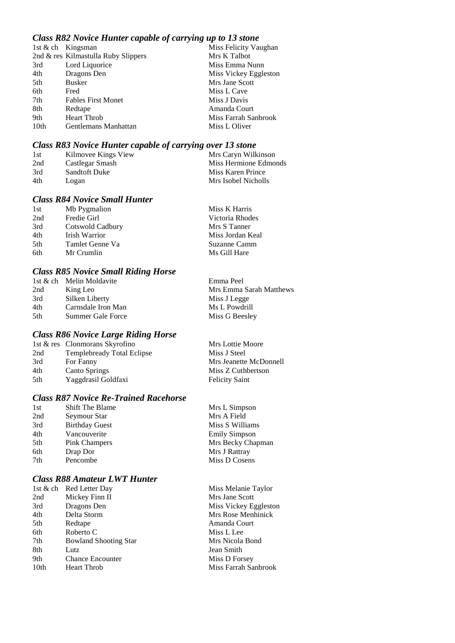# *Class R82 Novice Hunter capable of carrying up to 13 stone*

|      | 1st & ch Kingsman                   | Miss Felicity Vaughan |
|------|-------------------------------------|-----------------------|
|      | 2nd & res Kilmastulla Ruby Slippers | Mrs K Talbot          |
| 3rd  | Lord Liquorice                      | Miss Emma Nunn        |
| 4th  | Dragons Den                         | Miss Vickey Eggleston |
| 5th  | <b>Busker</b>                       | Mrs Jane Scott        |
| 6th  | Fred                                | Miss L Cave           |
| 7th  | <b>Fables First Monet</b>           | Miss J Davis          |
| 8th  | Redtape                             | Amanda Court          |
| 9th  | <b>Heart Throb</b>                  | Miss Farrah Sanbrook  |
| 10th | Gentlemans Manhattan                | Miss L Oliver         |

## *Class R83 Novice Hunter capable of carrying over 13 stone*

| -1st | Kilmovee Kings View  | Mrs Caryn Wilkinson   |
|------|----------------------|-----------------------|
| 2nd  | Castlegar Smash      | Miss Hermione Edmonds |
| 3rd  | <b>Sandtoft Duke</b> | Miss Karen Prince     |
| 4th  | Logan                | Mrs Isobel Nicholls   |

### *Class R84 Novice Small Hunter*

| 1st | Mb Pygmalion     | Miss K Harris    |
|-----|------------------|------------------|
| 2nd | Fredie Girl      | Victoria Rhodes  |
| 3rd | Cotswold Cadbury | Mrs S Tanner     |
| 4th | Irish Warrior    | Miss Jordan Keal |
| 5th | Tamlet Genne Va  | Suzanne Camm     |
| 6th | Mr Crumlin       | Ms Gill Hare     |

### *Class R85 Novice Small Riding Horse*

|      | 1st & ch Melin Moldavite | Emma Peel               |
|------|--------------------------|-------------------------|
| 2nd  | King Leo                 | Mrs Emma Sarah Matthews |
| 3rd  | Silken Liberty           | Miss J Legge            |
| 4th  | Carnsdale Iron Man       | Ms L Powdrill           |
| .5th | Summer Gale Force        | Miss G Beesley          |
|      |                          |                         |

### *Class R86 Novice Large Riding Horse*

|     | 1st & res Clonmorans Skyrofino    | Mrs Lottie Moore       |
|-----|-----------------------------------|------------------------|
| 2nd | <b>Templebready Total Eclipse</b> | Miss J Steel           |
| 3rd | For Fanny                         | Mrs Jeanette McDonnell |
| 4th | <b>Canto Springs</b>              | Miss Z Cuthbertson     |
| 5th | Yaggdrasil Goldfaxi               | <b>Felicity Saint</b>  |

# *Class R87 Novice Re-Trained Racehorse*

| 1st | <b>Shift The Blame</b> | Mrs L Simpson        |
|-----|------------------------|----------------------|
| 2nd | Seymour Star           | Mrs A Field          |
| 3rd | <b>Birthday Guest</b>  | Miss S Williams      |
| 4th | Vancouverite           | <b>Emily Simpson</b> |
| 5th | <b>Pink Champers</b>   | Mrs Becky Chapman    |
| 6th | Drap Dor               | Mrs J Rattray        |
| 7th | Pencombe               | Miss D Cosens        |
|     |                        |                      |

### *Class R88 Amateur LWT Hunter*

|                  | 1st & ch Red Letter Day      |
|------------------|------------------------------|
| 2nd              | Mickey Finn II               |
| 3rd              | Dragons Den                  |
| 4th              | Delta Storm                  |
| 5th              | Redtape                      |
| 6th              | Roberto C                    |
| 7th              | <b>Bowland Shooting Star</b> |
| 8th              | Lutz                         |
| 9th              | <b>Chance Encounter</b>      |
| 10 <sub>th</sub> | <b>Heart Throb</b>           |

Miss Melanie Taylor Mrs Jane Scott Miss Vickey Eggleston Mrs Rose Menhinick Amanda Court Miss L Lee Mrs Nicola Bond

Jean Smith Miss D Forsey Miss Farrah Sanbrook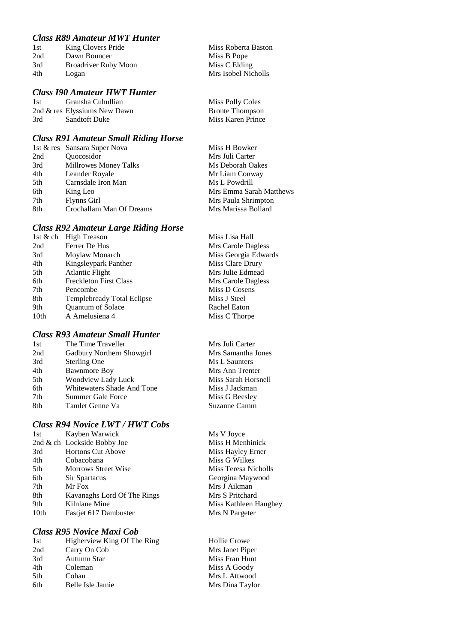# *Class R89 Amateur MWT Hunter*

| 1st | King Clovers Pride          | Miss Roberta Baston |
|-----|-----------------------------|---------------------|
| 2nd | Dawn Bouncer                | Miss B Pope         |
| 3rd | <b>Broadriver Ruby Moon</b> | Miss C Elding       |
| 4th | Logan                       | Mrs Isobel Nicholls |
|     |                             |                     |

### *Class I90 Amateur HWT Hunter*

1st Gransha Cuhullian Miss Polly Coles 2nd & res Elyssiums New Dawn Bronte Thompson 3rd Sandtoft Duke Miss Karen Prince

### *Class R91 Amateur Small Riding Horse*

|     | 1st & res Sansara Super Nova | Miss H Bowker           |
|-----|------------------------------|-------------------------|
| 2nd | Quocosidor                   | Mrs Juli Carter         |
| 3rd | Millrowes Money Talks        | Ms Deborah Oakes        |
| 4th | Leander Royale               | Mr Liam Conway          |
| 5th | Carnsdale Iron Man           | Ms L Powdrill           |
| 6th | King Leo                     | Mrs Emma Sarah Matthews |
| 7th | Flynns Girl                  | Mrs Paula Shrimpton     |
| 8th | Crochallam Man Of Dreams     | Mrs Marissa Bollard     |
|     |                              |                         |

### *Class R92 Amateur Large Riding Horse*

|      | 1st & ch High Treason             | Miss Lisa Hall       |
|------|-----------------------------------|----------------------|
| 2nd  | Ferrer De Hus                     | Mrs Carole Dagless   |
| 3rd  | Moylaw Monarch                    | Miss Georgia Edwards |
| 4th  | Kingsleypark Panther              | Miss Clare Drury     |
| 5th  | <b>Atlantic Flight</b>            | Mrs Julie Edmead     |
| 6th  | <b>Freckleton First Class</b>     | Mrs Carole Dagless   |
| 7th  | Pencombe                          | Miss D Cosens        |
| 8th  | <b>Templebready Total Eclipse</b> | Miss J Steel         |
| 9th  | <b>Quantum of Solace</b>          | Rachel Eaton         |
| 10th | A Amelusiena 4                    | Miss C Thorpe        |
|      |                                   |                      |

### *Class R93 Amateur Small Hunter*

| The Time Traveller         |
|----------------------------|
| Gadbury Northern Showgirl  |
| <b>Sterling One</b>        |
| <b>Bawnmore Boy</b>        |
| <b>Woodview Lady Luck</b>  |
| Whitewaters Shade And Tone |
| Summer Gale Force          |
| Tamlet Genne Va            |
|                            |

# *Class R94 Novice LWT / HWT Cobs*

| 1st  | Kayben Warwick              | Ms V Joyce      |
|------|-----------------------------|-----------------|
|      | 2nd & ch Lockside Bobby Joe | Miss H Menhin   |
| 3rd  | <b>Hortons Cut Above</b>    | Miss Hayley Er. |
| 4th  | Cobacobana                  | Miss G Wilkes   |
| 5th  | <b>Morrows Street Wise</b>  | Miss Teresa Nic |
| 6th  | Sir Spartacus               | Georgina Mayw   |
| 7th  | Mr Fox                      | Mrs J Aikman    |
| 8th  | Kavanaghs Lord Of The Rings | Mrs S Pritchard |
| 9th  | Kilnlane Mine               | Miss Kathleen I |
| 10th | Fastjet 617 Dambuster       | Mrs N Pargeter  |

# *Class R95 Novice Maxi Cob*

| Higherview King Of The Ring |
|-----------------------------|
| Carry On Cob                |
| Autumn Star                 |
| Coleman                     |
| Cohan                       |
| Belle Isle Jamie            |
|                             |

Mrs Juli Carter Mrs Samantha Jones Ms L Saunters Mrs Ann Trenter Miss Sarah Horsnell Miss J Jackman Miss G Beesley Suzanne Camm

Ms V Joyce Miss H Menhinick Miss Hayley Erner Miss G Wilkes Miss Teresa Nicholls Georgina Maywood Mrs J Aikman Mrs S Pritchard Miss Kathleen Haughey

Hollie Crowe Mrs Janet Piper Miss Fran Hunt Miss A Goody Mrs L Attwood Mrs Dina Taylor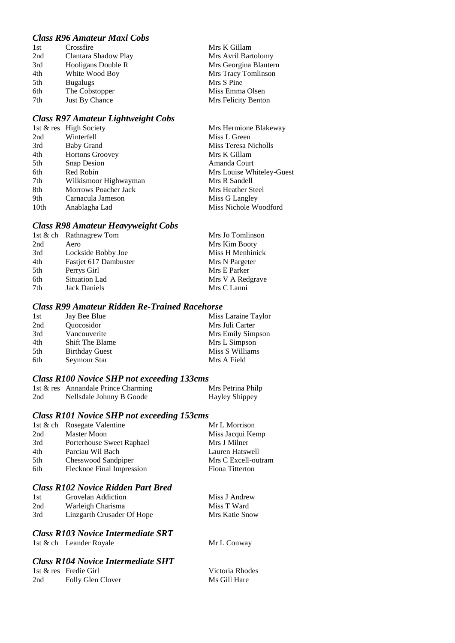# *Class R96 Amateur Maxi Cobs*

| 1st | Crossfire            | Mrs K Gillam          |
|-----|----------------------|-----------------------|
| 2nd | Clantara Shadow Play | Mrs Avril Bartolomy   |
| 3rd | Hooligans Double R   | Mrs Georgina Blantern |
| 4th | White Wood Boy       | Mrs Tracy Tomlinson   |
| 5th | <b>Bugalugs</b>      | Mrs S Pine            |
| 6th | The Cobstopper       | Miss Emma Olsen       |
| 7th | Just By Chance       | Mrs Felicity Benton   |
|     |                      |                       |

### *Class R97 Amateur Lightweight Cobs*

|      | 1st & res High Society | Mrs Hermione Blakeway     |
|------|------------------------|---------------------------|
| 2nd  | Winterfell             | Miss L Green              |
| 3rd  | <b>Baby Grand</b>      | Miss Teresa Nicholls      |
| 4th  | <b>Hortons Groovey</b> | Mrs K Gillam              |
| 5th  | <b>Snap Desion</b>     | Amanda Court              |
| 6th  | Red Robin              | Mrs Louise Whiteley-Guest |
| 7th  | Wilkismoor Highwayman  | Mrs R Sandell             |
| 8th  | Morrows Poacher Jack   | Mrs Heather Steel         |
| 9th  | Carnacula Jameson      | Miss G Langley            |
| 10th | Anablagha Lad          | Miss Nichole Woodford     |

### *Class R98 Amateur Heavyweight Cobs*

| 1st & ch Rathnagrew Tom | Mrs Jo Tomlinson |
|-------------------------|------------------|
| Aero                    | Mrs Kim Booty    |
| Lockside Bobby Joe      | Miss H Menhinick |
| Fastjet 617 Dambuster   | Mrs N Pargeter   |
| Perrys Girl             | Mrs E Parker     |
| <b>Situation Lad</b>    | Mrs V A Redgrave |
| <b>Jack Daniels</b>     | Mrs C Lanni      |
|                         |                  |

# *Class R99 Amateur Ridden Re-Trained Racehorse*

| 1st | Jay Bee Blue                    | Miss Laraine Taylor |
|-----|---------------------------------|---------------------|
| 2nd | <i><u><b>Ouocosidor</b></u></i> | Mrs Juli Carter     |
| 3rd | Vancouverite                    | Mrs Emily Simpson   |
| 4th | <b>Shift The Blame</b>          | Mrs L Simpson       |
| 5th | <b>Birthday Guest</b>           | Miss S Williams     |
| 6th | Seymour Star                    | Mrs A Field         |

### *Class R100 Novice SHP not exceeding 133cms*

|     | 1st & res Annandale Prince Charming | Mrs Petrina Philp |
|-----|-------------------------------------|-------------------|
| 2nd | Nellsdale Johnny B Goode            | Hayley Shippey    |

### *Class R101 Novice SHP not exceeding 153cms*

|     | 1st & ch Rosegate Valentine | Mr L Morrison       |
|-----|-----------------------------|---------------------|
| 2nd | <b>Master Moon</b>          | Miss Jacqui Kemp    |
| 3rd | Porterhouse Sweet Raphael   | Mrs J Milner        |
| 4th | Parciau Wil Bach            | Lauren Hatswell     |
| 5th | Chesswood Sandpiper         | Mrs C Excell-outram |
| 6th | Flecknoe Final Impression   | Fiona Titterton     |
|     |                             |                     |

# *Class R102 Novice Ridden Part Bred*

| 1st | Grovelan Addiction         | Miss J Andrew  |
|-----|----------------------------|----------------|
| 2nd | Warleigh Charisma          | Miss T Ward    |
| 3rd | Linzgarth Crusader Of Hope | Mrs Katie Snow |

### *Class R103 Novice Intermediate SRT*

1st & ch Leander Royale Mr L Conway

## *Class R104 Novice Intermediate SHT*

|     | 1st & res Fredie Girl |
|-----|-----------------------|
| 2nd | Folly Glen Clover     |

Victoria Rhodes Ms Gill Hare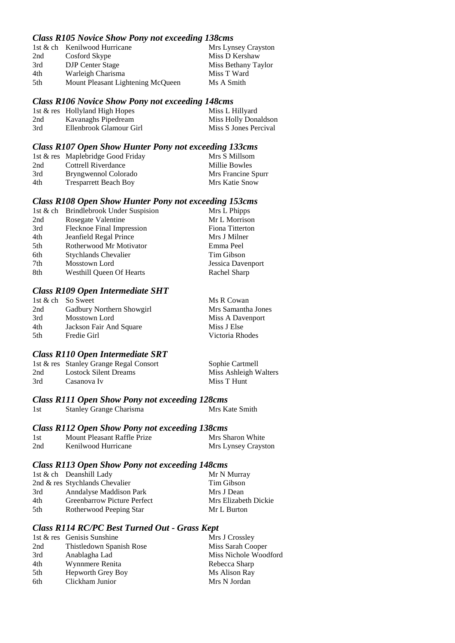## *Class R105 Novice Show Pony not exceeding 138cms*

|                                   |                              | Mrs Lynsey Crayston |
|-----------------------------------|------------------------------|---------------------|
| Cosford Skype                     |                              | Miss D Kershaw      |
| <b>DJP</b> Center Stage           |                              | Miss Bethany Taylor |
| Warleigh Charisma                 |                              | Miss T Ward         |
| Mount Pleasant Lightening McQueen |                              | Ms A Smith          |
|                                   | 1st & ch Kenilwood Hurricane |                     |

#### *Class R106 Novice Show Pony not exceeding 148cms*

|     | 1st & res Hollyland High Hopes | Miss L Hillyard       |
|-----|--------------------------------|-----------------------|
| 2nd | Kavanaghs Pipedream            | Miss Holly Donaldson  |
| 3rd | Ellenbrook Glamour Girl        | Miss S Jones Percival |

### *Class R107 Open Show Hunter Pony not exceeding 133cms*

|     | 1st & res Maplebridge Good Friday | Mrs S Millsom      |
|-----|-----------------------------------|--------------------|
| 2nd | Cottrell Riverdance               | Millie Bowles      |
| 3rd | Bryngwennol Colorado              | Mrs Francine Spurr |
| 4th | <b>Tresparrett Beach Boy</b>      | Mrs Katie Snow     |

### *Class R108 Open Show Hunter Pony not exceeding 153cms*

|     | 1st & ch Brindlebrook Under Suspision | Mrs L Phipps      |
|-----|---------------------------------------|-------------------|
| 2nd | Rosegate Valentine                    | Mr L Morrison     |
| 3rd | Flecknoe Final Impression             | Fiona Titterton   |
| 4th | Jeanfield Regal Prince                | Mrs J Milner      |
| 5th | Rotherwood Mr Motivator               | Emma Peel         |
| 6th | <b>Stychlands Chevalier</b>           | Tim Gibson        |
| 7th | Mosstown Lord                         | Jessica Davenport |
| 8th | <b>Westhill Queen Of Hearts</b>       | Rachel Sharp      |

### *Class R109 Open Intermediate SHT*

|                           | Ms R Cowan         |
|---------------------------|--------------------|
| Gadbury Northern Showgirl | Mrs Samantha Jones |
| Mosstown Lord             | Miss A Davenport   |
| Jackson Fair And Square   | Miss J Else        |
| Fredie Girl               | Victoria Rhodes    |
|                           | 1st & ch So Sweet  |

#### *Class R110 Open Intermediate SRT*

|     | 1st & res Stanley Grange Regal Consort | Sophie Cartmell       |
|-----|----------------------------------------|-----------------------|
| 2nd | Lostock Silent Dreams                  | Miss Ashleigh Walters |
| 3rd | Casanova Iv                            | Miss T Hunt           |

# *Class R111 Open Show Pony not exceeding 128cms*

1st Stanley Grange Charisma Mrs Kate Smith

#### *Class R112 Open Show Pony not exceeding 138cms*

| 1st | Mount Pleasant Raffle Prize | Mrs Sharon White    |
|-----|-----------------------------|---------------------|
| 2nd | Kenilwood Hurricane         | Mrs Lynsey Crayston |

### *Class R113 Open Show Pony not exceeding 148cms*

|     | 1st $\&$ ch Deanshill Lady         | Mr N Murray          |
|-----|------------------------------------|----------------------|
|     | 2nd $\&$ res Stychlands Chevalier  | Tim Gibson           |
| 3rd | Anndalyse Maddison Park            | Mrs J Dean           |
| 4th | <b>Greenbarrow Picture Perfect</b> | Mrs Elizabeth Dickie |
| 5th | Rotherwood Peeping Star            | Mr L Burton          |

### *Class R114 RC/PC Best Turned Out - Grass Kept*

|     | 1st & res Genisis Sunshine | Mrs J Crossley        |
|-----|----------------------------|-----------------------|
| 2nd | Thistledown Spanish Rose   | Miss Sarah Cooper     |
| 3rd | Anablagha Lad              | Miss Nichole Woodford |
| 4th | Wynnmere Renita            | Rebecca Sharp         |
| 5th | Hepworth Grey Boy          | Ms Alison Ray         |
| 6th | Clickham Junior            | Mrs N Jordan          |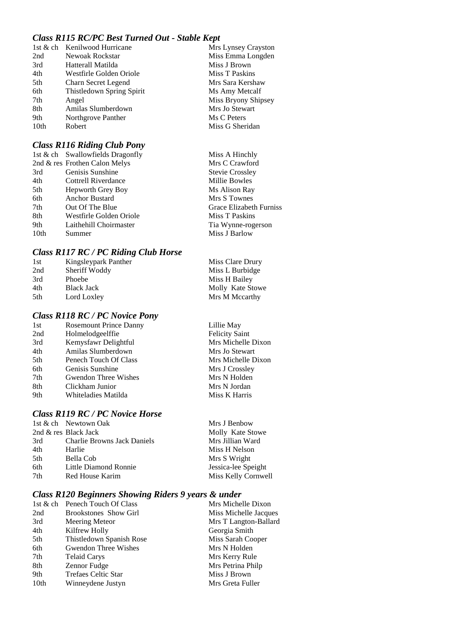# *Class R115 RC/PC Best Turned Out - Stable Kept*

|      | 1st & ch Kenilwood Hurricane | Mrs Lynsey Crayston |
|------|------------------------------|---------------------|
| 2nd  | Newoak Rockstar              | Miss Emma Longden   |
| 3rd  | Hatterall Matilda            | Miss J Brown        |
| 4th  | Westfirle Golden Oriole      | Miss T Paskins      |
| 5th  | Charn Secret Legend          | Mrs Sara Kershaw    |
| 6th  | Thistledown Spring Spirit    | Ms Amy Metcalf      |
| 7th  | Angel                        | Miss Bryony Shipsey |
| 8th  | Amilas Slumberdown           | Mrs Jo Stewart      |
| 9th  | Northgrove Panther           | Ms C Peters         |
| 10th | Robert                       | Miss G Sheridan     |
|      |                              |                     |

# *Class R116 Riding Club Pony*

|      | 1st & ch Swallowfields Dragonfly | Miss A Hinchly          |
|------|----------------------------------|-------------------------|
|      | 2nd & res Frothen Calon Melys    | Mrs C Crawford          |
| 3rd  | Genisis Sunshine                 | <b>Stevie Crossley</b>  |
| 4th  | <b>Cottrell Riverdance</b>       | Millie Bowles           |
| 5th  | Hepworth Grey Boy                | Ms Alison Ray           |
| 6th  | <b>Anchor Bustard</b>            | Mrs S Townes            |
| 7th  | Out Of The Blue                  | Grace Elizabeth Furniss |
| 8th  | Westfirle Golden Oriole          | Miss T Paskins          |
| 9th  | Laithehill Choirmaster           | Tia Wynne-rogerson      |
| 10th | Summer                           | Miss J Barlow           |

### *Class R117 RC / PC Riding Club Horse*

| 1st | Kingsleypark Panther | Miss Clare Drury |
|-----|----------------------|------------------|
| 2nd | Sheriff Woddy        | Miss L Burbidge  |
| 3rd | Phoebe               | Miss H Bailey    |
| 4th | <b>Black Jack</b>    | Molly Kate Stowe |
| 5th | Lord Loxley          | Mrs M Mccarthy   |
|     |                      |                  |

Lillie May Felicity Saint Mrs Michelle Dixon Mrs Jo Stewart Mrs Michelle Dixon Mrs J Crossley Mrs N Holden Mrs N Jordan Miss K Harris

### *Class R118 RC / PC Novice Pony*

| 1st | <b>Rosemount Prince Danny</b> |
|-----|-------------------------------|
| 2nd | Holmelodgeelffie              |
| 3rd | Kemysfawr Delightful          |
| 4th | Amilas Slumberdown            |
| 5th | Penech Touch Of Class         |
| 6th | Genisis Sunshine              |
| 7th | Gwendon Three Wishes          |
| 8th | Clickham Junior               |
| 9th | Whiteladies Matilda           |
|     |                               |

# *Class R119 RC / PC Novice Horse*

|     | 1st & ch Newtown Oak               | Mrs J Benbow        |
|-----|------------------------------------|---------------------|
|     | 2nd & res Black Jack               | Molly Kate Stowe    |
| 3rd | <b>Charlie Browns Jack Daniels</b> | Mrs Jillian Ward    |
| 4th | Harlie                             | Miss H Nelson       |
| 5th | Bella Cob                          | Mrs S Wright        |
| 6th | Little Diamond Ronnie              | Jessica-lee Speight |
| 7th | Red House Karim                    | Miss Kelly Cornwell |
|     |                                    |                     |

# *Class R120 Beginners Showing Riders 9 years & under*

|      | 1st & ch Penech Touch Of Class | Mrs Michelle Dixon    |
|------|--------------------------------|-----------------------|
| 2nd  | <b>Brookstones</b> Show Girl   | Miss Michelle Jacques |
| 3rd  | Meering Meteor                 | Mrs T Langton-Ballard |
| 4th  | Kilfrew Holly                  | Georgia Smith         |
| 5th  | Thistledown Spanish Rose       | Miss Sarah Cooper     |
| 6th  | Gwendon Three Wishes           | Mrs N Holden          |
| 7th  | <b>Telaid Carys</b>            | Mrs Kerry Rule        |
| 8th  | Zennor Fudge                   | Mrs Petrina Philp     |
| 9th  | <b>Trefaes Celtic Star</b>     | Miss J Brown          |
| 10th | Winneydene Justyn              | Mrs Greta Fuller      |
|      |                                |                       |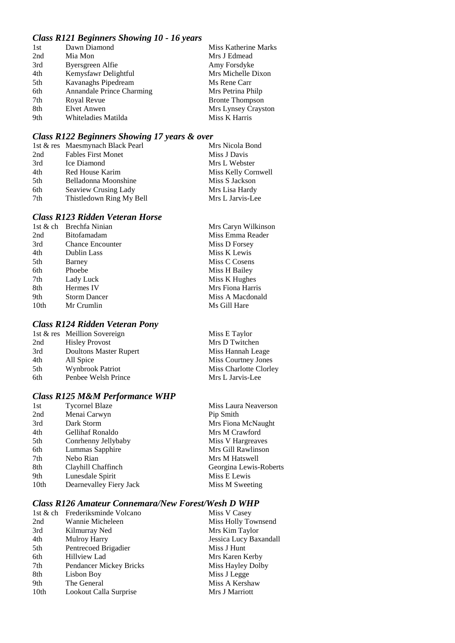# *Class R121 Beginners Showing 10 - 16 years*

| 1st | Dawn Diamond              | Miss Katherine Marks   |
|-----|---------------------------|------------------------|
| 2nd | Mia Mon                   | Mrs J Edmead           |
| 3rd | Byersgreen Alfie          | Amy Forsdyke           |
| 4th | Kemysfawr Delightful      | Mrs Michelle Dixon     |
| 5th | Kavanaghs Pipedream       | Ms Rene Carr           |
| 6th | Annandale Prince Charming | Mrs Petrina Philp      |
| 7th | Royal Revue               | <b>Bronte Thompson</b> |
| 8th | <b>Elvet Anwen</b>        | Mrs Lynsey Crayston    |
| 9th | Whiteladies Matilda       | Miss K Harris          |

# *Class R122 Beginners Showing 17 years & over*

|      | 1st & res Maesmynach Black Pearl | Mrs Nicola Bond     |
|------|----------------------------------|---------------------|
| 2nd  | <b>Fables First Monet</b>        | Miss J Davis        |
| 3rd  | Ice Diamond                      | Mrs L Webster       |
| 4th  | Red House Karim                  | Miss Kelly Cornwell |
| .5th | Belladonna Moonshine             | Miss S Jackson      |
| 6th  | Seaview Crusing Lady             | Mrs Lisa Hardy      |
| 7th  | Thistledown Ring My Bell         | Mrs L Jarvis-Lee    |

# *Class R123 Ridden Veteran Horse*

| 1st & ch | Brechfa Ninian          | Mrs Caryn Wilkinson |
|----------|-------------------------|---------------------|
| 2nd      | <b>Bitofamadam</b>      | Miss Emma Reader    |
| 3rd      | <b>Chance Encounter</b> | Miss D Forsey       |
| 4th      | Dublin Lass             | Miss K Lewis        |
| 5th      | Barney                  | Miss C Cosens       |
| 6th      | Phoebe                  | Miss H Bailey       |
| 7th      | Lady Luck               | Miss K Hughes       |
| 8th      | Hermes IV               | Mrs Fiona Harris    |
| 9th      | <b>Storm Dancer</b>     | Miss A Macdonald    |
| 10th     | Mr Crumlin              | Ms Gill Hare        |
|          |                         |                     |

# *Class R124 Ridden Veteran Pony*

|     | 1st & res Meillion Sovereign  | Miss E Taylor          |
|-----|-------------------------------|------------------------|
| 2nd | <b>Hisley Provost</b>         | Mrs D Twitchen         |
| 3rd | <b>Doultons Master Rupert</b> | Miss Hannah Leage      |
| 4th | All Spice                     | Miss Courtney Jones    |
| 5th | <b>Wynbrook Patriot</b>       | Miss Charlotte Clorley |
| 6th | Penbee Welsh Prince           | Mrs L Jarvis-Lee       |
|     |                               |                        |

# *Class R125 M&M Performance WHP*

| 1st  | <b>Tycornel Blaze</b>   | Miss Laura Neaverson   |
|------|-------------------------|------------------------|
| 2nd  | Menai Carwyn            | Pip Smith              |
| 3rd  | Dark Storm              | Mrs Fiona McNaught     |
| 4th  | <b>Gellihaf Ronaldo</b> | Mrs M Crawford         |
| 5th  | Conrhenny Jellybaby     | Miss V Hargreaves      |
| 6th  | Lummas Sapphire         | Mrs Gill Rawlinson     |
| 7th  | Nebo Rian               | Mrs M Hatswell         |
| 8th  | Clayhill Chaffinch      | Georgina Lewis-Roberts |
| 9th  | Lunesdale Spirit        | Miss E Lewis           |
| 10th | Dearnevalley Fiery Jack | Miss M Sweeting        |

# *Class R126 Amateur Connemara/New Forest/Wesh D WHP*

|                  | 1st & ch Frederiksminde Volcano | Miss V Casey           |
|------------------|---------------------------------|------------------------|
| 2nd              | Wannie Micheleen                | Miss Holly Townsend    |
| 3rd              | Kilmurray Ned                   | Mrs Kim Taylor         |
| 4th              | <b>Mulroy Harry</b>             | Jessica Lucy Baxandall |
| 5th              | Pentrecoed Brigadier            | Miss J Hunt            |
| 6th              | <b>Hillview Lad</b>             | Mrs Karen Kerby        |
| 7th              | Pendancer Mickey Bricks         | Miss Hayley Dolby      |
| 8th              | Lisbon Boy                      | Miss J Legge           |
| 9th              | The General                     | Miss A Kershaw         |
| 10 <sub>th</sub> | Lookout Calla Surprise          | Mrs J Marriott         |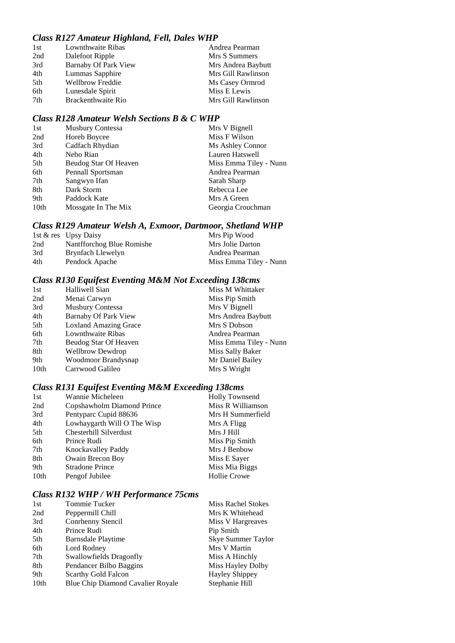### *Class R127 Amateur Highland, Fell, Dales WHP*

| Lownthwaite Ribas           | Andrea Pearman     |
|-----------------------------|--------------------|
| Dalefoot Ripple             | Mrs S Summers      |
| <b>Barnaby Of Park View</b> | Mrs Andrea Baybutt |
| Lummas Sapphire             | Mrs Gill Rawlinson |
| Wellbrow Freddie            | Ms Casey Ormrod    |
| Lunesdale Spirit            | Miss E Lewis       |
| Brackenthwaite Rio          | Mrs Gill Rawlinson |
|                             |                    |

# *Class R128 Amateur Welsh Sections B & C WHP*

| 1st  | <b>Musbury Contessa</b> | Mrs V Bignell          |
|------|-------------------------|------------------------|
| 2nd  | Horeb Boycee            | Miss F Wilson          |
| 3rd  | Cadfach Rhydian         | Ms Ashley Connor       |
| 4th  | Nebo Rian               | Lauren Hatswell        |
| 5th  | Beudog Star Of Heaven   | Miss Emma Tiley - Nunn |
| 6th  | Pennall Sportsman       | Andrea Pearman         |
| 7th  | Sangwyn Ifan            | Sarah Sharp            |
| 8th  | Dark Storm              | Rebecca Lee            |
| 9th  | Paddock Kate            | Mrs A Green            |
| 10th | Mossgate In The Mix     | Georgia Crouchman      |

# *Class R129 Amateur Welsh A, Exmoor, Dartmoor, Shetland WHP*

|     | 1st & res Upsy Daisy      | Mrs Pip Wood           |
|-----|---------------------------|------------------------|
| 2nd | Nantfforchog Blue Romishe | Mrs Jolie Darton       |
| 3rd | Brynfach Llewelyn         | Andrea Pearman         |
| 4th | Pendock Apache            | Miss Emma Tiley - Nunn |

# *Class R130 Equifest Eventing M&M Not Exceeding 138cms*

| 1st  | Halliwell Sian               | Miss M Whittaker       |
|------|------------------------------|------------------------|
| 2nd  | Menai Carwyn                 | Miss Pip Smith         |
| 3rd  | <b>Musbury Contessa</b>      | Mrs V Bignell          |
| 4th  | Barnaby Of Park View         | Mrs Andrea Baybutt     |
| 5th  | <b>Loxland Amazing Grace</b> | Mrs S Dobson           |
| 6th  | Lownthwaite Ribas            | Andrea Pearman         |
| 7th  | Beudog Star Of Heaven        | Miss Emma Tiley - Nunn |
| 8th  | <b>Wellbrow Dewdrop</b>      | Miss Sally Baker       |
| 9th  | Woodmoor Brandysnap          | Mr Daniel Bailey       |
| 10th | Carrwood Galileo             | Mrs S Wright           |
|      |                              |                        |

# *Class R131 Equifest Eventing M&M Exceeding 138cms*

| 1st              | Wannie Micheleen            | <b>Holly Townsend</b> |
|------------------|-----------------------------|-----------------------|
| 2nd              | Copshawholm Diamond Prince  | Miss R Williamson     |
| 3rd              | Pentyparc Cupid 88636       | Mrs H Summerfield     |
| 4th              | Lowhaygarth Will O The Wisp | Mrs A Fligg           |
| 5th              | Chesterhill Silverdust      | Mrs J Hill            |
| 6th              | Prince Rudi                 | Miss Pip Smith        |
| 7th              | Knockavalley Paddy          | Mrs J Benbow          |
| 8th              | Owain Brecon Boy            | Miss E Sayer          |
| 9th              | <b>Stradone Prince</b>      | Miss Mia Biggs        |
| 10 <sub>th</sub> | Pengof Jubilee              | <b>Hollie Crowe</b>   |

### *Class R132 WHP / WH Performance 75cms*

| Tommie Tucker                     | <b>Miss Rachel Stokes</b> |
|-----------------------------------|---------------------------|
| Peppermill Chill                  | Mrs K Whitehead           |
| Conrhenny Stencil                 | Miss V Hargreaves         |
| Prince Rudi                       | Pip Smith                 |
| Barnsdale Playtime                | <b>Skye Summer Taylor</b> |
| Lord Rodney                       | Mrs V Martin              |
| Swallowfields Dragonfly           | Miss A Hinchly            |
| Pendancer Bilbo Baggins           | Miss Hayley Dolby         |
| Scarthy Gold Falcon               | <b>Hayley Shippey</b>     |
| Blue Chip Diamond Cavalier Royale | Stephanie Hill            |
|                                   |                           |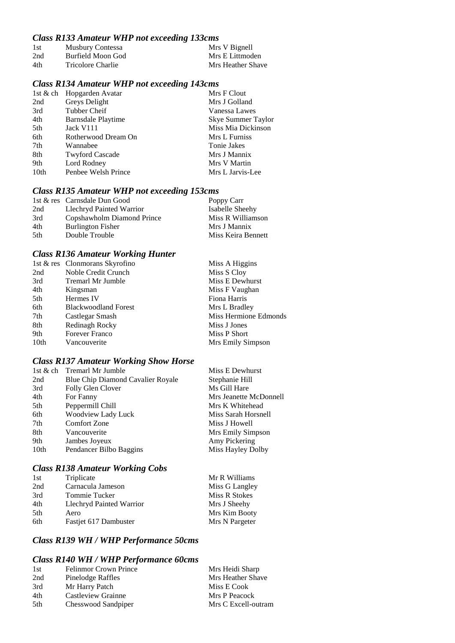# *Class R133 Amateur WHP not exceeding 133cms*

| 1st | Musbury Contessa  | Mrs V Bignell     |
|-----|-------------------|-------------------|
| 2nd | Burfield Moon God | Mrs E Littmoden   |
| 4th | Tricolore Charlie | Mrs Heather Shave |

# *Class R134 Amateur WHP not exceeding 143cms*

|      | 1st & ch Hopgarden Avatar | Mrs F Clout        |
|------|---------------------------|--------------------|
| 2nd  | Greys Delight             | Mrs J Golland      |
| 3rd  | Tubber Cheif              | Vanessa Lawes      |
| 4th  | Barnsdale Playtime        | Skye Summer Taylor |
| 5th  | Jack V111                 | Miss Mia Dickinson |
| 6th  | Rotherwood Dream On       | Mrs L Furniss      |
| 7th  | Wannabee                  | Tonie Jakes        |
| 8th  | <b>Twyford Cascade</b>    | Mrs J Mannix       |
| 9th  | Lord Rodney               | Mrs V Martin       |
| 10th | Penbee Welsh Prince       | Mrs L Jarvis-Lee   |
|      |                           |                    |

# *Class R135 Amateur WHP not exceeding 153cms*

|     | 1st & res Carnsdale Dun Good | Poppy Carr         |
|-----|------------------------------|--------------------|
| 2nd | Llechryd Painted Warrior     | Isabelle Sheehy    |
| 3rd | Copshawholm Diamond Prince   | Miss R Williamson  |
| 4th | <b>Burlington Fisher</b>     | Mrs J Mannix       |
| 5th | Double Trouble               | Miss Keira Bennett |

# *Class R136 Amateur Working Hunter*

|      | 1st & res Clonmorans Skyrofino | Miss A Higgins        |
|------|--------------------------------|-----------------------|
| 2nd  | Noble Credit Crunch            | Miss S Cloy           |
| 3rd  | Tremarl Mr Jumble              | Miss E Dewhurst       |
| 4th  | Kingsman                       | Miss F Vaughan        |
| 5th  | Hermes IV                      | Fiona Harris          |
| 6th  | <b>Blackwoodland Forest</b>    | Mrs L Bradley         |
| 7th  | Castlegar Smash                | Miss Hermione Edmonds |
| 8th  | Redinagh Rocky                 | Miss J Jones          |
| 9th  | <b>Forever Franco</b>          | Miss P Short          |
| 10th | Vancouverite                   | Mrs Emily Simpson     |

# *Class R137 Amateur Working Show Horse*

|                  | 1st & ch Tremarl Mr Jumble        | Miss E Dewhurst        |
|------------------|-----------------------------------|------------------------|
| 2nd              | Blue Chip Diamond Cavalier Royale | Stephanie Hill         |
| 3rd              | Folly Glen Clover                 | Ms Gill Hare           |
| 4th              | For Fanny                         | Mrs Jeanette McDonnell |
| 5th              | Peppermill Chill                  | Mrs K Whitehead        |
| 6th              | Woodview Lady Luck                | Miss Sarah Horsnell    |
| 7th              | Comfort Zone                      | Miss J Howell          |
| 8th              | Vancouverite                      | Mrs Emily Simpson      |
| 9th              | Jambes Joyeux                     | Amy Pickering          |
| 10 <sub>th</sub> | Pendancer Bilbo Baggins           | Miss Hayley Dolby      |
|                  |                                   |                        |

# *Class R138 Amateur Working Cobs*

| 1st | Triplicate               | Mr R Williams  |
|-----|--------------------------|----------------|
| 2nd | Carnacula Jameson        | Miss G Langley |
| 3rd | Tommie Tucker            | Miss R Stokes  |
| 4th | Llechryd Painted Warrior | Mrs J Sheehy   |
| 5th | Aero                     | Mrs Kim Booty  |
| 6th | Fastjet 617 Dambuster    | Mrs N Pargeter |

# *Class R139 WH / WHP Performance 50cms*

### *Class R140 WH / WHP Performance 60cms*

| <b>Felinmor Crown Prince</b> | Mrs Heidi Sharp     |
|------------------------------|---------------------|
| Pinelodge Raffles            | Mrs Heather Shave   |
| Mr Harry Patch               | Miss E Cook         |
| Castleview Grainne           | Mrs P Peacock       |
| Chesswood Sandpiper          | Mrs C Excell-outram |
|                              |                     |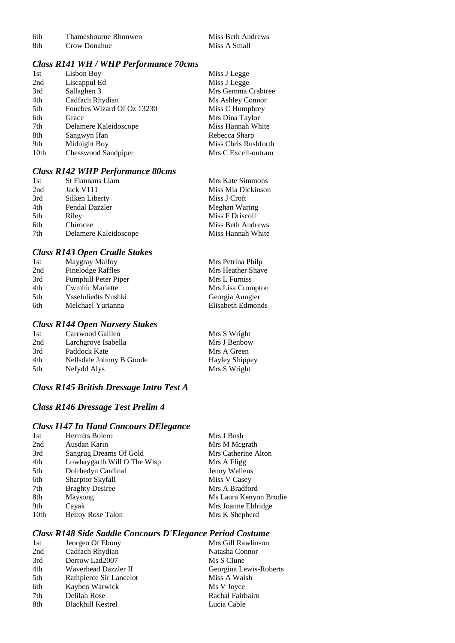Crow Donahue

### *Class R141 WH / WHP Performance 70cms*

| 1st              | Lisbon Boy                 | Miss J Legge         |
|------------------|----------------------------|----------------------|
| 2nd              | Liscappul Ed               | Miss J Legge         |
| 3rd              | Sallaghen 3                | Mrs Gemma Crabtree   |
| 4th              | Cadfach Rhydian            | Ms Ashley Connor     |
| 5th              | Fouches Wizard Of Oz 13230 | Miss C Humphrey      |
| 6th              | Grace                      | Mrs Dina Taylor      |
| 7th              | Delamere Kaleidoscope      | Miss Hannah White    |
| 8th              | Sangwyn Ifan               | Rebecca Sharp        |
| 9th              | Midnight Boy               | Miss Chris Rushforth |
| 10 <sub>th</sub> | Chesswood Sandpiper        | Mrs C Excell-outram  |

### *Class R142 WHP Performance 80cms*

| 1st | <b>St Flannans Liam</b> | Mrs Kate Simmons   |
|-----|-------------------------|--------------------|
| 2nd | Jack V111               | Miss Mia Dickinson |
| 3rd | Silken Liberty          | Miss J Croft       |
| 4th | Pendal Dazzler          | Meghan Waring      |
| 5th | Riley                   | Miss F Driscoll    |
| 6th | Chirocee                | Miss Beth Andrews  |
| 7th | Delamere Kaleidoscope   | Miss Hannah White  |
|     |                         |                    |

### *Class R143 Open Cradle Stakes*

| 1st | Maygray Malfoy           | Mrs Petrina Philp |
|-----|--------------------------|-------------------|
| 2nd | <b>Pinelodge Raffles</b> | Mrs Heather Shave |
| 3rd | Pumphill Peter Piper     | Mrs L Furniss     |
| 4th | <b>Cwmhir Mariette</b>   | Mrs Lisa Crompton |
| 5th | Ysseluliedts Nushki      | Georgia Aungier   |
| 6th | Melchael Yurianna        | Elisabeth Edmonds |
|     |                          |                   |

## *Class R144 Open Nursery Stakes*

| 1st | Carrwood Galileo         | Mrs S Wright          |
|-----|--------------------------|-----------------------|
| 2nd | Larchgrove Isabella      | Mrs J Benbow          |
| 3rd | Paddock Kate             | Mrs A Green           |
| 4th | Nellsdale Johnny B Goode | <b>Hayley Shippey</b> |
| 5th | Nefydd Alys              | Mrs S Wright          |

# *Class R145 British Dressage Intro Test A*

# *Class R146 Dressage Test Prelim 4*

### *Class I147 In Hand Concours DElegance*

| 1st              | Hermits Bolero              | Mrs J Bush             |
|------------------|-----------------------------|------------------------|
| 2nd              | Ausdan Karin                | Mrs M Megrath          |
| 3rd              | Sangrug Dreams Of Gold      | Mrs Catherine Alton    |
| 4th              | Lowhaygarth Will O The Wisp | Mrs A Fligg            |
| 5th              | Dolrhedyn Cardinal          | Jenny Wellens          |
| 6th              | Sharptor Skyfall            | Miss V Casey           |
| 7th              | <b>Braghty Desiree</b>      | Mrs A Bradford         |
| 8th              | Maysong                     | Ms Laura Kenyon Brodie |
| 9th              | Cayak                       | Mrs Joanne Eldridge    |
| 10 <sub>th</sub> | <b>Beltoy Rose Talon</b>    | Mrs K Shepherd         |
|                  |                             |                        |

# *Class R148 Side Saddle Concours D'Elegance Period Costume*

| 1st | Jeorgeo Of Ebony         | Mrs Gill Rawlinson     |
|-----|--------------------------|------------------------|
| 2nd | Cadfach Rhydian          | Natasha Connor         |
| 3rd | Derrow Lad2007           | Ms S Clune             |
| 4th | Waverhead Dazzler II     | Georgina Lewis-Roberts |
| 5th | Rathpierce Sir Lancelot  | Miss A Walsh           |
| 6th | Kayben Warwick           | Ms V Joyce             |
| 7th | Delilah Rose             | Rachal Fairbairn       |
| 8th | <b>Blackhill Kestrel</b> | Lucia Cable            |
|     |                          |                        |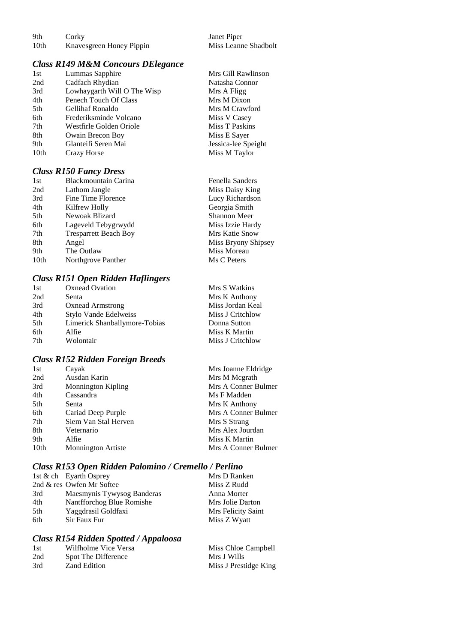| 9th  | Corky                    | Janet Piper          |
|------|--------------------------|----------------------|
| 10th | Knavesgreen Honey Pippin | Miss Leanne Shadbolt |

Mrs Gill Rawlinson Natasha Connor Mrs A Fligg Mrs M Dixon Mrs M Crawford Miss V Casey Miss T Paskins Miss E Sayer Jessica-lee Speight Miss M Taylor

### *Class R149 M&M Concours DElegance*

| 1st              | Lummas Sapphire             |
|------------------|-----------------------------|
| 2nd              | Cadfach Rhydian             |
| 3rd              | Lowhaygarth Will O The Wisp |
| 4th              | Penech Touch Of Class       |
| 5th              | Gellihaf Ronaldo            |
| 6th              | Frederiksminde Volcano      |
| 7th              | Westfirle Golden Oriole     |
| 8th              | Owain Brecon Boy            |
| 9th              | Glanteifi Seren Mai         |
| 10 <sub>th</sub> | Crazy Horse                 |
|                  |                             |

### *Class R150 Fancy Dress*

| <b>Blackmountain Carina</b>  | Fenella Sanders     |
|------------------------------|---------------------|
| Lathom Jangle                | Miss Daisy King     |
| Fine Time Florence           | Lucy Richardson     |
| Kilfrew Holly                | Georgia Smith       |
| Newoak Blizard               | <b>Shannon Meer</b> |
| Lageveld Tebygrwydd          | Miss Izzie Hardy    |
| <b>Tresparrett Beach Boy</b> | Mrs Katie Snow      |
| Angel                        | Miss Bryony Shipsey |
| The Outlaw                   | Miss Moreau         |
| Northgrove Panther           | Ms C Peters         |
|                              |                     |

### *Class R151 Open Ridden Haflingers*

| 1st | Oxnead Ovation                | Mrs S Watkins    |
|-----|-------------------------------|------------------|
| 2nd | Senta                         | Mrs K Anthony    |
| 3rd | <b>Oxnead Armstrong</b>       | Miss Jordan Keal |
| 4th | Stylo Vande Edelweiss         | Miss J Critchlow |
| 5th | Limerick Shanballymore-Tobias | Donna Sutton     |
| 6th | Alfie                         | Miss K Martin    |
| 7th | Wolontair                     | Miss J Critchlow |

# *Class R152 Ridden Foreign Breeds*

| 1st  | Cayak                     | Mrs Joanne Eldridge |
|------|---------------------------|---------------------|
| 2nd  | Ausdan Karin              | Mrs M Megrath       |
| 3rd  | <b>Monnington Kipling</b> | Mrs A Conner Bulmer |
| 4th  | Cassandra                 | Ms F Madden         |
| 5th  | Senta                     | Mrs K Anthony       |
| 6th  | Cariad Deep Purple        | Mrs A Conner Bulmer |
| 7th  | Siem Van Stal Herven      | Mrs S Strang        |
| 8th  | Veternario                | Mrs Alex Jourdan    |
| 9th  | Alfie                     | Miss K Martin       |
| 10th | <b>Monnington Artiste</b> | Mrs A Conner Bulmer |

# *Class R153 Open Ridden Palomino / Cremello / Perlino*

|     | 1st & ch Eyarth Osprey     | Mrs D Ranken       |
|-----|----------------------------|--------------------|
|     | 2nd & res Owfen Mr Softee  | Miss Z Rudd        |
| 3rd | Maesmynis Tywysog Banderas | Anna Morter        |
| 4th | Nantfforchog Blue Romishe  | Mrs Jolie Darton   |
| 5th | Yaggdrasil Goldfaxi        | Mrs Felicity Saint |
| 6th | Sir Faux Fur               | Miss Z Wyatt       |
|     |                            |                    |

### *Class R154 Ridden Spotted / Appaloosa*

| 1st | Wilfholme Vice Versa | Miss Chloe Campbell   |
|-----|----------------------|-----------------------|
| 2nd | Spot The Difference  | Mrs J Wills           |
| 3rd | Zand Edition         | Miss J Prestidge King |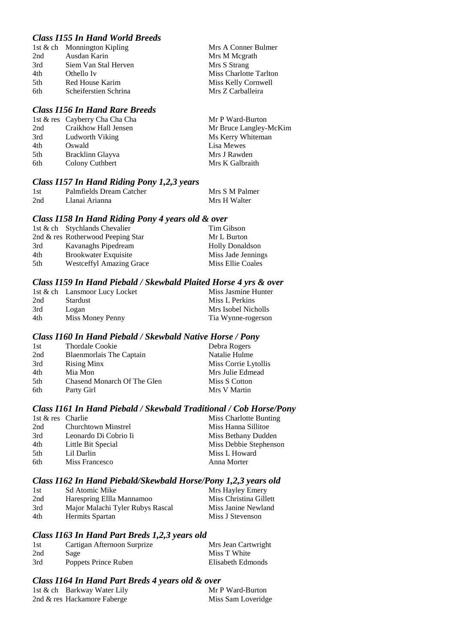# *Class I155 In Hand World Breeds*

|      | 1st & ch Monnington Kipling | Mrs A Conner Bulmer    |
|------|-----------------------------|------------------------|
| 2nd  | Ausdan Karin                | Mrs M Megrath          |
| 3rd  | Siem Van Stal Herven        | Mrs S Strang           |
| 4th  | Othello Iv                  | Miss Charlotte Tarlton |
| .5th | Red House Karim             | Miss Kelly Cornwell    |
| 6th  | Scheiferstien Schrina       | Mrs Z Carballeira      |
|      |                             |                        |

#### *Class I156 In Hand Rare Breeds*

|     | 1st & res Cayberry Cha Cha Cha | Mr P Ward-Burton       |
|-----|--------------------------------|------------------------|
| 2nd | Craikhow Hall Jensen           | Mr Bruce Langley-McKim |
| 3rd | Ludworth Viking                | Ms Kerry Whiteman      |
| 4th | Oswald                         | Lisa Mewes             |
| 5th | Bracklinn Glayva               | Mrs J Rawden           |
| 6th | Colony Cuthbert                | Mrs K Galbraith        |
|     |                                |                        |

### *Class I157 In Hand Riding Pony 1,2,3 years*

| 1st | Palmfields Dream Catcher | Mrs S M Palmer |
|-----|--------------------------|----------------|
| 2nd | Llanai Arianna           | Mrs H Walter   |

### *Class I158 In Hand Riding Pony 4 years old & over*

|     | 1st & ch Stychlands Chevalier     | Tim Gibson             |
|-----|-----------------------------------|------------------------|
|     | 2nd & res Rotherwood Peeping Star | Mr L Burton            |
| 3rd | Kavanaghs Pipedream               | <b>Holly Donaldson</b> |
| 4th | <b>Brookwater Exquisite</b>       | Miss Jade Jennings     |
| 5th | <b>Westceffyl Amazing Grace</b>   | Miss Ellie Coales      |

### *Class I159 In Hand Piebald / Skewbald Plaited Horse 4 yrs & over*

|     | 1st & ch Lansmoor Lucy Locket | Miss Jasmine Hunter |
|-----|-------------------------------|---------------------|
| 2nd | <b>Stardust</b>               | Miss L Perkins      |
| 3rd | Logan                         | Mrs Isobel Nicholls |
| 4th | Miss Money Penny              | Tia Wynne-rogerson  |

### *Class I160 In Hand Piebald / Skewbald Native Horse / Pony*

| 1st  | Thordale Cookie             | Debra Rogers         |
|------|-----------------------------|----------------------|
| 2nd  | Blaenmorlais The Captain    | Natalie Hulme        |
| 3rd  | <b>Rising Minx</b>          | Miss Corrie Lytollis |
| 4th  | Mia Mon                     | Mrs Julie Edmead     |
| .5th | Chasend Monarch Of The Glen | Miss S Cotton        |
| 6th  | Party Girl                  | Mrs V Martin         |

### *Class I161 In Hand Piebald / Skewbald Traditional / Cob Horse/Pony*

| 1st & res Charlie |                            | Miss Charlotte Bunting |
|-------------------|----------------------------|------------------------|
| 2nd               | <b>Churchtown Minstrel</b> | Miss Hanna Sillitoe    |
| 3rd               | Leonardo Di Cobrio Ii      | Miss Bethany Dudden    |
| 4th               | Little Bit Special         | Miss Debbie Stephenson |
| 5th               | Lil Darlin                 | Miss L Howard          |
| 6th               | Miss Francesco             | Anna Morter            |

### *Class I162 In Hand Piebald/Skewbald Horse/Pony 1,2,3 years old*

| 1st | Sd Atomic Mike                   | Mrs Hayley Emery       |
|-----|----------------------------------|------------------------|
| 2nd | Harespring Ellla Mannamoo        | Miss Christina Gillett |
| 3rd | Major Malachi Tyler Rubys Rascal | Miss Janine Newland    |
| 4th | Hermits Spartan                  | Miss J Stevenson       |

### *Class I163 In Hand Part Breds 1,2,3 years old*

| 1st | Cartigan Afternoon Surprize | Mrs Jean Cartwright |
|-----|-----------------------------|---------------------|
| 2nd | Sage                        | Miss T White        |
| 3rd | Poppets Prince Ruben        | Elisabeth Edmonds   |

### *Class I164 In Hand Part Breds 4 years old & over*

| 1st & ch Barkway Water Lily | Mr P Ward-Burton   |
|-----------------------------|--------------------|
| 2nd & res Hackamore Faberge | Miss Sam Loveridge |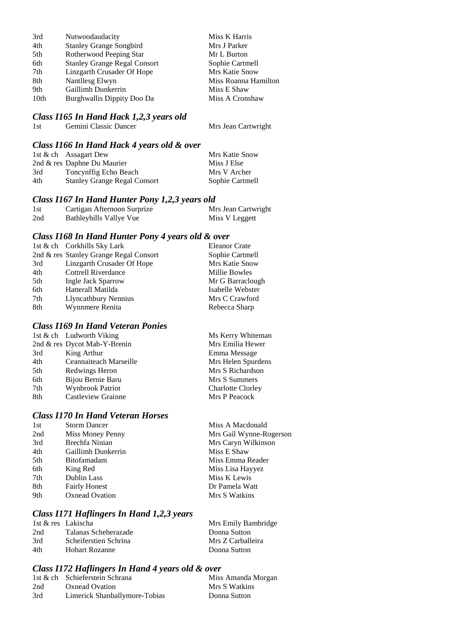| 3rd  | Nutwoodaudacity                     | Miss K Harris        |
|------|-------------------------------------|----------------------|
| 4th  | <b>Stanley Grange Songbird</b>      | Mrs J Parker         |
| 5th  | Rotherwood Peeping Star             | Mr L Burton          |
| 6th  | <b>Stanley Grange Regal Consort</b> | Sophie Cartmell      |
| 7th  | Linzgarth Crusader Of Hope          | Mrs Katie Snow       |
| 8th  | Nantllesg Elwyn                     | Miss Roanna Hamilton |
| 9th  | Gaillimh Dunkerrin                  | Miss E Shaw          |
| 10th | Burghwallis Dippity Doo Da          | Miss A Cronshaw      |
|      |                                     |                      |

#### *Class I165 In Hand Hack 1,2,3 years old*

1st Gemini Classic Dancer Mrs Jean Cartwright

#### *Class I166 In Hand Hack 4 years old & over*

|     | 1st & ch Assagart Dew               | Mrs Katie Snow  |
|-----|-------------------------------------|-----------------|
|     | 2nd & res Daphne Du Maurier         | Miss J Else     |
| 3rd | Toncynffig Echo Beach               | Mrs V Archer    |
| 4th | <b>Stanley Grange Regal Consort</b> | Sophie Cartmell |

### *Class I167 In Hand Hunter Pony 1,2,3 years old*

| 1st | Cartigan Afternoon Surprize | Mrs Jean Cartwright |
|-----|-----------------------------|---------------------|
| 2nd | Bathleyhills Vallye Vue     | Miss V Leggett      |

### *Class I168 In Hand Hunter Pony 4 years old & over*

|                            | <b>Eleanor Crate</b>                                                  |
|----------------------------|-----------------------------------------------------------------------|
|                            | Sophie Cartmell                                                       |
| Linzgarth Crusader Of Hope | Mrs Katie Snow                                                        |
| Cottrell Riverdance        | Millie Bowles                                                         |
| Ingle Jack Sparrow         | Mr G Barraclough                                                      |
| Hatterall Matilda          | Isabelle Webster                                                      |
| Llyncathbury Nennius       | Mrs C Crawford                                                        |
| Wynnmere Renita            | Rebecca Sharp                                                         |
|                            | 1st & ch Corkhills Sky Lark<br>2nd & res Stanley Grange Regal Consort |

# *Class I169 In Hand Veteran Ponies*

|     | 1st & ch Ludworth Viking     | Ms Kerry Whiteman        |
|-----|------------------------------|--------------------------|
|     | 2nd & res Dycot Mab-Y-Brenin | Mrs Emilia Hewer         |
| 3rd | King Arthur                  | Emma Message             |
| 4th | Ceannaiteach Marseille       | Mrs Helen Spurdens       |
| 5th | Redwings Heron               | Mrs S Richardson         |
| 6th | Bijou Bernie Baru            | Mrs S Summers            |
| 7th | <b>Wynbrook Patriot</b>      | <b>Charlotte Clorley</b> |
| 8th | Castleview Grainne           | Mrs P Peacock            |
|     |                              |                          |

# *Class I170 In Hand Veteran Horses*

| 1st | <b>Storm Dancer</b>   | Miss A Macdonald        |
|-----|-----------------------|-------------------------|
| 2nd | Miss Money Penny      | Mrs Gail Wynne-Rogerson |
| 3rd | Brechfa Ninian        | Mrs Caryn Wilkinson     |
| 4th | Gaillimh Dunkerrin    | Miss E Shaw             |
| 5th | <b>Bitofamadam</b>    | Miss Emma Reader        |
| 6th | King Red              | Miss Lisa Hayyez        |
| 7th | Dublin Lass           | Miss K Lewis            |
| 8th | <b>Fairly Honest</b>  | Dr Pamela Watt          |
| 9th | <b>Oxnead Ovation</b> | Mrs S Watkins           |
|     |                       |                         |

# *Class I171 Haflingers In Hand 1,2,3 years*

|     | 1st & res Lakischa    | Mrs Emily Bambridge |
|-----|-----------------------|---------------------|
| 2nd | Talanas Scheherazade  | Donna Sutton        |
| 3rd | Scheiferstien Schrina | Mrs Z Carballeira   |
| 4th | Hobart Rozanne        | Donna Sutton        |

### *Class I172 Haflingers In Hand 4 years old & over*

|     | 1st & ch Schieferstein Schrana | Miss Amanda Morgan |
|-----|--------------------------------|--------------------|
| 2nd | Oxnead Ovation                 | Mrs S Watkins      |
| 3rd | Limerick Shanballymore-Tobias  | Donna Sutton       |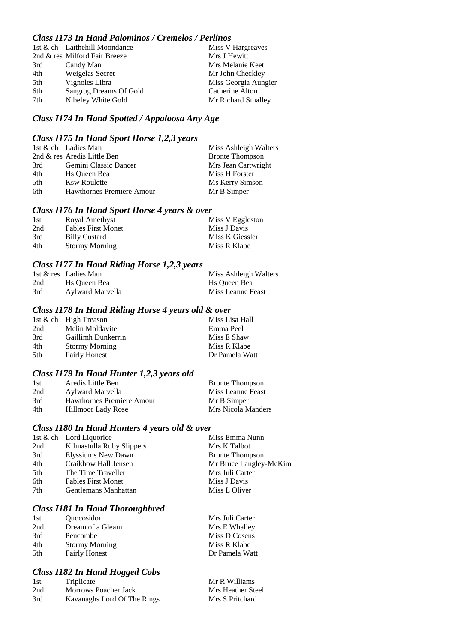### *Class I173 In Hand Palominos / Cremelos / Perlinos*

|     | 1st & ch Laithehill Moondance | Miss V Hargreaves    |
|-----|-------------------------------|----------------------|
|     | 2nd & res Milford Fair Breeze | Mrs J Hewitt         |
| 3rd | Candy Man                     | Mrs Melanie Keet     |
| 4th | Weigelas Secret               | Mr John Checkley     |
| 5th | Vignoles Libra                | Miss Georgia Aungier |
| 6th | Sangrug Dreams Of Gold        | Catherine Alton      |
| 7th | Nibeley White Gold            | Mr Richard Smalley   |

# *Class I174 In Hand Spotted / Appaloosa Any Age*

# *Class I175 In Hand Sport Horse 1,2,3 years*

|      | 1st & ch Ladies Man              | Miss Ashleigh Walters  |
|------|----------------------------------|------------------------|
|      | 2nd & res Aredis Little Ben      | <b>Bronte Thompson</b> |
| 3rd  | Gemini Classic Dancer            | Mrs Jean Cartwright    |
| 4th  | Hs Oueen Bea                     | Miss H Forster         |
| .5th | <b>Ksw Roulette</b>              | Ms Kerry Simson        |
| 6th  | <b>Hawthornes Premiere Amour</b> | Mr B Simper            |

### *Class I176 In Hand Sport Horse 4 years & over*

| 1st | Royal Amethyst            | Miss V Eggleston |
|-----|---------------------------|------------------|
| 2nd | <b>Fables First Monet</b> | Miss J Davis     |
| 3rd | <b>Billy Custard</b>      | MIss K Giessler  |
| 4th | <b>Stormy Morning</b>     | Miss R Klabe     |

# *Class I177 In Hand Riding Horse 1,2,3 years*

|     | 1st & res Ladies Man | Miss Ashleigh Walters |
|-----|----------------------|-----------------------|
| 2nd | Hs Oueen Bea         | Hs Oueen Bea          |
| 3rd | Aylward Marvella     | Miss Leanne Feast     |

### *Class I178 In Hand Riding Horse 4 years old & over*

|     | 1st & ch High Treason | Miss Lisa Hall |
|-----|-----------------------|----------------|
| 2nd | Melin Moldavite       | Emma Peel      |
| 3rd | Gaillimh Dunkerrin    | Miss E Shaw    |
| 4th | <b>Stormy Morning</b> | Miss R Klabe   |
| 5th | <b>Fairly Honest</b>  | Dr Pamela Watt |
|     |                       |                |

### *Class I179 In Hand Hunter 1,2,3 years old*

| 1st | Aredis Little Ben         | <b>Bronte Thompson</b> |
|-----|---------------------------|------------------------|
| 2nd | Aylward Marvella          | Miss Leanne Feast      |
| 3rd | Hawthornes Premiere Amour | Mr B Simper            |
| 4th | Hillmoor Lady Rose        | Mrs Nicola Manders     |

### *Class I180 In Hand Hunters 4 years old & over*

|     | 1st & ch Lord Liquorice   | Miss Emma Nunn         |
|-----|---------------------------|------------------------|
| 2nd | Kilmastulla Ruby Slippers | Mrs K Talbot           |
| 3rd | Elyssiums New Dawn        | <b>Bronte Thompson</b> |
| 4th | Craikhow Hall Jensen      | Mr Bruce Langley-McKim |
| 5th | The Time Traveller        | Mrs Juli Carter        |
| 6th | <b>Fables First Monet</b> | Miss J Davis           |
| 7th | Gentlemans Manhattan      | Miss L Oliver          |
|     |                           |                        |

### *Class I181 In Hand Thoroughbred*

| Quocosidor            | Mrs Juli Carter |
|-----------------------|-----------------|
| Dream of a Gleam      | Mrs E Whalley   |
| Pencombe              | Miss D Cosens   |
| <b>Stormy Morning</b> | Miss R Klabe    |
| <b>Fairly Honest</b>  | Dr Pamela Watt  |
|                       |                 |

# *Class I182 In Hand Hogged Cobs*

| 1st | Triplicate                  | Mr R Williams     |
|-----|-----------------------------|-------------------|
| 2nd | Morrows Poacher Jack        | Mrs Heather Steel |
| 3rd | Kavanaghs Lord Of The Rings | Mrs S Pritchard   |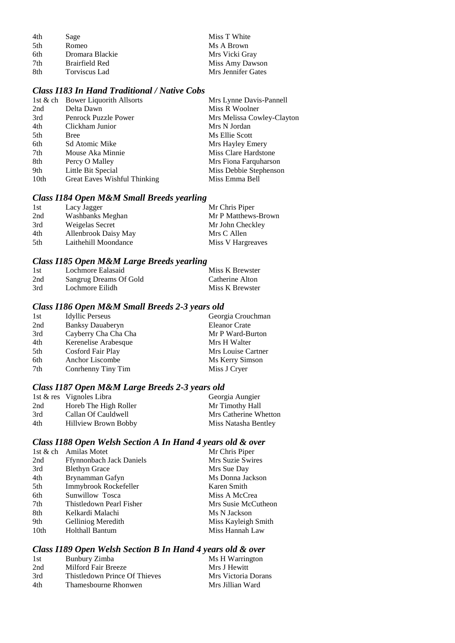| 4th | Sage            | Miss T White       |
|-----|-----------------|--------------------|
| 5th | Romeo           | Ms A Brown         |
| 6th | Dromara Blackie | Mrs Vicki Gray     |
| 7th | Brairfield Red  | Miss Amy Dawson    |
| 8th | Torviscus Lad   | Mrs Jennifer Gates |

### *Class I183 In Hand Traditional / Native Cobs*

| 1st & ch Bower Liquorith Allsorts | Mrs Lynne Davis-Pannell    |
|-----------------------------------|----------------------------|
| Delta Dawn                        | Miss R Woolner             |
| Penrock Puzzle Power              | Mrs Melissa Cowley-Clayton |
| Clickham Junior                   | Mrs N Jordan               |
| <b>Bree</b>                       | Ms Ellie Scott             |
| Sd Atomic Mike                    | Mrs Hayley Emery           |
| Mouse Aka Minnie                  | Miss Clare Hardstone       |
| Percy O Malley                    | Mrs Fiona Farquharson      |
| Little Bit Special                | Miss Debbie Stephenson     |
| Great Eaves Wishful Thinking      | Miss Emma Bell             |
|                                   |                            |

# *Class I184 Open M&M Small Breeds yearling*

| 1st | Lacy Jagger          | Mr Chris Piper      |
|-----|----------------------|---------------------|
| 2nd | Washbanks Meghan     | Mr P Matthews-Brown |
| 3rd | Weigelas Secret      | Mr John Checkley    |
| 4th | Allenbrook Daisy May | Mrs C Allen         |
| 5th | Laithehill Moondance | Miss V Hargreaves   |

# *Class I185 Open M&M Large Breeds yearling*

| 1st | Lochmore Ealasaid      | Miss K Brewster |
|-----|------------------------|-----------------|
| 2nd | Sangrug Dreams Of Gold | Catherine Alton |
| 3rd | Lochmore Eilidh        | Miss K Brewster |

# *Class I186 Open M&M Small Breeds 2-3 years old*

| <b>Idyllic Perseus</b>  | Georgia Crouchman    |
|-------------------------|----------------------|
| <b>Banksy Dauaberyn</b> | <b>Eleanor Crate</b> |
| Cayberry Cha Cha Cha    | Mr P Ward-Burton     |
| Kerenelise Arabesque    | Mrs H Walter         |
| Cosford Fair Play       | Mrs Louise Cartner   |
| Anchor Liscombe         | Ms Kerry Simson      |
| Conrhenny Tiny Tim      | Miss J Cryer         |
|                         |                      |

# *Class I187 Open M&M Large Breeds 2-3 years old*

|     | 1st & res Vignoles Libra | Georgia Aungier       |
|-----|--------------------------|-----------------------|
| 2nd | Horeb The High Roller    | Mr Timothy Hall       |
| 3rd | Callan Of Cauldwell      | Mrs Catherine Whetton |
| 4th | Hillview Brown Bobby     | Miss Natasha Bentley  |

# *Class I188 Open Welsh Section A In Hand 4 years old & over*

| 1st $\&$ ch | <b>Amilas Motet</b>             | Mr Chris Piper      |
|-------------|---------------------------------|---------------------|
| 2nd         | <b>Ffynnonbach Jack Daniels</b> | Mrs Suzie Swires    |
| 3rd         | <b>Blethyn Grace</b>            | Mrs Sue Day         |
| 4th         | Brynamman Gafyn                 | Ms Donna Jackson    |
| 5th         | Immybrook Rockefeller           | Karen Smith         |
| 6th         | Sunwillow Tosca                 | Miss A McCrea       |
| 7th         | Thistledown Pearl Fisher        | Mrs Susie McCutheon |
| 8th         | Kelkardi Malachi                | Ms N Jackson        |
| 9th         | Gelliniog Meredith              | Miss Kayleigh Smith |
| 10th        | <b>Holthall Bantum</b>          | Miss Hannah Law     |
|             |                                 |                     |

# *Class I189 Open Welsh Section B In Hand 4 years old & over*

| 1st | Bunbury Zimba                 | Ms H Warrington     |
|-----|-------------------------------|---------------------|
| 2nd | Milford Fair Breeze           | Mrs J Hewitt        |
| 3rd | Thistledown Prince Of Thieves | Mrs Victoria Dorans |
| 4th | Thamesbourne Rhonwen          | Mrs Jillian Ward    |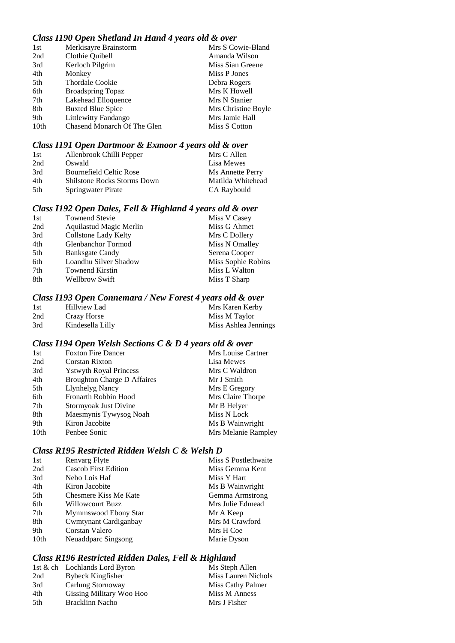## *Class I190 Open Shetland In Hand 4 years old & over*

| 1st  | Merkisayre Brainstorm       | Mrs S Cowie-Bland   |
|------|-----------------------------|---------------------|
| 2nd  | Clothie Quibell             | Amanda Wilson       |
| 3rd  | Kerloch Pilgrim             | Miss Sian Greene    |
| 4th  | Monkey                      | Miss P Jones        |
| 5th  | <b>Thordale Cookie</b>      | Debra Rogers        |
| 6th  | <b>Broadspring Topaz</b>    | Mrs K Howell        |
| 7th  | Lakehead Elloquence         | Mrs N Stanier       |
| 8th  | <b>Buxted Blue Spice</b>    | Mrs Christine Boyle |
| 9th  | Littlewitty Fandango        | Mrs Jamie Hall      |
| 10th | Chasend Monarch Of The Glen | Miss S Cotton       |

#### *Class I191 Open Dartmoor & Exmoor 4 years old & over*

| 1st | Allenbrook Chilli Pepper           | Mrs C Allen       |
|-----|------------------------------------|-------------------|
| 2nd | Oswald                             | Lisa Mewes        |
| 3rd | Bournefield Celtic Rose            | Ms Annette Perry  |
| 4th | <b>Shilstone Rocks Storms Down</b> | Matilda Whitehead |
| 5th | Springwater Pirate                 | CA Raybould       |

### *Class I192 Open Dales, Fell & Highland 4 years old & over*

| 1st | <b>Townend Stevie</b>   | Miss V Casey       |
|-----|-------------------------|--------------------|
| 2nd | Aquilastud Magic Merlin | Miss G Ahmet       |
| 3rd | Collstone Lady Kelty    | Mrs C Dollery      |
| 4th | Glenbanchor Tormod      | Miss N Omalley     |
| 5th | <b>Banksgate Candy</b>  | Serena Cooper      |
| 6th | Loandhu Silver Shadow   | Miss Sophie Robins |
| 7th | <b>Townend Kirstin</b>  | Miss L Walton      |
| 8th | <b>Wellbrow Swift</b>   | Miss T Sharp       |
|     |                         |                    |

### *Class I193 Open Connemara / New Forest 4 years old & over*

| 1st | Hillview Lad     | Mrs Karen Kerby      |
|-----|------------------|----------------------|
| 2nd | Crazy Horse      | Miss M Taylor        |
| 3rd | Kindesella Lilly | Miss Ashlea Jennings |

### *Class I194 Open Welsh Sections C & D 4 years old & over*

| 1st              | <b>Foxton Fire Dancer</b>          | Mrs Louise Cartner  |
|------------------|------------------------------------|---------------------|
| 2nd              | Corstan Rixton                     | Lisa Mewes          |
| 3rd              | <b>Ystwyth Royal Princess</b>      | Mrs C Waldron       |
| 4th              | <b>Broughton Charge D Affaires</b> | Mr J Smith          |
| 5th              | Llynhelyg Nancy                    | Mrs E Gregory       |
| 6th              | Fronarth Robbin Hood               | Mrs Claire Thorpe   |
| 7th              | Stormyoak Just Divine              | Mr B Helyer         |
| 8th              | Maesmynis Tywysog Noah             | Miss N Lock         |
| 9th              | Kiron Jacobite                     | Ms B Wainwright     |
| 10 <sub>th</sub> | Penbee Sonic                       | Mrs Melanie Rampley |

### *Class R195 Restricted Ridden Welsh C & Welsh D*

| 1st  | <b>Renvarg Flyte</b>        | Miss S Postlethwaite |
|------|-----------------------------|----------------------|
| 2nd  | <b>Cascob First Edition</b> | Miss Gemma Kent      |
| 3rd  | Nebo Lois Haf               | Miss Y Hart          |
| 4th  | Kiron Jacobite              | Ms B Wainwright      |
| 5th  | Chesmere Kiss Me Kate       | Gemma Armstrong      |
| 6th  | Willowcourt Buzz            | Mrs Julie Edmead     |
| 7th  | Mymmswood Ebony Star        | Mr A Keep            |
| 8th  | Cwmtynant Cardiganbay       | Mrs M Crawford       |
| 9th  | Corstan Valero              | Mrs H Coe            |
| 10th | Neuaddparc Singsong         | Marie Dyson          |

### *Class R196 Restricted Ridden Dales, Fell & Highland*

|      | 1st & ch Lochlands Lord Byron | Ms Steph Allen      |
|------|-------------------------------|---------------------|
| 2nd  | <b>Bybeck Kingfisher</b>      | Miss Lauren Nichols |
| 3rd  | Carlung Stornoway             | Miss Cathy Palmer   |
| 4th  | Gissing Military Woo Hoo      | Miss M Anness       |
| .5th | Bracklinn Nacho               | Mrs J Fisher        |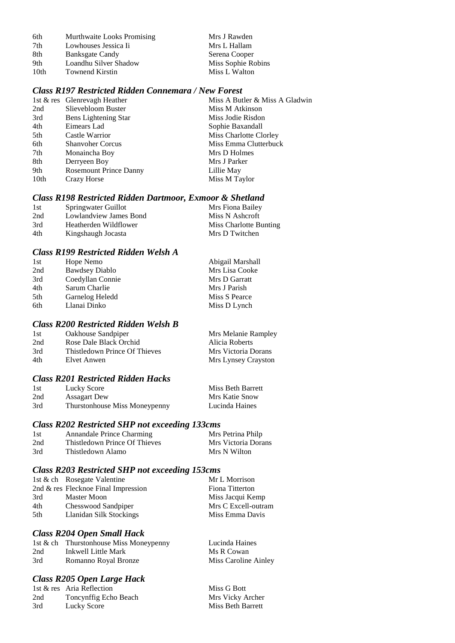| 6th | Murthwaite Looks Promising | Mrs J Rawden |
|-----|----------------------------|--------------|
| 7th | Lowhouses Jessica Ii       | Mrs L Hallam |

- 7th Lowhouses Jessica Ii Mrs L Hallam<br>8th Banksgate Candy Serena Cooper 8th Banksgate Candy Serena Cooper<br>
9th Loandhu Silver Shadow Miss Sophie Robins 19th Loandhu Silver Shadow Miss Sophie Robins Niss Sophie Robins Niss L Walton
- 10th Townend Kirstin

### *Class R197 Restricted Ridden Connemara / New Forest*

|      | 1st & res Glenrevagh Heather  | Miss A Butler & Miss A Gladwin |
|------|-------------------------------|--------------------------------|
| 2nd  | Slievebloom Buster            | Miss M Atkinson                |
| 3rd  | Bens Lightening Star          | Miss Jodie Risdon              |
| 4th  | Eimears Lad                   | Sophie Baxandall               |
| 5th  | Castle Warrior                | Miss Charlotte Clorley         |
| 6th  | <b>Shanvoher Corcus</b>       | Miss Emma Clutterbuck          |
| 7th  | Monaincha Boy                 | Mrs D Holmes                   |
| 8th  | Derryeen Boy                  | Mrs J Parker                   |
| 9th  | <b>Rosemount Prince Danny</b> | Lillie May                     |
| 10th | Crazy Horse                   | Miss M Taylor                  |
|      |                               |                                |

### *Class R198 Restricted Ridden Dartmoor, Exmoor & Shetland*

| 1st | Springwater Guillot    | Mrs Fiona Bailey       |
|-----|------------------------|------------------------|
| 2nd | Lowlandview James Bond | Miss N Ashcroft        |
| 3rd | Heatherden Wildflower  | Miss Charlotte Bunting |
| 4th | Kingshaugh Jocasta     | Mrs D Twitchen         |

### *Class R199 Restricted Ridden Welsh A*

| 1st | Hope Nemo             | Abigail Marshall |
|-----|-----------------------|------------------|
| 2nd | <b>Bawdsey Diablo</b> | Mrs Lisa Cooke   |
| 3rd | Coedyllan Connie      | Mrs D Garratt    |
| 4th | Sarum Charlie         | Mrs J Parish     |
| 5th | Garnelog Heledd       | Miss S Pearce    |
| 6th | Llanai Dinko          | Miss D Lynch     |

## *Class R200 Restricted Ridden Welsh B*

| 1st | Oakhouse Sandpiper            | Mrs Melanie Rampley |
|-----|-------------------------------|---------------------|
| 2nd | Rose Dale Black Orchid        | Alicia Roberts      |
| 3rd | Thistledown Prince Of Thieves | Mrs Victoria Dorans |
| 4th | Elvet Anwen                   | Mrs Lynsey Crayston |

### *Class R201 Restricted Ridden Hacks*

| 1st | Lucky Score                   | Miss Beth Barrett |
|-----|-------------------------------|-------------------|
| 2nd | <b>Assagart Dew</b>           | Mrs Katie Snow    |
| 3rd | Thurstonhouse Miss Moneypenny | Lucinda Haines    |

# *Class R202 Restricted SHP not exceeding 133cms*

| 1st | Annandale Prince Charming     | Mrs Petrina Philp   |
|-----|-------------------------------|---------------------|
| 2nd | Thistledown Prince Of Thieves | Mrs Victoria Dorans |
| 3rd | Thistledown Alamo             | Mrs N Wilton        |

### *Class R203 Restricted SHP not exceeding 153cms*

|     | 1st & ch Rosegate Valentine         | Mr L Morrison       |
|-----|-------------------------------------|---------------------|
|     | 2nd & res Flecknoe Final Impression | Fiona Titterton     |
| 3rd | Master Moon                         | Miss Jacqui Kemp    |
| 4th | Chesswood Sandpiper                 | Mrs C Excell-outram |
| 5th | Llanidan Silk Stockings             | Miss Emma Davis     |

### *Class R204 Open Small Hack*

|     | 1st & ch Thurstonhouse Miss Moneypenny | Lucinda Haines       |
|-----|----------------------------------------|----------------------|
| 2nd | Inkwell Little Mark                    | Ms R Cowan           |
| 3rd | Romanno Royal Bronze                   | Miss Caroline Ainley |

### *Class R205 Open Large Hack*

|     | 1st & res Aria Reflection | Miss G Bott       |
|-----|---------------------------|-------------------|
| 2nd | Toncynffig Echo Beach     | Mrs Vicky Archer  |
| 3rd | Lucky Score               | Miss Beth Barrett |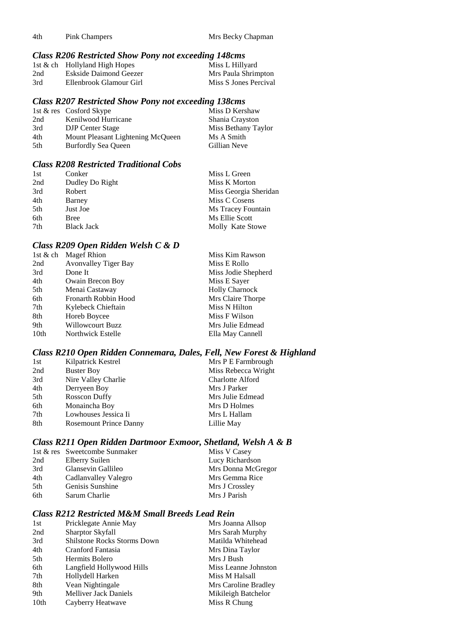4th Pink Champers Mrs Becky Chapman

### *Class R206 Restricted Show Pony not exceeding 148cms*

|     | 1st & ch Hollyland High Hopes | Miss L Hillyard       |
|-----|-------------------------------|-----------------------|
| 2nd | Eskside Daimond Geezer        | Mrs Paula Shrimpton   |
| 3rd | Ellenbrook Glamour Girl       | Miss S Jones Percival |

### *Class R207 Restricted Show Pony not exceeding 138cms*

|     | 1st & res Cosford Skype           | Miss D Kershaw      |
|-----|-----------------------------------|---------------------|
| 2nd | Kenilwood Hurricane               | Shania Crayston     |
| 3rd | <b>DJP</b> Center Stage           | Miss Bethany Taylor |
| 4th | Mount Pleasant Lightening McQueen | Ms A Smith          |
| 5th | <b>Burfordly Sea Queen</b>        | Gillian Neve        |

### *Class R208 Restricted Traditional Cobs*

| 1st | Conker            | Miss L Green          |
|-----|-------------------|-----------------------|
| 2nd | Dudley Do Right   | Miss K Morton         |
| 3rd | Robert            | Miss Georgia Sheridan |
| 4th | Barney            | Miss C Cosens         |
| 5th | Just Joe          | Ms Tracey Fountain    |
| 6th | <b>Bree</b>       | Ms Ellie Scott        |
| 7th | <b>Black Jack</b> | Molly Kate Stowe      |

# *Class R209 Open Ridden Welsh C & D*

|                  | 1st & ch Magef Rhion        | Miss Kim Rawson       |
|------------------|-----------------------------|-----------------------|
| 2nd              | <b>Avonvalley Tiger Bay</b> | Miss E Rollo          |
| 3rd              | Done It                     | Miss Jodie Shepherd   |
| 4th              | Owain Brecon Boy            | Miss E Sayer          |
| 5th              | Menai Castaway              | <b>Holly Charnock</b> |
| 6th              | Fronarth Robbin Hood        | Mrs Claire Thorpe     |
| 7th              | Kylebeck Chieftain          | Miss N Hilton         |
| 8th              | Horeb Boycee                | Miss F Wilson         |
| 9th              | <b>Willowcourt Buzz</b>     | Mrs Julie Edmead      |
| 10 <sub>th</sub> | Northwick Estelle           | Ella May Cannell      |
|                  |                             |                       |

# *Class R210 Open Ridden Connemara, Dales, Fell, New Forest & Highland*

| 1st | Kilpatrick Kestrel            | Mrs P E Farmbrough      |
|-----|-------------------------------|-------------------------|
| 2nd | <b>Buster Boy</b>             | Miss Rebecca Wright     |
| 3rd | Nire Valley Charlie           | <b>Charlotte Alford</b> |
| 4th | Derryeen Boy                  | Mrs J Parker            |
| 5th | <b>Rosscon Duffy</b>          | Mrs Julie Edmead        |
| 6th | Monaincha Boy                 | Mrs D Holmes            |
| 7th | Lowhouses Jessica Ii          | Mrs L Hallam            |
| 8th | <b>Rosemount Prince Danny</b> | Lillie May              |

### *Class R211 Open Ridden Dartmoor Exmoor, Shetland, Welsh A & B*

|     | 1st & res Sweetcombe Sunmaker | Miss V Casey       |
|-----|-------------------------------|--------------------|
| 2nd | Elberry Suilen                | Lucy Richardson    |
| 3rd | Glansevin Gallileo            | Mrs Donna McGregor |
| 4th | Cadlanvalley Valegro          | Mrs Gemma Rice     |
| 5th | Genisis Sunshine              | Mrs J Crossley     |
| 6th | Sarum Charlie                 | Mrs J Parish       |

# *Class R212 Restricted M&M Small Breeds Lead Rein*

| 1st              | Pricklegate Annie May              | Mrs Joanna Allsop    |
|------------------|------------------------------------|----------------------|
| 2nd              | Sharptor Skyfall                   | Mrs Sarah Murphy     |
| 3rd              | <b>Shilstone Rocks Storms Down</b> | Matilda Whitehead    |
| 4th              | Cranford Fantasia                  | Mrs Dina Taylor      |
| 5th              | Hermits Bolero                     | Mrs J Bush           |
| 6th              | Langfield Hollywood Hills          | Miss Leanne Johnston |
| 7th              | Hollydell Harken                   | Miss M Halsall       |
| 8th              | Vean Nightingale                   | Mrs Caroline Bradley |
| 9th              | <b>Melliver Jack Daniels</b>       | Mikileigh Batchelor  |
| 10 <sub>th</sub> | Cayberry Heatwave                  | Miss R Chung         |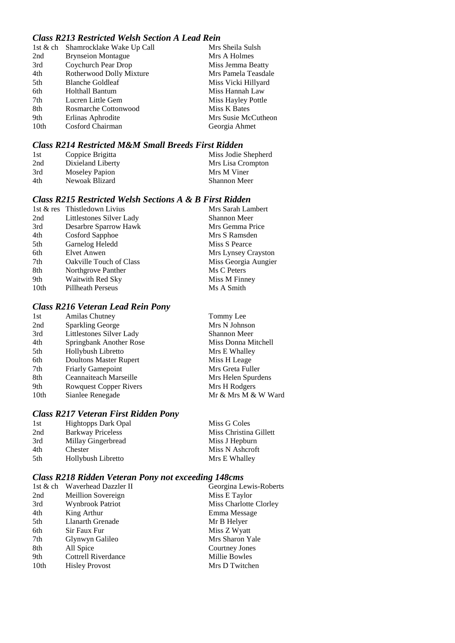# *Class R213 Restricted Welsh Section A Lead Rein*

|                  | 1st & ch Shamrocklake Wake Up Call | Mrs Sheila Sulsh    |
|------------------|------------------------------------|---------------------|
| 2nd              | <b>Brynseion Montague</b>          | Mrs A Holmes        |
| 3rd              | Coychurch Pear Drop                | Miss Jemma Beatty   |
| 4th              | Rotherwood Dolly Mixture           | Mrs Pamela Teasdale |
| 5th              | <b>Blanche Goldleaf</b>            | Miss Vicki Hillyard |
| 6th              | <b>Holthall Bantum</b>             | Miss Hannah Law     |
| 7th              | Lucren Little Gem                  | Miss Hayley Pottle  |
| 8th              | Rosmarche Cottonwood               | Miss K Bates        |
| 9th              | Erlinas Aphrodite                  | Mrs Susie McCutheon |
| 10 <sub>th</sub> | Cosford Chairman                   | Georgia Ahmet       |

# *Class R214 Restricted M&M Small Breeds First Ridden*

| 1st | Coppice Brigitta  | Miss Jodie Shepherd |
|-----|-------------------|---------------------|
| 2nd | Dixieland Liberty | Mrs Lisa Crompton   |
| 3rd | Moseley Papion    | Mrs M Viner         |
| 4th | Newoak Blizard    | Shannon Meer        |

# *Class R215 Restricted Welsh Sections A & B First Ridden*

|      | 1st & res Thistledown Livius   | Mrs Sarah Lambert    |
|------|--------------------------------|----------------------|
| 2nd  | Littlestones Silver Lady       | <b>Shannon Meer</b>  |
| 3rd  | Desarbre Sparrow Hawk          | Mrs Gemma Price      |
| 4th  | Cosford Sapphoe                | Mrs S Ramsden        |
| 5th  | Garnelog Heledd                | Miss S Pearce        |
| 6th  | Elvet Anwen                    | Mrs Lynsey Crayston  |
| 7th  | <b>Oakville Touch of Class</b> | Miss Georgia Aungier |
| 8th  | Northgrove Panther             | Ms C Peters          |
| 9th  | Waitwith Red Sky               | Miss M Finney        |
| 10th | <b>Pillheath Perseus</b>       | Ms A Smith           |

# *Class R216 Veteran Lead Rein Pony*

| 1st  | Amilas Chutney                | Tommy Lee           |
|------|-------------------------------|---------------------|
| 2nd  | <b>Sparkling George</b>       | Mrs N Johnson       |
| 3rd  | Littlestones Silver Lady      | <b>Shannon Meer</b> |
| 4th  | Springbank Another Rose       | Miss Donna Mitchell |
| 5th  | Hollybush Libretto            | Mrs E Whalley       |
| 6th  | Doultons Master Rupert        | Miss H Leage        |
| 7th  | <b>Friarly Gamepoint</b>      | Mrs Greta Fuller    |
| 8th  | Ceannaiteach Marseille        | Mrs Helen Spurdens  |
| 9th  | <b>Rowquest Copper Rivers</b> | Mrs H Rodgers       |
| 10th | Sianlee Renegade              | Mr & Mrs M & W Ward |
|      |                               |                     |

# *Class R217 Veteran First Ridden Pony*

|         | Miss G Coles                                                                                       |
|---------|----------------------------------------------------------------------------------------------------|
|         | Miss Christina Gillett                                                                             |
|         | Miss J Hepburn                                                                                     |
| Chester | Miss N Ashcroft                                                                                    |
|         | Mrs E Whalley                                                                                      |
|         | <b>Hightopps Dark Opal</b><br><b>Barkway Priceless</b><br>Millay Gingerbread<br>Hollybush Libretto |

# *Class R218 Ridden Veteran Pony not exceeding 148cms*

|      | 1st & ch Waverhead Dazzler II | Georgina Lewis-Roberts |
|------|-------------------------------|------------------------|
| 2nd  | Meillion Sovereign            | Miss E Taylor          |
| 3rd  | Wynbrook Patriot              | Miss Charlotte Clorley |
| 4th  | King Arthur                   | Emma Message           |
| 5th  | Llanarth Grenade              | Mr B Helyer            |
| 6th  | Sir Faux Fur                  | Miss Z Wyatt           |
| 7th  | Glynwyn Galileo               | Mrs Sharon Yale        |
| 8th  | All Spice                     | Courtney Jones         |
| 9th  | <b>Cottrell Riverdance</b>    | Millie Bowles          |
| 10th | <b>Hisley Provost</b>         | Mrs D Twitchen         |
|      |                               |                        |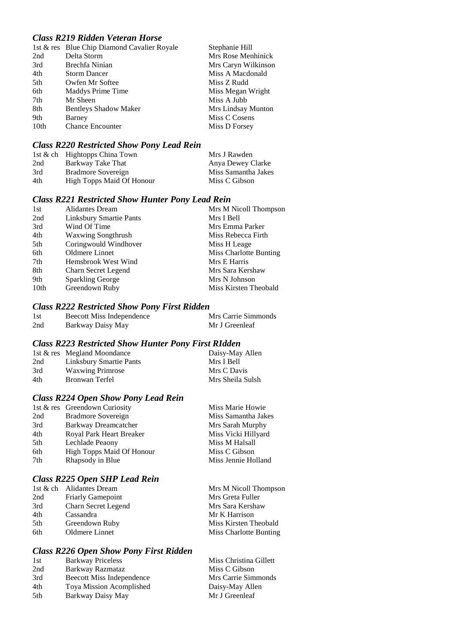# *Class R219 Ridden Veteran Horse*

|                  | 1st & res Blue Chip Diamond Cavalier Royale | Stephanie Hill      |
|------------------|---------------------------------------------|---------------------|
| 2nd              | Delta Storm                                 | Mrs Rose Menhinick  |
| 3rd              | Brechfa Ninian                              | Mrs Caryn Wilkinson |
| 4th              | <b>Storm Dancer</b>                         | Miss A Macdonald    |
| 5th              | Owfen Mr Softee                             | Miss Z Rudd         |
| 6th              | Maddys Prime Time                           | Miss Megan Wright   |
| 7th              | Mr Sheen                                    | Miss A Jubb         |
| 8th              | <b>Bentleys Shadow Maker</b>                | Mrs Lindsay Munton  |
| 9th              | Barney                                      | Miss C Cosens       |
| 10 <sub>th</sub> | <b>Chance Encounter</b>                     | Miss D Forsey       |

# *Class R220 Restricted Show Pony Lead Rein*

|     | 1st & ch Hightopps China Town | Mrs J Rawden        |
|-----|-------------------------------|---------------------|
| 2nd | Barkway Take That             | Anya Dewey Clarke   |
| 3rd | Bradmore Sovereign            | Miss Samantha Jakes |
| 4th | High Topps Maid Of Honour     | Miss C Gibson       |

### *Class R221 Restricted Show Hunter Pony Lead Rein*

| 1st  | <b>Alidantes Dream</b>         | Mrs M Nicoll Thompson         |
|------|--------------------------------|-------------------------------|
| 2nd  | <b>Linksbury Smartie Pants</b> | Mrs I Bell                    |
| 3rd  | Wind Of Time                   | Mrs Emma Parker               |
| 4th  | <b>Waxwing Songthrush</b>      | Miss Rebecca Firth            |
| 5th  | Coringwould Windhover          | Miss H Leage                  |
| 6th  | Oldmere Linnet                 | <b>Miss Charlotte Bunting</b> |
| 7th  | Hemsbrook West Wind            | Mrs E Harris                  |
| 8th  | Charn Secret Legend            | Mrs Sara Kershaw              |
| 9th  | <b>Sparkling George</b>        | Mrs N Johnson                 |
| 10th | Greendown Ruby                 | Miss Kirsten Theobald         |

### *Class R222 Restricted Show Pony First Ridden*

| 1st | Beecott Miss Independence | Mrs Carrie Simmonds |
|-----|---------------------------|---------------------|
| 2nd | Barkway Daisy May         | Mr J Greenleaf      |

### *Class R223 Restricted Show Hunter Pony First RIdden*

|     | 1st & res Megland Moondance | Daisy-May Allen  |
|-----|-----------------------------|------------------|
| 2nd | Linksbury Smartie Pants     | Mrs I Bell       |
| 3rd | <b>Waxwing Primrose</b>     | Mrs C Davis      |
| 4th | Bronwan Terfel              | Mrs Sheila Sulsh |

# *Class R224 Open Show Pony Lead Rein*

|     | 1st & res Greendown Curiosity    | Miss Marie Howie    |
|-----|----------------------------------|---------------------|
| 2nd | Bradmore Sovereign               | Miss Samantha Jakes |
| 3rd | Barkway Dreamcatcher             | Mrs Sarah Murphy    |
| 4th | Royal Park Heart Breaker         | Miss Vicki Hillyard |
| 5th | Lechlade Peaony                  | Miss M Halsall      |
| 6th | <b>High Topps Maid Of Honour</b> | Miss C Gibson       |
| 7th | Rhapsody in Blue                 | Miss Jennie Holland |
|     |                                  |                     |

### *Class R225 Open SHP Lead Rein*

|     | 1st & ch Alidantes Dream | Mrs M Nicoll Thompson  |
|-----|--------------------------|------------------------|
| 2nd | <b>Friarly Gamepoint</b> | Mrs Greta Fuller       |
| 3rd | Charn Secret Legend      | Mrs Sara Kershaw       |
| 4th | Cassandra                | Mr K Harrison          |
| 5th | Greendown Ruby           | Miss Kirsten Theobald  |
| 6th | Oldmere Linnet           | Miss Charlotte Bunting |

# *Class R226 Open Show Pony First Ridden*

| Miss Christina Gillett |
|------------------------|
| Miss C Gibson          |
| Mrs Carrie Simmonds    |
| Daisy-May Allen        |
| Mr J Greenleaf         |
|                        |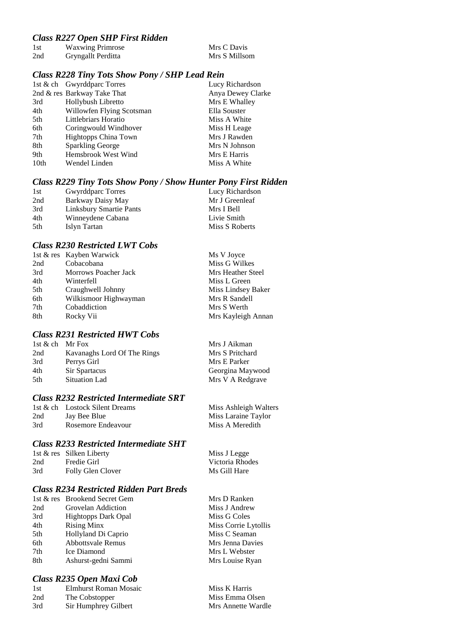### *Class R227 Open SHP First Ridden*

| 1st | <b>Waxwing Primrose</b> | Mrs C Davis   |
|-----|-------------------------|---------------|
| 2nd | Gryngallt Perditta      | Mrs S Millsom |

#### *Class R228 Tiny Tots Show Pony / SHP Lead Rein*

|      | 1st & ch Gwyrddparc Torres  | Lucy Richardson   |
|------|-----------------------------|-------------------|
|      | 2nd & res Barkway Take That | Anya Dewey Clarke |
| 3rd  | Hollybush Libretto          | Mrs E Whalley     |
| 4th  | Willowfen Flying Scotsman   | Ella Souster      |
| 5th  | Littlebriars Horatio        | Miss A White      |
| 6th  | Coringwould Windhover       | Miss H Leage      |
| 7th  | <b>Hightopps China Town</b> | Mrs J Rawden      |
| 8th  | <b>Sparkling George</b>     | Mrs N Johnson     |
| 9th  | Hemsbrook West Wind         | Mrs E Harris      |
| 10th | Wendel Linden               | Miss A White      |
|      |                             |                   |

### *Class R229 Tiny Tots Show Pony / Show Hunter Pony First Ridden*

| 1st | <b>Gwyrddparc Torres</b> | Lucy Richardson |
|-----|--------------------------|-----------------|
| 2nd | Barkway Daisy May        | Mr J Greenleaf  |
| 3rd | Linksbury Smartie Pants  | Mrs I Bell      |
| 4th | Winneydene Cabana        | Livie Smith     |
| 5th | Islyn Tartan             | Miss S Roberts  |

### *Class R230 Restricted LWT Cobs*

|     | 1st & res Kayben Warwick    | Ms V Joyce         |
|-----|-----------------------------|--------------------|
| 2nd | Cobacobana                  | Miss G Wilkes      |
| 3rd | <b>Morrows Poacher Jack</b> | Mrs Heather Steel  |
| 4th | Winterfell                  | Miss L Green       |
| 5th | Craughwell Johnny           | Miss Lindsey Baker |
| 6th | Wilkismoor Highwayman       | Mrs R Sandell      |
| 7th | Cobaddiction                | Mrs S Werth        |
| 8th | Rocky Vii                   | Mrs Kayleigh Annan |
|     |                             |                    |

### *Class R231 Restricted HWT Cobs*

| 1st & ch Mr Fox |                             | Mrs J Aikman     |
|-----------------|-----------------------------|------------------|
| 2nd             | Kavanaghs Lord Of The Rings | Mrs S Pritchard  |
| 3rd             | Perrys Girl                 | Mrs E Parker     |
| 4th             | Sir Spartacus               | Georgina Maywood |
| 5th             | Situation Lad               | Mrs V A Redgrave |

# *Class R232 Restricted Intermediate SRT*

|     | 1st & ch Lostock Silent Dreams | Miss $A$ |
|-----|--------------------------------|----------|
| 2nd | Jay Bee Blue                   | Miss L   |
| 3rd | Rosemore Endeavour             | Miss $A$ |

### *Class R233 Restricted Intermediate SHT*

|     | 1st & res Silken Liberty | Miss J Legge    |
|-----|--------------------------|-----------------|
| 2nd | Fredie Girl              | Victoria Rhodes |
| 3rd | Folly Glen Clover        | Ms Gill Hare    |

### *Class R234 Restricted Ridden Part Breds*

|     | 1st & res Brookend Secret Gem | Mrs D Ranken      |
|-----|-------------------------------|-------------------|
| 2nd | Grovelan Addiction            | Miss J Andrew     |
| 3rd | <b>Hightopps Dark Opal</b>    | Miss G Coles      |
| 4th | <b>Rising Minx</b>            | Miss Corrie Lytol |
| 5th | Hollyland Di Caprio           | Miss C Seaman     |
| 6th | <b>Abbottsvale Remus</b>      | Mrs Jenna Davies  |
| 7th | Ice Diamond                   | Mrs L Webster     |
| 8th | Ashurst-gedni Sammi           | Mrs Louise Ryan   |

#### *Class R235 Open Maxi Cob*

| 1st | Elmhurst Roman Mosaic |
|-----|-----------------------|
| 2nd | The Cobstopper        |
| 3rd | Sir Humphrey Gilbert  |

**1shleigh Walters Laraine Taylor** A Meredith

| Miss J Legge    |
|-----------------|
| Victoria Rhodes |
| Ms Gill Hare    |

Mrs D Ranken Miss J Andrew Miss G Coles Miss Corrie Lytollis Miss C Seaman Mrs Jenna Davies Mrs L Webster

Miss K Harris Miss Emma Olsen Mrs Annette Wardle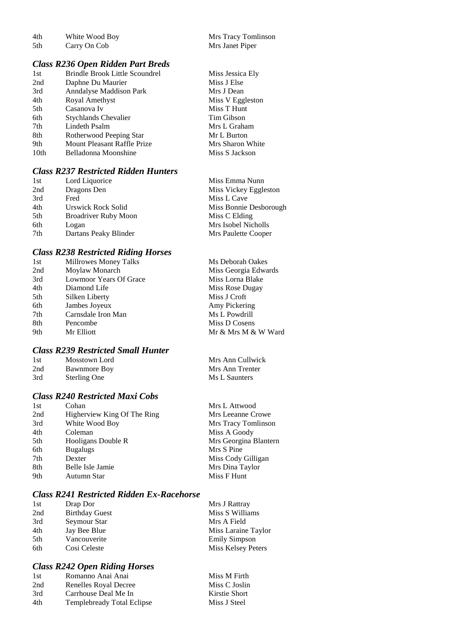| 4th | White Wood Boy |  |
|-----|----------------|--|
|     |                |  |

### *Class R236 Open Ridden Part Breds*

| 1st  | <b>Brindle Brook Little Scoundrel</b> | Miss Jessica Ely |
|------|---------------------------------------|------------------|
| 2nd  | Daphne Du Maurier                     | Miss J Else      |
| 3rd  | Anndalyse Maddison Park               | Mrs J Dean       |
| 4th  | Royal Amethyst                        | Miss V Eggleston |
| 5th  | Casanova Iv                           | Miss T Hunt      |
| 6th  | <b>Stychlands Chevalier</b>           | Tim Gibson       |
| 7th  | Lindeth Psalm                         | Mrs L Graham     |
| 8th  | Rotherwood Peeping Star               | Mr L Burton      |
| 9th  | Mount Pleasant Raffle Prize           | Mrs Sharon White |
| 10th | Belladonna Moonshine                  | Miss S Jackson   |
|      |                                       |                  |

# *Class R237 Restricted Ridden Hunters*

| 1st<br>Lord Liquorice              | Miss Emma Nunn         |
|------------------------------------|------------------------|
| 2nd<br>Dragons Den                 | Miss Vickey Eggleston  |
| 3rd<br>Fred                        | Miss L Cave            |
| 4th<br>Urswick Rock Solid          | Miss Bonnie Desborough |
| 5th<br><b>Broadriver Ruby Moon</b> | Miss C Elding          |
| 6th<br>Logan                       | Mrs Isobel Nicholls    |
| 7th<br>Dartans Peaky Blinder       | Mrs Paulette Cooper    |

### *Class R238 Restricted Riding Horses*

| 1st | Millrowes Money Talks  | Ms Deborah Oakes     |
|-----|------------------------|----------------------|
| 2nd | Moylaw Monarch         | Miss Georgia Edwards |
| 3rd | Lowmoor Years Of Grace | Miss Lorna Blake     |
| 4th | Diamond Life           | Miss Rose Dugay      |
| 5th | Silken Liberty         | Miss J Croft         |
| 6th | Jambes Joyeux          | Amy Pickering        |
| 7th | Carnsdale Iron Man     | Ms L Powdrill        |
| 8th | Pencombe               | Miss D Cosens        |
| 9th | Mr Elliott             | Mr & Mrs M & W Ward  |
|     |                        |                      |

# *Class R239 Restricted Small Hunter*

| 1st | Mosstown Lord       |
|-----|---------------------|
| 2nd | <b>Bawnmore Boy</b> |
| 3rd | <b>Sterling One</b> |

## *Class R240 Restricted Maxi Cobs*

| 1st | Cohan                       | Mrs L Attwood         |
|-----|-----------------------------|-----------------------|
| 2nd | Higherview King Of The Ring | Mrs Leeanne Crowe     |
| 3rd | White Wood Boy              | Mrs Tracy Tomlinson   |
| 4th | Coleman                     | Miss A Goody          |
| 5th | Hooligans Double R          | Mrs Georgina Blantern |
| 6th | <b>Bugalugs</b>             | Mrs S Pine            |
| 7th | Dexter                      | Miss Cody Gilligan    |
| 8th | Belle Isle Jamie            | Mrs Dina Taylor       |
| 9th | Autumn Star                 | Miss F Hunt           |
|     |                             |                       |

### *Class R241 Restricted Ridden Ex-Racehorse*

| 1st | Drap Dor              | Mrs J Rattray        |
|-----|-----------------------|----------------------|
| 2nd | <b>Birthday Guest</b> | Miss S Williams      |
| 3rd | Seymour Star          | Mrs A Field          |
| 4th | Jay Bee Blue          | Miss Laraine Taylor  |
| 5th | Vancouverite          | <b>Emily Simpson</b> |
| 6th | Cosi Celeste          | Miss Kelsey Peters   |

# *Class R242 Open Riding Horses*

| 1st | Romanno Anai Anai                 | Miss M Firth  |
|-----|-----------------------------------|---------------|
| 2nd | Renelles Royal Decree             | Miss C Joslin |
| 3rd | Carrhouse Deal Me In              | Kirstie Short |
| 4th | <b>Templebready Total Eclipse</b> | Miss J Steel  |
|     |                                   |               |

4th White Wood Boy Mrs Tracy Tomlinson<br>5th Carry On Cob Mrs Janet Piper Mrs Janet Piper

> Mrs Ann Cullwick Mrs Ann Trenter Ms L Saunters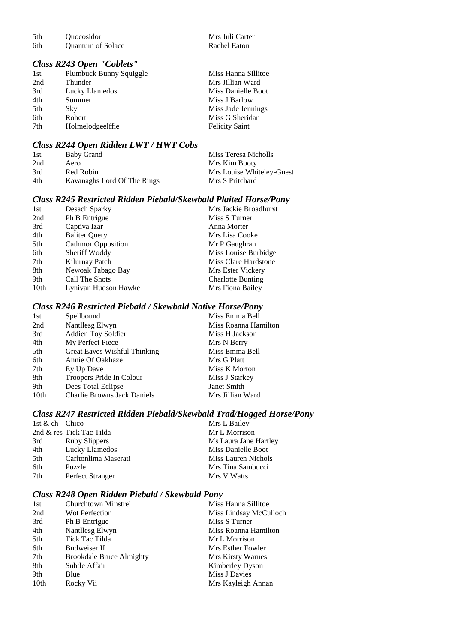| 5th | <i><u><b>Ouocosidor</b></u></i> |
|-----|---------------------------------|
| 6th | <b>Quantum of Solace</b>        |

#### *Class R243 Open "Coblets"*

|                  | Miss Hanna Sillitoe     |
|------------------|-------------------------|
| Thunder          | Mrs Jillian Ward        |
| Lucky Llamedos   | Miss Danielle Boot      |
| Summer           | Miss J Barlow           |
| Sky              | Miss Jade Jennings      |
| Robert           | Miss G Sheridan         |
| Holmelodgeelffie | <b>Felicity Saint</b>   |
|                  | Plumbuck Bunny Squiggle |

Mrs Juli Carter<br>Rachel Eaton

### *Class R244 Open Ridden LWT / HWT Cobs*

| 1st | Baby Grand                  | Miss Teresa Nicholls      |
|-----|-----------------------------|---------------------------|
| 2nd | Aero                        | Mrs Kim Booty             |
| 3rd | Red Robin                   | Mrs Louise Whiteley-Guest |
| 4th | Kavanaghs Lord Of The Rings | Mrs S Pritchard           |

# *Class R245 Restricted Ridden Piebald/Skewbald Plaited Horse/Pony*

| 1st  | Desach Sparky             | Mrs Jackie Broadhurst    |
|------|---------------------------|--------------------------|
| 2nd  | Ph B Entrigue             | Miss S Turner            |
| 3rd  | Captiva Izar              | Anna Morter              |
| 4th  | <b>Baliter Query</b>      | Mrs Lisa Cooke           |
| 5th  | <b>Cathmor Opposition</b> | Mr P Gaughran            |
| 6th  | Sheriff Woddy             | Miss Louise Burbidge     |
| 7th  | Kilurnay Patch            | Miss Clare Hardstone     |
| 8th  | Newoak Tabago Bay         | Mrs Ester Vickery        |
| 9th  | Call The Shots            | <b>Charlotte Bunting</b> |
| 10th | Lynivan Hudson Hawke      | Mrs Fiona Bailey         |

### *Class R246 Restricted Piebald / Skewbald Native Horse/Pony*

| 1st  | Spellbound                          | Miss Emma Bell       |
|------|-------------------------------------|----------------------|
| 2nd  | Nantllesg Elwyn                     | Miss Roanna Hamilton |
| 3rd  | <b>Addien Toy Soldier</b>           | Miss H Jackson       |
| 4th  | My Perfect Piece                    | Mrs N Berry          |
| 5th  | <b>Great Eaves Wishful Thinking</b> | Miss Emma Bell       |
| 6th  | Annie Of Oakhaze                    | Mrs G Platt          |
| 7th  | Ey Up Dave                          | Miss K Morton        |
| 8th  | Troopers Pride In Colour            | Miss J Starkey       |
| 9th  | Dees Total Eclipse                  | Janet Smith          |
| 10th | <b>Charlie Browns Jack Daniels</b>  | Mrs Jillian Ward     |
|      |                                     |                      |

# *Class R247 Restricted Ridden Piebald/Skewbald Trad/Hogged Horse/Pony*

| 1st & ch Chico |                          | Mrs L Bailey          |
|----------------|--------------------------|-----------------------|
|                | 2nd & res Tick Tac Tilda | Mr L Morrison         |
| 3rd            | Ruby Slippers            | Ms Laura Jane Hartley |
| 4th            | Lucky Llamedos           | Miss Danielle Boot    |
| 5th            | Carltonlima Maserati     | Miss Lauren Nichols   |
| 6th            | Puzzle                   | Mrs Tina Sambucci     |
| 7th            | Perfect Stranger         | Mrs V Watts           |

### *Class R248 Open Ridden Piebald / Skewbald Pony*

| 1st  | <b>Churchtown Minstrel</b>      | Miss Hanna Sillitoe    |
|------|---------------------------------|------------------------|
| 2nd  | <b>Wot Perfection</b>           | Miss Lindsay McCulloch |
| 3rd  | Ph B Entrigue                   | Miss S Turner          |
| 4th  | Nantllesg Elwyn                 | Miss Roanna Hamilton   |
| 5th  | Tick Tac Tilda                  | Mr L Morrison          |
| 6th  | Budweiser II                    | Mrs Esther Fowler      |
| 7th  | <b>Brookdale Bruce Almighty</b> | Mrs Kirsty Warnes      |
| 8th  | Subtle Affair                   | Kimberley Dyson        |
| 9th  | Blue                            | Miss J Davies          |
| 10th | Rocky Vii                       | Mrs Kayleigh Annan     |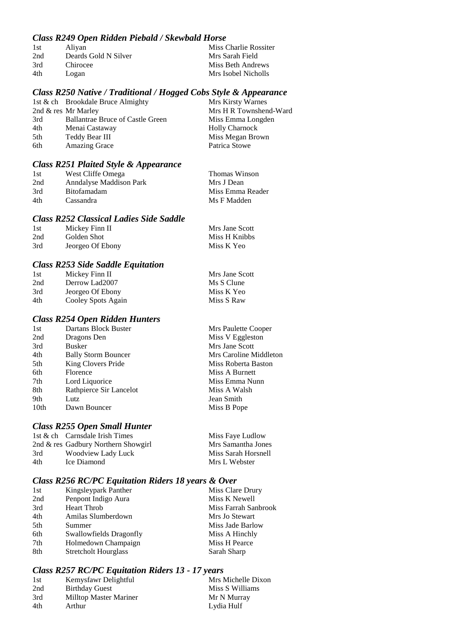# *Class R249 Open Ridden Piebald / Skewbald Horse*

| 1st | Aliyan               | Miss Charlie Rossiter |
|-----|----------------------|-----------------------|
| 2nd | Deards Gold N Silver | Mrs Sarah Field       |
| 3rd | Chirocee             | Miss Beth Andrews     |
| 4th | Logan                | Mrs Isobel Nicholls   |

### *Class R250 Native / Traditional / Hogged Cobs Style & Appearance*

|     | 1st & ch Brookdale Bruce Almighty       | Mrs Kirsty Warnes      |
|-----|-----------------------------------------|------------------------|
|     | 2nd & res Mr Marley                     | Mrs H R Townshend-Ward |
| 3rd | <b>Ballantrae Bruce of Castle Green</b> | Miss Emma Longden      |
| 4th | Menai Castaway                          | <b>Holly Charnock</b>  |
| 5th | Teddy Bear III                          | Miss Megan Brown       |
| 6th | <b>Amazing Grace</b>                    | Patrica Stowe          |

### *Class R251 Plaited Style & Appearance*

| 1st | West Cliffe Omega              | Thomas Winson    |
|-----|--------------------------------|------------------|
| 2nd | <b>Anndalyse Maddison Park</b> | Mrs J Dean       |
| 3rd | <b>Bitofamadam</b>             | Miss Emma Reader |
| 4th | Cassandra                      | Ms F Madden      |

### *Class R252 Classical Ladies Side Saddle*

| -1st | Mickey Finn II   | Mrs Jane Scott |
|------|------------------|----------------|
| 2nd  | Golden Shot      | Miss H Knibbs  |
| 3rd  | Jeorgeo Of Ebony | Miss K Yeo     |

### *Class R253 Side Saddle Equitation*

| 1st | Mickey Finn II     | Mrs Jane Scott |
|-----|--------------------|----------------|
| 2nd | Derrow Lad2007     | Ms S Clune     |
| 3rd | Jeorgeo Of Ebony   | Miss K Yeo     |
| 4th | Cooley Spots Again | Miss S Raw     |

# *Class R254 Open Ridden Hunters*

| 1st  | Dartans Block Buster       | Mrs Paulette Cooper    |
|------|----------------------------|------------------------|
| 2nd  | Dragons Den                | Miss V Eggleston       |
| 3rd  | <b>Busker</b>              | Mrs Jane Scott         |
| 4th  | <b>Bally Storm Bouncer</b> | Mrs Caroline Middleton |
| 5th  | King Clovers Pride         | Miss Roberta Baston    |
| 6th  | Florence                   | Miss A Burnett         |
| 7th  | Lord Liquorice             | Miss Emma Nunn         |
| 8th  | Rathpierce Sir Lancelot    | Miss A Walsh           |
| 9th  | Lutz                       | Jean Smith             |
| 10th | Dawn Bouncer               | Miss B Pope            |
|      |                            |                        |

# *Class R255 Open Small Hunter*

|     | 1st & ch Carnsdale Irish Times      | Miss Faye Ludlow    |
|-----|-------------------------------------|---------------------|
|     | 2nd & res Gadbury Northern Showgirl | Mrs Samantha Jones  |
| 3rd | Woodview Lady Luck                  | Miss Sarah Horsnell |
| 4th | Ice Diamond                         | Mrs L Webster       |
|     |                                     |                     |

# *Class R256 RC/PC Equitation Riders 18 years & Over*

| 1st | Kingsleypark Panther        | Miss Clare Drury     |
|-----|-----------------------------|----------------------|
| 2nd | Penpont Indigo Aura         | Miss K Newell        |
| 3rd | <b>Heart Throb</b>          | Miss Farrah Sanbrook |
| 4th | Amilas Slumberdown          | Mrs Jo Stewart       |
| 5th | Summer                      | Miss Jade Barlow     |
| 6th | Swallowfields Dragonfly     | Miss A Hinchly       |
| 7th | Holmedown Champaign         | Miss H Pearce        |
| 8th | <b>Stretcholt Hourglass</b> | Sarah Sharp          |

# *Class R257 RC/PC Equitation Riders 13 - 17 years*

| 1st | Kemysfawr Delightful   | Mrs Michelle Dixon |
|-----|------------------------|--------------------|
| 2nd | <b>Birthday Guest</b>  | Miss S Williams    |
| 3rd | Milltop Master Mariner | Mr N Murray        |
| 4th | Arthur                 | Lydia Hulf         |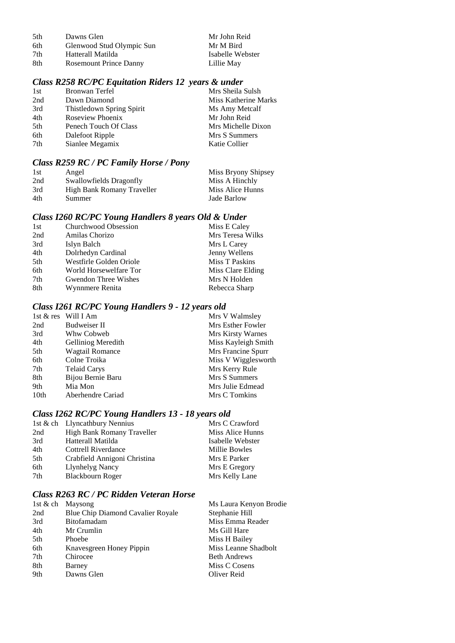| 5th | Dawns Glen                    |
|-----|-------------------------------|
| 6th | Glenwood Stud Olympic Sun     |
| 7th | Hatterall Matilda             |
| 8th | <b>Rosemount Prince Danny</b> |

#### Mr John Reid Mr M Bird Isabelle Webster Lillie May

# *Class R258 RC/PC Equitation Riders 12 years & under*

| 1st | Bronwan Terfel            | Mrs Sheila Sulsh     |
|-----|---------------------------|----------------------|
| 2nd | Dawn Diamond              | Miss Katherine Marks |
| 3rd | Thistledown Spring Spirit | Ms Amy Metcalf       |
| 4th | Roseview Phoenix          | Mr John Reid         |
| 5th | Penech Touch Of Class     | Mrs Michelle Dixon   |
| 6th | Dalefoot Ripple           | Mrs S Summers        |
| 7th | Sianlee Megamix           | Katie Collier        |
|     |                           |                      |

# *Class R259 RC / PC Family Horse / Pony*

| 1st | Angel                      | Miss Bryony Shipsey |
|-----|----------------------------|---------------------|
| 2nd | Swallowfields Dragonfly    | Miss A Hinchly      |
| 3rd | High Bank Romany Traveller | Miss Alice Hunns    |
| 4th | Summer                     | Jade Barlow         |

# *Class I260 RC/PC Young Handlers 8 years Old & Under*

| 1st | Churchwood Obsession        | Miss E Caley      |
|-----|-----------------------------|-------------------|
| 2nd | Amilas Chorizo              | Mrs Teresa Wilks  |
| 3rd | Islyn Balch                 | Mrs L Carey       |
| 4th | Dolrhedyn Cardinal          | Jenny Wellens     |
| 5th | Westfirle Golden Oriole     | Miss T Paskins    |
| 6th | World Horsewelfare Tor      | Miss Clare Elding |
| 7th | <b>Gwendon Three Wishes</b> | Mrs N Holden      |
| 8th | Wynnmere Renita             | Rebecca Sharp     |

# *Class I261 RC/PC Young Handlers 9 - 12 years old*

|      | 1st & res Will I Am | Mrs V Walmsley      |
|------|---------------------|---------------------|
| 2nd  | Budweiser II        | Mrs Esther Fowler   |
| 3rd  | Whw Cobweb          | Mrs Kirsty Warnes   |
| 4th  | Gelliniog Meredith  | Miss Kayleigh Smith |
| 5th  | Wagtail Romance     | Mrs Francine Spurr  |
| 6th  | Colne Troika        | Miss V Wigglesworth |
| 7th  | <b>Telaid Carys</b> | Mrs Kerry Rule      |
| 8th  | Bijou Bernie Baru   | Mrs S Summers       |
| 9th  | Mia Mon             | Mrs Julie Edmead    |
| 10th | Aberhendre Cariad   | Mrs C Tomkins       |
|      |                     |                     |

# *Class I262 RC/PC Young Handlers 13 - 18 years old*

|     | 1st & ch Llyncathbury Nennius | Mrs C Crawford   |
|-----|-------------------------------|------------------|
| 2nd | High Bank Romany Traveller    | Miss Alice Hunns |
| 3rd | Hatterall Matilda             | Isabelle Webster |
| 4th | Cottrell Riverdance           | Millie Bowles    |
| 5th | Crabfield Annigoni Christina  | Mrs E Parker     |
| 6th | <b>Llynhelyg Nancy</b>        | Mrs E Gregory    |
| 7th | Blackbourn Roger              | Mrs Kelly Lane   |

# *Class R263 RC / PC Ridden Veteran Horse*

|     | 1st & ch Maysong                  | Ms Laura Kenyon Brodie |
|-----|-----------------------------------|------------------------|
| 2nd | Blue Chip Diamond Cavalier Royale | Stephanie Hill         |
| 3rd | <b>Bitofamadam</b>                | Miss Emma Reader       |
| 4th | Mr Crumlin                        | Ms Gill Hare           |
| 5th | Phoebe                            | Miss H Bailey          |
| 6th | Knavesgreen Honey Pippin          | Miss Leanne Shadbolt   |
| 7th | Chirocee                          | <b>Beth Andrews</b>    |
| 8th | Barney                            | Miss C Cosens          |
| 9th | Dawns Glen                        | Oliver Reid            |
|     |                                   |                        |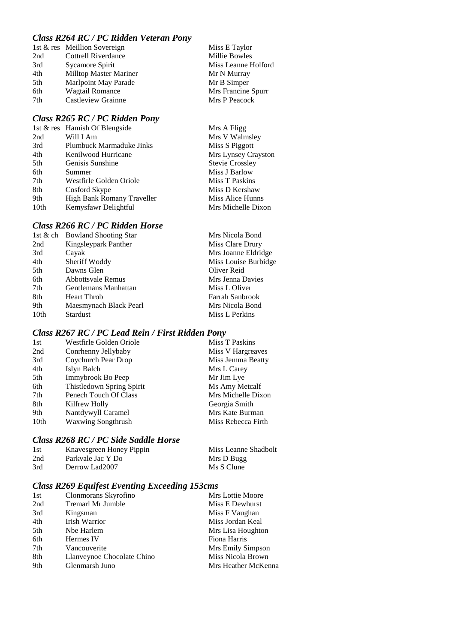# *Class R264 RC / PC Ridden Veteran Pony*

|     | 1st & res Meillion Sovereign  | Miss E Taylor       |
|-----|-------------------------------|---------------------|
| 2nd | <b>Cottrell Riverdance</b>    | Millie Bowles       |
| 3rd | Sycamore Spirit               | Miss Leanne Holford |
| 4th | <b>Milltop Master Mariner</b> | Mr N Murray         |
| 5th | Marlpoint May Parade          | Mr B Simper         |
| 6th | Wagtail Romance               | Mrs Francine Spurr  |
| 7th | Castleview Grainne            | Mrs P Peacock       |
|     |                               |                     |

# *Class R265 RC / PC Ridden Pony*

|                  | 1st & res Hamish Of Blengside | Mrs A Fligg            |
|------------------|-------------------------------|------------------------|
| 2nd              | Will I Am                     | Mrs V Walmsley         |
| 3rd              | Plumbuck Marmaduke Jinks      | Miss S Piggott         |
| 4th              | Kenilwood Hurricane           | Mrs Lynsey Crayston    |
| 5th              | Genisis Sunshine              | <b>Stevie Crossley</b> |
| 6th              | Summer                        | Miss J Barlow          |
| 7th              | Westfirle Golden Oriole       | Miss T Paskins         |
| 8th              | Cosford Skype                 | Miss D Kershaw         |
| 9th              | High Bank Romany Traveller    | Miss Alice Hunns       |
| 10 <sub>th</sub> | Kemysfawr Delightful          | Mrs Michelle Dixon     |
|                  |                               |                        |

### *Class R266 RC / PC Ridden Horse*

|                  | 1st & ch Bowland Shooting Star | Mrs Nicola Bond      |
|------------------|--------------------------------|----------------------|
| 2nd              | Kingsleypark Panther           | Miss Clare Drury     |
| 3rd              | Cayak                          | Mrs Joanne Eldridge  |
| 4th              | Sheriff Woddy                  | Miss Louise Burbidge |
| 5th              | Dawns Glen                     | Oliver Reid          |
| 6th              | Abbottsvale Remus              | Mrs Jenna Davies     |
| 7th              | Gentlemans Manhattan           | Miss L Oliver        |
| 8th              | <b>Heart Throb</b>             | Farrah Sanbrook      |
| 9th              | Maesmynach Black Pearl         | Mrs Nicola Bond      |
| 10 <sub>th</sub> | <b>Stardust</b>                | Miss L Perkins       |
|                  |                                |                      |

# *Class R267 RC / PC Lead Rein / First Ridden Pony*

| 1st  | Westfirle Golden Oriole   | <b>Miss T Paskins</b> |
|------|---------------------------|-----------------------|
| 2nd  | Conrhenny Jellybaby       | Miss V Hargreaves     |
| 3rd  | Coychurch Pear Drop       | Miss Jemma Beatty     |
| 4th  | Islyn Balch               | Mrs L Carey           |
| 5th  | Immybrook Bo Peep         | Mr Jim Lye            |
| 6th  | Thistledown Spring Spirit | Ms Amy Metcalf        |
| 7th  | Penech Touch Of Class     | Mrs Michelle Dixon    |
| 8th  | Kilfrew Holly             | Georgia Smith         |
| 9th  | Nantdywyll Caramel        | Mrs Kate Burman       |
| 10th | <b>Waxwing Songthrush</b> | Miss Rebecca Firth    |

# *Class R268 RC / PC Side Saddle Horse*

| 1st | Knavesgreen Honey Pippin | Miss Leanne Shadbolt |
|-----|--------------------------|----------------------|
| 2nd | Parkvale Jac Y Do        | Mrs D Bugg           |
| 3rd | Derrow Lad2007           | Ms S Clune           |

# *Class R269 Equifest Eventing Exceeding 153cms*

| 1st | Clonmorans Skyrofino       | <b>Mrs</b> Lottie Moore |
|-----|----------------------------|-------------------------|
| 2nd | <b>Tremarl Mr Jumble</b>   | Miss E Dewhurst         |
| 3rd | Kingsman                   | Miss F Vaughan          |
| 4th | Irish Warrior              | Miss Jordan Keal        |
| 5th | Nbe Harlem                 | Mrs Lisa Houghton       |
| 6th | Hermes IV                  | Fiona Harris            |
| 7th | Vancouverite               | Mrs Emily Simpson       |
| 8th | Llanveynoe Chocolate Chino | Miss Nicola Brown       |
| 9th | Glenmarsh Juno             | Mrs Heather McKenna     |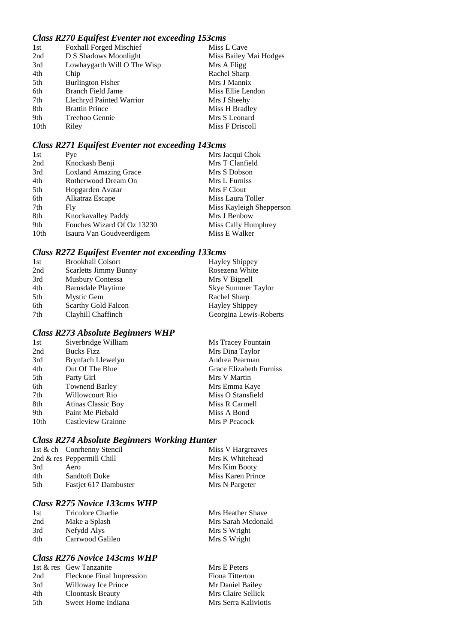## *Class R270 Equifest Eventer not exceeding 153cms*

| 1st              | <b>Foxhall Forged Mischief</b> | Miss L Cave            |
|------------------|--------------------------------|------------------------|
| 2nd              | D S Shadows Moonlight          | Miss Bailey Mai Hodges |
| 3rd              | Lowhaygarth Will O The Wisp    | Mrs A Fligg            |
| 4th              | Chip                           | Rachel Sharp           |
| 5th              | <b>Burlington Fisher</b>       | Mrs J Mannix           |
| 6th              | Branch Field Jame              | Miss Ellie Lendon      |
| 7th              | Llechryd Painted Warrior       | Mrs J Sheehy           |
| 8th              | <b>Brattin Prince</b>          | Miss H Bradley         |
| 9th              | Treehoo Gennie                 | Mrs S Leonard          |
| 10 <sub>th</sub> | Riley                          | Miss F Driscoll        |

## *Class R271 Equifest Eventer not exceeding 143cms*

| Pye                          | Mrs Jacqui Chok          |
|------------------------------|--------------------------|
| Knockash Benji               | Mrs T Clanfield          |
| <b>Loxland Amazing Grace</b> | Mrs S Dobson             |
| Rotherwood Dream On          | Mrs L Furniss            |
| Hopgarden Avatar             | Mrs F Clout              |
| Alkatraz Escape              | Miss Laura Toller        |
| Fly                          | Miss Kayleigh Shepperson |
| Knockavalley Paddy           | Mrs J Benbow             |
| Fouches Wizard Of Oz 13230   | Miss Cally Humphrey      |
| Isaura Van Goudveerdigem     | Miss E Walker            |
|                              |                          |

## *Class R272 Equifest Eventer not exceeding 133cms*

| 1st | <b>Brookhall Colsort</b>     | <b>Hayley Shippey</b>  |
|-----|------------------------------|------------------------|
| 2nd | <b>Scarletts Jimmy Bunny</b> | Rosezena White         |
| 3rd | <b>Musbury Contessa</b>      | Mrs V Bignell          |
| 4th | Barnsdale Playtime           | Skye Summer Taylor     |
| 5th | Mystic Gem                   | Rachel Sharp           |
| 6th | Scarthy Gold Falcon          | <b>Hayley Shippey</b>  |
| 7th | Clayhill Chaffinch           | Georgina Lewis-Roberts |

#### *Class R273 Absolute Beginners WHP*

| Siverbridge William       | Ms Tracey Fountain      |
|---------------------------|-------------------------|
| <b>Bucks Fizz</b>         | Mrs Dina Taylor         |
| Brynfach Llewelyn         | Andrea Pearman          |
| Out Of The Blue           | Grace Elizabeth Furniss |
| Party Girl                | Mrs V Martin            |
| <b>Townend Barley</b>     | Mrs Emma Kaye           |
| Willowcourt Rio           | Miss O Stansfield       |
| <b>Atinas Classic Boy</b> | Miss R Carmell          |
| Paint Me Piebald          | Miss A Bond             |
| Castleview Grainne        | Mrs P Peacock           |
|                           |                         |

## *Class R274 Absolute Beginners Working Hunter*

|     | 1st & ch Conrhenny Stencil   | Miss V Hargreaves |
|-----|------------------------------|-------------------|
|     | 2nd $&$ res Peppermill Chill | Mrs K Whitehead   |
| 3rd | Aero                         | Mrs Kim Booty     |
| 4th | <b>Sandtoft Duke</b>         | Miss Karen Prince |
| 5th | Fastjet 617 Dambuster        | Mrs N Pargeter    |
|     |                              |                   |

## *Class R275 Novice 133cms WHP*

| Mrs Heather Shave  |
|--------------------|
| Mrs Sarah Mcdonald |
| Mrs S Wright       |
| Mrs S Wright       |
|                    |

## *Class R276 Novice 143cms WHP*

| 1st & res Gew Tanzanite   | Mrs E Peters         |
|---------------------------|----------------------|
| Flecknoe Final Impression | Fiona Titterton      |
| Willoway Ice Prince       | Mr Daniel Bailey     |
| <b>Cloontask Beauty</b>   | Mrs Claire Sellick   |
| Sweet Home Indiana        | Mrs Serra Kaliviotis |
|                           |                      |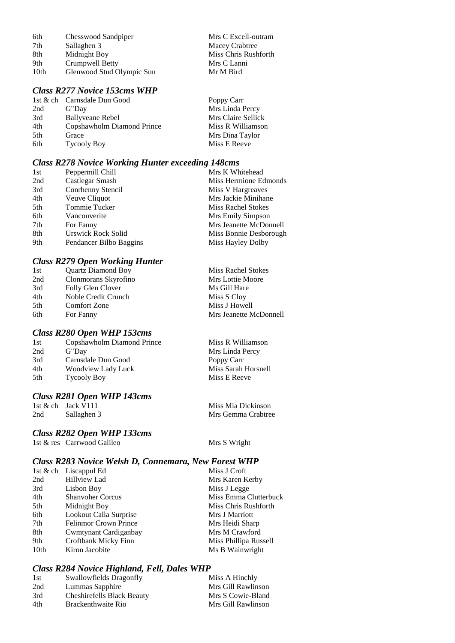| 6th  | Chesswood Sandpiper       | Mrs C Excell-outram  |
|------|---------------------------|----------------------|
| 7th  | Sallaghen 3               | Macey Crabtree       |
| 8th  | Midnight Boy              | Miss Chris Rushforth |
| 9th  | Crumpwell Betty           | Mrs C Lanni          |
| 10th | Glenwood Stud Olympic Sun | Mr M Bird            |

#### *Class R277 Novice 153cms WHP*

|     | 1st & ch Carnsdale Dun Good | Poppy Carr         |
|-----|-----------------------------|--------------------|
| 2nd | G"Day                       | Mrs Linda Percy    |
| 3rd | <b>Ballyveane Rebel</b>     | Mrs Claire Sellick |
| 4th | Copshawholm Diamond Prince  | Miss R Williamson  |
| 5th | Grace                       | Mrs Dina Taylor    |
| 6th | <b>Tycooly Boy</b>          | Miss E Reeve       |

#### *Class R278 Novice Working Hunter exceeding 148cms*

| 1st | Peppermill Chill          | Mrs K Whitehead           |
|-----|---------------------------|---------------------------|
| 2nd | Castlegar Smash           | Miss Hermione Edmonds     |
| 3rd | Conrhenny Stencil         | Miss V Hargreaves         |
| 4th | Veuve Cliquot             | Mrs Jackie Minihane       |
| 5th | Tommie Tucker             | <b>Miss Rachel Stokes</b> |
| 6th | Vancouverite              | Mrs Emily Simpson         |
| 7th | For Fanny                 | Mrs Jeanette McDonnell    |
| 8th | <b>Urswick Rock Solid</b> | Miss Bonnie Desborough    |
| 9th | Pendancer Bilbo Baggins   | Miss Hayley Dolby         |

#### *Class R279 Open Working Hunter*

| 1st | <b>Quartz Diamond Boy</b> | <b>Miss Rachel Stokes</b> |
|-----|---------------------------|---------------------------|
| 2nd | Clonmorans Skyrofino      | Mrs Lottie Moore          |
| 3rd | Folly Glen Clover         | Ms Gill Hare              |
| 4th | Noble Credit Crunch       | Miss S Cloy               |
| 5th | <b>Comfort Zone</b>       | Miss J Howell             |
| 6th | For Fanny                 | Mrs Jeanette McDonnell    |

#### *Class R280 Open WHP 153cms*

| 1st | Copshawholm Diamond Prince |
|-----|----------------------------|
| 2nd | G"Day                      |
| 3rd | Carnsdale Dun Good         |
| 4th | Woodview Lady Luck         |
| 5th | <b>Tycooly Boy</b>         |
|     |                            |

## *Class R281 Open WHP 143cms*

1st & ch Jack V111 Miss Mia Dickinson<br>
2nd Sallaghen 3 Miss Miss Miss Mia Dickinson

Mrs Gemma Crabtree

Miss R Williamson Mrs Linda Percy Poppy Carr

Miss Sarah Horsnell Miss E Reeve

#### *Class R282 Open WHP 133cms*

1st & res Carrwood Galileo Mrs S Wright

#### *Class R283 Novice Welsh D, Connemara, New Forest WHP*

|      | 1st $&$ ch Liscappul Ed      | Miss J Croft          |
|------|------------------------------|-----------------------|
| 2nd  | Hillview Lad                 | Mrs Karen Kerby       |
| 3rd  | Lisbon Boy                   | Miss J Legge          |
| 4th  | <b>Shanvoher Corcus</b>      | Miss Emma Clutterbuck |
| 5th  | Midnight Boy                 | Miss Chris Rushforth  |
| 6th  | Lookout Calla Surprise       | Mrs J Marriott        |
| 7th  | <b>Felinmor Crown Prince</b> | Mrs Heidi Sharp       |
| 8th  | Cwmtynant Cardiganbay        | Mrs M Crawford        |
| 9th  | Croftbank Micky Finn         | Miss Phillipa Russell |
| 10th | Kiron Jacobite               | Ms B Wainwright       |

#### *Class R284 Novice Highland, Fell, Dales WHP*

| 1st | Swallowfields Dragonfly           | Miss A Hinchly     |
|-----|-----------------------------------|--------------------|
| 2nd | Lummas Sapphire                   | Mrs Gill Rawlinson |
| 3rd | <b>Cheshirefells Black Beauty</b> | Mrs S Cowie-Bland  |
| 4th | Brackenthwaite Rio                | Mrs Gill Rawlinson |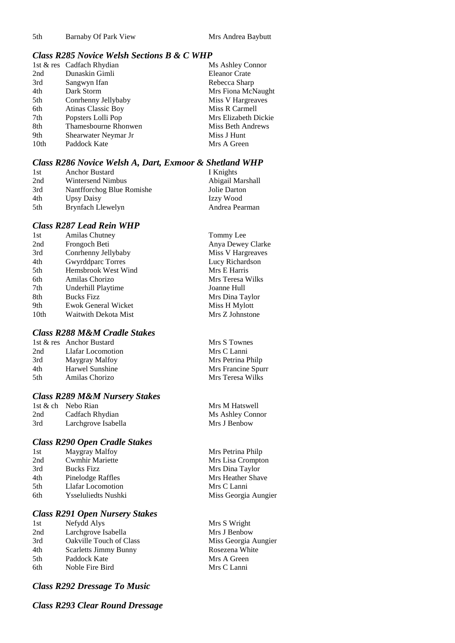#### *Class R285 Novice Welsh Sections B & C WHP*

| 1st & res Cadfach Rhydian | Ms Ashley Connor     |
|---------------------------|----------------------|
| Dunaskin Gimli            | <b>Eleanor Crate</b> |
| Sangwyn Ifan              | Rebecca Sharp        |
| Dark Storm                | Mrs Fiona McNaught   |
| Conrhenny Jellybaby       | Miss V Hargreaves    |
| <b>Atinas Classic Boy</b> | Miss R Carmell       |
| Popsters Lolli Pop        | Mrs Elizabeth Dickie |
| Thamesbourne Rhonwen      | Miss Beth Andrews    |
| Shearwater Neymar Jr      | Miss J Hunt          |
| Paddock Kate              | Mrs A Green          |
|                           |                      |

#### *Class R286 Novice Welsh A, Dart, Exmoor & Shetland WHP*

| 1st | <b>Anchor Bustard</b>     | I Knights        |
|-----|---------------------------|------------------|
| 2nd | Wintersend Nimbus         | Abigail Marshall |
| 3rd | Nantfforchog Blue Romishe | Jolie Darton     |
| 4th | Upsy Daisy                | Izzy Wood        |
| 5th | Brynfach Llewelyn         | Andrea Pearman   |

#### *Class R287 Lead Rein WHP*

| 1st              | <b>Amilas Chutney</b>      | Tommy Lee         |
|------------------|----------------------------|-------------------|
| 2nd              | Frongoch Beti              | Anya Dewey Clarke |
| 3rd              | Conrhenny Jellybaby        | Miss V Hargreaves |
| 4th              | <b>Gwyrddparc Torres</b>   | Lucy Richardson   |
| 5th              | Hemsbrook West Wind        | Mrs E Harris      |
| 6th              | Amilas Chorizo             | Mrs Teresa Wilks  |
| 7th              | Underhill Playtime         | Joanne Hull       |
| 8th              | <b>Bucks Fizz</b>          | Mrs Dina Taylor   |
| 9th              | <b>Ewok General Wicket</b> | Miss H Mylott     |
| 10 <sub>th</sub> | Waitwith Dekota Mist       | Mrs Z Johnstone   |
|                  |                            |                   |

### *Class R288 M&M Cradle Stakes*

|     | 1st & res Anchor Bustard | Mrs |
|-----|--------------------------|-----|
| 2nd | Llafar Locomotion        | Mrs |
| 3rd | Maygray Malfoy           | Mrs |
| 4th | Harwel Sunshine          | Mrs |
| 5th | Amilas Chorizo           | Mrs |
|     |                          |     |

#### *Class R289 M&M Nursery Stakes*

 $1$ st & ch Nebo Rian Mrs M Hatswell 2nd Cadfach Rhydian Ms Ashley Connor<br>
3rd Larchgrove Isabella Mrs J Benbow 3rd Larchgrove Isabella

#### *Class R290 Open Cradle Stakes*

#### *Class R291 Open Nursery Stakes*

| 1st | Nefydd Alys                    |
|-----|--------------------------------|
| 2nd | Larchgrove Isabella            |
| 3rd | <b>Oakville Touch of Class</b> |
| 4th | <b>Scarletts Jimmy Bunny</b>   |
| 5th | Paddock Kate                   |
| 6th | Noble Fire Bird                |

#### *Class R292 Dressage To Music*

*Class R293 Clear Round Dressage*

s S Townes s C Lanni s Petrina Philp s Francine Spurr s Teresa Wilks

Mrs Petrina Philp Mrs Lisa Crompton Mrs Dina Taylor Mrs Heather Shave Mrs C Lanni Miss Georgia Aungier

Mrs S Wright Mrs J Benbow Miss Georgia Aungier Rosezena White Mrs A Green Mrs C Lanni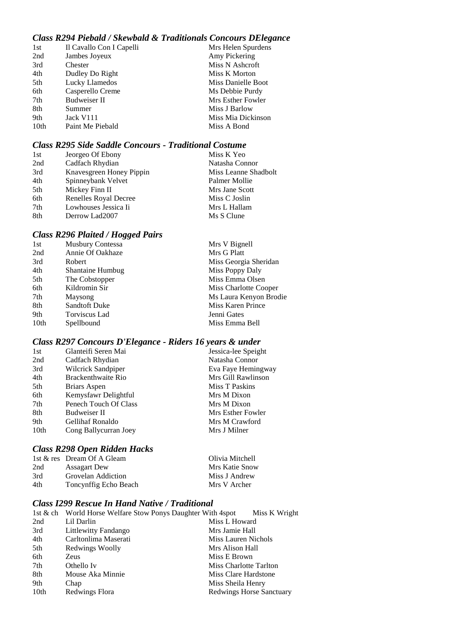## *Class R294 Piebald / Skewbald & Traditionals Concours DElegance*

| 1st  | Il Cavallo Con I Capelli | Mrs Helen Spurdens |
|------|--------------------------|--------------------|
| 2nd  | Jambes Joyeux            | Amy Pickering      |
| 3rd  | Chester                  | Miss N Ashcroft    |
| 4th  | Dudley Do Right          | Miss K Morton      |
| 5th  | Lucky Llamedos           | Miss Danielle Boot |
| 6th  | Casperello Creme         | Ms Debbie Purdy    |
| 7th  | <b>Budweiser II</b>      | Mrs Esther Fowler  |
| 8th  | Summer                   | Miss J Barlow      |
| 9th  | Jack V111                | Miss Mia Dickinson |
| 10th | Paint Me Piebald         | Miss A Bond        |

## *Class R295 Side Saddle Concours - Traditional Costume*

| 1st | Jeorgeo Of Ebony         | Miss K Yeo           |
|-----|--------------------------|----------------------|
| 2nd | Cadfach Rhydian          | Natasha Connor       |
| 3rd | Knavesgreen Honey Pippin | Miss Leanne Shadbolt |
| 4th | Spinneybank Velvet       | Palmer Mollie        |
| 5th | Mickey Finn II           | Mrs Jane Scott       |
| 6th | Renelles Royal Decree    | Miss C Joslin        |
| 7th | Lowhouses Jessica Ii     | Mrs L Hallam         |
| 8th | Derrow Lad2007           | Ms S Clune           |

## *Class R296 Plaited / Hogged Pairs*

| 1st  | <b>Musbury Contessa</b> | Mrs V Bignell          |
|------|-------------------------|------------------------|
| 2nd  | Annie Of Oakhaze        | Mrs G Platt            |
| 3rd  | Robert                  | Miss Georgia Sheridan  |
| 4th  | <b>Shantaine Humbug</b> | Miss Poppy Daly        |
| 5th  | The Cobstopper          | Miss Emma Olsen        |
| 6th  | Kildromin Sir           | Miss Charlotte Cooper  |
| 7th  | Maysong                 | Ms Laura Kenyon Brodie |
| 8th  | <b>Sandtoft Duke</b>    | Miss Karen Prince      |
| 9th  | Torviscus Lad           | Jenni Gates            |
| 10th | Spellbound              | Miss Emma Bell         |

## *Class R297 Concours D'Elegance - Riders 16 years & under*

| Glanteifi Seren Mai   | Jessica-lee Speight |
|-----------------------|---------------------|
| Cadfach Rhydian       | Natasha Connor      |
| Wilcrick Sandpiper    | Eva Faye Hemingway  |
| Brackenthwaite Rio    | Mrs Gill Rawlinson  |
| Briars Aspen          | Miss T Paskins      |
| Kemysfawr Delightful  | Mrs M Dixon         |
| Penech Touch Of Class | Mrs M Dixon         |
| Budweiser II          | Mrs Esther Fowler   |
| Gellihaf Ronaldo      | Mrs M Crawford      |
| Cong Ballycurran Joey | Mrs J Milner        |
|                       |                     |

## *Class R298 Open Ridden Hacks*

|     | 1st & res Dream Of A Gleam | Olivia Mitchell |
|-----|----------------------------|-----------------|
| 2nd | <b>Assagart Dew</b>        | Mrs Katie Snow  |
| 3rd | Grovelan Addiction         | Miss J Andrew   |
| 4th | Toncynffig Echo Beach      | Mrs V Archer    |

## *Class I299 Rescue In Hand Native / Traditional*

|      | 1st & ch World Horse Welfare Stow Ponys Daughter With 4spot | Miss K Wright                   |
|------|-------------------------------------------------------------|---------------------------------|
| 2nd  | Lil Darlin                                                  | Miss L Howard                   |
| 3rd  | Littlewitty Fandango                                        | Mrs Jamie Hall                  |
| 4th  | Carltonlima Maserati                                        | Miss Lauren Nichols             |
| 5th  | Redwings Woolly                                             | Mrs Alison Hall                 |
| 6th  | Zeus                                                        | Miss E Brown                    |
| 7th  | Othello Iv                                                  | Miss Charlotte Tarlton          |
| 8th  | Mouse Aka Minnie                                            | Miss Clare Hardstone            |
| 9th  | Chap                                                        | Miss Sheila Henry               |
| 10th | Redwings Flora                                              | <b>Redwings Horse Sanctuary</b> |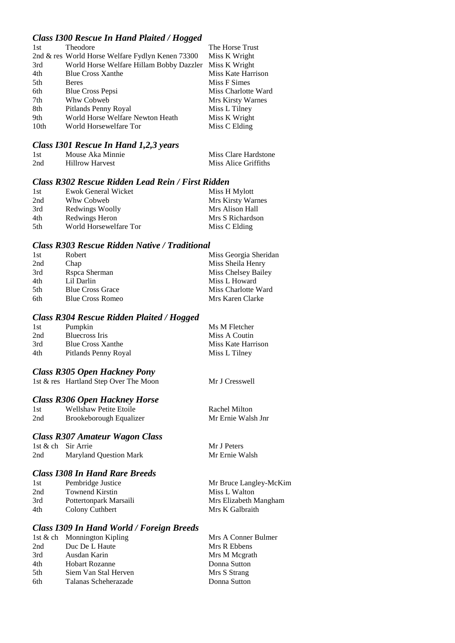## *Class I300 Rescue In Hand Plaited / Hogged*

| 1st              | Theodore                                         | The Horse Trust     |
|------------------|--------------------------------------------------|---------------------|
|                  | 2nd & res World Horse Welfare Fydlyn Kenen 73300 | Miss K Wright       |
| 3rd              | World Horse Welfare Hillam Bobby Dazzler         | Miss K Wright       |
| 4th              | <b>Blue Cross Xanthe</b>                         | Miss Kate Harrison  |
| 5th              | <b>Beres</b>                                     | Miss F Simes        |
| 6th              | <b>Blue Cross Pepsi</b>                          | Miss Charlotte Ward |
| 7th              | Whw Cobweb                                       | Mrs Kirsty Warnes   |
| 8th              | Pitlands Penny Royal                             | Miss L Tilney       |
| 9th              | World Horse Welfare Newton Heath                 | Miss K Wright       |
| 10 <sub>th</sub> | World Horsewelfare Tor                           | Miss C Elding       |

#### *Class I301 Rescue In Hand 1,2,3 years*

| 1st | Mouse Aka Minnie       | Miss Clare Hardstone |
|-----|------------------------|----------------------|
| 2nd | <b>Hillrow Harvest</b> | Miss Alice Griffiths |

## *Class R302 Rescue Ridden Lead Rein / First Ridden*

| 1st | Ewok General Wicket    | Miss H Mylott            |
|-----|------------------------|--------------------------|
| 2nd | Whw Cobweb             | <b>Mrs Kirsty Warnes</b> |
| 3rd | Redwings Woolly        | Mrs Alison Hall          |
| 4th | Redwings Heron         | Mrs S Richardson         |
| 5th | World Horsewelfare Tor | Miss C Elding            |

#### *Class R303 Rescue Ridden Native / Traditional*

| 1st | Robert                  | Miss Georgia Sheridan |
|-----|-------------------------|-----------------------|
| 2nd | Chap                    | Miss Sheila Henry     |
| 3rd | Rspca Sherman           | Miss Chelsey Bailey   |
| 4th | Lil Darlin              | Miss L Howard         |
| 5th | <b>Blue Cross Grace</b> | Miss Charlotte Ward   |
| 6th | <b>Blue Cross Romeo</b> | Mrs Karen Clarke      |

## *Class R304 Rescue Ridden Plaited / Hogged*

| 1st | Pumpkin                  | Ms M Fletcher      |
|-----|--------------------------|--------------------|
| 2nd | Bluecross Iris           | Miss A Coutin      |
| 3rd | <b>Blue Cross Xanthe</b> | Miss Kate Harrison |
| 4th | Pitlands Penny Royal     | Miss L Tilney      |

Mr J Cresswell

Mr J Peters Mr Ernie Walsh

#### *Class R305 Open Hackney Pony*

| 1st & res Hartland Step Over The Moon |  |
|---------------------------------------|--|

#### *Class R306 Open Hackney Horse*

| 1st | Wellshaw Petite Etoile  | Rachel Milton      |
|-----|-------------------------|--------------------|
| 2nd | Brookeborough Equalizer | Mr Ernie Walsh Jnr |

#### *Class R307 Amateur Wagon Class*

| 1st & ch Sir Arrie |                               |
|--------------------|-------------------------------|
| 2nd                | <b>Maryland Question Mark</b> |

## *Class I308 In Hand Rare Breeds*

| 1st | Pembridge Justice      | Mr Bruce Langley-McKim |
|-----|------------------------|------------------------|
| 2nd | <b>Townend Kirstin</b> | Miss L Walton          |
| 3rd | Pottertonpark Marsaili | Mrs Elizabeth Mangham  |
| 4th | Colony Cuthbert        | Mrs K Galbraith        |

## *Class I309 In Hand World / Foreign Breeds*

|      | 1st & ch Monnington Kipling | Mrs A Conner Bulmer |
|------|-----------------------------|---------------------|
| 2nd  | Duc De L Haute              | Mrs R Ebbens        |
| 3rd  | Ausdan Karin                | Mrs M Megrath       |
| 4th  | <b>Hobart Rozanne</b>       | Donna Sutton        |
| .5th | Siem Van Stal Herven        | Mrs S Strang        |
| 6th  | Talanas Scheherazade        | Donna Sutton        |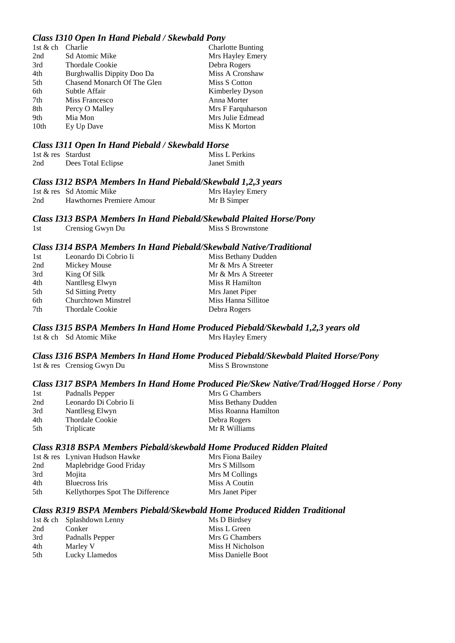#### *Class I310 Open In Hand Piebald / Skewbald Pony*

| 1st & ch | Charlie                     | <b>Charlotte Bunting</b> |
|----------|-----------------------------|--------------------------|
| 2nd      | Sd Atomic Mike              | Mrs Hayley Emery         |
| 3rd      | <b>Thordale Cookie</b>      | Debra Rogers             |
| 4th      | Burghwallis Dippity Doo Da  | Miss A Cronshaw          |
| 5th      | Chasend Monarch Of The Glen | Miss S Cotton            |
| 6th      | Subtle Affair               | Kimberley Dyson          |
| 7th      | Miss Francesco              | Anna Morter              |
| 8th      | Percy O Malley              | Mrs F Farquharson        |
| 9th      | Mia Mon                     | Mrs Julie Edmead         |
| 10th     | Ey Up Dave                  | Miss K Morton            |
|          |                             |                          |

#### *Class I311 Open In Hand Piebald / Skewbald Horse*

| 1st & res Stardust |                    | Miss L Perkins |
|--------------------|--------------------|----------------|
| 2nd                | Dees Total Eclipse | Janet Smith    |

#### *Class I312 BSPA Members In Hand Piebald/Skewbald 1,2,3 years*

|     | 1st & res Sd Atomic Mike  | Mrs Hayley Emery |
|-----|---------------------------|------------------|
| 2nd | Hawthornes Premiere Amour | Mr B Simper      |

#### *Class I313 BSPA Members In Hand Piebald/Skewbald Plaited Horse/Pony* 1st Crensiog Gwyn Du Miss S Brownstone

#### *Class I314 BSPA Members In Hand Piebald/Skewbald Native/Traditional*

| 1st             | Leonardo Di Cobrio Ii      | Miss Bethany Dudden |
|-----------------|----------------------------|---------------------|
| 2nd             | Mickey Mouse               | Mr & Mrs A Streeter |
| 3rd             | King Of Silk               | Mr & Mrs A Streeter |
| 4th             | Nantllesg Elwyn            | Miss R Hamilton     |
| 5th             | <b>Sd Sitting Pretty</b>   | Mrs Janet Piper     |
| 6th             | <b>Churchtown Minstrel</b> | Miss Hanna Sillitoe |
| 7 <sub>th</sub> | Thordale Cookie            | Debra Rogers        |

#### *Class I315 BSPA Members In Hand Home Produced Piebald/Skewbald 1,2,3 years old* 1st & ch Sd Atomic Mike Mrs Hayley Emery

#### *Class I316 BSPA Members In Hand Home Produced Piebald/Skewbald Plaited Horse/Pony* 1st  $&$  res Crensiog Gwyn Du

#### *Class I317 BSPA Members In Hand Home Produced Pie/Skew Native/Trad/Hogged Horse / Pony*

| 1st | Padnalls Pepper       | Mrs G Chambers       |
|-----|-----------------------|----------------------|
| 2nd | Leonardo Di Cobrio Ii | Miss Bethany Dudden  |
| 3rd | Nantllesg Elwyn       | Miss Roanna Hamilton |
| 4th | Thordale Cookie       | Debra Rogers         |
| 5th | Triplicate            | Mr R Williams        |

#### *Class R318 BSPA Members Piebald/skewbald Home Produced Ridden Plaited*

|      | 1st & res Lynivan Hudson Hawke   | Mrs Fiona Bailey |
|------|----------------------------------|------------------|
| 2nd  | Maplebridge Good Friday          | Mrs S Millsom    |
| 3rd  | Mojita                           | Mrs M Collings   |
| 4th  | Bluecross Iris                   | Miss A Coutin    |
| .5th | Kellythorpes Spot The Difference | Mrs Janet Piper  |

#### *Class R319 BSPA Members Piebald/Skewbald Home Produced Ridden Traditional*

|     | 1st & ch Splashdown Lenny | Ms D Birdsey       |
|-----|---------------------------|--------------------|
| 2nd | Conker                    | Miss L Green       |
| 3rd | Padnalls Pepper           | Mrs G Chambers     |
| 4th | Marley V                  | Miss H Nicholson   |
| 5th | Lucky Llamedos            | Miss Danielle Boot |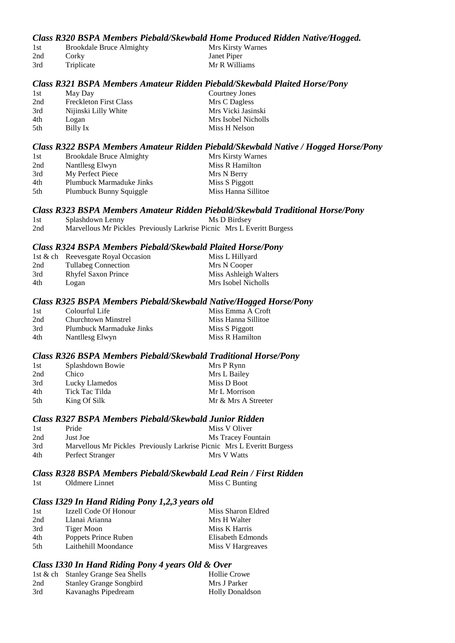## *Class R320 BSPA Members Piebald/Skewbald Home Produced Ridden Native/Hogged.*

| 1st | <b>Brookdale Bruce Almighty</b> | Mrs Kirsty Warnes |
|-----|---------------------------------|-------------------|
| 2nd | Corky                           | Janet Piper       |
| 3rd | Triplicate                      | Mr R Williams     |

#### *Class R321 BSPA Members Amateur Ridden Piebald/Skewbald Plaited Horse/Pony*

| 1st | May Day                       | Courtney Jones      |
|-----|-------------------------------|---------------------|
| 2nd | <b>Freckleton First Class</b> | Mrs C Dagless       |
| 3rd | Nijinski Lilly White          | Mrs Vicki Jasinski  |
| 4th | Logan                         | Mrs Isobel Nicholls |
| 5th | Billy Ix                      | Miss H Nelson       |

#### *Class R322 BSPA Members Amateur Ridden Piebald/Skewbald Native / Hogged Horse/Pony*

| 1st | <b>Brookdale Bruce Almighty</b> | Mrs Kirsty Warnes   |
|-----|---------------------------------|---------------------|
| 2nd | Nantllesg Elwyn                 | Miss R Hamilton     |
| 3rd | My Perfect Piece                | Mrs N Berry         |
| 4th | Plumbuck Marmaduke Jinks        | Miss S Piggott      |
| 5th | Plumbuck Bunny Squiggle         | Miss Hanna Sillitoe |

#### *Class R323 BSPA Members Amateur Ridden Piebald/Skewbald Traditional Horse/Pony*

| 1st | Splashdown Lenny |                                                                        | Ms D Birdsey |
|-----|------------------|------------------------------------------------------------------------|--------------|
| 2nd |                  | Marvellous Mr Pickles Previously Larkrise Picnic Mrs L Everitt Burgess |              |

#### *Class R324 BSPA Members Piebald/Skewbald Plaited Horse/Pony*

|     | 1st & ch Reevesgate Royal Occasion | Miss L Hillyard       |
|-----|------------------------------------|-----------------------|
| 2nd | <b>Tullabeg Connection</b>         | Mrs N Cooper          |
| 3rd | <b>Rhyfel Saxon Prince</b>         | Miss Ashleigh Walters |
| 4th | Logan                              | Mrs Isobel Nicholls   |

#### *Class R325 BSPA Members Piebald/Skewbald Native/Hogged Horse/Pony*

| 1st | Colourful Life           | Miss Emma A Croft   |
|-----|--------------------------|---------------------|
| 2nd | Churchtown Minstrel      | Miss Hanna Sillitoe |
| 3rd | Plumbuck Marmaduke Jinks | Miss S Piggott      |
| 4th | Nantllesg Elwyn          | Miss R Hamilton     |

#### *Class R326 BSPA Members Piebald/Skewbald Traditional Horse/Pony*

| 1st | Splashdown Bowie | Mrs P Rynn          |
|-----|------------------|---------------------|
| 2nd | Chico            | Mrs L Bailey        |
| 3rd | Lucky Llamedos   | Miss D Boot         |
| 4th | Tick Tac Tilda   | Mr L Morrison       |
| 5th | King Of Silk     | Mr & Mrs A Streeter |

#### *Class R327 BSPA Members Piebald/Skewbald Junior Ridden*

| 1st | Pride            | Miss V Oliver                                                          |
|-----|------------------|------------------------------------------------------------------------|
| 2nd | Just Joe         | Ms Tracey Fountain                                                     |
| 3rd |                  | Marvellous Mr Pickles Previously Larkrise Picnic Mrs L Everitt Burgess |
| 4th | Perfect Stranger | Mrs V Watts                                                            |

## *Class R328 BSPA Members Piebald/Skewbald Lead Rein / First Ridden*

| Miss C Bunting |
|----------------|
|                |

#### *Class I329 In Hand Riding Pony 1,2,3 years old*

| 1st  | Izzell Code Of Honour | Miss Sharon Eldred |
|------|-----------------------|--------------------|
| 2nd  | Llanai Arianna        | Mrs H Walter       |
| 3rd  | Tiger Moon            | Miss K Harris      |
| 4th  | Poppets Prince Ruben  | Elisabeth Edmonds  |
| .5th | Laithehill Moondance  | Miss V Hargreaves  |

## *Class I330 In Hand Riding Pony 4 years Old & Over*

|     | 1st & ch Stanley Grange Sea Shells | <b>Hollie Crowe</b>    |
|-----|------------------------------------|------------------------|
| 2nd | <b>Stanley Grange Songbird</b>     | Mrs J Parker           |
| 3rd | Kavanaghs Pipedream                | <b>Holly Donaldson</b> |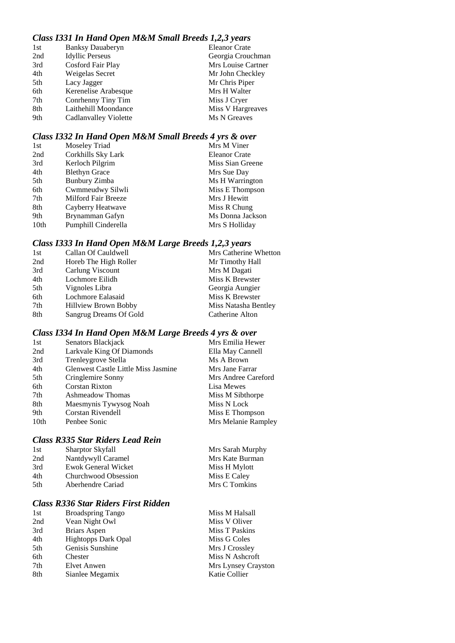## *Class I331 In Hand Open M&M Small Breeds 1,2,3 years*

| <b>Banksy Dauaberyn</b> | <b>Eleanor Crate</b> |
|-------------------------|----------------------|
| <b>Idyllic Perseus</b>  | Georgia Crouchman    |
| Cosford Fair Play       | Mrs Louise Cartner   |
| Weigelas Secret         | Mr John Checkley     |
| Lacy Jagger             | Mr Chris Piper       |
| Kerenelise Arabesque    | Mrs H Walter         |
| Conrhenny Tiny Tim      | Miss J Cryer         |
| Laithehill Moondance    | Miss V Hargreaves    |
| Cadlanvalley Violette   | Ms N Greaves         |
|                         |                      |

## *Class I332 In Hand Open M&M Small Breeds 4 yrs & over*

| 1st              | Moseley Triad        | Mrs M Viner          |
|------------------|----------------------|----------------------|
| 2nd              | Corkhills Sky Lark   | <b>Eleanor Crate</b> |
| 3rd              | Kerloch Pilgrim      | Miss Sian Greene     |
| 4th              | <b>Blethyn Grace</b> | Mrs Sue Day          |
| 5th              | <b>Bunbury Zimba</b> | Ms H Warrington      |
| 6th              | Cwmmeudwy Silwli     | Miss E Thompson      |
| 7th              | Milford Fair Breeze  | Mrs J Hewitt         |
| 8th              | Cayberry Heatwave    | Miss R Chung         |
| 9th              | Brynamman Gafyn      | Ms Donna Jackson     |
| 10 <sub>th</sub> | Pumphill Cinderella  | Mrs S Holliday       |

## *Class I333 In Hand Open M&M Large Breeds 1,2,3 years*

| 1st | Callan Of Cauldwell         | Mrs Catherine Whetton |
|-----|-----------------------------|-----------------------|
| 2nd | Horeb The High Roller       | Mr Timothy Hall       |
| 3rd | Carlung Viscount            | Mrs M Dagati          |
| 4th | Lochmore Eilidh             | Miss K Brewster       |
| 5th | Vignoles Libra              | Georgia Aungier       |
| 6th | Lochmore Ealasaid           | Miss K Brewster       |
| 7th | <b>Hillview Brown Bobby</b> | Miss Natasha Bentley  |
| 8th | Sangrug Dreams Of Gold      | Catherine Alton       |
|     |                             |                       |

## *Class I334 In Hand Open M&M Large Breeds 4 yrs & over*

| 1st              | Senators Blackjack                         | Mrs Emilia Hewer    |
|------------------|--------------------------------------------|---------------------|
| 2nd              | Larkvale King Of Diamonds                  | Ella May Cannell    |
| 3rd              | Trenleygrove Stella                        | Ms A Brown          |
| 4th              | <b>Glenwest Castle Little Miss Jasmine</b> | Mrs Jane Farrar     |
| 5th              | Cringlemire Sonny                          | Mrs Andree Careford |
| 6th              | <b>Corstan Rixton</b>                      | Lisa Mewes          |
| 7th              | Ashmeadow Thomas                           | Miss M Sibthorpe    |
| 8th              | Maesmynis Tywysog Noah                     | Miss N Lock         |
| 9th              | Corstan Rivendell                          | Miss E Thompson     |
| 10 <sub>th</sub> | Penbee Sonic                               | Mrs Melanie Rampley |

## *Class R335 Star Riders Lead Rein*

| 1st | <b>Sharptor Skyfall</b> | Mrs Sarah Murphy |
|-----|-------------------------|------------------|
| 2nd | Nantdywyll Caramel      | Mrs Kate Burman  |
| 3rd | Ewok General Wicket     | Miss H Mylott    |
| 4th | Churchwood Obsession    | Miss E Caley     |
| 5th | Aberhendre Cariad       | Mrs C Tomkins    |
|     |                         |                  |

## *Class R336 Star Riders First Ridden*

| 1st | <b>Broadspring Tango</b>   | Miss M Halsall      |
|-----|----------------------------|---------------------|
| 2nd | Vean Night Owl             | Miss V Oliver       |
| 3rd | Briars Aspen               | Miss T Paskins      |
| 4th | <b>Hightopps Dark Opal</b> | Miss G Coles        |
| 5th | Genisis Sunshine           | Mrs J Crossley      |
| 6th | Chester                    | Miss N Ashcroft     |
| 7th | Elvet Anwen                | Mrs Lynsey Crayston |
| 8th | Sianlee Megamix            | Katie Collier       |
|     |                            |                     |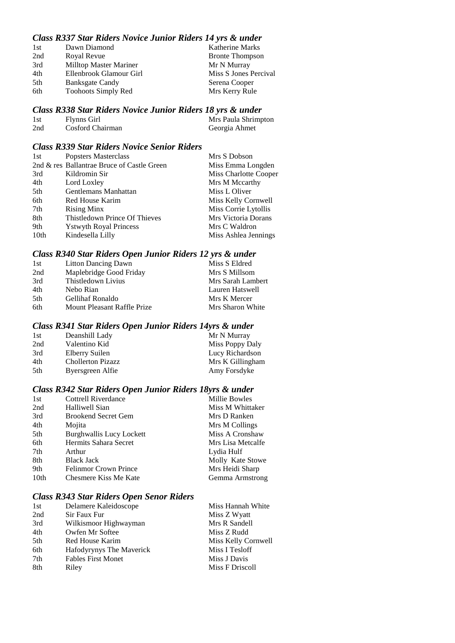## *Class R337 Star Riders Novice Junior Riders 14 yrs & under*

| 1st | Dawn Diamond               | <b>Katherine Marks</b> |
|-----|----------------------------|------------------------|
| 2nd | Royal Revue                | <b>Bronte Thompson</b> |
| 3rd | Milltop Master Mariner     | Mr N Murray            |
| 4th | Ellenbrook Glamour Girl    | Miss S Jones Percival  |
| 5th | <b>Banksgate Candy</b>     | Serena Cooper          |
| 6th | <b>Toohoots Simply Red</b> | Mrs Kerry Rule         |

## *Class R338 Star Riders Novice Junior Riders 18 yrs & under*

| 1st | <b>Flynns Girl</b> | Mrs Paula Shrimpton |
|-----|--------------------|---------------------|
| 2nd | Cosford Chairman   | Georgia Ahmet       |

#### *Class R339 Star Riders Novice Senior Riders*

| 1st              | Popsters Masterclass                       | Mrs S Dobson          |
|------------------|--------------------------------------------|-----------------------|
|                  | 2nd & res Ballantrae Bruce of Castle Green | Miss Emma Longden     |
| 3rd              | Kildromin Sir                              | Miss Charlotte Cooper |
| 4th              | Lord Loxley                                | Mrs M Mccarthy        |
| 5th              | Gentlemans Manhattan                       | Miss L Oliver         |
| 6th              | Red House Karim                            | Miss Kelly Cornwell   |
| 7th              | <b>Rising Minx</b>                         | Miss Corrie Lytollis  |
| 8th              | Thistledown Prince Of Thieves              | Mrs Victoria Dorans   |
| 9th              | <b>Y</b> stwyth Royal Princess             | Mrs C Waldron         |
| 10 <sub>th</sub> | Kindesella Lilly                           | Miss Ashlea Jennings  |

#### *Class R340 Star Riders Open Junior Riders 12 yrs & under*

| 1st | <b>Litton Dancing Dawn</b>  | Miss S Eldred     |
|-----|-----------------------------|-------------------|
| 2nd | Maplebridge Good Friday     | Mrs S Millsom     |
| 3rd | Thistledown Livius          | Mrs Sarah Lambert |
| 4th | Nebo Rian                   | Lauren Hatswell   |
| 5th | <b>Gellihaf Ronaldo</b>     | Mrs K Mercer      |
| 6th | Mount Pleasant Raffle Prize | Mrs Sharon White  |

#### *Class R341 Star Riders Open Junior Riders 14yrs & under*

| 1st  | Deanshill Lady           | Mr N Murray      |
|------|--------------------------|------------------|
| 2nd  | Valentino Kid            | Miss Poppy Daly  |
| 3rd  | Elberry Suilen           | Lucy Richardson  |
| 4th. | <b>Chollerton Pizazz</b> | Mrs K Gillingham |
| 5th  | Byersgreen Alfie         | Amy Forsdyke     |
|      |                          |                  |

## *Class R342 Star Riders Open Junior Riders 18yrs & under*

| 1st              | Cottrell Riverdance             | Millie Bowles     |
|------------------|---------------------------------|-------------------|
| 2nd              | Halliwell Sian                  | Miss M Whittaker  |
| 3rd              | <b>Brookend Secret Gem</b>      | Mrs D Ranken      |
| 4th              | Mojita                          | Mrs M Collings    |
| 5th              | <b>Burghwallis Lucy Lockett</b> | Miss A Cronshaw   |
| 6th              | Hermits Sahara Secret           | Mrs Lisa Metcalfe |
| 7th              | Arthur                          | Lydia Hulf        |
| 8th              | <b>Black Jack</b>               | Molly Kate Stowe  |
| 9th              | <b>Felinmor Crown Prince</b>    | Mrs Heidi Sharp   |
| 10 <sub>th</sub> | Chesmere Kiss Me Kate           | Gemma Armstrong   |

## *Class R343 Star Riders Open Senor Riders*

| Delamere Kaleidoscope     | Miss Hannah White   |
|---------------------------|---------------------|
| Sir Faux Fur              | Miss Z Wyatt        |
| Wilkismoor Highwayman     | Mrs R Sandell       |
| Owfen Mr Softee           | Miss Z Rudd         |
| Red House Karim           | Miss Kelly Cornwell |
| Hafodyrynys The Maverick  | Miss I Tesloff      |
| <b>Fables First Monet</b> | Miss J Davis        |
| Riley                     | Miss F Driscoll     |
|                           |                     |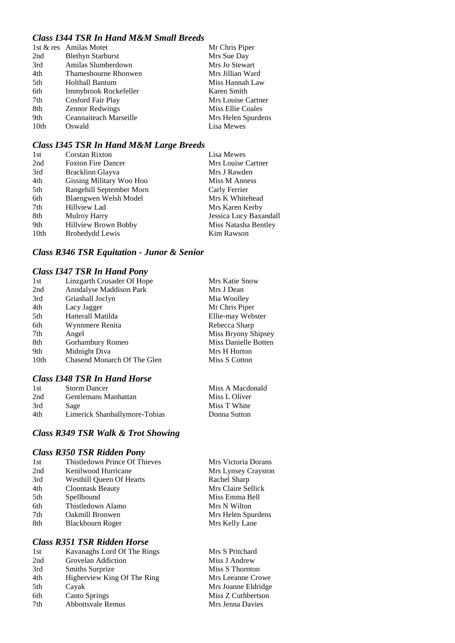## *Class I344 TSR In Hand M&M Small Breeds*

|                  | 1st & res Amilas Motet   | Mr Chris Piper     |
|------------------|--------------------------|--------------------|
| 2nd              | <b>Blethyn Starburst</b> | Mrs Sue Day        |
| 3rd              | Amilas Slumberdown       | Mrs Jo Stewart     |
| 4th              | Thamesbourne Rhonwen     | Mrs Jillian Ward   |
| 5th              | Holthall Bantum          | Miss Hannah Law    |
| 6th              | Immybrook Rockefeller    | Karen Smith        |
| 7th              | Cosford Fair Play        | Mrs Louise Cartner |
| 8th              | <b>Zennor Redwings</b>   | Miss Ellie Coales  |
| 9th              | Ceannaiteach Marseille   | Mrs Helen Spurdens |
| 10 <sub>th</sub> | Oswald                   | Lisa Mewes         |

#### *Class I345 TSR In Hand M&M Large Breeds*

| 1st              | <b>Corstan Rixton</b>     | Lisa Mewes             |
|------------------|---------------------------|------------------------|
| 2nd              | <b>Foxton Fire Dancer</b> | Mrs Louise Cartner     |
| 3rd              | Bracklinn Glayva          | Mrs J Rawden           |
| 4th              | Gissing Military Woo Hoo  | Miss M Anness          |
| 5th              | Rangehill September Morn  | Carly Ferrier          |
| 6th              | Blaengwen Welsh Model     | Mrs K Whitehead        |
| 7th              | Hillview Lad              | Mrs Karen Kerby        |
| 8th              | <b>Mulroy Harry</b>       | Jessica Lucy Baxandall |
| 9th              | Hillview Brown Bobby      | Miss Natasha Bentley   |
| 10 <sub>th</sub> | <b>Brohedydd Lewis</b>    | Kim Rawson             |

## *Class R346 TSR Equitation - Junor & Senior*

### *Class I347 TSR In Hand Pony*

|                             | Mrs Katie Snow                                                            |
|-----------------------------|---------------------------------------------------------------------------|
|                             | Mrs J Dean                                                                |
|                             | Mia Woolley                                                               |
| Lacy Jagger                 | Mr Chris Piper                                                            |
| Hatterall Matilda           | Ellie-may Webster                                                         |
| Wynnmere Renita             | Rebecca Sharp                                                             |
| Angel                       | Miss Bryony Shipsey                                                       |
| Gorhambury Romeo            | Miss Danielle Botten                                                      |
| Midnight Diva               | Mrs H Horton                                                              |
| Chasend Monarch Of The Glen | Miss S Cotton                                                             |
|                             | Linzgarth Crusader Of Hope<br>Anndalyse Maddison Park<br>Griashall Joclyn |

#### *Class I348 TSR In Hand Horse*

| 1st | <b>Storm Dancer</b>           | Miss A Macdonald |
|-----|-------------------------------|------------------|
| 2nd | Gentlemans Manhattan          | Miss L Oliver    |
| 3rd | Sage                          | Miss T White     |
| 4th | Limerick Shanballymore-Tobias | Donna Sutton     |

## *Class R349 TSR Walk & Trot Showing*

#### *Class R350 TSR Ridden Pony*

| 1st | Thistledown Prince Of Thieves   | Mrs Victoria Dorans |
|-----|---------------------------------|---------------------|
| 2nd | Kenilwood Hurricane             | Mrs Lynsey Crayston |
| 3rd | <b>Westhill Oueen Of Hearts</b> | Rachel Sharp        |
| 4th | <b>Cloontask Beauty</b>         | Mrs Claire Sellick  |
| 5th | Spellbound                      | Miss Emma Bell      |
| 6th | Thistledown Alamo               | Mrs N Wilton        |
| 7th | <b>Oakmill Bronwen</b>          | Mrs Helen Spurdens  |
| 8th | Blackbourn Roger                | Mrs Kelly Lane      |
|     |                                 |                     |

## *Class R351 TSR Ridden Horse*

| 1st | Kavanaghs Lord Of The Rings | Mrs S Pritchard   |
|-----|-----------------------------|-------------------|
| 2nd | Grovelan Addiction          | Miss J Andrew     |
| 3rd | Smiths Surprize             | Miss S Thornton   |
| 4th | Higherview King Of The Ring | Mrs Leeanne Croy  |
| 5th | Cayak                       | Mrs Joanne Eldrid |
| 6th | <b>Canto Springs</b>        | Miss Z Cuthbertso |
| 7th | <b>Abbottsvale Remus</b>    | Mrs Jenna Davies  |

Mrs S Pritchard Miss J Andrew Miss S Thornton Mrs Leeanne Crowe Mrs Joanne Eldridge Miss Z Cuthbertson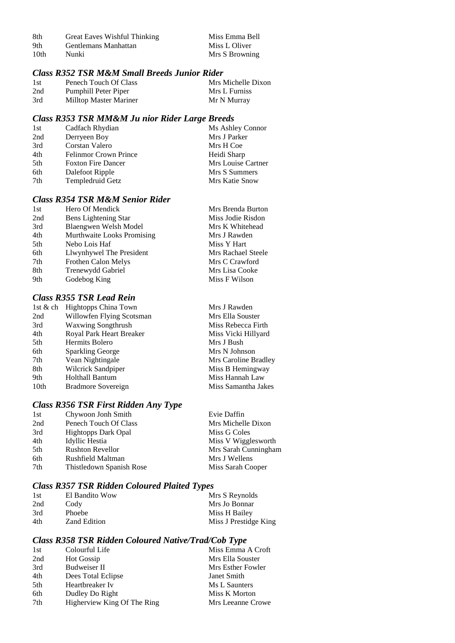| -8th | Great Eaves Wishful Thinking | Miss Emma Bell |
|------|------------------------------|----------------|
| 9th  | Gentlemans Manhattan         | Miss L Oliver  |
| 10th | Nunki                        | Mrs S Browning |

## *Class R352 TSR M&M Small Breeds Junior Rider*

| 1st | Penech Touch Of Class  | Mrs Michelle Dixon |
|-----|------------------------|--------------------|
| 2nd | Pumphill Peter Piper   | Mrs L Furniss      |
| 3rd | Milltop Master Mariner | Mr N Murray        |

## *Class R353 TSR MM&M Ju nior Rider Large Breeds*

| 1st | Cadfach Rhydian              | Ms Ashley Connor   |
|-----|------------------------------|--------------------|
| 2nd | Derryeen Boy                 | Mrs J Parker       |
| 3rd | Corstan Valero               | Mrs H Coe          |
| 4th | <b>Felinmor Crown Prince</b> | Heidi Sharp        |
| 5th | <b>Foxton Fire Dancer</b>    | Mrs Louise Cartner |
| 6th | Dalefoot Ripple              | Mrs S Summers      |
| 7th | Templedruid Getz             | Mrs Katie Snow     |

## *Class R354 TSR M&M Senior Rider*

| 1st | Hero Of Mendick            | Mrs Brenda Burton  |
|-----|----------------------------|--------------------|
| 2nd | Bens Lightening Star       | Miss Jodie Risdon  |
| 3rd | Blaengwen Welsh Model      | Mrs K Whitehead    |
| 4th | Murthwaite Looks Promising | Mrs J Rawden       |
| 5th | Nebo Lois Haf              | Miss Y Hart        |
| 6th | Llwynhywel The President   | Mrs Rachael Steele |
| 7th | Frothen Calon Melys        | Mrs C Crawford     |
| 8th | Trenewydd Gabriel          | Mrs Lisa Cooke     |
| 9th | Godebog King               | Miss F Wilson      |
|     |                            |                    |

## *Class R355 TSR Lead Rein*

|                  | 1st & ch Hightopps China Town | Mrs J Rawden         |
|------------------|-------------------------------|----------------------|
| 2nd              | Willowfen Flying Scotsman     | Mrs Ella Souster     |
| 3rd              | <b>Waxwing Songthrush</b>     | Miss Rebecca Firth   |
| 4th              | Royal Park Heart Breaker      | Miss Vicki Hillyard  |
| 5th              | Hermits Bolero                | Mrs J Bush           |
| 6th              | <b>Sparkling George</b>       | Mrs N Johnson        |
| 7th              | Vean Nightingale              | Mrs Caroline Bradley |
| 8th              | Wilcrick Sandpiper            | Miss B Hemingway     |
| 9th              | <b>Holthall Bantum</b>        | Miss Hannah Law      |
| 10 <sub>th</sub> | Bradmore Sovereign            | Miss Samantha Jakes  |

## *Class R356 TSR First Ridden Any Type*

| 1st | Chywoon Jonh Smith         | Evie Daffin          |
|-----|----------------------------|----------------------|
| 2nd | Penech Touch Of Class      | Mrs Michelle Dixon   |
| 3rd | <b>Hightopps Dark Opal</b> | Miss G Coles         |
| 4th | Idyllic Hestia             | Miss V Wigglesworth  |
| 5th | <b>Rushton Revellor</b>    | Mrs Sarah Cunningham |
| 6th | Rushfield Maltman          | Mrs J Wellens        |
| 7th | Thistledown Spanish Rose   | Miss Sarah Cooper    |
|     |                            |                      |

## *Class R357 TSR Ridden Coloured Plaited Types*

| El Bandito Wow      | Mrs S Reynolds        |
|---------------------|-----------------------|
| Cody                | Mrs Jo Bonnar         |
| Phoebe              | Miss H Bailey         |
| <b>Zand Edition</b> | Miss J Prestidge King |
|                     |                       |

## *Class R358 TSR Ridden Coloured Native/Trad/Cob Type*

| 1st | Colourful Life              | Miss Emma A Croft |
|-----|-----------------------------|-------------------|
| 2nd | <b>Hot Gossip</b>           | Mrs Ella Souster  |
| 3rd | <b>Budweiser II</b>         | Mrs Esther Fowler |
| 4th | Dees Total Eclipse          | Janet Smith       |
| 5th | Heartbreaker Iv             | Ms L Saunters     |
| 6th | Dudley Do Right             | Miss K Morton     |
| 7th | Higherview King Of The Ring | Mrs Leeanne Crowe |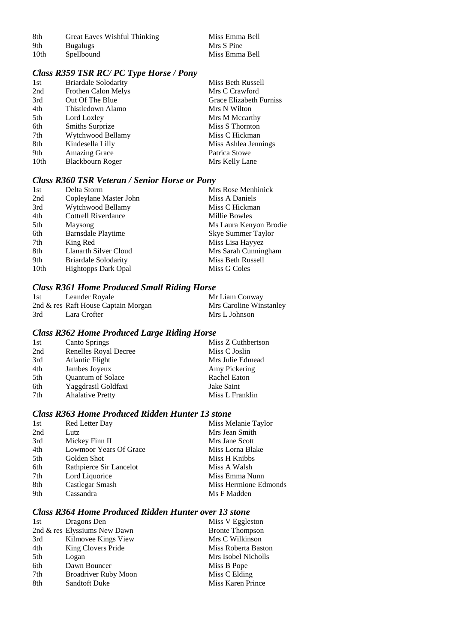| 8th  | Great Eaves Wishful Thinking | Miss Emma Bell |
|------|------------------------------|----------------|
| 9th  | <b>Bugalugs</b>              | Mrs S Pine     |
| 10th | Spellbound                   | Miss Emma Bell |

| Miss Emma Bell |  |
|----------------|--|
| Mrs S Pine     |  |
| Miss Emma Bell |  |

## *Class R359 TSR RC/ PC Type Horse / Pony*

| 1st  | <b>Briardale Solodarity</b> | Miss Beth Russell       |
|------|-----------------------------|-------------------------|
| 2nd  | Frothen Calon Melys         | Mrs C Crawford          |
| 3rd  | Out Of The Blue             | Grace Elizabeth Furniss |
| 4th  | Thistledown Alamo           | Mrs N Wilton            |
| 5th  | Lord Loxley                 | Mrs M Mccarthy          |
| 6th  | Smiths Surprize             | Miss S Thornton         |
| 7th  | Wytchwood Bellamy           | Miss C Hickman          |
| 8th  | Kindesella Lilly            | Miss Ashlea Jennings    |
| 9th  | <b>Amazing Grace</b>        | Patrica Stowe           |
| 10th | Blackbourn Roger            | Mrs Kelly Lane          |

## *Class R360 TSR Veteran / Senior Horse or Pony*

| Delta Storm                 | Mrs Rose Menhinick     |
|-----------------------------|------------------------|
| Copleylane Master John      | Miss A Daniels         |
| Wytchwood Bellamy           | Miss C Hickman         |
| <b>Cottrell Riverdance</b>  | Millie Bowles          |
| Maysong                     | Ms Laura Kenyon Brodie |
| <b>Barnsdale Playtime</b>   | Skye Summer Taylor     |
| King Red                    | Miss Lisa Hayyez       |
| Llanarth Silver Cloud       | Mrs Sarah Cunningham   |
| <b>Briardale Solodarity</b> | Miss Beth Russell      |
| <b>Hightopps Dark Opal</b>  | Miss G Coles           |
|                             |                        |

## *Class R361 Home Produced Small Riding Horse*

| 1st | Leander Royale                      | Mr Liam Conway          |
|-----|-------------------------------------|-------------------------|
|     | 2nd & res Raft House Captain Morgan | Mrs Caroline Winstanley |
| 3rd | Lara Crofter                        | Mrs L Johnson           |

## *Class R362 Home Produced Large Riding Horse*

| <b>Canto Springs</b>     | Miss Z Cuthbertson |
|--------------------------|--------------------|
| Renelles Royal Decree    | Miss C Joslin      |
| Atlantic Flight          | Mrs Julie Edmead   |
| Jambes Joyeux            | Amy Pickering      |
| <b>Ouantum of Solace</b> | Rachel Eaton       |
| Yaggdrasil Goldfaxi      | Jake Saint         |
| <b>Ahalative Pretty</b>  | Miss L Franklin    |
|                          |                    |

## *Class R363 Home Produced Ridden Hunter 13 stone*

| 1st | Red Letter Day          | Miss Melanie Taylor   |
|-----|-------------------------|-----------------------|
| 2nd | Lutz                    | Mrs Jean Smith        |
| 3rd | Mickey Finn II          | Mrs Jane Scott        |
| 4th | Lowmoor Years Of Grace  | Miss Lorna Blake      |
| 5th | Golden Shot             | Miss H Knibbs         |
| 6th | Rathpierce Sir Lancelot | Miss A Walsh          |
| 7th | Lord Liquorice          | Miss Emma Nunn        |
| 8th | Castlegar Smash         | Miss Hermione Edmonds |
| 9th | Cassandra               | Ms F Madden           |
|     |                         |                       |

## *Class R364 Home Produced Ridden Hunter over 13 stone*

| 1st | Dragons Den                  | Miss V Eggleston         |
|-----|------------------------------|--------------------------|
|     | 2nd & res Elyssiums New Dawn | <b>Bronte Thompson</b>   |
| 3rd | Kilmovee Kings View          | Mrs C Wilkinson          |
| 4th | King Clovers Pride           | Miss Roberta Baston      |
| 5th | Logan                        | Mrs Isobel Nicholls      |
| 6th | Dawn Bouncer                 | Miss B Pope              |
| 7th | <b>Broadriver Ruby Moon</b>  | Miss C Elding            |
| 8th | <b>Sandtoft Duke</b>         | <b>Miss Karen Prince</b> |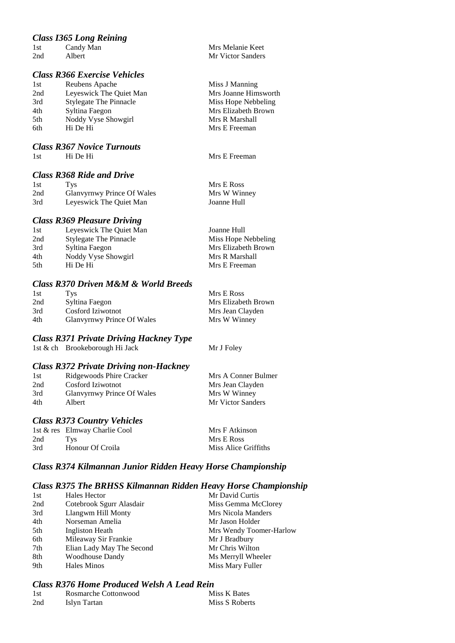## *Class I365 Long Reining*

| 1st | Candy Man | Mrs Melanie Keet  |
|-----|-----------|-------------------|
| 2nd | Albert    | Mr Victor Sanders |
|     |           |                   |

## *Class R366 Exercise Vehicles*

| 1st | Reubens Apache                |
|-----|-------------------------------|
| 2nd | Leyeswick The Quiet Man       |
| 3rd | <b>Stylegate The Pinnacle</b> |
| 4th | Syltina Faegon                |
| 5th | Noddy Vyse Showgirl           |
| 6th | Hi De Hi                      |

#### *Class R367 Novice Turnouts*

1st Hi De Hi Mrs E Freeman

## *Class R368 Ride and Drive*

| 1st | Tys.                       | Mrs E Ross   |
|-----|----------------------------|--------------|
| 2nd | Glanvyrnwy Prince Of Wales | Mrs W Winney |
| 3rd | Leyeswick The Quiet Man    | Joanne Hull  |

#### *Class R369 Pleasure Driving*

| 1st  | Leyeswick The Quiet Man       | Joanne Hull         |
|------|-------------------------------|---------------------|
| 2nd  | <b>Stylegate The Pinnacle</b> | Miss Hope Nebbeling |
| 3rd  | Syltina Faegon                | Mrs Elizabeth Brown |
| 4th  | Noddy Vyse Showgirl           | Mrs R Marshall      |
| .5th | Hi De Hi                      | Mrs E Freeman       |
|      |                               |                     |

#### *Class R370 Driven M&M & World Breeds*

| 1st | Tvs                        | Mrs E Ross          |
|-----|----------------------------|---------------------|
| 2nd | Syltina Faegon             | Mrs Elizabeth Brown |
| 3rd | Cosford Iziwotnot          | Mrs Jean Clayden    |
| 4th | Glanvyrnwy Prince Of Wales | Mrs W Winney        |

## *Class R371 Private Driving Hackney Type*

*Class R372 Private Driving non-Hackney*

1st & ch Brookeborough Hi Jack Mr J Foley

Miss J Manning Mrs Joanne Himsworth Miss Hope Nebbeling Mrs Elizabeth Brown Mrs R Marshall Mrs E Freeman

| 1st | Ridgewoods Phire Cracker   | Mrs A Conner Bulmer |
|-----|----------------------------|---------------------|
| 2nd | Cosford Iziwotnot          | Mrs Jean Clayden    |
| 3rd | Glanvyrnwy Prince Of Wales | Mrs W Winney        |
| 4th | Albert                     | Mr Victor Sanders   |
|     |                            |                     |

### *Class R373 Country Vehicles*

|     | 1st & res Elmway Charlie Cool | Mrs F Atkinson       |
|-----|-------------------------------|----------------------|
| 2nd | Tvs                           | Mrs E Ross           |
| 3rd | Honour Of Croila              | Miss Alice Griffiths |

### *Class R374 Kilmannan Junior Ridden Heavy Horse Championship*

#### *Class R375 The BRHSS Kilmannan Ridden Heavy Horse Championship*

| 1st | Hales Hector              | Mr David Curtis         |
|-----|---------------------------|-------------------------|
| 2nd | Cotebrook Sgurr Alasdair  | Miss Gemma McClorey     |
| 3rd | Llangwm Hill Monty        | Mrs Nicola Manders      |
| 4th | Norseman Amelia           | Mr Jason Holder         |
| 5th | Ingliston Heath           | Mrs Wendy Toomer-Harlow |
| 6th | Mileaway Sir Frankie      | Mr J Bradbury           |
| 7th | Elian Lady May The Second | Mr Chris Wilton         |
| 8th | <b>Woodhouse Dandy</b>    | Ms Merryll Wheeler      |
| 9th | Hales Minos               | Miss Mary Fuller        |

## *Class R376 Home Produced Welsh A Lead Rein*

| -1 st | Rosmarche Cottonwood | Miss K Bates   |
|-------|----------------------|----------------|
| 2nd   | Islyn Tartan         | Miss S Roberts |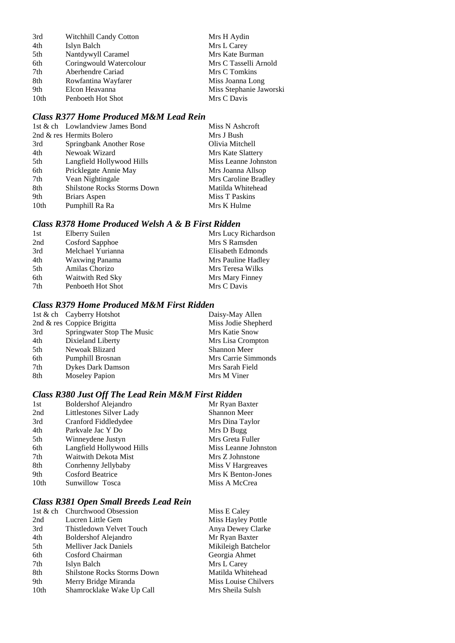| 3rd              | <b>Witchhill Candy Cotton</b> | Mrs H Aydin             |
|------------------|-------------------------------|-------------------------|
| 4th              | Islyn Balch                   | Mrs L Carey             |
| 5th              | Nantdywyll Caramel            | Mrs Kate Burman         |
| 6th              | Coringwould Watercolour       | Mrs C Tasselli Arnold   |
| 7th              | Aberhendre Cariad             | Mrs C Tomkins           |
| 8th              | Rowfantina Wayfarer           | Miss Joanna Long        |
| 9th              | Elcon Heavanna                | Miss Stephanie Jaworski |
| 10 <sub>th</sub> | Penboeth Hot Shot             | Mrs C Davis             |

## *Class R377 Home Produced M&M Lead Rein*

| 1st & ch Lowlandview James Bond    | Miss N Ashcroft      |
|------------------------------------|----------------------|
| 2nd & res Hermits Bolero           | Mrs J Bush           |
| Springbank Another Rose            | Olivia Mitchell      |
| Newoak Wizard                      | Mrs Kate Slattery    |
| Langfield Hollywood Hills          | Miss Leanne Johnston |
| Pricklegate Annie May              | Mrs Joanna Allsop    |
| Vean Nightingale                   | Mrs Caroline Bradley |
| <b>Shilstone Rocks Storms Down</b> | Matilda Whitehead    |
| Briars Aspen                       | Miss T Paskins       |
| Pumphill Ra Ra                     | Mrs K Hulme          |
|                                    |                      |

## *Class R378 Home Produced Welsh A & B First Ridden*

| 1st | Elberry Suilen        | Mrs Lucy Richardson |
|-----|-----------------------|---------------------|
| 2nd | Cosford Sapphoe       | Mrs S Ramsden       |
| 3rd | Melchael Yurianna     | Elisabeth Edmonds   |
| 4th | <b>Waxwing Panama</b> | Mrs Pauline Hadley  |
| 5th | Amilas Chorizo        | Mrs Teresa Wilks    |
| 6th | Waitwith Red Sky      | Mrs Mary Finney     |
| 7th | Penboeth Hot Shot     | Mrs C Davis         |
|     |                       |                     |

## *Class R379 Home Produced M&M First Ridden*

|     | 1st & ch Cayberry Hotshot  | Daisy-May Allen     |
|-----|----------------------------|---------------------|
|     | 2nd & res Coppice Brigitta | Miss Jodie Shepherd |
| 3rd | Springwater Stop The Music | Mrs Katie Snow      |
| 4th | Dixieland Liberty          | Mrs Lisa Crompton   |
| 5th | Newoak Blizard             | <b>Shannon Meer</b> |
| 6th | Pumphill Brosnan           | Mrs Carrie Simmonds |
| 7th | <b>Dykes Dark Damson</b>   | Mrs Sarah Field     |
| 8th | <b>Moseley Papion</b>      | Mrs M Viner         |

## *Class R380 Just Off The Lead Rein M&M First Ridden*

| 1st  | <b>Boldershof Alejandro</b> | Mr Ryan Baxter       |
|------|-----------------------------|----------------------|
| 2nd  | Littlestones Silver Lady    | <b>Shannon Meer</b>  |
| 3rd  | Cranford Fiddledydee        | Mrs Dina Taylor      |
| 4th  | Parkvale Jac Y Do           | Mrs D Bugg           |
| 5th  | Winneydene Justyn           | Mrs Greta Fuller     |
| 6th  | Langfield Hollywood Hills   | Miss Leanne Johnston |
| 7th  | <b>Waitwith Dekota Mist</b> | Mrs Z Johnstone      |
| 8th  | Conrhenny Jellybaby         | Miss V Hargreaves    |
| 9th  | <b>Cosford Beatrice</b>     | Mrs K Benton-Jones   |
| 10th | Sunwillow Tosca             | Miss A McCrea        |
|      |                             |                      |

## *Class R381 Open Small Breeds Lead Rein*

|                  | 1st & ch Churchwood Obsession      | Miss E Caley         |
|------------------|------------------------------------|----------------------|
| 2nd              | Lucren Little Gem                  | Miss Hayley Pottle   |
| 3rd              | Thistledown Velvet Touch           | Anya Dewey Clarke    |
| 4th              | <b>Boldershof Alejandro</b>        | Mr Ryan Baxter       |
| 5th              | <b>Melliver Jack Daniels</b>       | Mikileigh Batchelor  |
| 6th              | Cosford Chairman                   | Georgia Ahmet        |
| 7th              | Islyn Balch                        | Mrs L Carey          |
| 8th              | <b>Shilstone Rocks Storms Down</b> | Matilda Whitehead    |
| 9th              | Merry Bridge Miranda               | Miss Louise Chilvers |
| 10 <sub>th</sub> | Shamrocklake Wake Up Call          | Mrs Sheila Sulsh     |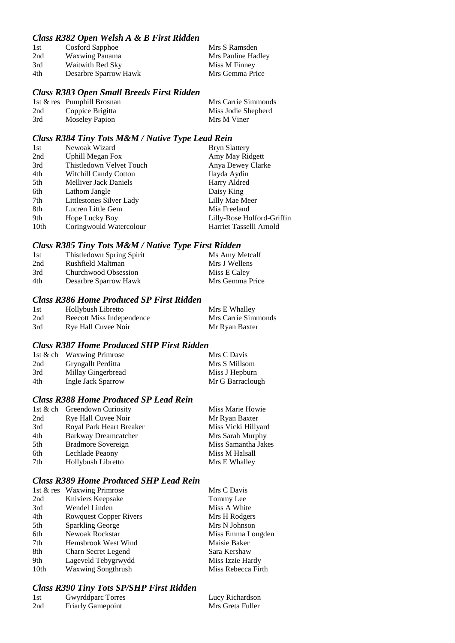## *Class R382 Open Welsh A & B First Ridden*

| 1st | Cosford Sapphoe       | Mrs S Ramsden      |
|-----|-----------------------|--------------------|
| 2nd | Waxwing Panama        | Mrs Pauline Hadley |
| 3rd | Waitwith Red Sky      | Miss M Finney      |
| 4th | Desarbre Sparrow Hawk | Mrs Gemma Price    |

#### *Class R383 Open Small Breeds First Ridden*

|     | 1st $\&$ res Pumphill Brosnan | Mrs Carrie Simmonds |
|-----|-------------------------------|---------------------|
| 2nd | Coppice Brigitta              | Miss Jodie Shepherd |
| 3rd | <b>Moseley Papion</b>         | Mrs M Viner         |

#### *Class R384 Tiny Tots M&M / Native Type Lead Rein*

| 1st  | Newoak Wizard                | <b>Bryn Slattery</b>       |
|------|------------------------------|----------------------------|
| 2nd  | <b>Uphill Megan Fox</b>      | Amy May Ridgett            |
| 3rd  | Thistledown Velvet Touch     | Anya Dewey Clarke          |
| 4th  | <b>Witchill Candy Cotton</b> | Ilayda Aydin               |
| 5th  | <b>Melliver Jack Daniels</b> | Harry Aldred               |
| 6th  | Lathom Jangle                | Daisy King                 |
| 7th  | Littlestones Silver Lady     | Lilly Mae Meer             |
| 8th  | Lucren Little Gem            | Mia Freeland               |
| 9th  | Hope Lucky Boy               | Lilly-Rose Holford-Griffin |
| 10th | Coringwould Watercolour      | Harriet Tasselli Arnold    |

#### *Class R385 Tiny Tots M&M / Native Type First Ridden*

| 1st | Thistledown Spring Spirit | Ms Amy Metcalf  |
|-----|---------------------------|-----------------|
| 2nd | Rushfield Maltman         | Mrs J Wellens   |
| 3rd | Churchwood Obsession      | Miss E Caley    |
| 4th | Desarbre Sparrow Hawk     | Mrs Gemma Price |

## *Class R386 Home Produced SP First Ridden*

| 1st | Hollybush Libretto        | Mrs E Whalley       |
|-----|---------------------------|---------------------|
| 2nd | Beecott Miss Independence | Mrs Carrie Simmonds |
| 3rd | Rye Hall Cuvee Noir       | Mr Ryan Baxter      |

### *Class R387 Home Produced SHP First Ridden*

|     | 1st & ch Waxwing Primrose | Mrs C Davis      |
|-----|---------------------------|------------------|
| 2nd | Gryngallt Perditta        | Mrs S Millsom    |
| 3rd | Millay Gingerbread        | Miss J Hepburn   |
| 4th | Ingle Jack Sparrow        | Mr G Barraclough |

## *Class R388 Home Produced SP Lead Rein*

|                          | Miss Marie Howie             |
|--------------------------|------------------------------|
| Rye Hall Cuvee Noir      | Mr Ryan Baxter               |
| Royal Park Heart Breaker | Miss Vicki Hillyard          |
| Barkway Dreamcatcher     | Mrs Sarah Murphy             |
| Bradmore Sovereign       | Miss Samantha Jakes          |
| Lechlade Peaony          | Miss M Halsall               |
| Hollybush Libretto       | Mrs E Whalley                |
|                          | 1st & ch Greendown Curiosity |

#### *Class R389 Home Produced SHP Lead Rein*

|                  | 1st & res Waxwing Primrose    | Mrs C Davis        |
|------------------|-------------------------------|--------------------|
| 2nd              | Kniviers Keepsake             | Tommy Lee          |
| 3rd              | Wendel Linden                 | Miss A White       |
| 4th              | <b>Rowquest Copper Rivers</b> | Mrs H Rodgers      |
| 5th              | <b>Sparkling George</b>       | Mrs N Johnson      |
| 6th              | Newoak Rockstar               | Miss Emma Longden  |
| 7th              | Hemsbrook West Wind           | Maisie Baker       |
| 8th              | Charn Secret Legend           | Sara Kershaw       |
| 9th              | Lageveld Tebygrwydd           | Miss Izzie Hardy   |
| 10 <sub>th</sub> | <b>Waxwing Songthrush</b>     | Miss Rebecca Firth |

#### *Class R390 Tiny Tots SP/SHP First Ridden*

| 1st | Gwyrddparc Torres        | Lucy Richardson  |
|-----|--------------------------|------------------|
| 2nd | <b>Friarly Gamepoint</b> | Mrs Greta Fuller |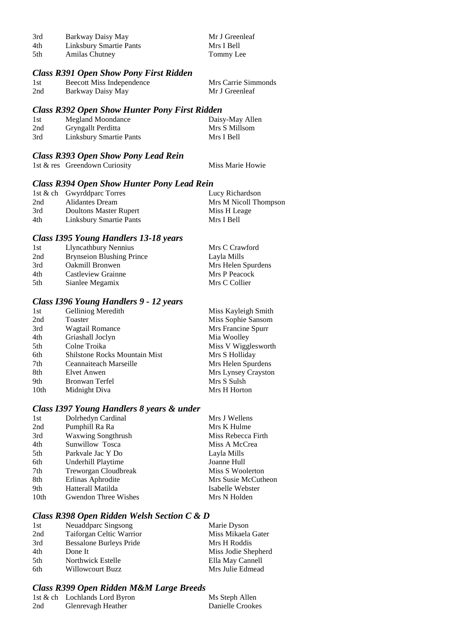| 3rd | Barkway Daisy May       | Mr J Greenleaf |
|-----|-------------------------|----------------|
| 4th | Linksbury Smartie Pants | Mrs I Bell     |
| 5th | <b>Amilas Chutney</b>   | Tommy Lee      |

#### *Class R391 Open Show Pony First Ridden*

| 1st | Beecott Miss Independence | Mrs Carrie Simmonds |
|-----|---------------------------|---------------------|
| 2nd | Barkway Daisy May         | Mr J Greenleaf      |

#### *Class R392 Open Show Hunter Pony First Ridden*

| 1st | Megland Moondance              | Daisy-May Allen |
|-----|--------------------------------|-----------------|
| 2nd | Gryngallt Perditta             | Mrs S Millsom   |
| 3rd | <b>Linksbury Smartie Pants</b> | Mrs I Bell      |

## *Class R393 Open Show Pony Lead Rein*

1st & res Greendown Curiosity Miss Marie Howie

### *Class R394 Open Show Hunter Pony Lead Rein*

|     | 1st & ch Gwyrddparc Torres     | Lucy Richardson       |
|-----|--------------------------------|-----------------------|
| 2nd | Alidantes Dream                | Mrs M Nicoll Thompson |
| 3rd | Doultons Master Rupert         | Miss H Leage          |
| 4th | <b>Linksbury Smartie Pants</b> | Mrs I Bell            |

#### *Class I395 Young Handlers 13-18 years*

| 1st | Llyncathbury Nennius             | Mrs C Crawford     |
|-----|----------------------------------|--------------------|
| 2nd | <b>Brynseion Blushing Prince</b> | Layla Mills        |
| 3rd | Oakmill Bronwen                  | Mrs Helen Spurdens |
| 4th | Castleview Grainne               | Mrs P Peacock      |
| 5th | Sianlee Megamix                  | Mrs C Collier      |

#### *Class I396 Young Handlers 9 - 12 years*

| Gelliniog Meredith                   | Miss Kayleigh Smith |
|--------------------------------------|---------------------|
| Toaster                              | Miss Sophie Sansom  |
| <b>Wagtail Romance</b>               | Mrs Francine Spurr  |
| Griashall Joclyn                     | Mia Woolley         |
| Colne Troika                         | Miss V Wigglesworth |
| <b>Shilstone Rocks Mountain Mist</b> | Mrs S Holliday      |
| Ceannaiteach Marseille               | Mrs Helen Spurdens  |
| Elvet Anwen                          | Mrs Lynsey Crayston |
| Bronwan Terfel                       | Mrs S Sulsh         |
| Midnight Diva                        | Mrs H Horton        |
|                                      |                     |

#### *Class I397 Young Handlers 8 years & under*

| 1st  | Dolrhedyn Cardinal          | Mrs J Wellens       |
|------|-----------------------------|---------------------|
| 2nd  | Pumphill Ra Ra              | Mrs K Hulme         |
| 3rd  | <b>Waxwing Songthrush</b>   | Miss Rebecca Firth  |
| 4th  | Sunwillow Tosca             | Miss A McCrea       |
| 5th  | Parkvale Jac Y Do           | Layla Mills         |
| 6th  | Underhill Playtime          | Joanne Hull         |
| 7th  | Treworgan Cloudbreak        | Miss S Woolerton    |
| 8th  | Erlinas Aphrodite           | Mrs Susie McCutheon |
| 9th  | Hatterall Matilda           | Isabelle Webster    |
| 10th | <b>Gwendon Three Wishes</b> | Mrs N Holden        |
|      |                             |                     |

#### *Class R398 Open Ridden Welsh Section C & D*

| 1st  | Neuaddparc Singsong             | Marie Dyson         |
|------|---------------------------------|---------------------|
| 2nd  | <b>Taiforgan Celtic Warrior</b> | Miss Mikaela Gater  |
| 3rd  | <b>Bessalone Burleys Pride</b>  | Mrs H Roddis        |
| 4th  | Done It                         | Miss Jodie Shepherd |
| .5th | Northwick Estelle               | Ella May Cannell    |
| 6th  | Willowcourt Buzz                | Mrs Julie Edmead    |

#### *Class R399 Open Ridden M&M Large Breeds*

|     | 1st & ch Lochlands Lord Byron | Ms Steph Allen   |
|-----|-------------------------------|------------------|
| 2nd | Glenrevagh Heather            | Danielle Crookes |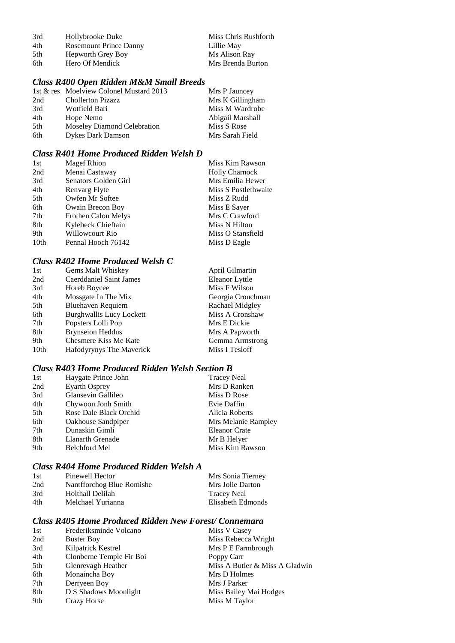| 3rd | Hollybrooke Duke              | Miss Chris Rushforth |
|-----|-------------------------------|----------------------|
| 4th | <b>Rosemount Prince Danny</b> | Lillie May           |
| 5th | Hepworth Grey Boy             | Ms Alison Ray        |
| 6th | Hero Of Mendick               | Mrs Brenda Burton    |

## *Class R400 Open Ridden M&M Small Breeds*

|     | 1st & res Moelview Colonel Mustard 2013 | Mrs P Jauncey    |
|-----|-----------------------------------------|------------------|
| 2nd | <b>Chollerton Pizazz</b>                | Mrs K Gillingham |
| 3rd | Wotfield Bari                           | Miss M Wardrobe  |
| 4th | Hope Nemo                               | Abigail Marshall |
| 5th | <b>Moseley Diamond Celebration</b>      | Miss S Rose      |
| 6th | <b>Dykes Dark Damson</b>                | Mrs Sarah Field  |

### *Class R401 Home Produced Ridden Welsh D*

| 1st              | <b>Magef Rhion</b>   | Miss Kim Rawson       |
|------------------|----------------------|-----------------------|
| 2nd              | Menai Castaway       | <b>Holly Charnock</b> |
| 3rd              | Senators Golden Girl | Mrs Emilia Hewer      |
| 4th              | Renvarg Flyte        | Miss S Postlethwaite  |
| 5th              | Owfen Mr Softee      | Miss Z Rudd           |
| 6th              | Owain Brecon Boy     | Miss E Sayer          |
| 7th              | Frothen Calon Melys  | Mrs C Crawford        |
| 8th              | Kylebeck Chieftain   | Miss N Hilton         |
| 9th              | Willowcourt Rio      | Miss O Stansfield     |
| 10 <sub>th</sub> | Pennal Hooch 76142   | Miss D Eagle          |

## *Class R402 Home Produced Welsh C*

| 1st              | Gems Malt Whiskey               | April Gilmartin   |
|------------------|---------------------------------|-------------------|
| 2nd              | Caerddaniel Saint James         | Eleanor Lyttle    |
| 3rd              | Horeb Boycee                    | Miss F Wilson     |
| 4th              | Mossgate In The Mix             | Georgia Crouchman |
| 5th              | <b>Bluehaven Requiem</b>        | Rachael Midgley   |
| 6th              | <b>Burghwallis Lucy Lockett</b> | Miss A Cronshaw   |
| 7th              | Popsters Lolli Pop              | Mrs E Dickie      |
| 8th              | <b>Brynseion Heddus</b>         | Mrs A Papworth    |
| 9th              | Chesmere Kiss Me Kate           | Gemma Armstrong   |
| 10 <sub>th</sub> | Hafodyrynys The Maverick        | Miss I Tesloff    |

## *Class R403 Home Produced Ridden Welsh Section B*

| 1st | Haygate Prince John    | <b>Tracey Neal</b>   |
|-----|------------------------|----------------------|
| 2nd | <b>Eyarth Osprey</b>   | Mrs D Ranken         |
| 3rd | Glansevin Gallileo     | Miss D Rose          |
| 4th | Chywoon Jonh Smith     | Evie Daffin          |
| 5th | Rose Dale Black Orchid | Alicia Roberts       |
| 6th | Oakhouse Sandpiper     | Mrs Melanie Rampley  |
| 7th | Dunaskin Gimli         | <b>Eleanor Crate</b> |
| 8th | Llanarth Grenade       | Mr B Helyer          |
| 9th | Belchford Mel          | Miss Kim Rawson      |

## *Class R404 Home Produced Ridden Welsh A*

| 1st | Pinewell Hector           | Mrs Sonia Tierney  |
|-----|---------------------------|--------------------|
| 2nd | Nantfforchog Blue Romishe | Mrs Jolie Darton   |
| 3rd | Holthall Delilah          | <b>Tracey Neal</b> |
| 4th | Melchael Yurianna         | Elisabeth Edmonds  |

## *Class R405 Home Produced Ridden New Forest/ Connemara*

| 1st | Frederiksminde Volcano   | Miss V Casey                   |
|-----|--------------------------|--------------------------------|
| 2nd | <b>Buster Boy</b>        | Miss Rebecca Wright            |
| 3rd | Kilpatrick Kestrel       | Mrs P E Farmbrough             |
| 4th | Clonberne Temple Fir Boi | Poppy Carr                     |
| 5th | Glenrevagh Heather       | Miss A Butler & Miss A Gladwin |
| 6th | Monaincha Boy            | Mrs D Holmes                   |
| 7th | Derryeen Boy             | Mrs J Parker                   |
| 8th | D S Shadows Moonlight    | Miss Bailey Mai Hodges         |
| 9th | Crazy Horse              | Miss M Taylor                  |
|     |                          |                                |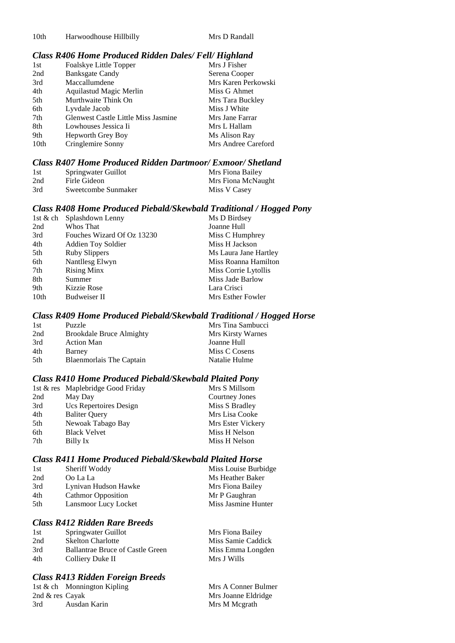10th Harwoodhouse Hillbilly Mrs D Randall

#### *Class R406 Home Produced Ridden Dales/ Fell/ Highland*

| 1st  | Foalskye Little Topper                     | Mrs J Fisher        |
|------|--------------------------------------------|---------------------|
| 2nd  | <b>Banksgate Candy</b>                     | Serena Cooper       |
| 3rd  | Maccallumdene                              | Mrs Karen Perkowski |
| 4th  | Aquilastud Magic Merlin                    | Miss G Ahmet        |
| 5th  | Murthwaite Think On                        | Mrs Tara Buckley    |
| 6th  | Lyvdale Jacob                              | Miss J White        |
| 7th  | <b>Glenwest Castle Little Miss Jasmine</b> | Mrs Jane Farrar     |
| 8th  | Lowhouses Jessica Ii                       | Mrs L Hallam        |
| 9th  | Hepworth Grey Boy                          | Ms Alison Ray       |
| 10th | Cringlemire Sonny                          | Mrs Andree Careford |

#### *Class R407 Home Produced Ridden Dartmoor/ Exmoor/ Shetland*

| 1st | Springwater Guillot | Mrs Fiona Bailey   |
|-----|---------------------|--------------------|
| 2nd | Firle Gideon        | Mrs Fiona McNaught |
| 3rd | Sweetcombe Sunmaker | Miss V Casey       |

#### *Class R408 Home Produced Piebald/Skewbald Traditional / Hogged Pony*

|      | 1st & ch Splashdown Lenny  | Ms D Birdsey          |
|------|----------------------------|-----------------------|
| 2nd  | Whos That                  | Joanne Hull           |
| 3rd  | Fouches Wizard Of Oz 13230 | Miss C Humphrey       |
| 4th  | <b>Addien Toy Soldier</b>  | Miss H Jackson        |
| 5th  | Ruby Slippers              | Ms Laura Jane Hartley |
| 6th  | Nantllesg Elwyn            | Miss Roanna Hamilton  |
| 7th  | <b>Rising Minx</b>         | Miss Corrie Lytollis  |
| 8th  | Summer                     | Miss Jade Barlow      |
| 9th  | Kizzie Rose                | Lara Crisci           |
| 10th | Budweiser II               | Mrs Esther Fowler     |

#### *Class R409 Home Produced Piebald/Skewbald Traditional / Hogged Horse*

| 1st | Puzzle                          | Mrs Tina Sambucci |
|-----|---------------------------------|-------------------|
| 2nd | <b>Brookdale Bruce Almighty</b> | Mrs Kirsty Warnes |
| 3rd | <b>Action Man</b>               | Joanne Hull       |
| 4th | Barney                          | Miss C Cosens     |
| 5th | <b>Blaenmorlais The Captain</b> | Natalie Hulme     |

#### *Class R410 Home Produced Piebald/Skewbald Plaited Pony*

|     | 1st & res Maplebridge Good Friday | Mrs S Millsom     |
|-----|-----------------------------------|-------------------|
| 2nd | May Day                           | Courtney Jones    |
| 3rd | Ucs Repertoires Design            | Miss S Bradley    |
| 4th | <b>Baliter Query</b>              | Mrs Lisa Cooke    |
| 5th | Newoak Tabago Bay                 | Mrs Ester Vickery |
| 6th | <b>Black Velvet</b>               | Miss H Nelson     |
| 7th | Billy Ix                          | Miss H Nelson     |

#### *Class R411 Home Produced Piebald/Skewbald Plaited Horse*

| 1st | Sheriff Woddy             | Miss Louise Burbidge |
|-----|---------------------------|----------------------|
| 2nd | Oo La La                  | Ms Heather Baker     |
| 3rd | Lynivan Hudson Hawke      | Mrs Fiona Bailey     |
| 4th | <b>Cathmor Opposition</b> | Mr P Gaughran        |
| 5th | Lansmoor Lucy Locket      | Miss Jasmine Hunter  |

## *Class R412 Ridden Rare Breeds*

| 1st | Springwater Guillot                     | Mrs Fiona Bailey   |
|-----|-----------------------------------------|--------------------|
| 2nd | <b>Skelton Charlotte</b>                | Miss Samie Caddick |
| 3rd | <b>Ballantrae Bruce of Castle Green</b> | Miss Emma Longden  |
| 4th | Colliery Duke II                        | Mrs J Wills        |

#### *Class R413 Ridden Foreign Breeds*

|                 | 1st & ch Monnington Kipling | Mrs A Conner Bulmer |
|-----------------|-----------------------------|---------------------|
| 2nd & res Cayak |                             | Mrs Joanne Eldridge |
| 3rd             | Ausdan Karin                | Mrs M Megrath       |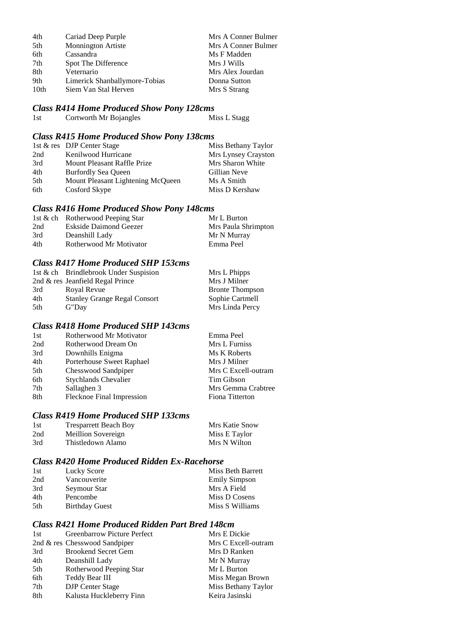| 4th             | Cariad Deep Purple            | Mrs A Conner Bulmer |
|-----------------|-------------------------------|---------------------|
| 5th             | Monnington Artiste            | Mrs A Conner Bulmer |
| 6th             | Cassandra                     | Ms F Madden         |
| 7 <sub>th</sub> | Spot The Difference           | Mrs J Wills         |
| 8th             | Veternario                    | Mrs Alex Jourdan    |
| 9th             | Limerick Shanballymore-Tobias | Donna Sutton        |
| 10th            | Siem Van Stal Herven          | Mrs S Strang        |

## *Class R414 Home Produced Show Pony 128cms*

| 1st | Cortworth Mr Bojangles | Miss L Stagg |
|-----|------------------------|--------------|
|-----|------------------------|--------------|

#### *Class R415 Home Produced Show Pony 138cms*

|     | 1st & res DJP Center Stage        | Miss Bethany Taylor |
|-----|-----------------------------------|---------------------|
| 2nd | Kenilwood Hurricane               | Mrs Lynsey Crayston |
| 3rd | Mount Pleasant Raffle Prize       | Mrs Sharon White    |
| 4th | <b>Burfordly Sea Oueen</b>        | Gillian Neve        |
| 5th | Mount Pleasant Lightening McQueen | Ms A Smith          |
| 6th | Cosford Skype                     | Miss D Kershaw      |

#### *Class R416 Home Produced Show Pony 148cms*

|     | 1st & ch Rotherwood Peeping Star | Mr L Burton         |
|-----|----------------------------------|---------------------|
| 2nd | Eskside Daimond Geezer           | Mrs Paula Shrimpton |
| 3rd | Deanshill Lady                   | Mr N Murray         |
| 4th | Rotherwood Mr Motivator          | Emma Peel           |

#### *Class R417 Home Produced SHP 153cms*

|     | 1st & ch Brindlebrook Under Suspision | Mrs L Phipps           |
|-----|---------------------------------------|------------------------|
|     | 2nd & res Jeanfield Regal Prince      | Mrs J Milner           |
| 3rd | Royal Revue                           | <b>Bronte Thompson</b> |
| 4th | <b>Stanley Grange Regal Consort</b>   | Sophie Cartmell        |
| 5th | G"Day                                 | Mrs Linda Percy        |

## *Class R418 Home Produced SHP 143cms*

| 1st | Rotherwood Mr Motivator     | Emma Peel           |
|-----|-----------------------------|---------------------|
| 2nd | Rotherwood Dream On         | Mrs L Furniss       |
| 3rd | Downhills Enigma            | Ms K Roberts        |
| 4th | Porterhouse Sweet Raphael   | Mrs J Milner        |
| 5th | Chesswood Sandpiper         | Mrs C Excell-outram |
| 6th | <b>Stychlands Chevalier</b> | Tim Gibson          |
| 7th | Sallaghen 3                 | Mrs Gemma Crabtree  |
| 8th | Flecknoe Final Impression   | Fiona Titterton     |

## *Class R419 Home Produced SHP 133cms*

| 1st | <b>Tresparrett Beach Boy</b> | Mrs Katie Snow |
|-----|------------------------------|----------------|
| 2nd | Meillion Sovereign           | Miss E Taylor  |
| 3rd | Thistledown Alamo            | Mrs N Wilton   |

#### *Class R420 Home Produced Ridden Ex-Racehorse*

| 1st | Lucky Score           | Miss Beth Barrett    |
|-----|-----------------------|----------------------|
| 2nd | Vancouverite          | <b>Emily Simpson</b> |
| 3rd | Seymour Star          | Mrs A Field          |
| 4th | Pencombe              | Miss D Cosens        |
| 5th | <b>Birthday Guest</b> | Miss S Williams      |

## *Class R421 Home Produced Ridden Part Bred 148cm*

| 1st | <b>Greenbarrow Picture Perfect</b> | Mrs E Dickie        |
|-----|------------------------------------|---------------------|
|     | 2nd $\&$ res Chesswood Sandpiper   | Mrs C Excell-outram |
| 3rd | <b>Brookend Secret Gem</b>         | Mrs D Ranken        |
| 4th | Deanshill Lady                     | Mr N Murray         |
| 5th | Rotherwood Peeping Star            | Mr L Burton         |
| 6th | Teddy Bear III                     | Miss Megan Brown    |
| 7th | <b>DJP</b> Center Stage            | Miss Bethany Taylor |
| 8th | Kalusta Huckleberry Finn           | Keira Jasinski      |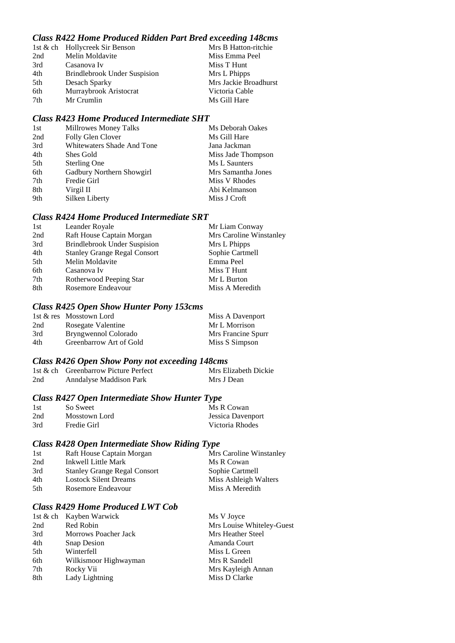#### *Class R422 Home Produced Ridden Part Bred exceeding 148cms*

| 1st & ch Hollycreek Sir Benson | Mrs B Hatton-ritchie  |
|--------------------------------|-----------------------|
| Melin Moldavite                | Miss Emma Peel        |
| Casanova Iv                    | Miss T Hunt           |
| Brindlebrook Under Suspision   | Mrs L Phipps          |
| Desach Sparky                  | Mrs Jackie Broadhurst |
| Murraybrook Aristocrat         | Victoria Cable        |
| Mr Crumlin                     | Ms Gill Hare          |
|                                |                       |

#### *Class R423 Home Produced Intermediate SHT*

| 1st | Millrowes Money Talks      | Ms Deborah Oakes   |
|-----|----------------------------|--------------------|
| 2nd | Folly Glen Clover          | Ms Gill Hare       |
| 3rd | Whitewaters Shade And Tone | Jana Jackman       |
| 4th | Shes Gold                  | Miss Jade Thompson |
| 5th | <b>Sterling One</b>        | Ms L Saunters      |
| 6th | Gadbury Northern Showgirl  | Mrs Samantha Jones |
| 7th | Fredie Girl                | Miss V Rhodes      |
| 8th | Virgil II                  | Abi Kelmanson      |
| 9th | Silken Liberty             | Miss J Croft       |
|     |                            |                    |

## *Class R424 Home Produced Intermediate SRT*

| 1st | Leander Royale                      | Mr Liam Conway          |
|-----|-------------------------------------|-------------------------|
| 2nd | Raft House Captain Morgan           | Mrs Caroline Winstanley |
| 3rd | <b>Brindlebrook Under Suspision</b> | Mrs L Phipps            |
| 4th | <b>Stanley Grange Regal Consort</b> | Sophie Cartmell         |
| 5th | Melin Moldavite                     | Emma Peel               |
| 6th | Casanova Iv                         | Miss T Hunt             |
| 7th | Rotherwood Peeping Star             | Mr L Burton             |
| 8th | Rosemore Endeavour                  | Miss A Meredith         |
|     |                                     |                         |

## *Class R425 Open Show Hunter Pony 153cms*

|     | 1st & res Mosstown Lord | Miss A Davenport   |
|-----|-------------------------|--------------------|
| 2nd | Rosegate Valentine      | Mr L Morrison      |
| 3rd | Bryngwennol Colorado    | Mrs Francine Spurr |
| 4th | Greenbarrow Art of Gold | Miss S Simpson     |

## *Class R426 Open Show Pony not exceeding 148cms*

|     | 1st & ch Greenbarrow Picture Perfect | Mrs Elizabeth Dickie |
|-----|--------------------------------------|----------------------|
| 2nd | Anndalyse Maddison Park              | Mrs J Dean           |

## *Class R427 Open Intermediate Show Hunter Type*

| 1st | So Sweet      | Ms R Cowan        |
|-----|---------------|-------------------|
| 2nd | Mosstown Lord | Jessica Davenport |
| 3rd | Fredie Girl   | Victoria Rhodes   |

## *Class R428 Open Intermediate Show Riding Type*

| 1st | Raft House Captain Morgan           | Mrs Caroline Winstanley |
|-----|-------------------------------------|-------------------------|
| 2nd | Inkwell Little Mark                 | Ms R Cowan              |
| 3rd | <b>Stanley Grange Regal Consort</b> | Sophie Cartmell         |
| 4th | <b>Lostock Silent Dreams</b>        | Miss Ashleigh Walters   |
| 5th | Rosemore Endeavour                  | Miss A Meredith         |
|     |                                     |                         |

## *Class R429 Home Produced LWT Cob*

|     | 1st & ch Kayben Warwick     | Ms V Joyce                |
|-----|-----------------------------|---------------------------|
| 2nd | Red Robin                   | Mrs Louise Whiteley-Guest |
| 3rd | <b>Morrows Poacher Jack</b> | Mrs Heather Steel         |
| 4th | <b>Snap Desion</b>          | Amanda Court              |
| 5th | Winterfell                  | Miss L Green              |
| 6th | Wilkismoor Highwayman       | Mrs R Sandell             |
| 7th | Rocky Vii                   | Mrs Kayleigh Annan        |
| 8th | Lady Lightning              | Miss D Clarke             |
|     |                             |                           |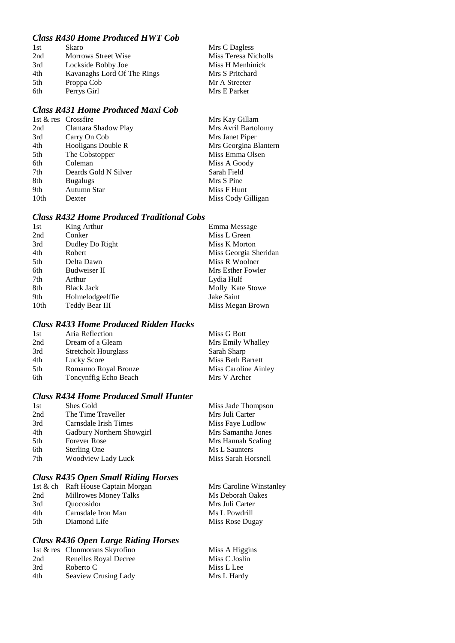## *Class R430 Home Produced HWT Cob*

| 1st | Skaro                       | Mrs C Dagless        |
|-----|-----------------------------|----------------------|
| 2nd | <b>Morrows Street Wise</b>  | Miss Teresa Nicholls |
| 3rd | Lockside Bobby Joe          | Miss H Menhinick     |
| 4th | Kavanaghs Lord Of The Rings | Mrs S Pritchard      |
| 5th | Proppa Cob                  | Mr A Streeter        |
| 6th | Perrys Girl                 | Mrs E Parker         |

## *Class R431 Home Produced Maxi Cob*

|                      | Mrs Kay Gillam        |
|----------------------|-----------------------|
| Clantara Shadow Play | Mrs Avril Bartolomy   |
| Carry On Cob         | Mrs Janet Piper       |
| Hooligans Double R   | Mrs Georgina Blantern |
| The Cobstopper       | Miss Emma Olsen       |
| Coleman              | Miss A Goody          |
| Deards Gold N Silver | Sarah Field           |
| <b>Bugalugs</b>      | Mrs S Pine            |
| Autumn Star          | Miss F Hunt           |
| Dexter               | Miss Cody Gilligan    |
|                      | 1st & res Crossfire   |

### *Class R432 Home Produced Traditional Cobs*

| 1st  | King Arthur       | Emma Message          |
|------|-------------------|-----------------------|
| 2nd  | Conker            | Miss L Green          |
| 3rd  | Dudley Do Right   | Miss K Morton         |
| 4th  | Robert            | Miss Georgia Sheridan |
| 5th  | Delta Dawn        | Miss R Woolner        |
| 6th  | Budweiser II      | Mrs Esther Fowler     |
| 7th  | Arthur            | Lydia Hulf            |
| 8th  | <b>Black Jack</b> | Molly Kate Stowe      |
| 9th  | Holmelodgeelffie  | Jake Saint            |
| 10th | Teddy Bear III    | Miss Megan Brown      |
|      |                   |                       |

## *Class R433 Home Produced Ridden Hacks*

| 1st | Aria Reflection             | Miss G Bott              |
|-----|-----------------------------|--------------------------|
| 2nd | Dream of a Gleam            | Mrs Emily Whalley        |
| 3rd | <b>Stretcholt Hourglass</b> | Sarah Sharp              |
| 4th | Lucky Score                 | <b>Miss Beth Barrett</b> |
| 5th | Romanno Royal Bronze        | Miss Caroline Ainley     |
| 6th | Toncynffig Echo Beach       | Mrs V Archer             |

## *Class R434 Home Produced Small Hunter*

| 1st | Shes Gold                 | Miss Jade Thompson  |
|-----|---------------------------|---------------------|
| 2nd | The Time Traveller        | Mrs Juli Carter     |
| 3rd | Carnsdale Irish Times     | Miss Faye Ludlow    |
| 4th | Gadbury Northern Showgirl | Mrs Samantha Jones  |
| 5th | <b>Forever Rose</b>       | Mrs Hannah Scaling  |
| 6th | Sterling One              | Ms L Saunters       |
| 7th | Woodview Lady Luck        | Miss Sarah Horsnell |
|     |                           |                     |

## *Class R435 Open Small Riding Horses*

| 1st & ch Raft House Captain Morgan | Mrs Caroline Winstanley |
|------------------------------------|-------------------------|
| <b>Millrowes Money Talks</b>       | Ms Deborah Oakes        |
| <i><b>Ouocosidor</b></i>           | Mrs Juli Carter         |
| Carnsdale Iron Man                 | Ms L Powdrill           |
| Diamond Life                       | Miss Rose Dugay         |
|                                    |                         |

## *Class R436 Open Large Riding Horses*

|                       | Miss A Higgins                                         |
|-----------------------|--------------------------------------------------------|
| Renelles Royal Decree | Miss C Joslin                                          |
| Roberto C             | Miss L Lee                                             |
|                       | Mrs L Hardy                                            |
|                       | 1st & res Clonmorans Skyrofino<br>Seaview Crusing Lady |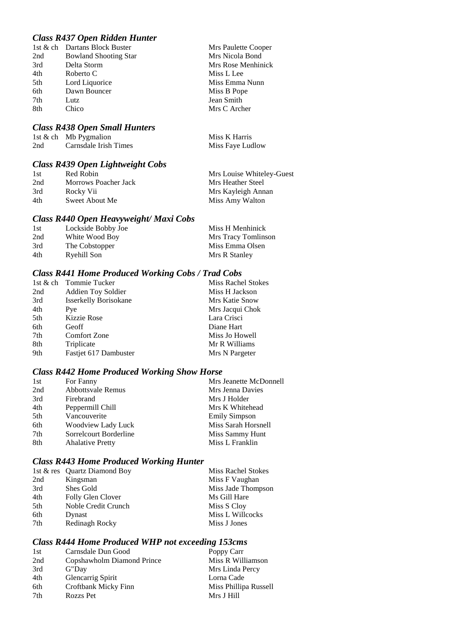#### *Class R437 Open Ridden Hunter*

|     | 1st & ch Dartans Block Buster |
|-----|-------------------------------|
| 2nd | <b>Bowland Shooting Star</b>  |
| 3rd | Delta Storm                   |
| 4th | Roberto C                     |
| 5th | Lord Liquorice                |
| 6th | Dawn Bouncer                  |
| 7th | Lutz                          |
| 8th | Chico                         |

#### *Class R438 Open Small Hunters*

|     | 1st & ch Mb Pygmalion | Miss K Harris    |
|-----|-----------------------|------------------|
| 2nd | Carnsdale Irish Times | Miss Faye Ludlow |

Mrs Paulette Cooper Mrs Nicola Bond Mrs Rose Menhinick

Miss L Lee Miss Emma Nunn Miss B Pope Jean Smith Mrs C Archer

## *Class R439 Open Lightweight Cobs*

| 1st | Red Robin            | Mrs Louise Whiteley-Guest |
|-----|----------------------|---------------------------|
| 2nd | Morrows Poacher Jack | Mrs Heather Steel         |
| 3rd | Rocky Vii            | Mrs Kayleigh Annan        |
| 4th | Sweet About Me       | Miss Amy Walton           |

#### *Class R440 Open Heavyweight/ Maxi Cobs*

| 1st | Lockside Bobby Joe | Miss H Menhinick    |
|-----|--------------------|---------------------|
| 2nd | White Wood Boy     | Mrs Tracy Tomlinson |
| 3rd | The Cobstopper     | Miss Emma Olsen     |
| 4th | Ryehill Son        | Mrs R Stanley       |

#### *Class R441 Home Produced Working Cobs / Trad Cobs*

|     | 1st & ch Tommie Tucker       | <b>Miss Rachel Stokes</b> |
|-----|------------------------------|---------------------------|
| 2nd | <b>Addien Toy Soldier</b>    | Miss H Jackson            |
| 3rd | <b>Isserkelly Borisokane</b> | Mrs Katie Snow            |
| 4th | Pye                          | Mrs Jacqui Chok           |
| 5th | Kizzie Rose                  | Lara Crisci               |
| 6th | Geoff                        | Diane Hart                |
| 7th | Comfort Zone                 | Miss Jo Howell            |
| 8th | Triplicate                   | Mr R Williams             |
| 9th | Fastjet 617 Dambuster        | Mrs N Pargeter            |

#### *Class R442 Home Produced Working Show Horse*

| 1st | For Fanny                | Mrs Jeanette McDonnell |
|-----|--------------------------|------------------------|
| 2nd | <b>Abbottsvale Remus</b> | Mrs Jenna Davies       |
| 3rd | Firebrand                | Mrs J Holder           |
| 4th | Peppermill Chill         | Mrs K Whitehead        |
| 5th | Vancouverite             | <b>Emily Simpson</b>   |
| 6th | Woodview Lady Luck       | Miss Sarah Horsnell    |
| 7th | Sorrelcourt Borderline   | Miss Sammy Hunt        |
| 8th | <b>Ahalative Pretty</b>  | Miss L Franklin        |

#### *Class R443 Home Produced Working Hunter*

| 1st & res Quartz Diamond Boy | <b>Miss Rachel Stokes</b> |
|------------------------------|---------------------------|
| Kingsman                     | Miss F Vaughan            |
| Shes Gold                    | Miss Jade Thompson        |
| Folly Glen Clover            | Ms Gill Hare              |
| Noble Credit Crunch          | Miss S Cloy               |
| Dynast                       | Miss L Willcocks          |
| Redinagh Rocky               | Miss J Jones              |
|                              |                           |

#### *Class R444 Home Produced WHP not exceeding 153cms*

| 1st | Carnsdale Dun Good         | Poppy Carr            |
|-----|----------------------------|-----------------------|
| 2nd | Copshawholm Diamond Prince | Miss R Williamson     |
| 3rd | G"Day                      | Mrs Linda Percy       |
| 4th | Glencarrig Spirit          | Lorna Cade            |
| 6th | Croftbank Micky Finn       | Miss Phillipa Russell |
| 7th | Rozzs Pet                  | Mrs J Hill            |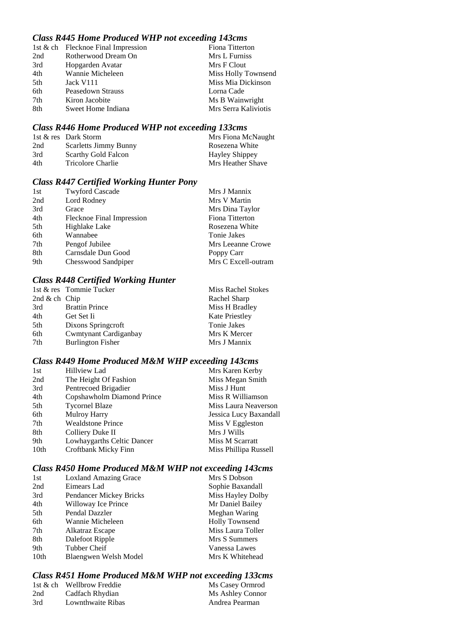## *Class R445 Home Produced WHP not exceeding 143cms*

|     | 1st & ch Flecknoe Final Impression | Fiona Titterton      |
|-----|------------------------------------|----------------------|
| 2nd | Rotherwood Dream On                | Mrs L Furniss        |
| 3rd | Hopgarden Avatar                   | Mrs F Clout          |
| 4th | Wannie Micheleen                   | Miss Holly Townsend  |
| 5th | Jack V111                          | Miss Mia Dickinson   |
| 6th | Peasedown Strauss                  | Lorna Cade           |
| 7th | Kiron Jacobite                     | Ms B Wainwright      |
| 8th | Sweet Home Indiana                 | Mrs Serra Kaliviotis |

## *Class R446 Home Produced WHP not exceeding 133cms*

|     | 1st & res Dark Storm         | Mrs Fiona McNaught |
|-----|------------------------------|--------------------|
| 2nd | <b>Scarletts Jimmy Bunny</b> | Rosezena White     |
| 3rd | <b>Scarthy Gold Falcon</b>   | Hayley Shippey     |
| 4th | Tricolore Charlie            | Mrs Heather Shave  |

#### *Class R447 Certified Working Hunter Pony*

| 1st | <b>Twyford Cascade</b>    | Mrs J Mannix        |
|-----|---------------------------|---------------------|
| 2nd | Lord Rodney               | Mrs V Martin        |
| 3rd | Grace                     | Mrs Dina Taylor     |
| 4th | Flecknoe Final Impression | Fiona Titterton     |
| 5th | Highlake Lake             | Rosezena White      |
| 6th | Wannabee                  | Tonie Jakes         |
| 7th | Pengof Jubilee            | Mrs Leeanne Crowe   |
| 8th | Carnsdale Dun Good        | Poppy Carr          |
| 9th | Chesswood Sandpiper       | Mrs C Excell-outram |

## *Class R448 Certified Working Hunter*

|                 | 1st & res Tommie Tucker  | <b>Miss Rachel Stokes</b> |
|-----------------|--------------------------|---------------------------|
| 2nd $&$ ch Chip |                          | Rachel Sharp              |
| 3rd             | <b>Brattin Prince</b>    | Miss H Bradley            |
| 4th             | Get Set Ii               | <b>Kate Priestley</b>     |
| 5th             | Dixons Springcroft       | Tonie Jakes               |
| 6th             | Cwmtynant Cardiganbay    | Mrs K Mercer              |
| 7th             | <b>Burlington Fisher</b> | Mrs J Mannix              |

## *Class R449 Home Produced M&M WHP exceeding 143cms*

| 1st  | <b>Hillview Lad</b>        | Mrs Karen Kerby        |
|------|----------------------------|------------------------|
| 2nd  | The Height Of Fashion      | Miss Megan Smith       |
| 3rd  | Pentrecoed Brigadier       | Miss J Hunt            |
| 4th  | Copshawholm Diamond Prince | Miss R Williamson      |
| 5th  | <b>Tycornel Blaze</b>      | Miss Laura Neaverson   |
| 6th  | <b>Mulroy Harry</b>        | Jessica Lucy Baxandall |
| 7th  | <b>Wealdstone Prince</b>   | Miss V Eggleston       |
| 8th  | Colliery Duke II           | Mrs J Wills            |
| 9th  | Lowhaygarths Celtic Dancer | Miss M Scarratt        |
| 10th | Croftbank Micky Finn       | Miss Phillipa Russell  |
|      |                            |                        |

## *Class R450 Home Produced M&M WHP not exceeding 143cms*

| 1st              | <b>Loxland Amazing Grace</b> | Mrs S Dobson          |
|------------------|------------------------------|-----------------------|
| 2nd              | Eimears Lad                  | Sophie Baxandall      |
| 3rd              | Pendancer Mickey Bricks      | Miss Hayley Dolby     |
| 4th              | Willoway Ice Prince          | Mr Daniel Bailey      |
| 5th              | Pendal Dazzler               | Meghan Waring         |
| 6th              | Wannie Micheleen             | <b>Holly Townsend</b> |
| 7th              | Alkatraz Escape              | Miss Laura Toller     |
| 8th              | Dalefoot Ripple              | Mrs S Summers         |
| 9th              | Tubber Cheif                 | Vanessa Lawes         |
| 10 <sub>th</sub> | Blaengwen Welsh Model        | Mrs K Whitehead       |
|                  |                              |                       |

#### *Class R451 Home Produced M&M WHP not exceeding 133cms*

|     | 1st & ch Wellbrow Freddie | Ms Casey Ormrod  |
|-----|---------------------------|------------------|
| 2nd | Cadfach Rhydian           | Ms Ashley Connor |
| 3rd | Lownthwaite Ribas         | Andrea Pearman   |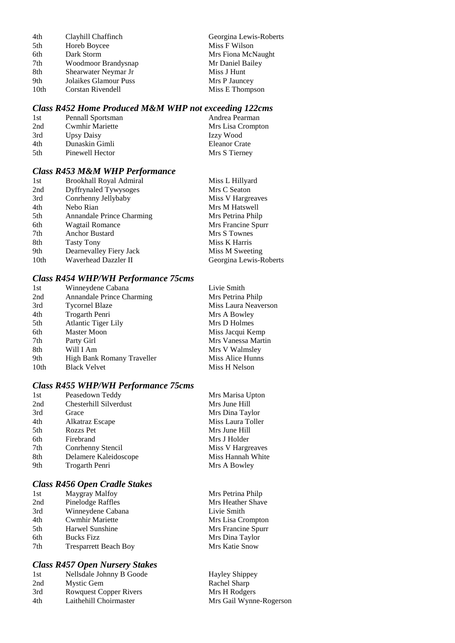| 4th<br>Georgina Lewis-Roberts<br>Clayhill Chaffinch |  |
|-----------------------------------------------------|--|
| 5th<br>Miss F Wilson<br>Horeb Boycee                |  |
| 6th<br>Dark Storm<br>Mrs Fiona McNaught             |  |
| 7th<br>Mr Daniel Bailey<br>Woodmoor Brandysnap      |  |
| 8th<br>Shearwater Neymar Jr<br>Miss J Hunt          |  |
| 9th<br>Jolaikes Glamour Puss<br>Mrs P Jauncey       |  |
| 10th<br>Miss E Thompson<br>Corstan Rivendell        |  |

#### *Class R452 Home Produced M&M WHP not exceeding 122cms*

| 1st  | Pennall Sportsman      | Andrea Pearman    |
|------|------------------------|-------------------|
| 2nd  | <b>Cwmhir Mariette</b> | Mrs Lisa Crompton |
| 3rd  | Upsy Daisy             | Izzy Wood         |
| 4th  | Dunaskin Gimli         | Eleanor Crate     |
| .5th | Pinewell Hector        | Mrs S Tierney     |

#### *Class R453 M&M WHP Performance*

| 1st              | Brookhall Royal Admiral   | Miss L Hillyard        |
|------------------|---------------------------|------------------------|
| 2nd              | Dyffrynaled Tywysoges     | Mrs C Seaton           |
| 3rd              | Conrhenny Jellybaby       | Miss V Hargreaves      |
| 4th              | Nebo Rian                 | Mrs M Hatswell         |
| 5th              | Annandale Prince Charming | Mrs Petrina Philp      |
| 6th              | Wagtail Romance           | Mrs Francine Spurr     |
| 7th              | <b>Anchor Bustard</b>     | Mrs S Townes           |
| 8th              | <b>Tasty Tony</b>         | Miss K Harris          |
| 9th              | Dearnevalley Fiery Jack   | Miss M Sweeting        |
| 10 <sub>th</sub> | Waverhead Dazzler II      | Georgina Lewis-Roberts |

#### *Class R454 WHP/WH Performance 75cms*

| 1st  | Winneydene Cabana          | Livie Smith          |
|------|----------------------------|----------------------|
| 2nd  | Annandale Prince Charming  | Mrs Petrina Philp    |
| 3rd  | <b>Tycornel Blaze</b>      | Miss Laura Neaverson |
| 4th  | Trogarth Penri             | Mrs A Bowley         |
| 5th  | <b>Atlantic Tiger Lily</b> | Mrs D Holmes         |
| 6th  | Master Moon                | Miss Jacqui Kemp     |
| 7th  | Party Girl                 | Mrs Vanessa Martin   |
| 8th  | Will I Am                  | Mrs V Walmsley       |
| 9th  | High Bank Romany Traveller | Miss Alice Hunns     |
| 10th | <b>Black Velvet</b>        | Miss H Nelson        |

#### *Class R455 WHP/WH Performance 75cms*

| 1st | Peasedown Teddy        | Mrs Marisa Upton  |
|-----|------------------------|-------------------|
| 2nd | Chesterhill Silverdust | Mrs June Hill     |
| 3rd | Grace                  | Mrs Dina Taylor   |
| 4th | Alkatraz Escape        | Miss Laura Toller |
| 5th | <b>Rozzs Pet</b>       | Mrs June Hill     |
| 6th | Firebrand              | Mrs J Holder      |
| 7th | Conrhenny Stencil      | Miss V Hargreaves |
| 8th | Delamere Kaleidoscope  | Miss Hannah White |
| 9th | Trogarth Penri         | Mrs A Bowley      |
|     |                        |                   |

## *Class R456 Open Cradle Stakes*

| 1st | Maygray Malfoy               | Mrs Petrina Phil |
|-----|------------------------------|------------------|
| 2nd | <b>Pinelodge Raffles</b>     | Mrs Heather Sha  |
| 3rd | Winneydene Cabana            | Livie Smith      |
| 4th | <b>Cwmhir Mariette</b>       | Mrs Lisa Cromp   |
| 5th | Harwel Sunshine              | Mrs Francine Sp  |
| 6th | <b>Bucks Fizz</b>            | Mrs Dina Taylor  |
| 7th | <b>Tresparrett Beach Boy</b> | Mrs Katie Snow   |
|     |                              |                  |

## *Class R457 Open Nursery Stakes*

| 1st | Nellsdale Johnny B Goode | Hayley Shippey          |
|-----|--------------------------|-------------------------|
| 2nd | Mystic Gem               | Rachel Sharp            |
| 3rd | Rowquest Copper Rivers   | Mrs H Rodgers           |
| 4th | Laithehill Choirmaster   | Mrs Gail Wynne-Rogerson |

Mrs Petrina Philp Mrs Heather Shave Livie Smith Mrs Lisa Crompton Mrs Francine Spurr Mrs Dina Taylor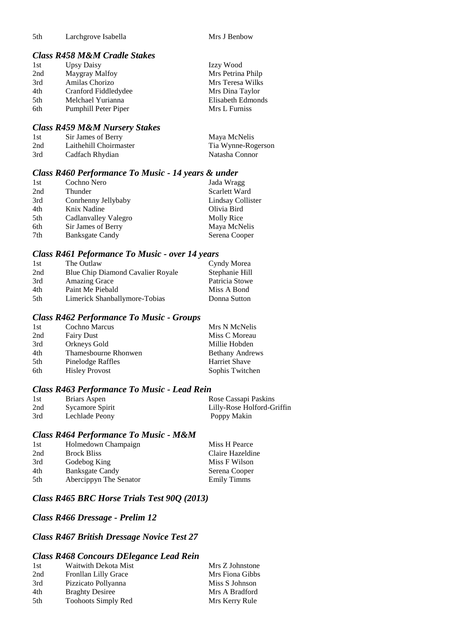| .5th | Larchgrove Isabella |  |
|------|---------------------|--|
|      |                     |  |

Mrs J Benbow

#### *Class R458 M&M Cradle Stakes*

| 1st | <b>Upsy Daisy</b>    | Izzy Wood         |
|-----|----------------------|-------------------|
| 2nd | Maygray Malfoy       | Mrs Petrina Philp |
| 3rd | Amilas Chorizo       | Mrs Teresa Wilks  |
| 4th | Cranford Fiddledydee | Mrs Dina Taylor   |
| 5th | Melchael Yurianna    | Elisabeth Edmonds |
| 6th | Pumphill Peter Piper | Mrs L Furniss     |

#### *Class R459 M&M Nursery Stakes*

| 1st | Sir James of Berry     | Maya McNelis       |
|-----|------------------------|--------------------|
| 2nd | Laithehill Choirmaster | Tia Wynne-Rogerson |
| 3rd | Cadfach Rhydian        | Natasha Connor     |

## *Class R460 Performance To Music - 14 years & under*

| 1st | Cochno Nero            | Jada Wragg        |
|-----|------------------------|-------------------|
| 2nd | Thunder                | Scarlett Ward     |
| 3rd | Conrhenny Jellybaby    | Lindsay Collister |
| 4th | Knix Nadine            | Olivia Bird       |
| 5th | Cadlanvalley Valegro   | Molly Rice        |
| 6th | Sir James of Berry     | Maya McNelis      |
| 7th | <b>Banksgate Candy</b> | Serena Cooper     |

#### *Class R461 Peformance To Music - over 14 years*

| 1st  | The Outlaw                               | Cyndy Morea    |
|------|------------------------------------------|----------------|
| 2nd  | <b>Blue Chip Diamond Cavalier Royale</b> | Stephanie Hill |
| 3rd  | <b>Amazing Grace</b>                     | Patricia Stowe |
| 4th  | Paint Me Piebald                         | Miss A Bond    |
| .5th | Limerick Shanballymore-Tobias            | Donna Sutton   |

#### *Class R462 Performance To Music - Groups*

| 1st | <b>Cochno Marcus</b>  | Mrs N McNelis          |
|-----|-----------------------|------------------------|
| 2nd | <b>Fairy Dust</b>     | Miss C Moreau          |
| 3rd | Orkneys Gold          | Millie Hobden          |
| 4th | Thamesbourne Rhonwen  | <b>Bethany Andrews</b> |
| 5th | Pinelodge Raffles     | <b>Harriet Shave</b>   |
| 6th | <b>Hisley Provost</b> | Sophis Twitchen        |

## *Class R463 Performance To Music - Lead Rein*

| 1st | Briars Aspen    | Rose Cassapi Paskins       |
|-----|-----------------|----------------------------|
| 2nd | Sycamore Spirit | Lilly-Rose Holford-Griffin |
| 3rd | Lechlade Peony  | Poppy Makin                |

#### *Class R464 Performance To Music - M&M*

| 1st | Holmedown Champaign    | Miss H Pearce      |
|-----|------------------------|--------------------|
| 2nd | <b>Brock Bliss</b>     | Claire Hazeldine   |
| 3rd | Godebog King           | Miss F Wilson      |
| 4th | <b>Banksgate Candy</b> | Serena Cooper      |
| 5th | Abercippyn The Senator | <b>Emily Timms</b> |
|     |                        |                    |

## *Class R465 BRC Horse Trials Test 90Q (2013)*

## *Class R466 Dressage - Prelim 12*

## *Class R467 British Dressage Novice Test 27*

#### *Class R468 Concours DElegance Lead Rein*

| Waitwith Dekota Mist       | Mrs Z Johnstone |
|----------------------------|-----------------|
| Fronllan Lilly Grace       | Mrs Fiona Gibbs |
| Pizzicato Pollyanna        | Miss S Johnson  |
| <b>Braghty Desiree</b>     | Mrs A Bradford  |
| <b>Toohoots Simply Red</b> | Mrs Kerry Rule  |
|                            |                 |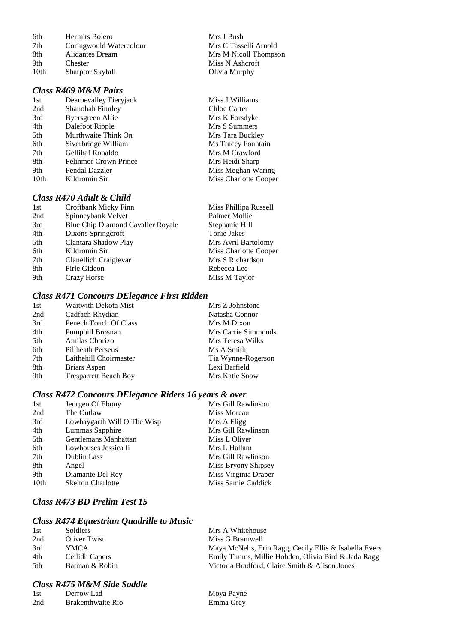| 6th  | Hermits Bolero          | Mrs J Bush     |
|------|-------------------------|----------------|
| 7th  | Coringwould Watercolour | Mrs C Tasselli |
| 8th  | Alidantes Dream         | Mrs M Nicoll T |
| 9th  | Chester                 | Miss N Ashcro  |
| 10th | <b>Sharptor Skyfall</b> | Olivia Murphy  |

#### *Class R469 M&M Pairs*

| 1st              | Dearnevalley Fieryjack       |
|------------------|------------------------------|
| 2nd              | Shanohah Finnley             |
| 3rd              | Byersgreen Alfie             |
| 4th              | Dalefoot Ripple              |
| 5th              | Murthwaite Think On          |
| 6th              | Siverbridge William          |
| 7th              | Gellihaf Ronaldo             |
| 8th              | <b>Felinmor Crown Prince</b> |
| 9th              | Pendal Dazzler               |
| 10 <sub>th</sub> | Kildromin Sir                |
|                  |                              |

## *Class R470 Adult & Child*

| 1st | Croftbank Micky Finn              | Miss Phillipa Russell |
|-----|-----------------------------------|-----------------------|
| 2nd | Spinneybank Velvet                | Palmer Mollie         |
| 3rd | Blue Chip Diamond Cavalier Royale | Stephanie Hill        |
| 4th | Dixons Springcroft                | Tonie Jakes           |
| 5th | Clantara Shadow Play              | Mrs Avril Bartolomy   |
| 6th | Kildromin Sir                     | Miss Charlotte Cooper |
| 7th | Clanellich Craigievar             | Mrs S Richardson      |
| 8th | Firle Gideon                      | Rebecca Lee           |
| 9th | Crazy Horse                       | Miss M Taylor         |
|     |                                   |                       |

#### *Class R471 Concours DElegance First Ridden*

| Mrs Z Johnstone     |
|---------------------|
| Natasha Connor      |
| Mrs M Dixon         |
| Mrs Carrie Simmonds |
| Mrs Teresa Wilks    |
| Ms A Smith          |
| Tia Wynne-Rogerson  |
| Lexi Barfield       |
| Mrs Katie Snow      |
|                     |

#### *Class R472 Concours DElegance Riders 16 years & over*

| 1st              | Jeorgeo Of Ebony            | Mrs Gill Rawlinson   |
|------------------|-----------------------------|----------------------|
| 2nd              | The Outlaw                  | Miss Moreau          |
| 3rd              | Lowhaygarth Will O The Wisp | Mrs A Fligg          |
| 4th              | Lummas Sapphire             | Mrs Gill Rawlinson   |
| 5th              | Gentlemans Manhattan        | Miss L Oliver        |
| 6th              | Lowhouses Jessica Ii        | Mrs L Hallam         |
| 7th              | Dublin Lass                 | Mrs Gill Rawlinson   |
| 8th              | Angel                       | Miss Bryony Shipsey  |
| 9th              | Diamante Del Rey            | Miss Virginia Draper |
| 10 <sub>th</sub> | <b>Skelton Charlotte</b>    | Miss Samie Caddick   |
|                  |                             |                      |

## *Class R473 BD Prelim Test 15*

#### *Class R474 Equestrian Quadrille to Music*

| 1st  | <b>Soldiers</b> | Mrs A Whitehouse                                       |
|------|-----------------|--------------------------------------------------------|
| 2nd  | Oliver Twist    | Miss G Bramwell                                        |
| 3rd  | YMCA            | Maya McNelis, Erin Ragg, Cecily Ellis & Isabella Evers |
| 4th  | Ceilidh Capers  | Emily Timms, Millie Hobden, Olivia Bird & Jada Ragg    |
| .5th | Batman & Robin  | Victoria Bradford, Claire Smith & Alison Jones         |

## *Class R475 M&M Side Saddle*

| 1st | Derrow Lad        |
|-----|-------------------|
| 2nd | Brakenthwaite Rio |

Mrs J Bush 7th Coringwould Watercolour Mrs C Tasselli Arnold Mrs M Nicoll Thompson Miss N Ashcroft

> Miss J Williams Chloe Carter Mrs K Forsdyke Mrs S Summers Mrs Tara Buckley Ms Tracey Fountain Mrs M Crawford Mrs Heidi Sharp Miss Meghan Waring Miss Charlotte Cooper

Moya Payne Emma Grey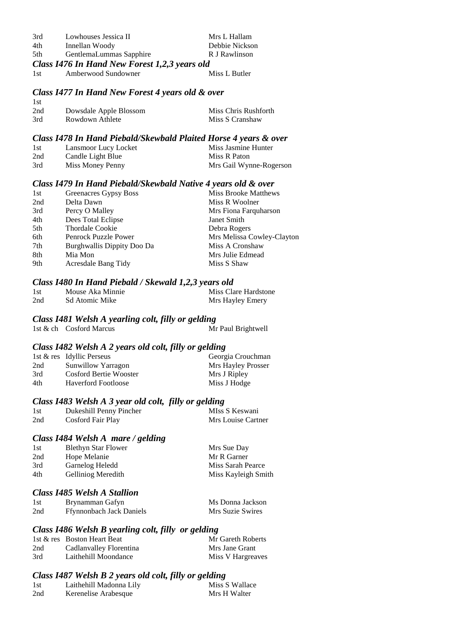| 3rd  | Lowhouses Jessica II | Mrs L Hallam   |
|------|----------------------|----------------|
| 4th  | Innellan Woody       | Debbie Nickson |
| $-1$ |                      | n r n          |

- 5th GentlemaLummas Sapphire R J Rawlinson *Class I476 In Hand New Forest 1,2,3 years old*
- 1st Amberwood Sundowner Miss L Butler

#### *Class I477 In Hand New Forest 4 years old & over*

| -1st |                        |                      |
|------|------------------------|----------------------|
| 2nd  | Dowsdale Apple Blossom | Miss Chris Rushforth |
| 3rd  | Rowdown Athlete        | Miss S Cranshaw      |

#### *Class I478 In Hand Piebald/Skewbald Plaited Horse 4 years & over*

| 1st | Lansmoor Lucy Locket | Miss Jasmine Hunter     |
|-----|----------------------|-------------------------|
| 2nd | Candle Light Blue    | Miss R Paton            |
| 3rd | Miss Money Penny     | Mrs Gail Wynne-Rogerson |

#### *Class I479 In Hand Piebald/Skewbald Native 4 years old & over*

| 1st | Greenacres Gypsy Boss      | Miss Brooke Matthews       |
|-----|----------------------------|----------------------------|
| 2nd | Delta Dawn                 | Miss R Woolner             |
| 3rd | Percy O Malley             | Mrs Fiona Farquharson      |
| 4th | Dees Total Eclipse         | Janet Smith                |
| 5th | <b>Thordale Cookie</b>     | Debra Rogers               |
| 6th | Penrock Puzzle Power       | Mrs Melissa Cowley-Clayton |
| 7th | Burghwallis Dippity Doo Da | Miss A Cronshaw            |
| 8th | Mia Mon                    | Mrs Julie Edmead           |
| 9th | Acresdale Bang Tidy        | Miss S Shaw                |
|     |                            |                            |

#### *Class I480 In Hand Piebald / Skewald 1,2,3 years old*

| 1st | Mouse Aka Minnie | . | Miss Clare Hardstone |
|-----|------------------|---|----------------------|
| 2nd | Sd Atomic Mike   |   | Mrs Hayley Emery     |

#### *Class I481 Welsh A yearling colt, filly or gelding*

1st & ch Cosford Marcus Mr Paul Brightwell

#### *Class I482 Welsh A 2 years old colt, filly or gelding*

|     | 1st & res Idyllic Perseus  |  | Georgia Crouchman  |
|-----|----------------------------|--|--------------------|
| 2nd | Sunwillow Yarragon         |  | Mrs Hayley Prosser |
| 3rd | Cosford Bertie Wooster     |  | Mrs J Ripley       |
| 4th | <b>Haverford Footloose</b> |  | Miss J Hodge       |

#### *Class I483 Welsh A 3 year old colt, filly or gelding*

| 1st | Dukeshill Penny Pincher | MIss S Keswani     |
|-----|-------------------------|--------------------|
| 2nd | Cosford Fair Play       | Mrs Louise Cartner |

#### *Class I484 Welsh A mare / gelding*

| 1st | <b>Blethyn Star Flower</b> | Mrs Sue Day         |
|-----|----------------------------|---------------------|
| 2nd | Hope Melanie               | Mr R Garner         |
| 3rd | Garnelog Heledd            | Miss Sarah Pearce   |
| 4th | <b>Gelliniog Meredith</b>  | Miss Kayleigh Smith |
|     |                            |                     |

#### *Class I485 Welsh A Stallion*

| 1st | Brynamman Gafyn                 | Ms Donna Jackson |
|-----|---------------------------------|------------------|
| 2nd | <b>Ffynnonbach Jack Daniels</b> | Mrs Suzie Swires |

### *Class I486 Welsh B yearling colt, filly or gelding*

|     | 1st & res Boston Heart Beat | Mr Gareth Roberts |
|-----|-----------------------------|-------------------|
| 2nd | Cadlanvalley Florentina     | Mrs Jane Grant    |
| 3rd | Laithehill Moondance        | Miss V Hargreaves |

#### *Class I487 Welsh B 2 years old colt, filly or gelding*

| 1st | Laithehill Madonna Lily | Miss S Wallace |
|-----|-------------------------|----------------|
| 2nd | Kerenelise Arabesque    | Mrs H Walter   |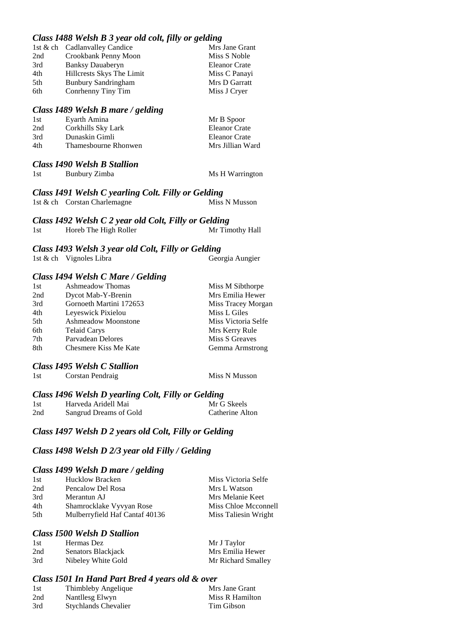#### *Class I488 Welsh B 3 year old colt, filly or gelding*

|     | 1st & ch Cadlanvalley Candice | Mrs Jane Grant       |
|-----|-------------------------------|----------------------|
| 2nd | Crookbank Penny Moon          | Miss S Noble         |
| 3rd | <b>Banksy Dauaberyn</b>       | <b>Eleanor Crate</b> |
| 4th | Hillcrests Skys The Limit     | Miss C Panayi        |
| 5th | <b>Bunbury Sandringham</b>    | Mrs D Garratt        |
| 6th | Conrhenny Tiny Tim            | Miss J Cryer         |
|     |                               |                      |

#### *Class I489 Welsh B mare / gelding*

| 1st | Evarth Amina         | Mr B Spoor       |
|-----|----------------------|------------------|
| 2nd | Corkhills Sky Lark   | Eleanor Crate    |
| 3rd | Dunaskin Gimli       | Eleanor Crate    |
| 4th | Thameshourne Rhonwen | Mrs Jillian Ward |

#### *Class I490 Welsh B Stallion*

| 1st | Bunbury Zimba |
|-----|---------------|
|     |               |

Ms H Warrington

#### *Class I491 Welsh C yearling Colt. Filly or Gelding* 1st & ch Corstan Charlemagne Miss N Musson

|     | Class 1492 Welsh C 2 year old Colt, Filly or Gelding |                 |
|-----|------------------------------------------------------|-----------------|
| 1st | Horeb The High Roller                                | Mr Timothy Hall |

#### *Class I493 Welsh 3 year old Colt, Filly or Gelding* 1st & ch Vignoles Libra Georgia Aungier

#### *Class I494 Welsh C Mare / Gelding*

| <b>Ashmeadow Thomas</b>    | Miss M Sibthorpe    |
|----------------------------|---------------------|
| Dycot Mab-Y-Brenin         | Mrs Emilia Hewer    |
| Gornoeth Martini 172653    | Miss Tracey Morgan  |
| Leyeswick Pixielou         | Miss L Giles        |
| <b>Ashmeadow Moonstone</b> | Miss Victoria Selfe |
| <b>Telaid Carys</b>        | Mrs Kerry Rule      |
| Parvadean Delores          | Miss S Greaves      |
| Chesmere Kiss Me Kate      | Gemma Armstrong     |
|                            |                     |

#### *Class I495 Welsh C Stallion*

| 1st | Corstan Pendraig | Miss N Musson |
|-----|------------------|---------------|
|-----|------------------|---------------|

#### *Class I496 Welsh D yearling Colt, Filly or Gelding* 1st Harveda Aridell Mai 2nd Sangrud Dreams of Gold Catherine Alton

## *Class I497 Welsh D 2 years old Colt, Filly or Gelding*

#### *Class I498 Welsh D 2/3 year old Filly / Gelding*

#### *Class I499 Welsh D mare / gelding*

| <b>Hucklow Bracken</b>         | Miss Victoria Selfe  |
|--------------------------------|----------------------|
| Pencalow Del Rosa              | Mrs L Watson         |
| Merantun AJ                    | Mrs Melanie Keet     |
| Shamrocklake Vyvyan Rose       | Miss Chloe Mcconnell |
| Mulberryfield Haf Cantaf 40136 | Miss Taliesin Wright |
|                                |                      |

#### *Class I500 Welsh D Stallion*

| 1st | Hermas Dez         | Mr J Taylor        |
|-----|--------------------|--------------------|
| 2nd | Senators Blackjack | Mrs Emilia Hewer   |
| 3rd | Nibeley White Gold | Mr Richard Smalley |

#### *Class I501 In Hand Part Bred 4 years old & over*

| 1st | Thimbleby Angelique         | Mrs Jane Grant  |
|-----|-----------------------------|-----------------|
| 2nd | Nantllesg Elwyn             | Miss R Hamilton |
| 3rd | <b>Stychlands Chevalier</b> | Tim Gibson      |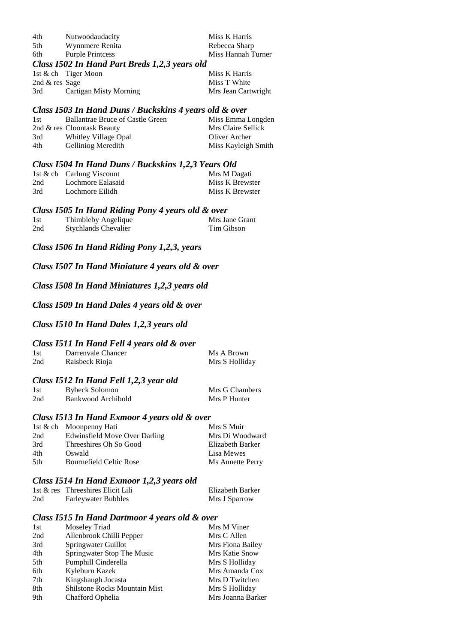| 4th                                           | Nutwoodaudacity         | Miss K Harris      |
|-----------------------------------------------|-------------------------|--------------------|
| 5th                                           | Wynnmere Renita         | Rebecca Sharp      |
| 6th                                           | <b>Purple Printcess</b> | Miss Hannah Turner |
| Class 1502 In Hand Part Breds 1.2.3 years old |                         |                    |

|           | Cass 1902 In Hand I are Dreas 1,2,9 years old |               |
|-----------|-----------------------------------------------|---------------|
|           | 1st $\&$ ch Tiger Moon                        | Miss K Harris |
| $\sim$ 10 |                                               | $T = T T T$   |

2nd & res Sage Miss T White 3rd Cartigan Misty Morning Mrs Jean Cartwright

*Class I503 In Hand Duns / Buckskins 4 years old & over*

| 1st | <b>Ballantrae Bruce of Castle Green</b> | Miss Emma Longden   |
|-----|-----------------------------------------|---------------------|
|     | 2nd & res Cloontask Beauty              | Mrs Claire Sellick  |
| 3rd | Whitley Village Opal                    | Oliver Archer       |
| 4th | <b>Gelliniog Meredith</b>               | Miss Kayleigh Smith |

#### *Class I504 In Hand Duns / Buckskins 1,2,3 Years Old*

|     |                           | . |                 |
|-----|---------------------------|---|-----------------|
|     | 1st & ch Carlung Viscount |   | Mrs M Dagati    |
| 2nd | Lochmore Ealasaid         |   | Miss K Brewster |
| 3rd | Lochmore Eilidh           |   | Miss K Brewster |

#### *Class I505 In Hand Riding Pony 4 years old & over*

| 1st | Thimbleby Angelique         | Mrs Jane Grant |
|-----|-----------------------------|----------------|
| 2nd | <b>Stychlands Chevalier</b> | Tim Gibson     |

*Class I506 In Hand Riding Pony 1,2,3, years*

*Class I507 In Hand Miniature 4 years old & over*

*Class I508 In Hand Miniatures 1,2,3 years old*

*Class I509 In Hand Dales 4 years old & over*

*Class I510 In Hand Dales 1,2,3 years old*

## *Class I511 In Hand Fell 4 years old & over*

| 1st | Darrenvale Chancer | Ms A Brown     |
|-----|--------------------|----------------|
| 2nd | Raisbeck Rioja     | Mrs S Holliday |

## *Class I512 In Hand Fell 1,2,3 year old*

| 1st | <b>Bybeck Solomon</b> | Mrs G Chambers |
|-----|-----------------------|----------------|
| 2nd | Bankwood Archibold    | Mrs P Hunter   |

#### *Class I513 In Hand Exmoor 4 years old & over*

|      | 1st & ch Moonpenny Hati        | Mrs S Muir       |
|------|--------------------------------|------------------|
| 2nd  | Edwinsfield Move Over Darling  | Mrs Di Woodward  |
| 3rd  | Threeshires Oh So Good         | Elizabeth Barker |
| 4th  | Oswald                         | Lisa Mewes       |
| .5th | <b>Bournefield Celtic Rose</b> | Ms Annette Perry |
|      |                                |                  |

#### *Class I514 In Hand Exmoor 1,2,3 years old*

|     | 1st & res Threeshires Elicit Lili | Elizabeth Barker |
|-----|-----------------------------------|------------------|
| 2nd | <b>Farleywater Bubbles</b>        | Mrs J Sparrow    |

#### *Class I515 In Hand Dartmoor 4 years old & over*

| 1st | Moseley Triad                        | Mrs M Viner       |
|-----|--------------------------------------|-------------------|
| 2nd | Allenbrook Chilli Pepper             | Mrs C Allen       |
| 3rd | Springwater Guillot                  | Mrs Fiona Bailey  |
| 4th | Springwater Stop The Music           | Mrs Katie Snow    |
| 5th | Pumphill Cinderella                  | Mrs S Holliday    |
| 6th | Kyleburn Kazek                       | Mrs Amanda Cox    |
| 7th | Kingshaugh Jocasta                   | Mrs D Twitchen    |
| 8th | <b>Shilstone Rocks Mountain Mist</b> | Mrs S Holliday    |
| 9th | Chafford Ophelia                     | Mrs Joanna Barker |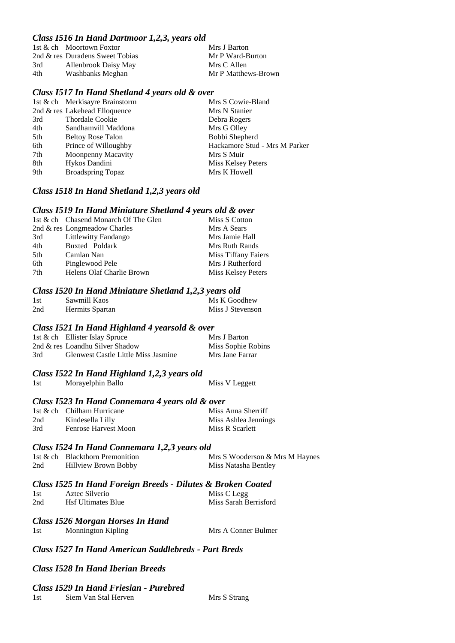#### *Class I516 In Hand Dartmoor 1,2,3, years old*

|     | 1st & ch Moortown Foxtor        | Mrs J Barton        |
|-----|---------------------------------|---------------------|
|     | 2nd & res Duradens Sweet Tobias | Mr P Ward-Burton    |
| 3rd | Allenbrook Daisy May            | Mrs C Allen         |
| 4th | Washbanks Meghan                | Mr P Matthews-Brown |

#### *Class I517 In Hand Shetland 4 years old & over*

|     | 1st & ch Merkisayre Brainstorm   | Mrs S Cowie-Bland             |
|-----|----------------------------------|-------------------------------|
|     | 2nd $\&$ res Lakehead Elloquence | Mrs N Stanier                 |
| 3rd | <b>Thordale Cookie</b>           | Debra Rogers                  |
| 4th | Sandhamvill Maddona              | Mrs G Olley                   |
| 5th | <b>Beltoy Rose Talon</b>         | Bobbi Shepherd                |
| 6th | Prince of Willoughby             | Hackamore Stud - Mrs M Parker |
| 7th | Moonpenny Macavity               | Mrs S Muir                    |
| 8th | Hykos Dandini                    | Miss Kelsey Peters            |
| 9th | <b>Broadspring Topaz</b>         | Mrs K Howell                  |

#### *Class I518 In Hand Shetland 1,2,3 years old*

#### *Class I519 In Hand Miniature Shetland 4 years old & over*

|     | 1st & ch Chasend Monarch Of The Glen | Miss S Cotton       |
|-----|--------------------------------------|---------------------|
|     | 2nd $\&$ res Longmeadow Charles      | Mrs A Sears         |
| 3rd | <b>Littlewitty Fandango</b>          | Mrs Jamie Hall      |
| 4th | Buxted Poldark                       | Mrs Ruth Rands      |
| 5th | Camlan Nan                           | Miss Tiffany Faiers |
| 6th | Pinglewood Pele                      | Mrs J Rutherford    |
| 7th | Helens Olaf Charlie Brown            | Miss Kelsey Peters  |

#### *Class I520 In Hand Miniature Shetland 1,2,3 years old*

|     |                 | , , <u>,</u>     |
|-----|-----------------|------------------|
| 1st | Sawmill Kaos    | Ms K Goodhew     |
| 2nd | Hermits Spartan | Miss J Stevenson |

#### *Class I521 In Hand Highland 4 yearsold & over*

|     | 1st & ch Ellister Islay Spruce             | Mrs J Barton       |
|-----|--------------------------------------------|--------------------|
|     | 2nd & res Loandhu Silver Shadow            | Miss Sophie Robins |
| 3rd | <b>Glenwest Castle Little Miss Jasmine</b> | Mrs Jane Farrar    |

#### *Class I522 In Hand Highland 1,2,3 years old*

1st Morayelphin Ballo Miss V Leggett

#### *Class I523 In Hand Connemara 4 years old & over*

|     | 1st & ch Chilham Hurricane  | Miss Anna Sherriff   |
|-----|-----------------------------|----------------------|
| 2nd | Kindesella Lilly            | Miss Ashlea Jennings |
| 3rd | <b>Fenrose Harvest Moon</b> | Miss R Scarlett      |

#### *Class I524 In Hand Connemara 1,2,3 years old*

|     | 1st & ch Blackthorn Premonition | Mrs S Wooderson & Mrs M Haynes |
|-----|---------------------------------|--------------------------------|
| 2nd | Hillview Brown Bobby            | Miss Natasha Bentley           |

## *Class I525 In Hand Foreign Breeds - Dilutes & Broken Coated*

| 1st | Aztec Silverio            | Miss C Legg           |
|-----|---------------------------|-----------------------|
| 2nd | <b>Hsf Ultimates Blue</b> | Miss Sarah Berrisford |

#### *Class I526 Morgan Horses In Hand*

1st Monnington Kipling Mrs A Conner Bulmer

## *Class I527 In Hand American Saddlebreds - Part Breds*

#### *Class I528 In Hand Iberian Breeds*

#### *Class I529 In Hand Friesian - Purebred*

1st Siem Van Stal Herven Mrs S Strang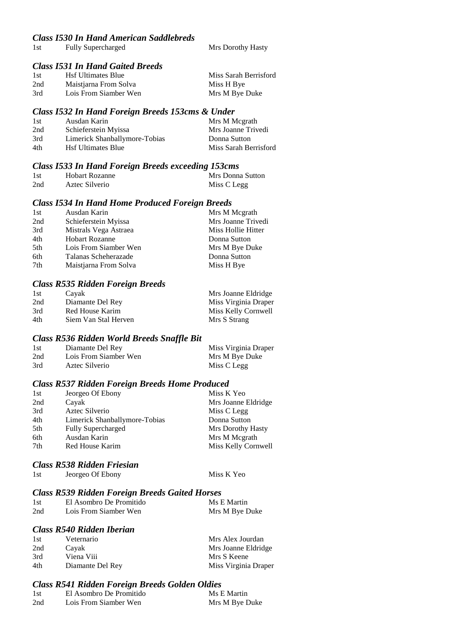#### *Class I530 In Hand American Saddlebreds*

1st Fully Supercharged Mrs Dorothy Hasty

#### *Class I531 In Hand Gaited Breeds*

| - 1st | <b>Hsf Ultimates Blue</b> | Miss Sarah Berrisford |
|-------|---------------------------|-----------------------|
| 2nd   | Maistjarna From Solva     | Miss H Bye            |
| 3rd   | Lois From Siamber Wen     | Mrs M Bye Duke        |

#### *Class I532 In Hand Foreign Breeds 153cms & Under*

| 1st | Ausdan Karin                  | Mrs M Megrath         |
|-----|-------------------------------|-----------------------|
| 2nd | Schieferstein Myissa          | Mrs Joanne Trivedi    |
| 3rd | Limerick Shanballymore-Tobias | Donna Sutton          |
| 4th | <b>Hsf Ultimates Blue</b>     | Miss Sarah Berrisford |

#### *Class I533 In Hand Foreign Breeds exceeding 153cms*

| -1 st | Hobart Rozanne | Mrs Donna Sutton |
|-------|----------------|------------------|
| 2nd   | Aztec Silverio | Miss C Legg      |

#### *Class I534 In Hand Home Produced Foreign Breeds*

| 1st | Ausdan Karin          | Mrs M Megrath      |
|-----|-----------------------|--------------------|
| 2nd | Schieferstein Myissa  | Mrs Joanne Trivedi |
| 3rd | Mistrals Vega Astraea | Miss Hollie Hitter |
| 4th | <b>Hobart Rozanne</b> | Donna Sutton       |
| 5th | Lois From Siamber Wen | Mrs M Bye Duke     |
| 6th | Talanas Scheherazade  | Donna Sutton       |
| 7th | Maistjarna From Solva | Miss H Bye         |

#### *Class R535 Ridden Foreign Breeds*

| 1st | Cayak                | Mrs Joanne Eldridge  |
|-----|----------------------|----------------------|
| 2nd | Diamante Del Rey     | Miss Virginia Draper |
| 3rd | Red House Karim      | Miss Kelly Cornwell  |
| 4th | Siem Van Stal Herven | Mrs S Strang         |

#### *Class R536 Ridden World Breeds Snaffle Bit*

| 1st | Diamante Del Rey      | Miss Virginia Draper |
|-----|-----------------------|----------------------|
| 2nd | Lois From Siamber Wen | Mrs M Bye Duke       |
| 3rd | Aztec Silverio        | Miss C Legg          |

#### *Class R537 Ridden Foreign Breeds Home Produced*

| Jeorgeo Of Ebony              | Miss K Yeo          |
|-------------------------------|---------------------|
| Cayak                         | Mrs Joanne Eldridge |
| Aztec Silverio                | Miss C Legg         |
| Limerick Shanballymore-Tobias | Donna Sutton        |
| <b>Fully Supercharged</b>     | Mrs Dorothy Hasty   |
| Ausdan Karin                  | Mrs M Megrath       |
| Red House Karim               | Miss Kelly Cornwell |
|                               |                     |

## *Class R538 Ridden Friesian*

| 1st | Jeorgeo Of Ebony | Miss K Yeo |
|-----|------------------|------------|
|-----|------------------|------------|

#### *Class R539 Ridden Foreign Breeds Gaited Horses*

| 1st | El Asombro De Promitido | Ms E Martin    |
|-----|-------------------------|----------------|
| 2nd | Lois From Siamber Wen   | Mrs M Bye Duke |

## *Class R540 Ridden Iberian*

| 1st | Veternario       | Mrs Alex Jourdan     |
|-----|------------------|----------------------|
| 2nd | Cayak            | Mrs Joanne Eldridge  |
| 3rd | Viena Viii       | Mrs S Keene          |
| 4th | Diamante Del Rey | Miss Virginia Draper |

## *Class R541 Ridden Foreign Breeds Golden Oldies*

| - 1 st | El Asombro De Promitido | Ms E Martin    |
|--------|-------------------------|----------------|
| 2nd    | Lois From Siamber Wen   | Mrs M Bye Duke |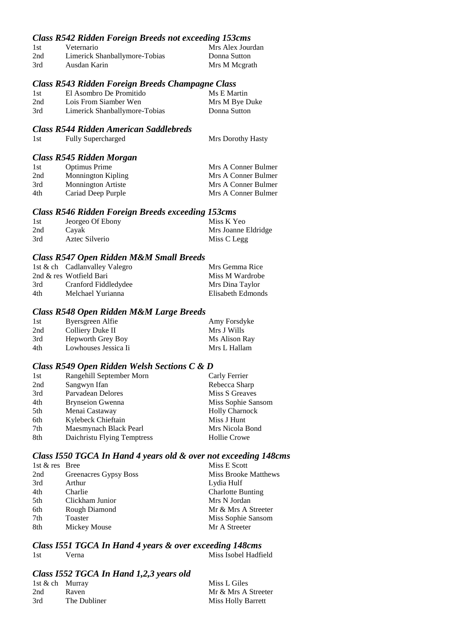#### *Class R542 Ridden Foreign Breeds not exceeding 153cms*

| 1st | Veternario                    | Mrs Alex Jourdan |
|-----|-------------------------------|------------------|
| 2nd | Limerick Shanballymore-Tobias | Donna Sutton     |
| 3rd | Ausdan Karin                  | Mrs M Mcgrath    |

#### *Class R543 Ridden Foreign Breeds Champagne Class*

| 1st | El Asombro De Promitido       | Ms E Martin    |
|-----|-------------------------------|----------------|
| 2nd | Lois From Siamber Wen         | Mrs M Bye Duke |
| 3rd | Limerick Shanballymore-Tobias | Donna Sutton   |

#### *Class R544 Ridden American Saddlebreds*

| 1st | <b>Fully Supercharged</b> | Mrs Dorothy Hasty |
|-----|---------------------------|-------------------|
|-----|---------------------------|-------------------|

#### *Class R545 Ridden Morgan*

| 1st | Optimus Prime             | Mrs A Conner Bulmer |
|-----|---------------------------|---------------------|
| 2nd | Monnington Kipling        | Mrs A Conner Bulmer |
| 3rd | <b>Monnington Artiste</b> | Mrs A Conner Bulmer |
| 4th | Cariad Deep Purple        | Mrs A Conner Bulmer |
|     |                           |                     |

#### *Class R546 Ridden Foreign Breeds exceeding 153cms*

| 1st | Jeorgeo Of Ebony | Miss K Yeo          |
|-----|------------------|---------------------|
| 2nd | Cavak            | Mrs Joanne Eldridge |
| 3rd | Aztec Silverio   | Miss C Legg         |

#### *Class R547 Open Ridden M&M Small Breeds*

|     | 1st & ch Cadlanvalley Valegro | Mrs Gemma Rice    |
|-----|-------------------------------|-------------------|
|     | 2nd & res Wotfield Bari       | Miss M Wardrobe   |
| 3rd | Cranford Fiddledydee          | Mrs Dina Taylor   |
| 4th | Melchael Yurianna             | Elisabeth Edmonds |
|     |                               |                   |

#### *Class R548 Open Ridden M&M Large Breeds*

| 1st | Byersgreen Alfie     | Amy Forsdyke  |
|-----|----------------------|---------------|
| 2nd | Colliery Duke II     | Mrs J Wills   |
| 3rd | Hepworth Grey Boy    | Ms Alison Ray |
| 4th | Lowhouses Jessica Ii | Mrs L Hallam  |

#### *Class R549 Open Ridden Welsh Sections C & D*

| 1st             | Rangehill September Morn    | Carly Ferrier         |
|-----------------|-----------------------------|-----------------------|
| 2nd             | Sangwyn Ifan                | Rebecca Sharp         |
| 3rd             | Parvadean Delores           | Miss S Greaves        |
| 4th             | <b>Brynseion Gwenna</b>     | Miss Sophie Sansom    |
| 5th             | Menai Castaway              | <b>Holly Charnock</b> |
| 6th             | Kylebeck Chieftain          | Miss J Hunt           |
| 7 <sub>th</sub> | Maesmynach Black Pearl      | Mrs Nicola Bond       |
| 8th             | Daichristu Flying Temptress | <b>Hollie Crowe</b>   |

#### *Class I550 TGCA In Hand 4 years old & over not exceeding 148cms*

| 1st & res Bree  |                       | Miss E Scott                |
|-----------------|-----------------------|-----------------------------|
| 2nd             | Greenacres Gypsy Boss | <b>Miss Brooke Matthews</b> |
| 3rd             | Arthur                | Lydia Hulf                  |
| 4th             | Charlie               | <b>Charlotte Bunting</b>    |
| 5th             | Clickham Junior       | Mrs N Jordan                |
| 6th             | Rough Diamond         | Mr & Mrs A Streeter         |
| 7 <sub>th</sub> | Toaster               | Miss Sophie Sansom          |
| 8th             | Mickey Mouse          | Mr A Streeter               |

# *Class I551 TGCA In Hand 4 years & over exceeding 148cms*

1st Verna Miss Isobel Hadfield

## *Class I552 TGCA In Hand 1,2,3 years old*

| 1st & ch Murray |              | Miss L Giles        |
|-----------------|--------------|---------------------|
| 2nd             | Raven        | Mr & Mrs A Streeter |
| 3rd             | The Dubliner | Miss Holly Barrett  |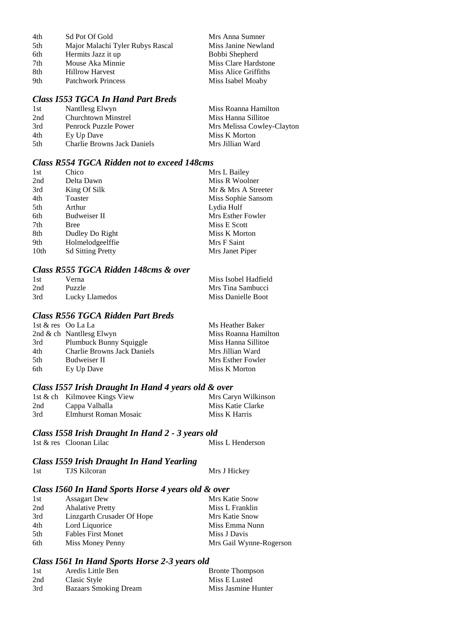| 4th             | Sd Pot Of Gold                   | Mrs Anna Sumner      |
|-----------------|----------------------------------|----------------------|
| 5 <sup>th</sup> | Major Malachi Tyler Rubys Rascal | Miss Janine Newland  |
| 6th             | Hermits Jazz it up               | Bobbi Shepherd       |
| 7th             | Mouse Aka Minnie                 | Miss Clare Hardstone |
| 8th             | <b>Hillrow Harvest</b>           | Miss Alice Griffiths |
| 9th             | <b>Patchwork Princess</b>        | Miss Isabel Moaby    |

## *Class I553 TGCA In Hand Part Breds*

| 1st  | Nantllesg Elwyn                    | Miss Roanna Hamilton       |
|------|------------------------------------|----------------------------|
| 2nd  | <b>Churchtown Minstrel</b>         | Miss Hanna Sillitoe        |
| 3rd  | Penrock Puzzle Power               | Mrs Melissa Cowley-Clayton |
| 4th  | Ey Up Dave                         | Miss K Morton              |
| .5th | <b>Charlie Browns Jack Daniels</b> | Mrs Jillian Ward           |

#### *Class R554 TGCA Ridden not to exceed 148cms*

| 1st  | Chico                    | Mrs L Bailey        |
|------|--------------------------|---------------------|
| 2nd  | Delta Dawn               | Miss R Woolner      |
| 3rd  | King Of Silk             | Mr & Mrs A Streeter |
| 4th  | Toaster                  | Miss Sophie Sansom  |
| 5th  | Arthur                   | Lydia Hulf          |
| 6th  | Budweiser II             | Mrs Esther Fowler   |
| 7th  | <b>Bree</b>              | Miss E Scott        |
| 8th  | Dudley Do Right          | Miss K Morton       |
| 9th  | Holmelodgeelffie         | Mrs F Saint         |
| 10th | <b>Sd Sitting Pretty</b> | Mrs Janet Piper     |

#### *Class R555 TGCA Ridden 148cms & over*

| 1st | Verna-         | Miss Isobel Hadfield |
|-----|----------------|----------------------|
| 2nd | <b>Puzzle</b>  | Mrs Tina Sambucci    |
| 3rd | Lucky Llamedos | Miss Danielle Boot   |

## *Class R556 TGCA Ridden Part Breds*

|     | 1st & res Oo La La                 | Ms Heather Baker     |
|-----|------------------------------------|----------------------|
|     | 2nd $\&$ ch Nantllesg Elwyn        | Miss Roanna Hamilton |
| 3rd | Plumbuck Bunny Squiggle            | Miss Hanna Sillitoe  |
| 4th | <b>Charlie Browns Jack Daniels</b> | Mrs Jillian Ward     |
| 5th | Budweiser II                       | Mrs Esther Fowler    |
| 6th | Ey Up Dave                         | Miss K Morton        |

#### *Class I557 Irish Draught In Hand 4 years old & over*

|     | 1st & ch Kilmovee Kings View | Mrs Caryn Wilkinson |
|-----|------------------------------|---------------------|
| 2nd | Cappa Valhalla               | Miss Katie Clarke   |
| 3rd | Elmhurst Roman Mosaic        | Miss K Harris       |

## *Class I558 Irish Draught In Hand 2 - 3 years old*

| 1st & res Cloonan Lilac | Miss L Henderson |
|-------------------------|------------------|
|-------------------------|------------------|

#### *Class I559 Irish Draught In Hand Yearling*

| 1st | <b>TJS Kilcoran</b> | Mrs J Hickey |
|-----|---------------------|--------------|
|     |                     |              |

#### *Class I560 In Hand Sports Horse 4 years old & over*

| 1st  | <b>Assagart Dew</b>        | Mrs Katie Snow          |
|------|----------------------------|-------------------------|
| 2nd  | <b>Ahalative Pretty</b>    | Miss L Franklin         |
| 3rd  | Linzgarth Crusader Of Hope | Mrs Katie Snow          |
| 4th  | Lord Liquorice             | Miss Emma Nunn          |
| .5th | <b>Fables First Monet</b>  | Miss J Davis            |
| 6th  | Miss Money Penny           | Mrs Gail Wynne-Rogerson |

## *Class I561 In Hand Sports Horse 2-3 years old*

| 1st | Aredis Little Ben            | <b>Bronte Thompson</b> |
|-----|------------------------------|------------------------|
| 2nd | Clasic Style                 | Miss E Lusted          |
| 3rd | <b>Bazaars Smoking Dream</b> | Miss Jasmine Hunter    |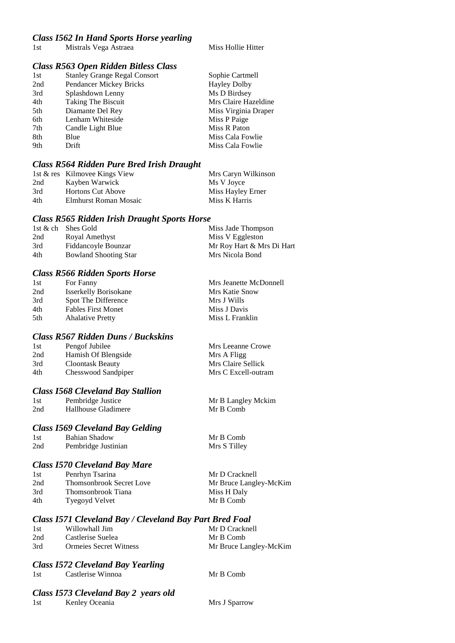#### *Class I562 In Hand Sports Horse yearling*

1st Mistrals Vega Astraea Miss Hollie Hitter

#### *Class R563 Open Ridden Bitless Class*

| 1st | <b>Stanley Grange Regal Consort</b> | Sophie Cartmell      |
|-----|-------------------------------------|----------------------|
| 2nd | Pendancer Mickey Bricks             | <b>Hayley Dolby</b>  |
| 3rd | Splashdown Lenny                    | Ms D Birdsey         |
| 4th | Taking The Biscuit                  | Mrs Claire Hazeldine |
| 5th | Diamante Del Rey                    | Miss Virginia Draper |
| 6th | Lenham Whiteside                    | Miss P Paige         |
| 7th | Candle Light Blue                   | Miss R Paton         |
| 8th | Blue                                | Miss Cala Fowlie     |
| 9th | Drift                               | Miss Cala Fowlie     |
|     |                                     |                      |

#### *Class R564 Ridden Pure Bred Irish Draught*

|     | 1st & res Kilmovee Kings View | Mrs Caryn Wilkinson |
|-----|-------------------------------|---------------------|
| 2nd | Kayben Warwick                | Ms V Jovce          |
| 3rd | <b>Hortons Cut Above</b>      | Miss Hayley Erner   |
| 4th | Elmhurst Roman Mosaic         | Miss K Harris       |

#### *Class R565 Ridden Irish Draught Sports Horse*

|     | 1st & ch Shes Gold           | Miss Jade Thompson        |
|-----|------------------------------|---------------------------|
| 2nd | Royal Amethyst               | Miss V Eggleston          |
| 3rd | Fiddancoyle Bounzar          | Mr Roy Hart & Mrs Di Hart |
| 4th | <b>Bowland Shooting Star</b> | Mrs Nicola Bond           |

#### *Class R566 Ridden Sports Horse*

| 1st | For Fanny                    | Mrs Jeanette McDonnell |
|-----|------------------------------|------------------------|
| 2nd | <b>Isserkelly Borisokane</b> | Mrs Katie Snow         |
| 3rd | Spot The Difference          | Mrs J Wills            |
| 4th | <b>Fables First Monet</b>    | Miss J Davis           |
| 5th | <b>Ahalative Pretty</b>      | Miss L Franklin        |

#### *Class R567 Ridden Duns / Buckskins*

| 1st | Pengof Jubilee      | Mrs Leeanne Crowe   |
|-----|---------------------|---------------------|
| 2nd | Hamish Of Blengside | Mrs A Fligg         |
| 3rd | Cloontask Beauty    | Mrs Claire Sellick  |
| 4th | Chesswood Sandpiper | Mrs C Excell-outram |
|     |                     |                     |

#### *Class I568 Cleveland Bay Stallion*

| 1st | Pembridge Justice   |
|-----|---------------------|
| 2nd | Hallhouse Gladimere |

#### *Class I569 Cleveland Bay Gelding*

| 1st | Bahian Shadow       |
|-----|---------------------|
| 2nd | Pembridge Justinian |

#### *Class I570 Cleveland Bay Mare*

| 1st | Penrhyn Tsarina                 | Mr D Cracknell         |
|-----|---------------------------------|------------------------|
| 2nd | <b>Thomsonbrook Secret Love</b> | Mr Bruce Langley-McKim |
| 3rd | Thomsonbrook Tiana              | Miss H Daly            |
| 4th | Tyegoyd Velvet                  | Mr B Comb              |

#### *Class I571 Cleveland Bay / Cleveland Bay Part Bred Foal*

| 1st | Willowhall Jim                | Mr D Cracknell         |
|-----|-------------------------------|------------------------|
| 2nd | Castlerise Suelea             | Mr B Comb              |
| 3rd | <b>Ormejes Secret Witness</b> | Mr Bruce Langley-McKim |

#### *Class I572 Cleveland Bay Yearling*

| Castlerise Winnoa<br>1st |
|--------------------------|
|                          |

Mr B Comb

Mr B Langley Mckim

Mr B Comb

Mr B Comb Mrs S Tilley

#### *Class I573 Cleveland Bay 2 years old*

1st Kenley Oceania Mrs J Sparrow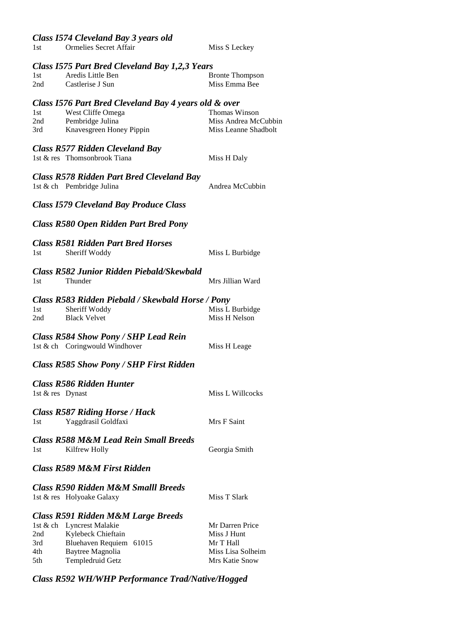*Class I574 Cleveland Bay 3 years old*

1st Ormelies Secret Affair Miss S Leckey

#### *Class I575 Part Bred Cleveland Bay 1,2,3 Years*

| 1st | Aredis Little Ben | <b>Bronte Thompson</b> |
|-----|-------------------|------------------------|
| 2nd | Castlerise J Sun  | Miss Emma Bee          |

#### *Class I576 Part Bred Cleveland Bay 4 years old & over*

| -1st | West Cliffe Omega        | Thomas Winson        |
|------|--------------------------|----------------------|
| 2nd  | Pembridge Julina         | Miss Andrea McCubbin |
| 3rd  | Knavesgreen Honey Pippin | Miss Leanne Shadbolt |

## *Class R577 Ridden Cleveland Bay*

| Causs Ito : : Itaawen Clereana Bar<br>1st & res Thomsonbrook Tiana | Miss H Daly |
|--------------------------------------------------------------------|-------------|
| <b>Class R578 Ridden Part Bred Cleveland Bay</b>                   |             |

|                  | 1st & ch Pembridge Julina                                                                 | Andrea McCubbin                  |
|------------------|-------------------------------------------------------------------------------------------|----------------------------------|
|                  | <b>Class I579 Cleveland Bay Produce Class</b>                                             |                                  |
|                  | <b>Class R580 Open Ridden Part Bred Pony</b>                                              |                                  |
| 1st              | <b>Class R581 Ridden Part Bred Horses</b><br>Sheriff Woddy                                | Miss L Burbidge                  |
| 1 <sub>st</sub>  | <b>Class R582 Junior Ridden Piebald/Skewbald</b><br>Thunder                               | Mrs Jillian Ward                 |
| 1st<br>2nd       | Class R583 Ridden Piebald / Skewbald Horse / Pony<br>Sheriff Woddy<br><b>Black Velvet</b> | Miss L Burbidge<br>Miss H Nelson |
|                  | <b>Class R584 Show Pony / SHP Lead Rein</b><br>1st & ch Coringwould Windhover             | Miss H Leage                     |
|                  | <b>Class R585 Show Pony / SHP First Ridden</b>                                            |                                  |
| 1st & res Dynast | <b>Class R586 Ridden Hunter</b>                                                           | <b>Miss L Willcocks</b>          |
| 1st              | <b>Class R587 Riding Horse / Hack</b><br>Yaggdrasil Goldfaxi                              | Mrs F Saint                      |
| 1st              | <b>Class R588 M&amp;M Lead Rein Small Breeds</b><br>Kilfrew Holly                         | Georgia Smith                    |
|                  | <b>Class R589 M&amp;M First Ridden</b>                                                    |                                  |

## *Class R590 Ridden M&M Smalll Breeds* 1st & res Holyoake Galaxy Miss T Slark *Class R591 Ridden M&M Large Breeds* 1st & ch Lyncrest Malakie Mr Darren Price<br>
2nd Kyloback Chieftain Miss Lynt  $2nd$   $Ky$ lebeck Chieftain

| ∠uu | <b>NYJEDECK CHIEITAIII</b> | ічну з пиш        |
|-----|----------------------------|-------------------|
| 3rd | Bluehaven Requiem 61015    | Mr T Hall         |
| 4th | Baytree Magnolia           | Miss Lisa Solheim |
| 5th | Templedruid Getz           | Mrs Katie Snow    |
|     |                            |                   |

## *Class R592 WH/WHP Performance Trad/Native/Hogged*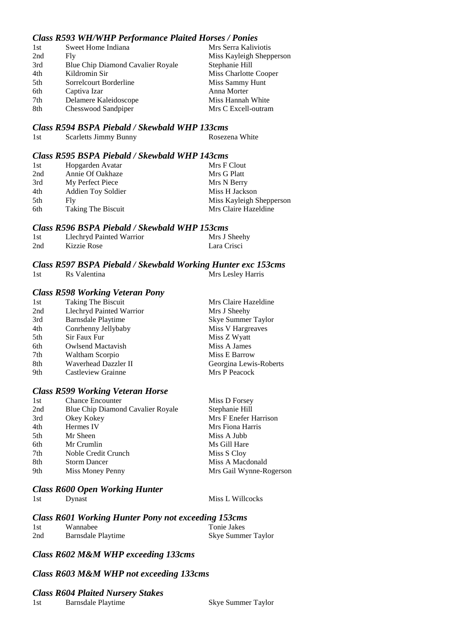## *Class R593 WH/WHP Performance Plaited Horses / Ponies*

| 1st | Sweet Home Indiana                       | Mrs Serra Kaliviotis     |
|-----|------------------------------------------|--------------------------|
| 2nd | Fly                                      | Miss Kayleigh Shepperson |
| 3rd | <b>Blue Chip Diamond Cavalier Royale</b> | Stephanie Hill           |
| 4th | Kildromin Sir                            | Miss Charlotte Cooper    |
| 5th | Sorrelcourt Borderline                   | Miss Sammy Hunt          |
| 6th | Captiva Izar                             | Anna Morter              |
| 7th | Delamere Kaleidoscope                    | Miss Hannah White        |
| 8th | Chesswood Sandpiper                      | Mrs C Excell-outram      |

#### *Class R594 BSPA Piebald / Skewbald WHP 133cms*

| 1st | Scarletts Jimmy Bunny | Rosezena White |
|-----|-----------------------|----------------|
|-----|-----------------------|----------------|

#### *Class R595 BSPA Piebald / Skewbald WHP 143cms*

| 1st | Hopgarden Avatar          | Mrs F Clout              |
|-----|---------------------------|--------------------------|
| 2nd | Annie Of Oakhaze          | Mrs G Platt              |
| 3rd | My Perfect Piece          | Mrs N Berry              |
| 4th | <b>Addien Toy Soldier</b> | Miss H Jackson           |
| 5th | Fly.                      | Miss Kayleigh Shepperson |
| 6th | Taking The Biscuit        | Mrs Claire Hazeldine     |

#### *Class R596 BSPA Piebald / Skewbald WHP 153cms*

| 1st | Llechryd Painted Warrior | Mrs J Sheehy |
|-----|--------------------------|--------------|
| 2nd | Kizzie Rose              | Lara Crisci  |

## *Class R597 BSPA Piebald / Skewbald Working Hunter exc 153cms*

1st Rs Valentina Mrs Lesley Harris

#### *Class R598 Working Veteran Pony*

| 1st | <b>Taking The Biscuit</b> | Mrs Claire Hazeldine   |
|-----|---------------------------|------------------------|
| 2nd | Llechryd Painted Warrior  | Mrs J Sheehy           |
| 3rd | Barnsdale Playtime        | Skye Summer Taylor     |
| 4th | Conrhenny Jellybaby       | Miss V Hargreaves      |
| 5th | Sir Faux Fur              | Miss Z Wyatt           |
| 6th | <b>Owlsend Mactavish</b>  | Miss A James           |
| 7th | Waltham Scorpio           | Miss E Barrow          |
| 8th | Waverhead Dazzler II      | Georgina Lewis-Roberts |
| 9th | Castleview Grainne        | Mrs P Peacock          |
|     |                           |                        |

## *Class R599 Working Veteran Horse*

| Miss D Forsey           |
|-------------------------|
| Stephanie Hill          |
| Mrs F Enefer Harrison   |
| Mrs Fiona Harris        |
| Miss A Jubb             |
| Ms Gill Hare            |
| Miss S Cloy             |
| Miss A Macdonald        |
| Mrs Gail Wynne-Rogerson |
|                         |

#### *Class R600 Open Working Hunter*

|     | Class KOUU Open WOrking Hunter |                  |
|-----|--------------------------------|------------------|
| 1st | Dynast                         | Miss L Willcocks |
|     |                                |                  |

| <b>Class R601 Working Hunter Pony not exceeding 153cms</b> |                    |                    |  |  |
|------------------------------------------------------------|--------------------|--------------------|--|--|
| 1st                                                        | Wannabee           | Tonie Jakes        |  |  |
| 2nd                                                        | Barnsdale Playtime | Skye Summer Taylor |  |  |

### *Class R602 M&M WHP exceeding 133cms*

#### *Class R603 M&M WHP not exceeding 133cms*

#### *Class R604 Plaited Nursery Stakes*

1st Barnsdale Playtime Skye Summer Taylor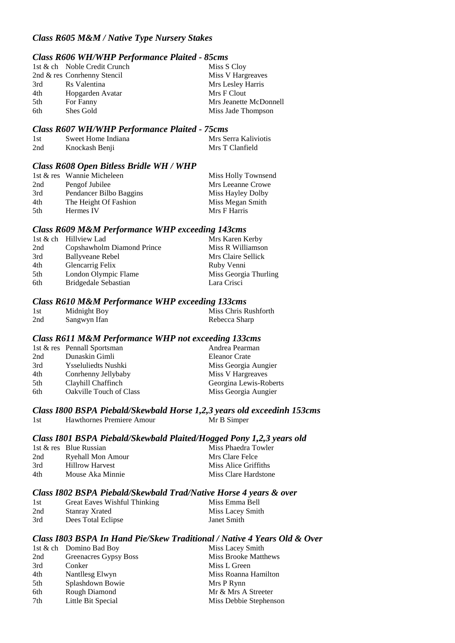### *Class R605 M&M / Native Type Nursery Stakes*

### *Class R606 WH/WHP Performance Plaited - 85cms*

|     | 1st & ch Noble Credit Crunch | Miss S Cloy            |
|-----|------------------------------|------------------------|
|     | 2nd & res Conrhenny Stencil  | Miss V Hargreaves      |
| 3rd | Rs Valentina                 | Mrs Lesley Harris      |
| 4th | Hopgarden Avatar             | Mrs F Clout            |
| 5th | For Fanny                    | Mrs Jeanette McDonnell |
| 6th | Shes Gold                    | Miss Jade Thompson     |

#### *Class R607 WH/WHP Performance Plaited - 75cms*

| -1st | Sweet Home Indiana | Mrs Serra Kaliviotis |
|------|--------------------|----------------------|
| 2nd  | Knockash Benji     | Mrs T Clanfield      |

#### *Class R608 Open Bitless Bridle WH / WHP*

|      | 1st & res Wannie Micheleen | Miss Holly Townsend |
|------|----------------------------|---------------------|
| 2nd  | Pengof Jubilee             | Mrs Leeanne Crowe   |
| 3rd  | Pendancer Bilbo Baggins    | Miss Hayley Dolby   |
| 4th  | The Height Of Fashion      | Miss Megan Smith    |
| .5th | Hermes IV                  | Mrs F Harris        |

## *Class R609 M&M Performance WHP exceeding 143cms*

|     | 1st & ch Hillyiew Lad      | Mrs Karen Kerby       |
|-----|----------------------------|-----------------------|
| 2nd | Copshawholm Diamond Prince | Miss R Williamson     |
| 3rd | <b>Ballyveane Rebel</b>    | Mrs Claire Sellick    |
| 4th | Glencarrig Felix           | Ruby Venni            |
| 5th | London Olympic Flame       | Miss Georgia Thurling |
| 6th | Bridgedale Sebastian       | Lara Crisci           |

#### *Class R610 M&M Performance WHP exceeding 133cms*

| 1st | Midnight Boy | Miss Chris Rushforth |
|-----|--------------|----------------------|
| 2nd | Sangwyn Ifan | Rebecca Sharp        |

#### *Class R611 M&M Performance WHP not exceeding 133cms*

|     | 1st & res Pennall Sportsman    | Andrea Pearman         |
|-----|--------------------------------|------------------------|
| 2nd | Dunaskin Gimli                 | <b>Eleanor Crate</b>   |
| 3rd | <b>Ysseluliedts Nushki</b>     | Miss Georgia Aungier   |
| 4th | Conrhenny Jellybaby            | Miss V Hargreaves      |
| 5th | Clayhill Chaffinch             | Georgina Lewis-Roberts |
| 6th | <b>Oakville Touch of Class</b> | Miss Georgia Aungier   |

# *Class I800 BSPA Piebald/Skewbald Horse 1,2,3 years old exceedinh 153cms*

1st Hawthornes Premiere Amour Mr B Simper

### *Class I801 BSPA Piebald/Skewbald Plaited/Hogged Pony 1,2,3 years old*

|     | 1st & res Blue Russian | Miss Phaedra Towler  |
|-----|------------------------|----------------------|
| 2nd | Ryehall Mon Amour      | Mrs Clare Felce      |
| 3rd | <b>Hillrow Harvest</b> | Miss Alice Griffiths |
| 4th | Mouse Aka Minnie       | Miss Clare Hardstone |

#### *Class I802 BSPA Piebald/Skewbald Trad/Native Horse 4 years & over*

| 1st | Great Eaves Wishful Thinking | Miss Emma Bell   |
|-----|------------------------------|------------------|
| 2nd | Stanray Xrated               | Miss Lacey Smith |
| 3rd | Dees Total Eclipse           | Janet Smith      |

#### *Class I803 BSPA In Hand Pie/Skew Traditional / Native 4 Years Old & Over*

|     | 1st & ch Domino Bad Boy | Miss Lacey Smith            |
|-----|-------------------------|-----------------------------|
| 2nd | Greenacres Gypsy Boss   | <b>Miss Brooke Matthews</b> |
| 3rd | Conker                  | Miss L Green                |
| 4th | Nantllesg Elwyn         | Miss Roanna Hamilton        |
| 5th | Splashdown Bowie        | Mrs P Rynn                  |
| 6th | Rough Diamond           | Mr & Mrs A Streeter         |
| 7th | Little Bit Special      | Miss Debbie Stephenson      |
|     |                         |                             |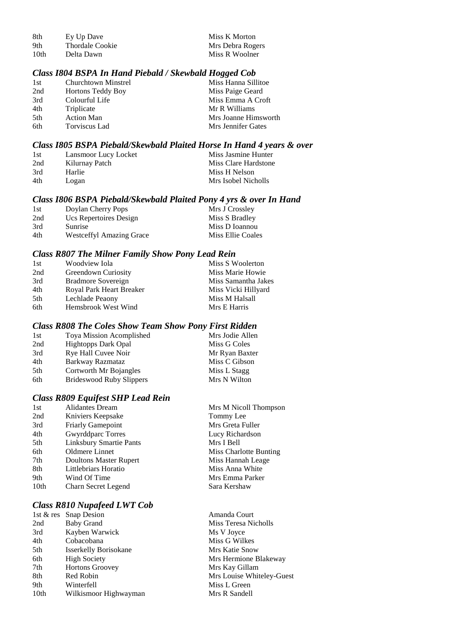| 8th  | Ey Up Dave      | Miss K Morton    |
|------|-----------------|------------------|
| 9th  | Thordale Cookie | Mrs Debra Rogers |
| 10th | Delta Dawn      | Miss R Woolner   |

### *Class I804 BSPA In Hand Piebald / Skewbald Hogged Cob*

| 1st | Churchtown Minstrel      | Miss Hanna Sillitoe  |
|-----|--------------------------|----------------------|
| 2nd | <b>Hortons Teddy Boy</b> | Miss Paige Geard     |
| 3rd | Colourful Life           | Miss Emma A Croft    |
| 4th | Triplicate               | Mr R Williams        |
| 5th | <b>Action Man</b>        | Mrs Joanne Himsworth |
| 6th | Torviscus Lad            | Mrs Jennifer Gates   |

#### *Class I805 BSPA Piebald/Skewbald Plaited Horse In Hand 4 years & over*

| -1st | Lansmoor Lucy Locket | Miss Jasmine Hunter  |
|------|----------------------|----------------------|
| 2nd  | Kilurnay Patch       | Miss Clare Hardstone |
| 3rd  | Harlie               | Miss H Nelson        |
| 4th  | Logan                | Mrs Isobel Nicholls  |

### *Class I806 BSPA Piebald/Skewbald Plaited Pony 4 yrs & over In Hand*

| 1st | Doylan Cherry Pops              | Mrs J Crossley    |
|-----|---------------------------------|-------------------|
| 2nd | Ucs Repertoires Design          | Miss S Bradley    |
| 3rd | Sunrise                         | Miss D Ioannou    |
| 4th | <b>Westceffyl Amazing Grace</b> | Miss Ellie Coales |

## *Class R807 The Milner Family Show Pony Lead Rein*

|                          | Miss S Woolerton    |
|--------------------------|---------------------|
| Greendown Curiosity      | Miss Marie Howie    |
| Bradmore Sovereign       | Miss Samantha Jakes |
| Royal Park Heart Breaker | Miss Vicki Hillyard |
| Lechlade Peaony          | Miss M Halsall      |
| Hemsbrook West Wind      | Mrs E Harris        |
|                          | Woodview Iola       |

### *Class R808 The Coles Show Team Show Pony First Ridden*

| 1st | Toya Mission Acomplished   | Mrs Jodie Allen |
|-----|----------------------------|-----------------|
| 2nd | <b>Hightopps Dark Opal</b> | Miss G Coles    |
| 3rd | Rye Hall Cuvee Noir        | Mr Ryan Baxter  |
| 4th | Barkway Razmataz           | Miss C Gibson   |
| 5th | Cortworth Mr Bojangles     | Miss L Stagg    |
| 6th | Brideswood Ruby Slippers   | Mrs N Wilton    |

## *Class R809 Equifest SHP Lead Rein*

| 1st  | <b>Alidantes Dream</b>         | Mrs M Nicoll Thompson  |
|------|--------------------------------|------------------------|
| 2nd  | Kniviers Keepsake              | Tommy Lee              |
| 3rd  | <b>Friarly Gamepoint</b>       | Mrs Greta Fuller       |
| 4th  | <b>Gwyrddparc Torres</b>       | Lucy Richardson        |
| 5th  | <b>Linksbury Smartie Pants</b> | Mrs I Bell             |
| 6th  | Oldmere Linnet                 | Miss Charlotte Bunting |
| 7th  | Doultons Master Rupert         | Miss Hannah Leage      |
| 8th  | Littlebriars Horatio           | Miss Anna White        |
| 9th  | Wind Of Time                   | Mrs Emma Parker        |
| 10th | Charn Secret Legend            | Sara Kershaw           |
|      |                                |                        |

# *Class R810 Nupafeed LWT Cob*

|      | 1st $\&$ res Snap Desion     |
|------|------------------------------|
| 2nd  | <b>Baby Grand</b>            |
| 3rd  | Kayben Warwick               |
| 4th  | Cobacobana                   |
| 5th  | <b>Isserkelly Borisokane</b> |
| 6th  | <b>High Society</b>          |
| 7th  | <b>Hortons Groovey</b>       |
| 8th  | Red Robin                    |
| 9th  | Winterfell                   |
| 10th | Wilkismoor Highwayman        |

Amanda Court Miss Teresa Nicholls Ms V Joyce Miss G Wilkes Mrs Katie Snow Mrs Hermione Blakeway Mrs Kay Gillam Mrs Louise Whiteley-Guest Miss L Green Mrs R Sandell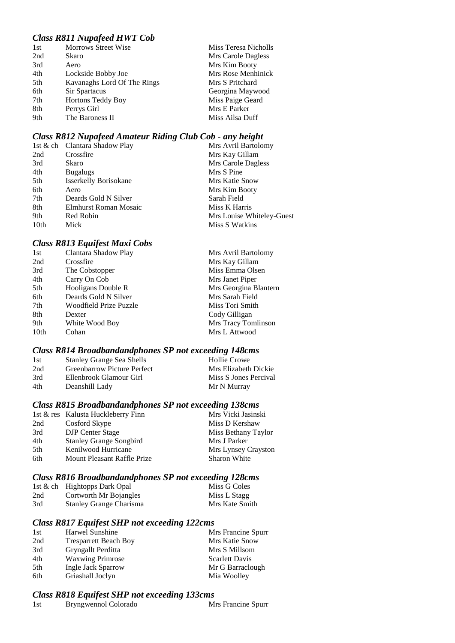## *Class R811 Nupafeed HWT Cob*

| 1st | <b>Morrows Street Wise</b>  | Miss Teresa Nicholls |
|-----|-----------------------------|----------------------|
| 2nd | Skaro                       | Mrs Carole Dagless   |
| 3rd | Aero                        | Mrs Kim Booty        |
| 4th | Lockside Bobby Joe          | Mrs Rose Menhinick   |
| 5th | Kavanaghs Lord Of The Rings | Mrs S Pritchard      |
| 6th | Sir Spartacus               | Georgina Maywood     |
| 7th | <b>Hortons Teddy Boy</b>    | Miss Paige Geard     |
| 8th | Perrys Girl                 | Mrs E Parker         |
| 9th | The Baroness II             | Miss Ailsa Duff      |

## *Class R812 Nupafeed Amateur Riding Club Cob - any height*

|      | 1st & ch Clantara Shadow Play | Mrs Avril Bartolomy       |
|------|-------------------------------|---------------------------|
| 2nd  | Crossfire                     | Mrs Kay Gillam            |
| 3rd  | Skaro                         | Mrs Carole Dagless        |
| 4th  | <b>Bugalugs</b>               | Mrs S Pine                |
| 5th  | <b>Isserkelly Borisokane</b>  | <b>Mrs Katie Snow</b>     |
| 6th  | Aero                          | Mrs Kim Booty             |
| 7th  | Deards Gold N Silver          | Sarah Field               |
| 8th  | Elmhurst Roman Mosaic         | Miss K Harris             |
| 9th  | Red Robin                     | Mrs Louise Whiteley-Guest |
| 10th | Mick                          | Miss S Watkins            |

### *Class R813 Equifest Maxi Cobs*

| 1st  | Clantara Shadow Play   | Mrs Avril Bartolomy   |
|------|------------------------|-----------------------|
| 2nd  | Crossfire              | Mrs Kay Gillam        |
| 3rd  | The Cobstopper         | Miss Emma Olsen       |
| 4th  | Carry On Cob           | Mrs Janet Piper       |
| 5th  | Hooligans Double R     | Mrs Georgina Blantern |
| 6th  | Deards Gold N Silver   | Mrs Sarah Field       |
| 7th  | Woodfield Prize Puzzle | Miss Tori Smith       |
| 8th  | Dexter                 | Cody Gilligan         |
| 9th  | White Wood Boy         | Mrs Tracy Tomlinson   |
| 10th | Cohan                  | Mrs L Attwood         |

## *Class R814 Broadbandandphones SP not exceeding 148cms*

| 1st | <b>Stanley Grange Sea Shells</b>   | <b>Hollie Crowe</b>   |
|-----|------------------------------------|-----------------------|
| 2nd | <b>Greenbarrow Picture Perfect</b> | Mrs Elizabeth Dickie  |
| 3rd | Ellenbrook Glamour Girl            | Miss S Jones Percival |
| 4th | Deanshill Lady                     | Mr N Murray           |
|     |                                    |                       |

## *Class R815 Broadbandandphones SP not exceeding 138cms*

|     | 1st & res Kalusta Huckleberry Finn | Mrs Vicki Jasinski  |
|-----|------------------------------------|---------------------|
| 2nd | Cosford Skype                      | Miss D Kershaw      |
| 3rd | <b>DJP</b> Center Stage            | Miss Bethany Taylor |
| 4th | <b>Stanley Grange Songbird</b>     | Mrs J Parker        |
| 5th | Kenilwood Hurricane                | Mrs Lynsey Crayston |
| 6th | Mount Pleasant Raffle Prize        | <b>Sharon White</b> |
|     |                                    |                     |

## *Class R816 Broadbandandphones SP not exceeding 128cms*

|     | 1st & ch Hightopps Dark Opal   | Miss G Coles   |
|-----|--------------------------------|----------------|
| 2nd | Cortworth Mr Bojangles         | Miss L Stagg   |
| 3rd | <b>Stanley Grange Charisma</b> | Mrs Kate Smith |

## *Class R817 Equifest SHP not exceeding 122cms*

| Harwel Sunshine              | Mrs Francine Spurr    |
|------------------------------|-----------------------|
| <b>Tresparrett Beach Boy</b> | Mrs Katie Snow        |
| Gryngallt Perditta           | Mrs S Millsom         |
| <b>Waxwing Primrose</b>      | <b>Scarlett Davis</b> |
| Ingle Jack Sparrow           | Mr G Barraclough      |
| Griashall Joclyn             | Mia Woolley           |
|                              |                       |

## *Class R818 Equifest SHP not exceeding 133cms*

| 1st | Bryngwennol Colorado | Mrs Francine Spurr |
|-----|----------------------|--------------------|
|-----|----------------------|--------------------|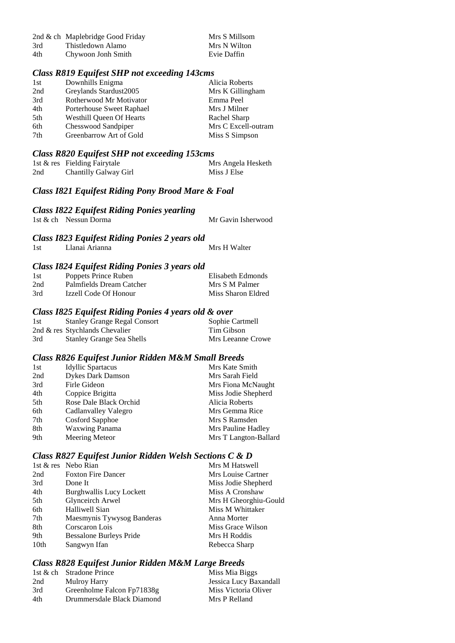|     | 2nd & ch Maplebridge Good Friday | Mrs S Millsom |
|-----|----------------------------------|---------------|
| 3rd | Thistledown Alamo                | Mrs N Wilton  |
| 4th | Chywoon Jonh Smith               | Evie Daffin   |

# *Class R819 Equifest SHP not exceeding 143cms*

| 1st | Downhills Enigma                | Alicia Roberts      |
|-----|---------------------------------|---------------------|
| 2nd | Greylands Stardust2005          | Mrs K Gillingham    |
| 3rd | Rotherwood Mr Motivator         | Emma Peel           |
| 4th | Porterhouse Sweet Raphael       | Mrs J Milner        |
| 5th | <b>Westhill Queen Of Hearts</b> | Rachel Sharp        |
| 6th | Chesswood Sandpiper             | Mrs C Excell-outram |
| 7th | Greenbarrow Art of Gold         | Miss S Simpson      |
|     |                                 |                     |

## *Class R820 Equifest SHP not exceeding 153cms*

|     | 1st & res Fielding Fairytale | Mrs Angela Hesketh |
|-----|------------------------------|--------------------|
| 2nd | Chantilly Galway Girl        | Miss J Else        |

# *Class I821 Equifest Riding Pony Brood Mare & Foal*

## *Class I822 Equifest Riding Ponies yearling*

| . .                   |  |                    |
|-----------------------|--|--------------------|
| 1st & ch Nessun Dorma |  | Mr Gavin Isherwood |
|                       |  |                    |

## *Class I823 Equifest Riding Ponies 2 years old*

|     | . .            |  |              |
|-----|----------------|--|--------------|
| 1st | Llanai Arianna |  | Mrs H Walter |
|     |                |  |              |

### *Class I824 Equifest Riding Ponies 3 years old*

| 1st | Poppets Prince Ruben     | Elisabeth Edmonds  |
|-----|--------------------------|--------------------|
| 2nd | Palmfields Dream Catcher | Mrs S M Palmer     |
| 3rd | Izzell Code Of Honour    | Miss Sharon Eldred |

### *Class I825 Equifest Riding Ponies 4 years old & over*

| 1st | <b>Stanley Grange Regal Consort</b> | Sophie Cartmell   |
|-----|-------------------------------------|-------------------|
|     | 2nd $\&$ res Stychlands Chevalier   | Tim Gibson        |
| 3rd | <b>Stanley Grange Sea Shells</b>    | Mrs Leeanne Crowe |

## *Class R826 Equifest Junior Ridden M&M Small Breeds*

| 1st | <b>Idyllic Spartacus</b> | Mrs Kate Smith        |
|-----|--------------------------|-----------------------|
| 2nd | <b>Dykes Dark Damson</b> | Mrs Sarah Field       |
| 3rd | Firle Gideon             | Mrs Fiona McNaught    |
| 4th | Coppice Brigitta         | Miss Jodie Shepherd   |
| 5th | Rose Dale Black Orchid   | Alicia Roberts        |
| 6th | Cadlanvalley Valegro     | Mrs Gemma Rice        |
| 7th | Cosford Sapphoe          | Mrs S Ramsden         |
| 8th | <b>Waxwing Panama</b>    | Mrs Pauline Hadley    |
| 9th | Meering Meteor           | Mrs T Langton-Ballard |
|     |                          |                       |

## *Class R827 Equifest Junior Ridden Welsh Sections C & D*

|                  | 1st & res Nebo Rian             | Mrs M Hatswell        |
|------------------|---------------------------------|-----------------------|
| 2nd              | <b>Foxton Fire Dancer</b>       | Mrs Louise Cartner    |
| 3rd              | Done It                         | Miss Jodie Shepherd   |
| 4th              | <b>Burghwallis Lucy Lockett</b> | Miss A Cronshaw       |
| 5th              | Glynceirch Arwel                | Mrs H Gheorghiu-Gould |
| 6th              | Halliwell Sian                  | Miss M Whittaker      |
| 7th              | Maesmynis Tywysog Banderas      | Anna Morter           |
| 8th              | Corscaron Lois                  | Miss Grace Wilson     |
| 9th              | <b>Bessalone Burleys Pride</b>  | Mrs H Roddis          |
| 10 <sub>th</sub> | Sangwyn Ifan                    | Rebecca Sharp         |

# *Class R828 Equifest Junior Ridden M&M Large Breeds*

|     | 1st & ch Stradone Prince   | Miss Mia Biggs         |
|-----|----------------------------|------------------------|
| 2nd | Mulroy Harry               | Jessica Lucy Baxandall |
| 3rd | Greenholme Falcon Fp71838g | Miss Victoria Oliver   |
| 4th | Drummersdale Black Diamond | Mrs P Relland          |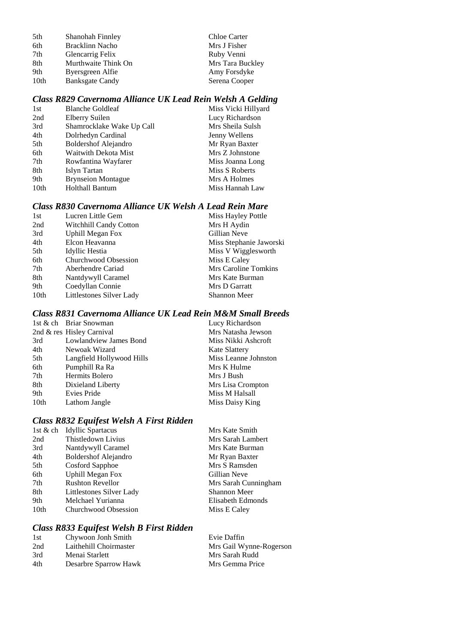| 5th              | Shanohah Finnley       | Chloe Carter     |
|------------------|------------------------|------------------|
| 6th              | Bracklinn Nacho        | Mrs J Fisher     |
| 7th              | Glencarrig Felix       | Ruby Venni       |
| 8th              | Murthwaite Think On    | Mrs Tara Buckley |
| 9th              | Byersgreen Alfie       | Amy Forsdyke     |
| 10 <sub>th</sub> | <b>Banksgate Candy</b> | Serena Cooper    |
|                  |                        |                  |

# *Class R829 Cavernoma Alliance UK Lead Rein Welsh A Gelding*

| 1st  | <b>Blanche Goldleaf</b>     | Miss Vicki Hillyard |
|------|-----------------------------|---------------------|
| 2nd  | Elberry Suilen              | Lucy Richardson     |
| 3rd  | Shamrocklake Wake Up Call   | Mrs Sheila Sulsh    |
| 4th  | Dolrhedyn Cardinal          | Jenny Wellens       |
| 5th  | <b>Boldershof Alejandro</b> | Mr Ryan Baxter      |
| 6th  | Waitwith Dekota Mist        | Mrs Z Johnstone     |
| 7th  | Rowfantina Wayfarer         | Miss Joanna Long    |
| 8th  | Islyn Tartan                | Miss S Roberts      |
| 9th  | <b>Brynseion Montague</b>   | Mrs A Holmes        |
| 10th | <b>Holthall Bantum</b>      | Miss Hannah Law     |
|      |                             |                     |

## *Class R830 Cavernoma Alliance UK Welsh A Lead Rein Mare*

| 1st              | Lucren Little Gem        | Miss Hayley Pottle      |
|------------------|--------------------------|-------------------------|
| 2nd              | Witchhill Candy Cotton   | Mrs H Aydin             |
| 3rd              | <b>Uphill Megan Fox</b>  | Gillian Neve            |
| 4th              | Elcon Heavanna           | Miss Stephanie Jaworski |
| 5th              | Idyllic Hestia           | Miss V Wigglesworth     |
| 6th              | Churchwood Obsession     | Miss E Caley            |
| 7th              | Aberhendre Cariad        | Mrs Caroline Tomkins    |
| 8th              | Nantdywyll Caramel       | Mrs Kate Burman         |
| 9th              | Coedyllan Connie         | Mrs D Garratt           |
| 10 <sub>th</sub> | Littlestones Silver Lady | <b>Shannon Meer</b>     |
|                  |                          |                         |

# *Class R831 Cavernoma Alliance UK Lead Rein M&M Small Breeds*

|      | 1st & ch Briar Snowman    | Lucy Richardson      |
|------|---------------------------|----------------------|
|      | 2nd & res Hisley Carnival | Mrs Natasha Jewson   |
| 3rd  | Lowlandview James Bond    | Miss Nikki Ashcroft  |
| 4th  | Newoak Wizard             | <b>Kate Slattery</b> |
| 5th  | Langfield Hollywood Hills | Miss Leanne Johnston |
| 6th  | Pumphill Ra Ra            | Mrs K Hulme          |
| 7th  | Hermits Bolero            | Mrs J Bush           |
| 8th  | Dixieland Liberty         | Mrs Lisa Crompton    |
| 9th  | Evies Pride               | Miss M Halsall       |
| 10th | Lathom Jangle             | Miss Daisy King      |

## *Class R832 Equifest Welsh A First Ridden*

| 1st & ch         | <b>Idyllic Spartacus</b>    | Mrs Kate Smith       |
|------------------|-----------------------------|----------------------|
| 2nd              | Thistledown Livius          | Mrs Sarah Lambert    |
| 3rd              | Nantdywyll Caramel          | Mrs Kate Burman      |
| 4th              | <b>Boldershof Alejandro</b> | Mr Ryan Baxter       |
| 5th              | Cosford Sapphoe             | Mrs S Ramsden        |
| 6th              | <b>Uphill Megan Fox</b>     | Gillian Neve         |
| 7th              | <b>Rushton Revellor</b>     | Mrs Sarah Cunningham |
| 8th              | Littlestones Silver Lady    | <b>Shannon Meer</b>  |
| 9th              | Melchael Yurianna           | Elisabeth Edmonds    |
| 10 <sub>th</sub> | Churchwood Obsession        | Miss E Caley         |
|                  |                             |                      |

## *Class R833 Equifest Welsh B First Ridden*

| 1st | Chywoon Jonh Smith     | Evie Daffin             |
|-----|------------------------|-------------------------|
| 2nd | Laithehill Choirmaster | Mrs Gail Wynne-Rogerson |
| 3rd | Menai Starlett         | Mrs Sarah Rudd          |
| 4th | Desarbre Sparrow Hawk  | Mrs Gemma Price         |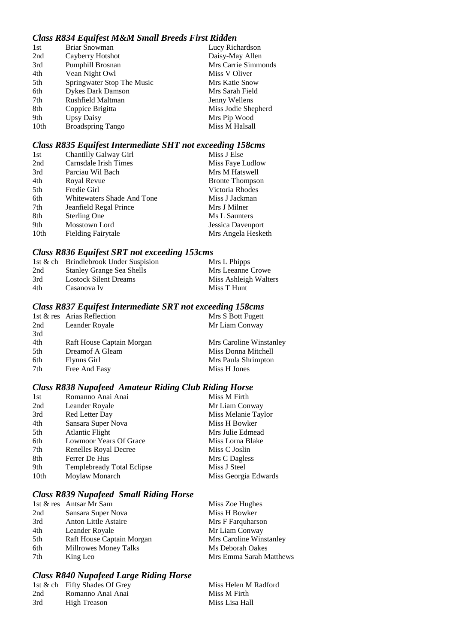## *Class R834 Equifest M&M Small Breeds First Ridden*

| 1st  | Briar Snowman              | Lucy Richardson     |
|------|----------------------------|---------------------|
| 2nd  | Cayberry Hotshot           | Daisy-May Allen     |
| 3rd  | Pumphill Brosnan           | Mrs Carrie Simmonds |
| 4th  | Vean Night Owl             | Miss V Oliver       |
| 5th  | Springwater Stop The Music | Mrs Katie Snow      |
| 6th  | <b>Dykes Dark Damson</b>   | Mrs Sarah Field     |
| 7th  | Rushfield Maltman          | Jenny Wellens       |
| 8th  | Coppice Brigitta           | Miss Jodie Shepherd |
| 9th  | <b>Upsy Daisy</b>          | Mrs Pip Wood        |
| 10th | <b>Broadspring Tango</b>   | Miss M Halsall      |
|      |                            |                     |

## *Class R835 Equifest Intermediate SHT not exceeding 158cms*

| 1st              | Chantilly Galway Girl      | Miss J Else            |
|------------------|----------------------------|------------------------|
| 2nd              | Carnsdale Irish Times      | Miss Faye Ludlow       |
| 3rd              | Parciau Wil Bach           | Mrs M Hatswell         |
| 4th              | Royal Revue                | <b>Bronte Thompson</b> |
| 5th              | Fredie Girl                | Victoria Rhodes        |
| 6th              | Whitewaters Shade And Tone | Miss J Jackman         |
| 7th              | Jeanfield Regal Prince     | Mrs J Milner           |
| 8th              | Sterling One               | Ms L Saunters          |
| 9th              | Mosstown Lord              | Jessica Davenport      |
| 10 <sub>th</sub> | <b>Fielding Fairytale</b>  | Mrs Angela Hesketh     |

## *Class R836 Equifest SRT not exceeding 153cms*

|     | 1st & ch Brindlebrook Under Suspision | Mrs L Phipps          |
|-----|---------------------------------------|-----------------------|
| 2nd | <b>Stanley Grange Sea Shells</b>      | Mrs Leeanne Crowe     |
| 3rd | <b>Lostock Silent Dreams</b>          | Miss Ashleigh Walters |
| 4th | Casanova Iv                           | Miss T Hunt           |

# *Class R837 Equifest Intermediate SRT not exceeding 158cms*

|     | 1st & res Arias Reflection | Mrs S Bott Fugett       |
|-----|----------------------------|-------------------------|
| 2nd | Leander Royale             | Mr Liam Conway          |
| 3rd |                            |                         |
| 4th | Raft House Captain Morgan  | Mrs Caroline Winstanley |
| 5th | Dreamof A Gleam            | Miss Donna Mitchell     |
| 6th | Flynns Girl                | Mrs Paula Shrimpton     |
| 7th | Free And Easy              | Miss H Jones            |
|     |                            |                         |

## *Class R838 Nupafeed Amateur Riding Club Riding Horse*

| 1st  | Romanno Anai Anai                 | Miss M Firth         |
|------|-----------------------------------|----------------------|
| 2nd  | Leander Royale                    | Mr Liam Conway       |
| 3rd  | Red Letter Day                    | Miss Melanie Taylor  |
| 4th  | Sansara Super Nova                | Miss H Bowker        |
| 5th  | <b>Atlantic Flight</b>            | Mrs Julie Edmead     |
| 6th  | Lowmoor Years Of Grace            | Miss Lorna Blake     |
| 7th  | Renelles Royal Decree             | Miss C Joslin        |
| 8th  | Ferrer De Hus                     | Mrs C Dagless        |
| 9th  | <b>Templebready Total Eclipse</b> | Miss J Steel         |
| 10th | Moylaw Monarch                    | Miss Georgia Edwards |

## *Class R839 Nupafeed Small Riding Horse*

|     | 1st & res Antsar Mr Sam     | Miss Zoe Hughes         |
|-----|-----------------------------|-------------------------|
| 2nd | Sansara Super Nova          | Miss H Bowker           |
| 3rd | <b>Anton Little Astaire</b> | Mrs F Farquharson       |
| 4th | Leander Royale              | Mr Liam Conway          |
| 5th | Raft House Captain Morgan   | Mrs Caroline Winstanley |
| 6th | Millrowes Money Talks       | Ms Deborah Oakes        |
| 7th | King Leo                    | Mrs Emma Sarah Matthews |

## *Class R840 Nupafeed Large Riding Horse*

|     | 1st & ch Fifty Shades Of Grey | Miss Helen M Radford |
|-----|-------------------------------|----------------------|
| 2nd | Romanno Anai Anai             | Miss M Firth         |
| 3rd | High Treason                  | Miss Lisa Hall       |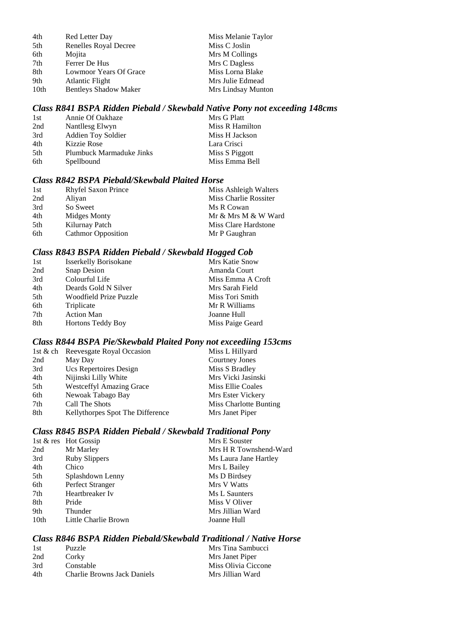| 4th  | Red Letter Day               | Miss Melanie Taylor |
|------|------------------------------|---------------------|
| 5th  | Renelles Royal Decree        | Miss C Joslin       |
| 6th  | Mojita                       | Mrs M Collings      |
| 7th  | Ferrer De Hus                | Mrs C Dagless       |
| 8th  | Lowmoor Years Of Grace       | Miss Lorna Blake    |
| 9th  | <b>Atlantic Flight</b>       | Mrs Julie Edmead    |
| 10th | <b>Bentleys Shadow Maker</b> | Mrs Lindsay Munton  |

### *Class R841 BSPA Ridden Piebald / Skewbald Native Pony not exceeding 148cms*

| 1st  | Annie Of Oakhaze         | Mrs G Platt     |
|------|--------------------------|-----------------|
| 2nd  | Nantllesg Elwyn          | Miss R Hamilton |
| 3rd  | Addien Toy Soldier       | Miss H Jackson  |
| 4th  | Kizzie Rose              | Lara Crisci     |
| .5th | Plumbuck Marmaduke Jinks | Miss S Piggott  |
| 6th  | Spellbound               | Miss Emma Bell  |

## *Class R842 BSPA Piebald/Skewbald Plaited Horse*

| 1st | <b>Rhyfel Saxon Prince</b> | Miss Ashleigh Walters |
|-----|----------------------------|-----------------------|
| 2nd | Aliyan                     | Miss Charlie Rossiter |
| 3rd | So Sweet                   | Ms R Cowan            |
| 4th | Midges Monty               | Mr & Mrs M & W Ward   |
| 5th | Kilurnay Patch             | Miss Clare Hardstone  |
| 6th | <b>Cathmor Opposition</b>  | Mr P Gaughran         |

### *Class R843 BSPA Ridden Piebald / Skewbald Hogged Cob*

|     |                              | <u>UU</u>         |
|-----|------------------------------|-------------------|
| 1st | <b>Isserkelly Borisokane</b> | Mrs Katie Snow    |
| 2nd | Snap Desion                  | Amanda Court      |
| 3rd | Colourful Life               | Miss Emma A Croft |
| 4th | Deards Gold N Silver         | Mrs Sarah Field   |
| 5th | Woodfield Prize Puzzle       | Miss Tori Smith   |
| 6th | Triplicate                   | Mr R Williams     |
| 7th | <b>Action Man</b>            | Joanne Hull       |
| 8th | <b>Hortons Teddy Boy</b>     | Miss Paige Geard  |
|     |                              |                   |

### *Class R844 BSPA Pie/Skewbald Plaited Pony not exceediing 153cms*

|     | 1st & ch Reevesgate Royal Occasion | Miss L Hillyard        |
|-----|------------------------------------|------------------------|
| 2nd | May Day                            | <b>Courtney Jones</b>  |
| 3rd | Ucs Repertoires Design             | Miss S Bradley         |
| 4th | Nijinski Lilly White               | Mrs Vicki Jasinski     |
| 5th | <b>Westceffyl Amazing Grace</b>    | Miss Ellie Coales      |
| 6th | Newoak Tabago Bay                  | Mrs Ester Vickery      |
| 7th | Call The Shots                     | Miss Charlotte Bunting |
| 8th | Kellythorpes Spot The Difference   | Mrs Janet Piper        |

### *Class R845 BSPA Ridden Piebald / Skewbald Traditional Pony*

|      | 1st & res Hot Gossip | Mrs E Souster          |
|------|----------------------|------------------------|
| 2nd  | Mr Marley            | Mrs H R Townshend-Ward |
| 3rd  | <b>Ruby Slippers</b> | Ms Laura Jane Hartley  |
| 4th  | Chico                | Mrs L Bailey           |
| 5th  | Splashdown Lenny     | Ms D Birdsey           |
| 6th  | Perfect Stranger     | Mrs V Watts            |
| 7th  | Heartbreaker Iv      | Ms L Saunters          |
| 8th  | Pride                | Miss V Oliver          |
| 9th  | Thunder              | Mrs Jillian Ward       |
| 10th | Little Charlie Brown | Joanne Hull            |
|      |                      |                        |

#### *Class R846 BSPA Ridden Piebald/Skewbald Traditional / Native Horse*

| 1st | Puzzle                             | Mrs Tina Sambucci   |
|-----|------------------------------------|---------------------|
| 2nd | Corky                              | Mrs Janet Piper     |
| 3rd | Constable                          | Miss Olivia Ciccone |
| 4th | <b>Charlie Browns Jack Daniels</b> | Mrs Jillian Ward    |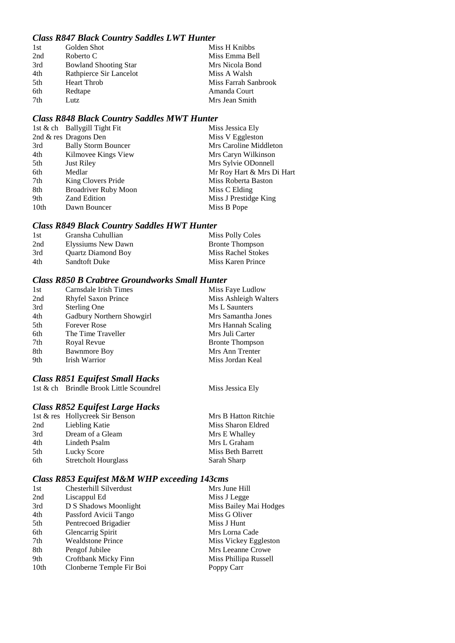## *Class R847 Black Country Saddles LWT Hunter*

| 1st | Golden Shot                  | Miss H Knibbs        |
|-----|------------------------------|----------------------|
| 2nd | Roberto C                    | Miss Emma Bell       |
| 3rd | <b>Bowland Shooting Star</b> | Mrs Nicola Bond      |
| 4th | Rathpierce Sir Lancelot      | Miss A Walsh         |
| 5th | <b>Heart Throb</b>           | Miss Farrah Sanbrook |
| 6th | Redtape                      | Amanda Court         |
| 7th | Lutz                         | Mrs Jean Smith       |

## *Class R848 Black Country Saddles MWT Hunter*

|                  | 1st & ch Ballygill Tight Fit | Miss Jessica Ely          |
|------------------|------------------------------|---------------------------|
|                  | 2nd & res Dragons Den        | Miss V Eggleston          |
| 3rd              | <b>Bally Storm Bouncer</b>   | Mrs Caroline Middleton    |
| 4th              | Kilmovee Kings View          | Mrs Caryn Wilkinson       |
| 5th              | <b>Just Riley</b>            | Mrs Sylvie ODonnell       |
| 6th              | Medlar                       | Mr Roy Hart & Mrs Di Hart |
| 7th              | King Clovers Pride           | Miss Roberta Baston       |
| 8th              | <b>Broadriver Ruby Moon</b>  | Miss C Elding             |
| 9th              | <b>Zand Edition</b>          | Miss J Prestidge King     |
| 10 <sub>th</sub> | Dawn Bouncer                 | Miss B Pope               |

## *Class R849 Black Country Saddles HWT Hunter*

| 1st | Gransha Cuhullian         | Miss Polly Coles          |
|-----|---------------------------|---------------------------|
| 2nd | Elyssiums New Dawn        | <b>Bronte Thompson</b>    |
| 3rd | <b>Ouartz Diamond Boy</b> | <b>Miss Rachel Stokes</b> |
| 4th | <b>Sandtoft Duke</b>      | Miss Karen Prince         |

## *Class R850 B Crabtree Groundworks Small Hunter*

| 1st | Carnsdale Irish Times      | Miss Faye Ludlow       |
|-----|----------------------------|------------------------|
| 2nd | <b>Rhyfel Saxon Prince</b> | Miss Ashleigh Walters  |
| 3rd | <b>Sterling One</b>        | Ms L Saunters          |
| 4th | Gadbury Northern Showgirl  | Mrs Samantha Jones     |
| 5th | <b>Forever Rose</b>        | Mrs Hannah Scaling     |
| 6th | The Time Traveller         | Mrs Juli Carter        |
| 7th | Royal Revue                | <b>Bronte Thompson</b> |
| 8th | <b>Bawnmore Boy</b>        | Mrs Ann Trenter        |
| 9th | Irish Warrior              | Miss Jordan Keal       |

### *Class R851 Equifest Small Hacks*

1st & ch Brindle Brook Little Scoundrel Miss Jessica Ely

### *Class R852 Equifest Large Hacks*

|     | 1st & res Hollycreek Sir Benson | Mrs B Hatton Ritchie |
|-----|---------------------------------|----------------------|
| 2nd | Liebling Katie                  | Miss Sharon Eldred   |
| 3rd | Dream of a Gleam                | Mrs E Whalley        |
| 4th | Lindeth Psalm                   | Mrs L Graham         |
| 5th | Lucky Score                     | Miss Beth Barrett    |
| 6th | <b>Stretcholt Hourglass</b>     | Sarah Sharp          |
|     |                                 |                      |

## *Class R853 Equifest M&M WHP exceeding 143cms*

| 1st              | Chesterhill Silverdust   | Mrs June Hill          |
|------------------|--------------------------|------------------------|
| 2nd              | Liscappul Ed             | Miss J Legge           |
| 3rd              | D S Shadows Moonlight    | Miss Bailey Mai Hodges |
| 4th              | Passford Avicii Tango    | Miss G Oliver          |
| 5th              | Pentrecoed Brigadier     | Miss J Hunt            |
| 6th              | Glencarrig Spirit        | Mrs Lorna Cade         |
| 7th              | <b>Wealdstone Prince</b> | Miss Vickey Eggleston  |
| 8th              | Pengof Jubilee           | Mrs Leeanne Crowe      |
| 9th              | Croftbank Micky Finn     | Miss Phillipa Russell  |
| 10 <sub>th</sub> | Clonberne Temple Fir Boi | Poppy Carr             |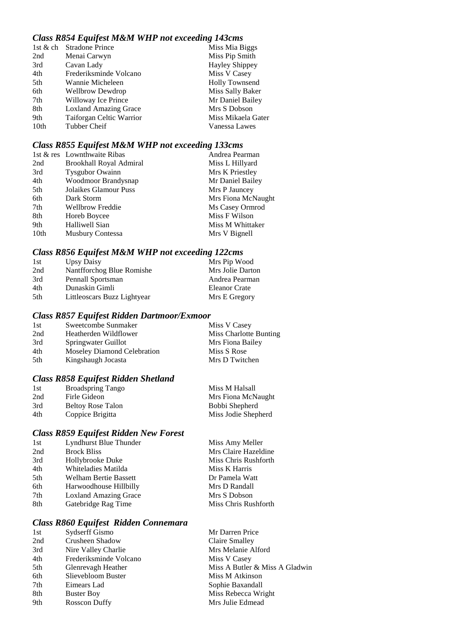## *Class R854 Equifest M&M WHP not exceeding 143cms*

| 1st & ch         | <b>Stradone Prince</b>       | Miss Mia Biggs        |
|------------------|------------------------------|-----------------------|
| 2nd              | Menai Carwyn                 | Miss Pip Smith        |
| 3rd              | Cavan Lady                   | <b>Hayley Shippey</b> |
| 4th              | Frederiksminde Volcano       | Miss V Casey          |
| 5th              | Wannie Micheleen             | <b>Holly Townsend</b> |
| 6th              | <b>Wellbrow Dewdrop</b>      | Miss Sally Baker      |
| 7th              | Willoway Ice Prince          | Mr Daniel Bailey      |
| 8th              | <b>Loxland Amazing Grace</b> | Mrs S Dobson          |
| 9th              | Taiforgan Celtic Warrior     | Miss Mikaela Gater    |
| 10 <sub>th</sub> | Tubber Cheif                 | Vanessa Lawes         |
|                  |                              |                       |

## *Class R855 Equifest M&M WHP not exceeding 133cms*

|      | 1st & res Lownthwaite Ribas | Andrea Pearman     |
|------|-----------------------------|--------------------|
| 2nd  | Brookhall Royal Admiral     | Miss L Hillyard    |
| 3rd  | <b>Tysgubor Owainn</b>      | Mrs K Priestley    |
| 4th  | Woodmoor Brandysnap         | Mr Daniel Bailey   |
| 5th  | Jolaikes Glamour Puss       | Mrs P Jauncey      |
| 6th  | Dark Storm                  | Mrs Fiona McNaught |
| 7th  | <b>Wellbrow Freddie</b>     | Ms Casey Ormrod    |
| 8th  | Horeb Boycee                | Miss F Wilson      |
| 9th  | Halliwell Sian              | Miss M Whittaker   |
| 10th | <b>Musbury Contessa</b>     | Mrs V Bignell      |

## *Class R856 Equifest M&M WHP not exceeding 122cms*

| 1st | Upsy Daisy                  | Mrs Pip Wood     |
|-----|-----------------------------|------------------|
| 2nd | Nantfforchog Blue Romishe   | Mrs Jolie Darton |
| 3rd | Pennall Sportsman           | Andrea Pearman   |
| 4th | Dunaskin Gimli              | Eleanor Crate    |
| 5th | Littleoscars Buzz Lightyear | Mrs E Gregory    |

### *Class R857 Equifest Ridden Dartmoor/Exmoor*

| 1st | Sweetcombe Sunmaker         | Miss V Casey           |
|-----|-----------------------------|------------------------|
| 2nd | Heatherden Wildflower       | Miss Charlotte Bunting |
| 3rd | Springwater Guillot         | Mrs Fiona Bailey       |
| 4th | Moseley Diamond Celebration | Miss S Rose            |
| 5th | Kingshaugh Jocasta          | Mrs D Twitchen         |

### *Class R858 Equifest Ridden Shetland*

| 1st | <b>Broadspring Tango</b> | Miss M Halsall      |
|-----|--------------------------|---------------------|
| 2nd | Firle Gideon             | Mrs Fiona McNaught  |
| 3rd | <b>Beltoy Rose Talon</b> | Bobbi Shepherd      |
| 4th | Coppice Brigitta         | Miss Jodie Shepherd |

## *Class R859 Equifest Ridden New Forest*

| 1st | Lyndhurst Blue Thunder       | Miss Amy Meller      |
|-----|------------------------------|----------------------|
| 2nd | <b>Brock Bliss</b>           | Mrs Claire Hazeldine |
| 3rd | Hollybrooke Duke             | Miss Chris Rushforth |
| 4th | Whiteladies Matilda          | Miss K Harris        |
| 5th | <b>Welham Bertie Bassett</b> | Dr Pamela Watt       |
| 6th | Harwoodhouse Hillbilly       | Mrs D Randall        |
| 7th | <b>Loxland Amazing Grace</b> | Mrs S Dobson         |
| 8th | Gatebridge Rag Time          | Miss Chris Rushforth |
|     |                              |                      |

## *Class R860 Equifest Ridden Connemara*

| 1st | Sydserff Gismo         | Mr Darren Price                |
|-----|------------------------|--------------------------------|
| 2nd | Crusheen Shadow        | Claire Smalley                 |
| 3rd | Nire Valley Charlie    | Mrs Melanie Alford             |
| 4th | Frederiksminde Volcano | Miss V Casey                   |
| 5th | Glenrevagh Heather     | Miss A Butler & Miss A Gladwin |
| 6th | Slievebloom Buster     | Miss M Atkinson                |
| 7th | Eimears Lad            | Sophie Baxandall               |
| 8th | <b>Buster Boy</b>      | Miss Rebecca Wright            |
| 9th | Rosscon Duffy          | Mrs Julie Edmead               |
|     |                        |                                |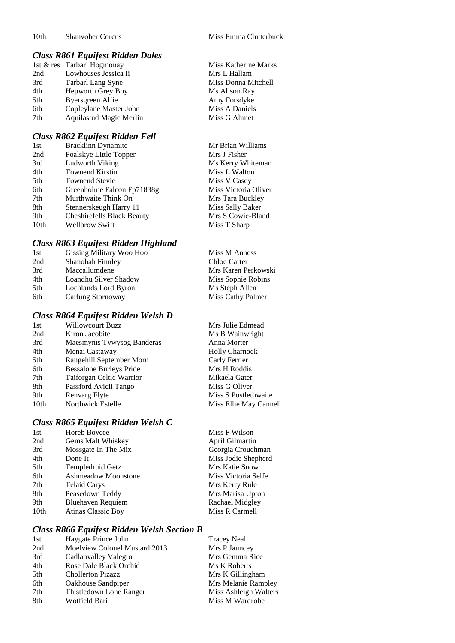### *Class R861 Equifest Ridden Dales*

|     | 1st & res Tarbarl Hogmonay | Miss Katherine Marks |
|-----|----------------------------|----------------------|
| 2nd | Lowhouses Jessica Ii       | Mrs L Hallam         |
| 3rd | Tarbarl Lang Syne          | Miss Donna Mitchell  |
| 4th | Hepworth Grey Boy          | Ms Alison Ray        |
| 5th | Byersgreen Alfie           | Amy Forsdyke         |
| 6th | Copleylane Master John     | Miss A Daniels       |
| 7th | Aquilastud Magic Merlin    | Miss G Ahmet         |

### *Class R862 Equifest Ridden Fell*

| <b>Bracklinn Dynamite</b>         | Mr Brian Williams    |
|-----------------------------------|----------------------|
| Foalskye Little Topper            | Mrs J Fisher         |
| Ludworth Viking                   | Ms Kerry Whiteman    |
| <b>Townend Kirstin</b>            | Miss L Walton        |
| <b>Townend Stevie</b>             | Miss V Casey         |
| Greenholme Falcon Fp71838g        | Miss Victoria Oliver |
| Murthwaite Think On               | Mrs Tara Buckley     |
| Stennerskeugh Harry 11            | Miss Sally Baker     |
| <b>Cheshirefells Black Beauty</b> | Mrs S Cowie-Bland    |
| <b>Wellbrow Swift</b>             | Miss T Sharp         |
|                                   |                      |

### *Class R863 Equifest Ridden Highland*

| 1st  | Gissing Military Woo Hoo | Miss M Anness       |
|------|--------------------------|---------------------|
| 2nd  | Shanohah Finnley         | Chloe Carter        |
| 3rd  | Maccallumdene            | Mrs Karen Perkowski |
| 4th  | Loandhu Silver Shadow    | Miss Sophie Robins  |
| .5th | Lochlands Lord Byron     | Ms Steph Allen      |
| 6th  | Carlung Stornoway        | Miss Cathy Palmer   |
|      |                          |                     |

## *Class R864 Equifest Ridden Welsh D*

| 1st  | <b>Willowcourt Buzz</b>        | Mrs Julie Edmead       |
|------|--------------------------------|------------------------|
| 2nd  | Kiron Jacobite                 | Ms B Wainwright        |
| 3rd  | Maesmynis Tywysog Banderas     | Anna Morter            |
| 4th  | Menai Castaway                 | <b>Holly Charnock</b>  |
| 5th  | Rangehill September Morn       | Carly Ferrier          |
| 6th  | <b>Bessalone Burleys Pride</b> | Mrs H Roddis           |
| 7th  | Taiforgan Celtic Warrior       | Mikaela Gater          |
| 8th  | Passford Avicii Tango          | Miss G Oliver          |
| 9th  | Renvarg Flyte                  | Miss S Postlethwaite   |
| 10th | Northwick Estelle              | Miss Ellie May Cannell |
|      |                                |                        |

## *Class R865 Equifest Ridden Welsh C*

| 1st              | Horeb Boycee             |
|------------------|--------------------------|
| 2nd              | Gems Malt Whiskey        |
| 3rd              | Mossgate In The Mix      |
| 4th              | Done It                  |
| 5th              | Templedruid Getz         |
| 6th              | Ashmeadow Moonstone      |
| 7th              | <b>Telaid Carys</b>      |
| 8th              | Peasedown Teddy          |
| 9th              | <b>Bluehaven Requiem</b> |
| 10 <sub>th</sub> | Atinas Classic Boy       |

## *Class R866 Equifest Ridden Welsh Section B*

| 1st | Haygate Prince John           | <b>Tracey Neal</b>    |
|-----|-------------------------------|-----------------------|
| 2nd | Moelview Colonel Mustard 2013 | Mrs P Jauncey         |
| 3rd | Cadlanvalley Valegro          | Mrs Gemma Rice        |
| 4th | Rose Dale Black Orchid        | Ms K Roberts          |
| 5th | <b>Chollerton Pizazz</b>      | Mrs K Gillingham      |
| 6th | Oakhouse Sandpiper            | Mrs Melanie Rampley   |
| 7th | Thistledown Lone Ranger       | Miss Ashleigh Walters |
| 8th | Wotfield Bari                 | Miss M Wardrobe       |
|     |                               |                       |

| Miss Katherine Marks |
|----------------------|
| Mrs L Hallam         |
| Miss Donna Mitchell  |
| Ms Alison Ray        |
| Amy Forsdyke         |
| Miss A Daniels       |
| Miss G Ahmet         |

| Miss M Anness      |
|--------------------|
| Chloe Carter       |
| Mrs Karen Perkowsk |
| Miss Sophie Robins |
| Ms Steph Allen     |
| Miss Cathy Palmer  |

| Mrs Julie Edmead      |
|-----------------------|
| Ms B Wainwright       |
| Anna Morter           |
| <b>Holly Charnock</b> |
| Carly Ferrier         |
| Mrs H Roddis          |
| Mikaela Gater         |
| Miss G Oliver         |
| Miss S Postlethwaite  |
| Miss Ellie May Canne  |

Miss F Wilson April Gilmartin Georgia Crouchman Miss Jodie Shepherd Mrs Katie Snow Miss Victoria Selfe Mrs Kerry Rule Mrs Marisa Upton Rachael Midgley Miss R Carmell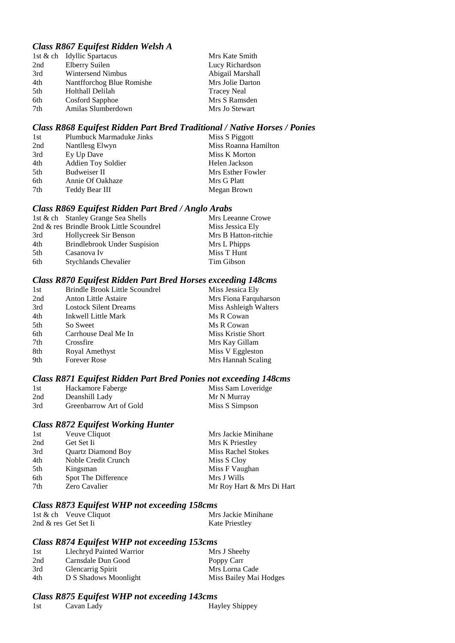## *Class R867 Equifest Ridden Welsh A*

|     | 1st & ch Idyllic Spartacus | Mrs Kate Smith     |
|-----|----------------------------|--------------------|
| 2nd | Elberry Suilen             | Lucy Richardson    |
| 3rd | Wintersend Nimbus          | Abigail Marshall   |
| 4th | Nantfforchog Blue Romishe  | Mrs Jolie Darton   |
| 5th | Holthall Delilah           | <b>Tracey Neal</b> |
| 6th | Cosford Sapphoe            | Mrs S Ramsden      |
| 7th | Amilas Slumberdown         | Mrs Jo Stewart     |
|     |                            |                    |

### *Class R868 Equifest Ridden Part Bred Traditional / Native Horses / Ponies*

### *Class R869 Equifest Ridden Part Bred / Anglo Arabs*

|     | 1st & ch Stanley Grange Sea Shells       | Mrs Leeanne Crowe    |
|-----|------------------------------------------|----------------------|
|     | 2nd & res Brindle Brook Little Scoundrel | Miss Jessica Ely     |
| 3rd | Hollycreek Sir Benson                    | Mrs B Hatton-ritchie |
| 4th | <b>Brindlebrook Under Suspision</b>      | Mrs L Phipps         |
| 5th | Casanova Iv                              | Miss T Hunt          |
| 6th | <b>Stychlands Chevalier</b>              | Tim Gibson           |
|     |                                          |                      |

## *Class R870 Equifest Ridden Part Bred Horses exceeding 148cms*

| 1st | <b>Brindle Brook Little Scoundrel</b> | Miss Jessica Ely      |
|-----|---------------------------------------|-----------------------|
| 2nd | <b>Anton Little Astaire</b>           | Mrs Fiona Farquharson |
| 3rd | <b>Lostock Silent Dreams</b>          | Miss Ashleigh Walters |
| 4th | Inkwell Little Mark                   | Ms R Cowan            |
| 5th | So Sweet                              | Ms R Cowan            |
| 6th | Carrhouse Deal Me In                  | Miss Kristie Short    |
| 7th | Crossfire                             | Mrs Kay Gillam        |
| 8th | Royal Amethyst                        | Miss V Eggleston      |
| 9th | <b>Forever Rose</b>                   | Mrs Hannah Scaling    |
|     |                                       |                       |

## *Class R871 Equifest Ridden Part Bred Ponies not exceeding 148cms*

| 1st | Hackamore Faberge       | Miss Sam Loveridge |
|-----|-------------------------|--------------------|
| 2nd | Deanshill Lady          | Mr N Murray        |
| 3rd | Greenbarrow Art of Gold | Miss S Simpson     |

### *Class R872 Equifest Working Hunter*

| 1st | Veuve Cliquot             | Mrs Jackie Minihane       |
|-----|---------------------------|---------------------------|
| 2nd | Get Set Ii                | Mrs K Priestley           |
| 3rd | <b>Ouartz Diamond Boy</b> | Miss Rachel Stokes        |
| 4th | Noble Credit Crunch       | Miss S Cloy               |
| 5th | Kingsman                  | Miss F Vaughan            |
| 6th | Spot The Difference       | Mrs J Wills               |
| 7th | Zero Cavalier             | Mr Roy Hart & Mrs Di Hart |
|     |                           |                           |

### *Class R873 Equifest WHP not exceeding 158cms*

| 1st & ch Veuve Cliquot | Mrs Jackie Minihane   |
|------------------------|-----------------------|
| 2nd & res Get Set Ii   | <b>Kate Priestley</b> |

## *Class R874 Equifest WHP not exceeding 153cms*

| 1st | Llechryd Painted Warrior | Mrs J Sheehy           |
|-----|--------------------------|------------------------|
| 2nd | Carnsdale Dun Good       | Poppy Carr             |
| 3rd | <b>Glencarrig Spirit</b> | Mrs Lorna Cade         |
| 4th | D S Shadows Moonlight    | Miss Bailey Mai Hodges |

# *Class R875 Equifest WHP not exceeding 143cms*

| 1st<br>Cavan Lady | Hayley Shippey |
|-------------------|----------------|
|-------------------|----------------|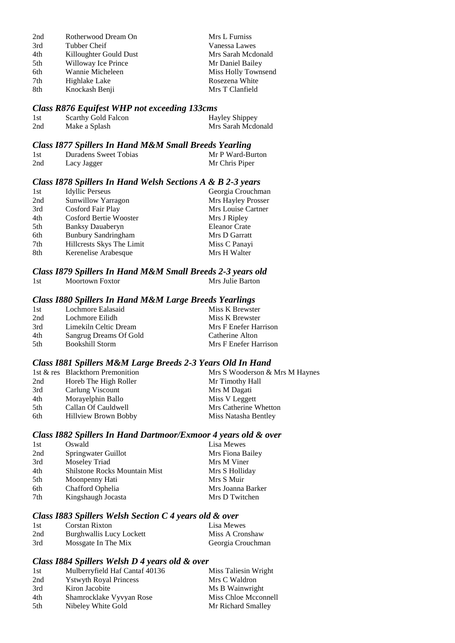| 2nd | Rotherwood Dream On    | Mrs L Furniss       |
|-----|------------------------|---------------------|
| 3rd | Tubber Cheif           | Vanessa Lawes       |
| 4th | Killoughter Gould Dust | Mrs Sarah Mcdonald  |
| 5th | Willoway Ice Prince    | Mr Daniel Bailey    |
| 6th | Wannie Micheleen       | Miss Holly Townsend |
| 7th | Highlake Lake          | Rosezena White      |
| 8th | Knockash Benji         | Mrs T Clanfield     |

## *Class R876 Equifest WHP not exceeding 133cms*

| 1st | Scarthy Gold Falcon | <b>Hayley Shippey</b> |
|-----|---------------------|-----------------------|
| 2nd | Make a Splash       | Mrs Sarah Mcdonald    |

#### *Class I877 Spillers In Hand M&M Small Breeds Yearling*

| 1st | Duradens Sweet Tobias | Mr P Ward-Burton |
|-----|-----------------------|------------------|
| 2nd | Lacy Jagger           | Mr Chris Piper   |

### *Class I878 Spillers In Hand Welsh Sections A & B 2-3 years*

| 1st | <b>Idyllic Perseus</b>     | Georgia Crouchman    |
|-----|----------------------------|----------------------|
| 2nd | Sunwillow Yarragon         | Mrs Hayley Prosser   |
| 3rd | Cosford Fair Play          | Mrs Louise Cartner   |
| 4th | Cosford Bertie Wooster     | Mrs J Ripley         |
| 5th | <b>Banksy Dauaberyn</b>    | <b>Eleanor Crate</b> |
| 6th | <b>Bunbury Sandringham</b> | Mrs D Garratt        |
| 7th | Hillcrests Skys The Limit  | Miss C Panayi        |
| 8th | Kerenelise Arabesque       | Mrs H Walter         |
|     |                            |                      |

### *Class I879 Spillers In Hand M&M Small Breeds 2-3 years old* 1st Moortown Foxtor

## *Class I880 Spillers In Hand M&M Large Breeds Yearlings*

| 1st  | Lochmore Ealasaid      | Miss K Brewster       |
|------|------------------------|-----------------------|
| 2nd  | Lochmore Eilidh        | Miss K Brewster       |
| 3rd  | Limekiln Celtic Dream  | Mrs F Enefer Harrison |
| 4th  | Sangrug Dreams Of Gold | Catherine Alton       |
| .5th | Bookshill Storm        | Mrs F Enefer Harrison |

### *Class I881 Spillers M&M Large Breeds 2-3 Years Old In Hand*

|                             | Mrs S Wooderson & Mrs M Haynes   |
|-----------------------------|----------------------------------|
| Horeb The High Roller       | Mr Timothy Hall                  |
| Carlung Viscount            | Mrs M Dagati                     |
| Morayelphin Ballo           | Miss V Leggett                   |
| Callan Of Cauldwell         | Mrs Catherine Whetton            |
| <b>Hillview Brown Bobby</b> | Miss Natasha Bentley             |
|                             | 1st & res Blackthorn Premonition |

#### *Class I882 Spillers In Hand Dartmoor/Exmoor 4 years old & over*

| 1st | Oswald                               | Lisa Mewes        |
|-----|--------------------------------------|-------------------|
| 2nd | Springwater Guillot                  | Mrs Fiona Bailey  |
| 3rd | Moseley Triad                        | Mrs M Viner       |
| 4th | <b>Shilstone Rocks Mountain Mist</b> | Mrs S Holliday    |
| 5th | Moonpenny Hati                       | Mrs S Muir        |
| 6th | Chafford Ophelia                     | Mrs Joanna Barker |
| 7th | Kingshaugh Jocasta                   | Mrs D Twitchen    |
|     |                                      |                   |

### *Class I883 Spillers Welsh Section C 4 years old & over*

| 1st | Corstan Rixton           | Lisa Mewes        |
|-----|--------------------------|-------------------|
| 2nd | Burghwallis Lucy Lockett | Miss A Cronshaw   |
| 3rd | Mossgate In The Mix      | Georgia Crouchman |

### *Class I884 Spillers Welsh D 4 years old & over*

| 1st | Mulberryfield Haf Cantaf 40136 | Miss Taliesin Wright |
|-----|--------------------------------|----------------------|
| 2nd | <b>Y</b> stwyth Royal Princess | Mrs C Waldron        |
| 3rd | Kiron Jacobite                 | Ms B Wainwright      |
| 4th | Shamrocklake Vyvyan Rose       | Miss Chloe Mcconnell |
| 5th | Nibeley White Gold             | Mr Richard Smalley   |